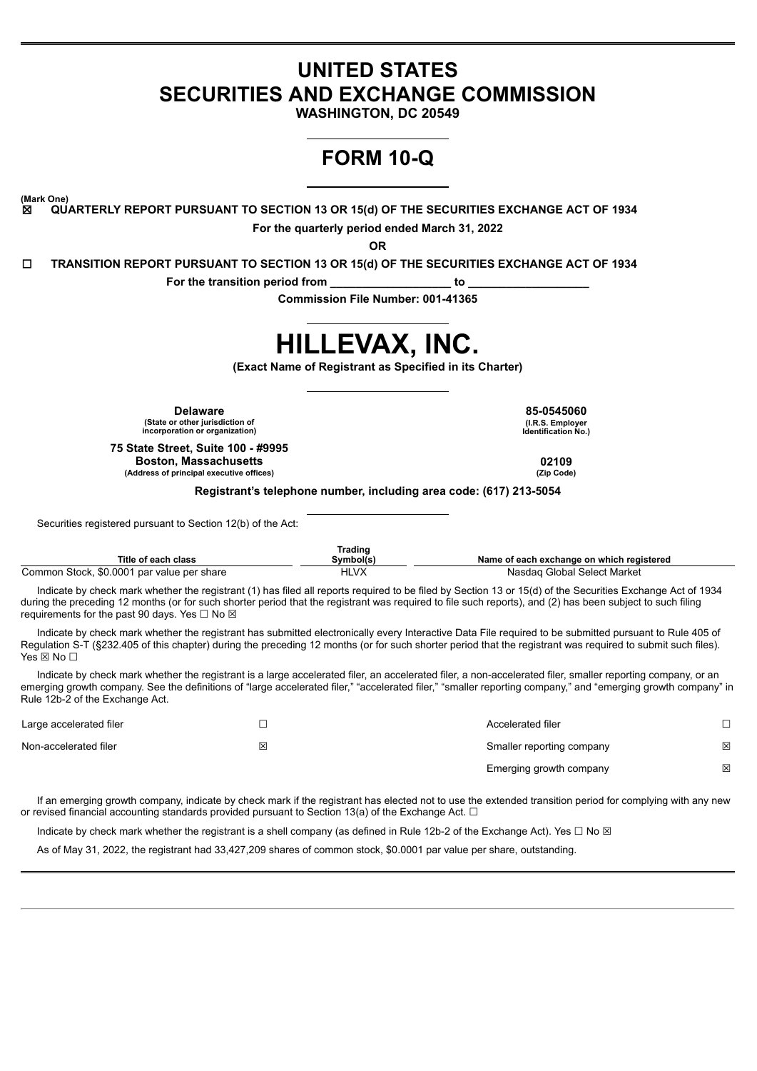## **UNITED STATES SECURITIES AND EXCHANGE COMMISSION**

**WASHINGTON, DC 20549**

# **FORM 10-Q**

**(Mark One)**

☒ **QUARTERLY REPORT PURSUANT TO SECTION 13 OR 15(d) OF THE SECURITIES EXCHANGE ACT OF 1934 For the quarterly period ended March 31, 2022**

**OR**

☐ **TRANSITION REPORT PURSUANT TO SECTION 13 OR 15(d) OF THE SECURITIES EXCHANGE ACT OF 1934**

**For the transition period from \_\_\_\_\_\_\_\_\_\_\_\_\_\_\_\_\_\_\_ to \_\_\_\_\_\_\_\_\_\_\_\_\_\_\_\_\_\_\_**

**Commission File Number: 001-41365**

# **HILLEVAX, INC.**

**(Exact Name of Registrant as Specified in its Charter)**

**Delaware 85-0545060 (State or other jurisdiction of incorporation or organization)**

**75 State Street, Suite 100 - #9995 Boston, Massachusetts 02109 (Address of principal executive offices) (Zip Code)**

**(I.R.S. Employer Identification No.)**

**Registrant's telephone number, including area code: (617) 213-5054**

Securities registered pursuant to Section 12(b) of the Act:

|                                                      | Trading     |                                           |
|------------------------------------------------------|-------------|-------------------------------------------|
| Title of each class                                  | svmbol(s    | Name of each exchange on which registered |
| . \$0.0001<br>Common Stock,<br>1 par value per share | <b>HLVX</b> | Global Select Market<br>Nasdag            |

Indicate by check mark whether the registrant (1) has filed all reports required to be filed by Section 13 or 15(d) of the Securities Exchange Act of 1934 during the preceding 12 months (or for such shorter period that the registrant was required to file such reports), and (2) has been subject to such filing requirements for the past 90 days. Yes  $\Box$  No  $\boxtimes$ 

Indicate by check mark whether the registrant has submitted electronically every Interactive Data File required to be submitted pursuant to Rule 405 of Regulation S-T (§232.405 of this chapter) during the preceding 12 months (or for such shorter period that the registrant was required to submit such files). Yes ⊠ No □

Indicate by check mark whether the registrant is a large accelerated filer, an accelerated filer, a non-accelerated filer, smaller reporting company, or an emerging growth company. See the definitions of "large accelerated filer," "accelerated filer," "smaller reporting company," and "emerging growth company" in Rule 12b-2 of the Exchange Act.

| Large accelerated filer | Accelerated filer         |   |
|-------------------------|---------------------------|---|
| Non-accelerated filer   | Smaller reporting company | 区 |
|                         | Emerging growth company   | ⊠ |

If an emerging growth company, indicate by check mark if the registrant has elected not to use the extended transition period for complying with any new or revised financial accounting standards provided pursuant to Section 13(a) of the Exchange Act. □

Indicate by check mark whether the registrant is a shell company (as defined in Rule 12b-2 of the Exchange Act). Yes  $\Box$  No  $\boxtimes$ 

As of May 31, 2022, the registrant had 33,427,209 shares of common stock, \$0.0001 par value per share, outstanding.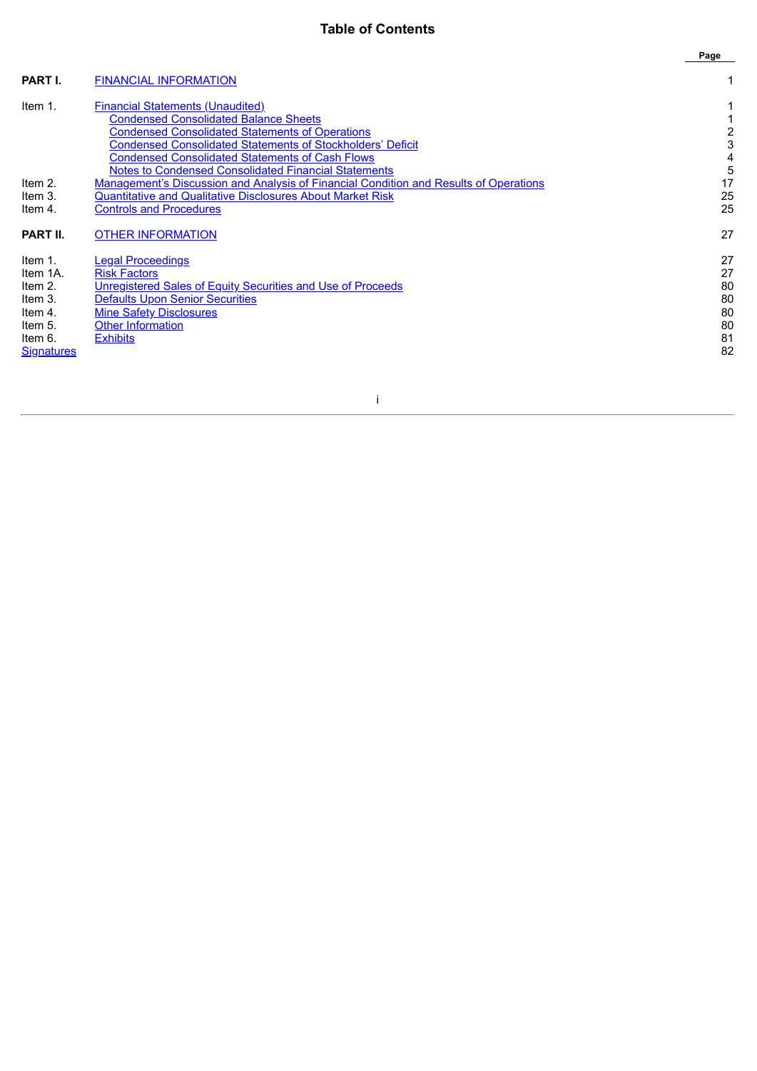### **Table of Contents**

|                   |                                                                                       | Page |
|-------------------|---------------------------------------------------------------------------------------|------|
| PART I.           | <b>FINANCIAL INFORMATION</b>                                                          |      |
| Item 1.           | <b>Financial Statements (Unaudited)</b>                                               |      |
|                   | <b>Condensed Consolidated Balance Sheets</b>                                          |      |
|                   | <b>Condensed Consolidated Statements of Operations</b>                                | 2    |
|                   | <b>Condensed Consolidated Statements of Stockholders' Deficit</b>                     | 3    |
|                   | <b>Condensed Consolidated Statements of Cash Flows</b>                                | 4    |
|                   | <b>Notes to Condensed Consolidated Financial Statements</b>                           | 5    |
| Item 2.           | Management's Discussion and Analysis of Financial Condition and Results of Operations | 17   |
| Item 3.           | Quantitative and Qualitative Disclosures About Market Risk                            | 25   |
| Item 4.           | <b>Controls and Procedures</b>                                                        | 25   |
| PART II.          | <b>OTHER INFORMATION</b>                                                              | 27   |
| Item 1.           | <b>Legal Proceedings</b>                                                              | 27   |
| Item 1A.          | <b>Risk Factors</b>                                                                   | 27   |
| Item 2.           | <b>Unregistered Sales of Equity Securities and Use of Proceeds</b>                    | 80   |
| Item 3.           | <b>Defaults Upon Senior Securities</b>                                                | 80   |
| Item 4.           | <b>Mine Safety Disclosures</b>                                                        | 80   |
| Item 5.           | <b>Other Information</b>                                                              | 80   |
| Item 6.           | <b>Exhibits</b>                                                                       | 81   |
| <b>Signatures</b> |                                                                                       | 82   |
|                   |                                                                                       |      |

i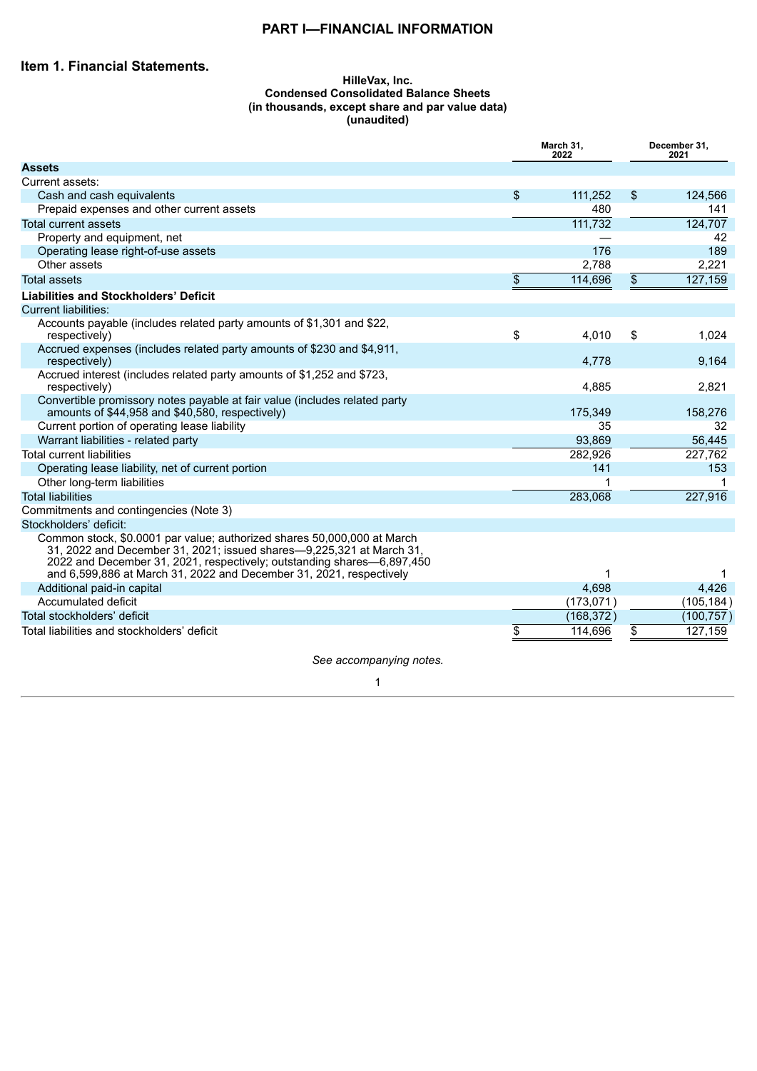### **PART I—FINANCIAL INFORMATION**

### <span id="page-2-2"></span><span id="page-2-1"></span><span id="page-2-0"></span>**Item 1. Financial Statements.**

#### **HilleVax, Inc. Condensed Consolidated Balance Sheets (in thousands, except share and par value data) (unaudited)**

| March 31,<br>2022                                                                                                                                                                                                                                                                                |                |            | December 31,<br>2021 |            |  |
|--------------------------------------------------------------------------------------------------------------------------------------------------------------------------------------------------------------------------------------------------------------------------------------------------|----------------|------------|----------------------|------------|--|
| <b>Assets</b>                                                                                                                                                                                                                                                                                    |                |            |                      |            |  |
| Current assets:                                                                                                                                                                                                                                                                                  |                |            |                      |            |  |
| Cash and cash equivalents                                                                                                                                                                                                                                                                        | $\mathfrak{L}$ | 111.252    | $\mathfrak{L}$       | 124,566    |  |
| Prepaid expenses and other current assets                                                                                                                                                                                                                                                        |                | 480        |                      | 141        |  |
| <b>Total current assets</b>                                                                                                                                                                                                                                                                      |                | 111,732    |                      | 124,707    |  |
| Property and equipment, net                                                                                                                                                                                                                                                                      |                |            |                      | 42         |  |
| Operating lease right-of-use assets                                                                                                                                                                                                                                                              |                | 176        |                      | 189        |  |
| Other assets                                                                                                                                                                                                                                                                                     |                | 2,788      |                      | 2,221      |  |
| <b>Total assets</b>                                                                                                                                                                                                                                                                              | $\,$           | 114,696    | \$                   | 127,159    |  |
| <b>Liabilities and Stockholders' Deficit</b>                                                                                                                                                                                                                                                     |                |            |                      |            |  |
| <b>Current liabilities:</b>                                                                                                                                                                                                                                                                      |                |            |                      |            |  |
| Accounts payable (includes related party amounts of \$1,301 and \$22,                                                                                                                                                                                                                            |                |            |                      |            |  |
| respectively)                                                                                                                                                                                                                                                                                    | \$             | 4,010      | \$                   | 1,024      |  |
| Accrued expenses (includes related party amounts of \$230 and \$4,911,<br>respectively)                                                                                                                                                                                                          |                | 4,778      |                      | 9,164      |  |
| Accrued interest (includes related party amounts of \$1,252 and \$723,<br>respectively)                                                                                                                                                                                                          |                | 4,885      |                      | 2,821      |  |
| Convertible promissory notes payable at fair value (includes related party<br>amounts of \$44,958 and \$40,580, respectively)                                                                                                                                                                    |                | 175,349    |                      | 158.276    |  |
| Current portion of operating lease liability                                                                                                                                                                                                                                                     |                | 35         |                      | 32         |  |
| Warrant liabilities - related party                                                                                                                                                                                                                                                              |                | 93,869     |                      | 56,445     |  |
| <b>Total current liabilities</b>                                                                                                                                                                                                                                                                 |                | 282,926    |                      | 227,762    |  |
| Operating lease liability, net of current portion                                                                                                                                                                                                                                                |                | 141        |                      | 153        |  |
| Other long-term liabilities                                                                                                                                                                                                                                                                      |                |            |                      |            |  |
| <b>Total liabilities</b>                                                                                                                                                                                                                                                                         |                | 283,068    |                      | 227,916    |  |
| Commitments and contingencies (Note 3)                                                                                                                                                                                                                                                           |                |            |                      |            |  |
| Stockholders' deficit:                                                                                                                                                                                                                                                                           |                |            |                      |            |  |
| Common stock, \$0.0001 par value; authorized shares 50,000,000 at March<br>31, 2022 and December 31, 2021; issued shares-9,225,321 at March 31,<br>2022 and December 31, 2021, respectively; outstanding shares-6,897,450<br>and 6,599,886 at March 31, 2022 and December 31, 2021, respectively |                | 1          |                      |            |  |
| Additional paid-in capital                                                                                                                                                                                                                                                                       |                | 4.698      |                      | 4,426      |  |
| Accumulated deficit                                                                                                                                                                                                                                                                              |                | (173, 071) |                      | (105, 184) |  |
| Total stockholders' deficit                                                                                                                                                                                                                                                                      |                | (168, 372) |                      | (100, 757) |  |
| Total liabilities and stockholders' deficit                                                                                                                                                                                                                                                      | \$             | 114,696    | \$                   | 127,159    |  |
|                                                                                                                                                                                                                                                                                                  |                |            |                      |            |  |
|                                                                                                                                                                                                                                                                                                  |                |            |                      |            |  |

*See accompanying notes.*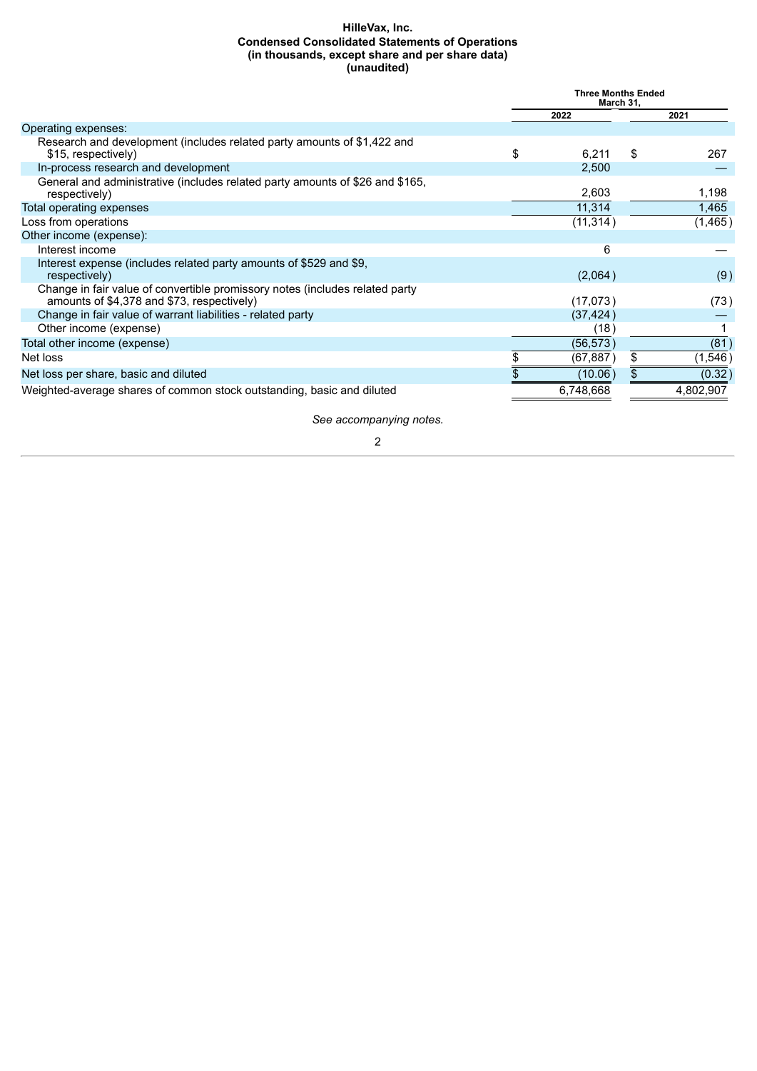### **HilleVax, Inc. Condensed Consolidated Statements of Operations (in thousands, except share and per share data) (unaudited)**

<span id="page-3-0"></span>

|                                                                                                                            | <b>Three Months Ended</b><br>March 31, |           |    |           |
|----------------------------------------------------------------------------------------------------------------------------|----------------------------------------|-----------|----|-----------|
|                                                                                                                            |                                        | 2022      |    | 2021      |
| Operating expenses:                                                                                                        |                                        |           |    |           |
| Research and development (includes related party amounts of \$1,422 and<br>\$15, respectively)                             | \$                                     | 6,211     | \$ | 267       |
| In-process research and development                                                                                        |                                        | 2,500     |    |           |
| General and administrative (includes related party amounts of \$26 and \$165,<br>respectively)                             |                                        | 2,603     |    | 1,198     |
| Total operating expenses                                                                                                   |                                        | 11,314    |    | 1,465     |
| Loss from operations                                                                                                       |                                        | (11, 314) |    | (1,465)   |
| Other income (expense):                                                                                                    |                                        |           |    |           |
| Interest income                                                                                                            |                                        | 6         |    |           |
| Interest expense (includes related party amounts of \$529 and \$9,<br>respectively)                                        |                                        | (2,064)   |    | (9)       |
| Change in fair value of convertible promissory notes (includes related party<br>amounts of \$4,378 and \$73, respectively) |                                        | (17,073)  |    | (73)      |
| Change in fair value of warrant liabilities - related party                                                                |                                        | (37, 424) |    |           |
| Other income (expense)                                                                                                     |                                        | (18)      |    |           |
| Total other income (expense)                                                                                               |                                        | (56, 573) |    | (81)      |
| Net loss                                                                                                                   |                                        | (67, 887) | \$ | (1,546)   |
| Net loss per share, basic and diluted                                                                                      |                                        | (10.06)   | \$ | (0.32)    |
| Weighted-average shares of common stock outstanding, basic and diluted                                                     |                                        | 6,748,668 |    | 4,802,907 |

*See accompanying notes.*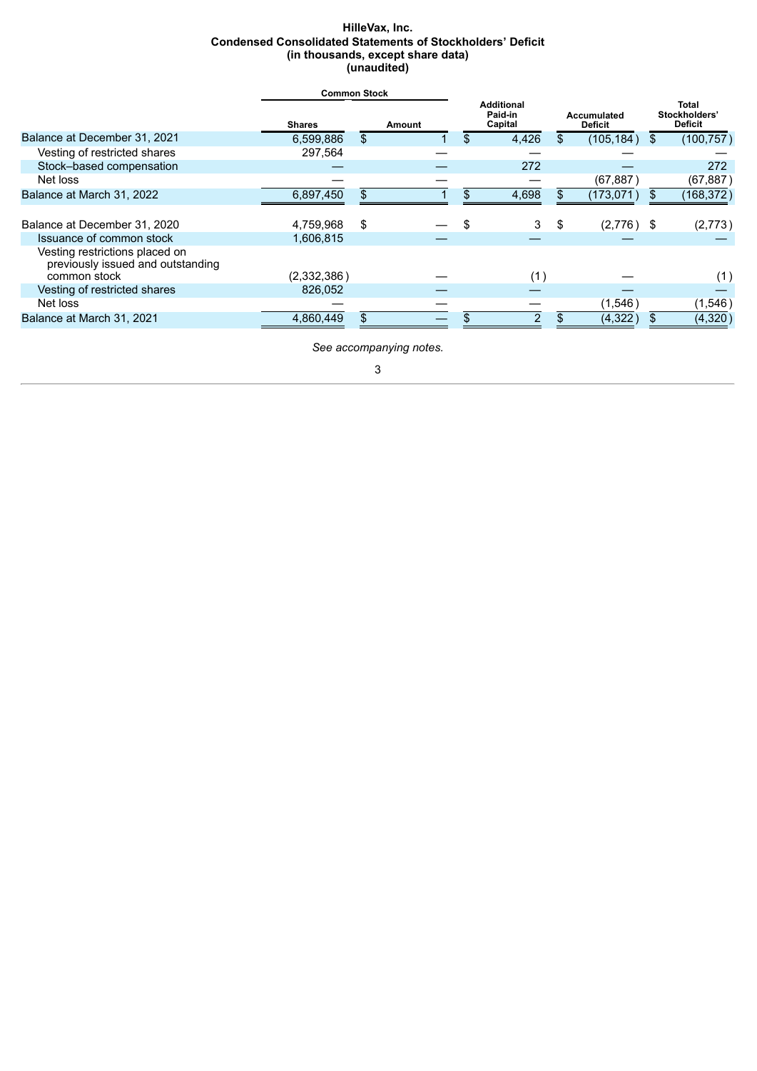#### **HilleVax, Inc. Condensed Consolidated Statements of Stockholders' Deficit (in thousands, except share data) (unaudited)**

<span id="page-4-0"></span>

|                                                                                     | <b>Common Stock</b> |               |                                         |                               |     |                                                 |
|-------------------------------------------------------------------------------------|---------------------|---------------|-----------------------------------------|-------------------------------|-----|-------------------------------------------------|
|                                                                                     | <b>Shares</b>       | <b>Amount</b> | <b>Additional</b><br>Paid-in<br>Capital | Accumulated<br><b>Deficit</b> |     | <b>Total</b><br>Stockholders'<br><b>Deficit</b> |
| Balance at December 31, 2021                                                        | 6.599.886           | \$            | \$<br>4,426                             | (105, 184)                    | \$. | (100, 757)                                      |
| Vesting of restricted shares                                                        | 297.564             |               |                                         |                               |     |                                                 |
| Stock-based compensation                                                            |                     |               | 272                                     |                               |     | 272                                             |
| Net loss                                                                            |                     |               |                                         | (67, 887)                     |     | (67, 887)                                       |
| Balance at March 31, 2022                                                           | 6,897,450           | \$            | \$<br>4,698                             | (173,071)                     | \$  | (168, 372)                                      |
| Balance at December 31, 2020                                                        | 4,759,968           | \$            | 3                                       | \$<br>$(2,776)$ \$            |     | (2,773)                                         |
| Issuance of common stock                                                            | 1,606,815           |               |                                         |                               |     |                                                 |
| Vesting restrictions placed on<br>previously issued and outstanding<br>common stock | (2,332,386)         |               | (1)                                     |                               |     | (1)                                             |
| Vesting of restricted shares                                                        | 826.052             |               |                                         |                               |     |                                                 |
| Net loss                                                                            |                     |               |                                         | (1,546)                       |     | (1,546)                                         |
| Balance at March 31, 2021                                                           | 4,860,449           | \$            | $\overline{2}$                          | (4,322)                       |     | (4,320)                                         |

*See accompanying notes.*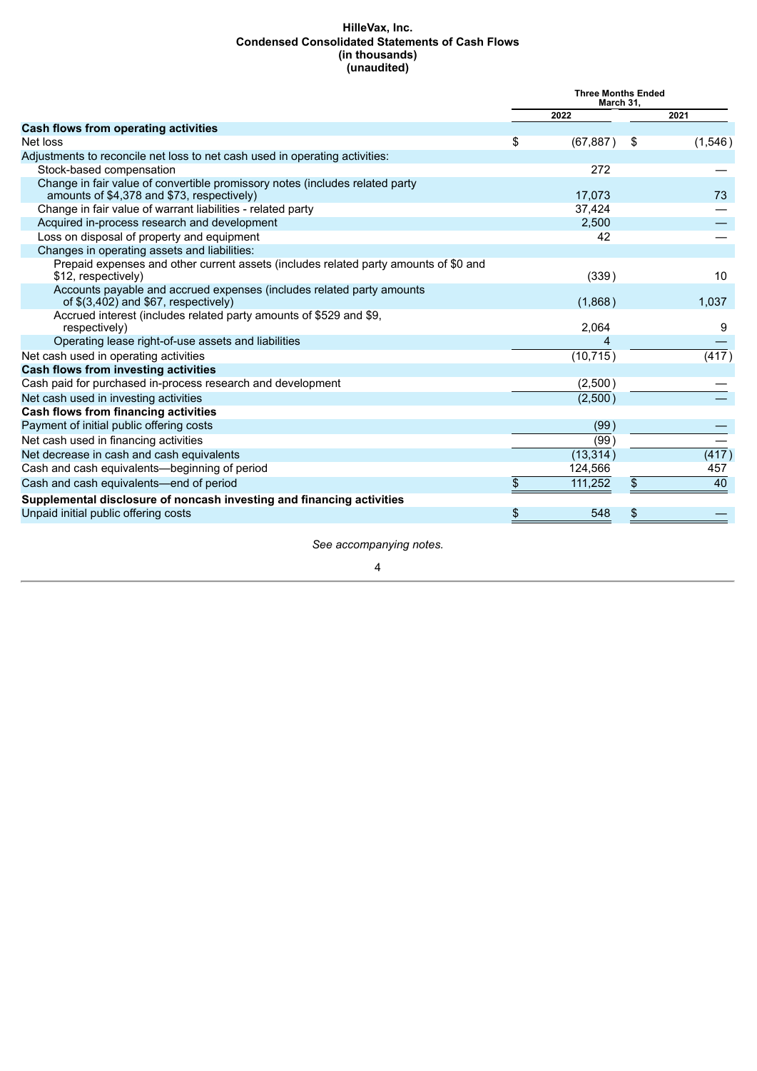#### **HilleVax, Inc. Condensed Consolidated Statements of Cash Flows (in thousands) (unaudited)**

<span id="page-5-0"></span>

|                                                                                                                            | <b>Three Months Ended</b><br>March 31. |    |         |  |
|----------------------------------------------------------------------------------------------------------------------------|----------------------------------------|----|---------|--|
|                                                                                                                            | 2022                                   |    | 2021    |  |
| Cash flows from operating activities                                                                                       |                                        |    |         |  |
| Net loss                                                                                                                   | \$<br>(67, 887)                        | \$ | (1,546) |  |
| Adjustments to reconcile net loss to net cash used in operating activities:                                                |                                        |    |         |  |
| Stock-based compensation                                                                                                   | 272                                    |    |         |  |
| Change in fair value of convertible promissory notes (includes related party<br>amounts of \$4,378 and \$73, respectively) | 17,073                                 |    | 73      |  |
| Change in fair value of warrant liabilities - related party                                                                | 37,424                                 |    |         |  |
| Acquired in-process research and development                                                                               | 2,500                                  |    |         |  |
| Loss on disposal of property and equipment                                                                                 | 42                                     |    |         |  |
| Changes in operating assets and liabilities:                                                                               |                                        |    |         |  |
| Prepaid expenses and other current assets (includes related party amounts of \$0 and<br>\$12, respectively)                | (339)                                  |    | 10      |  |
| Accounts payable and accrued expenses (includes related party amounts<br>of \$(3,402) and \$67, respectively)              | (1,868)                                |    | 1,037   |  |
| Accrued interest (includes related party amounts of \$529 and \$9,<br>respectively)                                        | 2,064                                  |    | 9       |  |
| Operating lease right-of-use assets and liabilities                                                                        |                                        |    |         |  |
| Net cash used in operating activities                                                                                      | (10, 715)                              |    | (417)   |  |
| Cash flows from investing activities                                                                                       |                                        |    |         |  |
| Cash paid for purchased in-process research and development                                                                | (2,500)                                |    |         |  |
| Net cash used in investing activities                                                                                      | (2,500)                                |    |         |  |
| Cash flows from financing activities                                                                                       |                                        |    |         |  |
| Payment of initial public offering costs                                                                                   | (99)                                   |    |         |  |
| Net cash used in financing activities                                                                                      | (99)                                   |    |         |  |
| Net decrease in cash and cash equivalents                                                                                  | (13, 314)                              |    | (417)   |  |
| Cash and cash equivalents—beginning of period                                                                              | 124,566                                |    | 457     |  |
| Cash and cash equivalents-end of period                                                                                    | \$<br>111,252                          | \$ | 40      |  |
| Supplemental disclosure of noncash investing and financing activities                                                      |                                        |    |         |  |
| Unpaid initial public offering costs                                                                                       | \$<br>548                              | \$ |         |  |

*See accompanying notes.*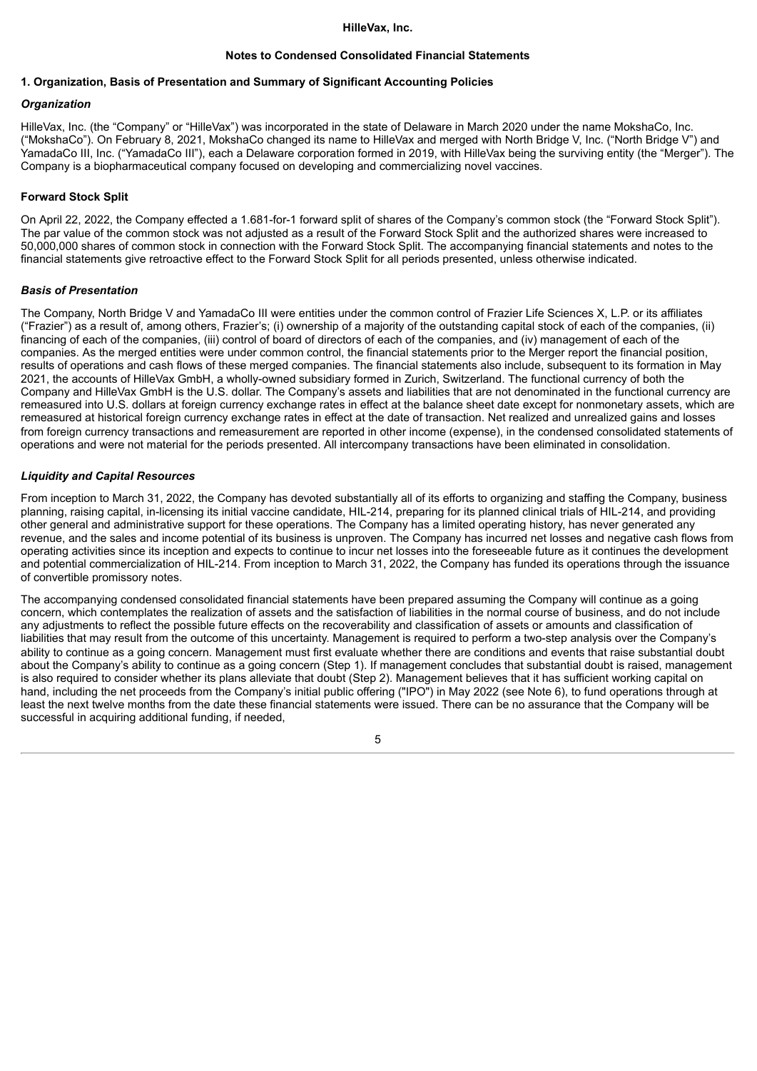#### **HilleVax, Inc.**

#### **Notes to Condensed Consolidated Financial Statements**

### <span id="page-6-0"></span>**1. Organization, Basis of Presentation and Summary of Significant Accounting Policies**

### *Organization*

HilleVax, Inc. (the "Company" or "HilleVax") was incorporated in the state of Delaware in March 2020 under the name MokshaCo, Inc. ("MokshaCo"). On February 8, 2021, MokshaCo changed its name to HilleVax and merged with North Bridge V, Inc. ("North Bridge V") and YamadaCo III, Inc. ("YamadaCo III"), each a Delaware corporation formed in 2019, with HilleVax being the surviving entity (the "Merger"). The Company is a biopharmaceutical company focused on developing and commercializing novel vaccines.

### **Forward Stock Split**

On April 22, 2022, the Company effected a 1.681-for-1 forward split of shares of the Company's common stock (the "Forward Stock Split"). The par value of the common stock was not adjusted as a result of the Forward Stock Split and the authorized shares were increased to 50,000,000 shares of common stock in connection with the Forward Stock Split. The accompanying financial statements and notes to the financial statements give retroactive effect to the Forward Stock Split for all periods presented, unless otherwise indicated.

### *Basis of Presentation*

The Company, North Bridge V and YamadaCo III were entities under the common control of Frazier Life Sciences X, L.P. or its affiliates ("Frazier") as a result of, among others, Frazier's; (i) ownership of a majority of the outstanding capital stock of each of the companies, (ii) financing of each of the companies, (iii) control of board of directors of each of the companies, and (iv) management of each of the companies. As the merged entities were under common control, the financial statements prior to the Merger report the financial position, results of operations and cash flows of these merged companies. The financial statements also include, subsequent to its formation in May 2021, the accounts of HilleVax GmbH, a wholly-owned subsidiary formed in Zurich, Switzerland. The functional currency of both the Company and HilleVax GmbH is the U.S. dollar. The Company's assets and liabilities that are not denominated in the functional currency are remeasured into U.S. dollars at foreign currency exchange rates in effect at the balance sheet date except for nonmonetary assets, which are remeasured at historical foreign currency exchange rates in effect at the date of transaction. Net realized and unrealized gains and losses from foreign currency transactions and remeasurement are reported in other income (expense), in the condensed consolidated statements of operations and were not material for the periods presented. All intercompany transactions have been eliminated in consolidation.

### *Liquidity and Capital Resources*

From inception to March 31, 2022, the Company has devoted substantially all of its efforts to organizing and staffing the Company, business planning, raising capital, in-licensing its initial vaccine candidate, HIL-214, preparing for its planned clinical trials of HIL-214, and providing other general and administrative support for these operations. The Company has a limited operating history, has never generated any revenue, and the sales and income potential of its business is unproven. The Company has incurred net losses and negative cash flows from operating activities since its inception and expects to continue to incur net losses into the foreseeable future as it continues the development and potential commercialization of HIL-214. From inception to March 31, 2022, the Company has funded its operations through the issuance of convertible promissory notes.

The accompanying condensed consolidated financial statements have been prepared assuming the Company will continue as a going concern, which contemplates the realization of assets and the satisfaction of liabilities in the normal course of business, and do not include any adjustments to reflect the possible future effects on the recoverability and classification of assets or amounts and classification of liabilities that may result from the outcome of this uncertainty. Management is required to perform a two-step analysis over the Company's ability to continue as a going concern. Management must first evaluate whether there are conditions and events that raise substantial doubt about the Company's ability to continue as a going concern (Step 1). If management concludes that substantial doubt is raised, management is also required to consider whether its plans alleviate that doubt (Step 2). Management believes that it has sufficient working capital on hand, including the net proceeds from the Company's initial public offering ("IPO") in May 2022 (see Note 6), to fund operations through at least the next twelve months from the date these financial statements were issued. There can be no assurance that the Company will be successful in acquiring additional funding, if needed,

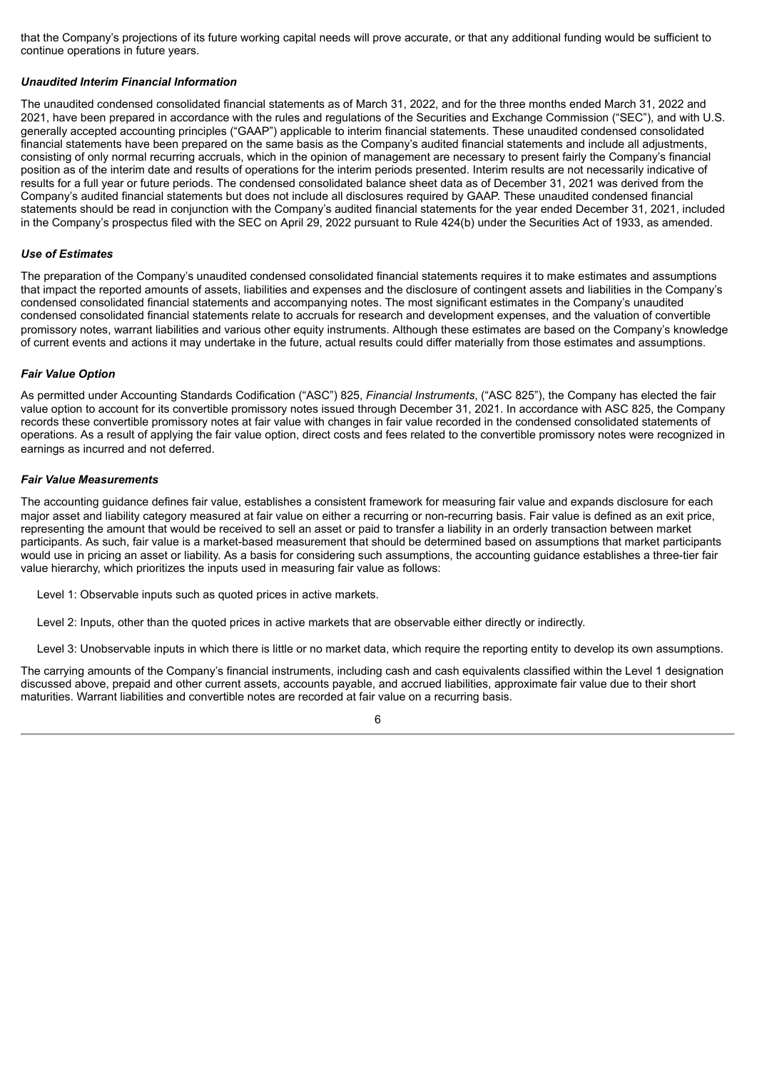that the Company's projections of its future working capital needs will prove accurate, or that any additional funding would be sufficient to continue operations in future years.

### *Unaudited Interim Financial Information*

The unaudited condensed consolidated financial statements as of March 31, 2022, and for the three months ended March 31, 2022 and 2021, have been prepared in accordance with the rules and regulations of the Securities and Exchange Commission ("SEC"), and with U.S. generally accepted accounting principles ("GAAP") applicable to interim financial statements. These unaudited condensed consolidated financial statements have been prepared on the same basis as the Company's audited financial statements and include all adjustments, consisting of only normal recurring accruals, which in the opinion of management are necessary to present fairly the Company's financial position as of the interim date and results of operations for the interim periods presented. Interim results are not necessarily indicative of results for a full year or future periods. The condensed consolidated balance sheet data as of December 31, 2021 was derived from the Company's audited financial statements but does not include all disclosures required by GAAP. These unaudited condensed financial statements should be read in conjunction with the Company's audited financial statements for the year ended December 31, 2021, included in the Company's prospectus filed with the SEC on April 29, 2022 pursuant to Rule 424(b) under the Securities Act of 1933, as amended.

### *Use of Estimates*

The preparation of the Company's unaudited condensed consolidated financial statements requires it to make estimates and assumptions that impact the reported amounts of assets, liabilities and expenses and the disclosure of contingent assets and liabilities in the Company's condensed consolidated financial statements and accompanying notes. The most significant estimates in the Company's unaudited condensed consolidated financial statements relate to accruals for research and development expenses, and the valuation of convertible promissory notes, warrant liabilities and various other equity instruments. Although these estimates are based on the Company's knowledge of current events and actions it may undertake in the future, actual results could differ materially from those estimates and assumptions.

### *Fair Value Option*

As permitted under Accounting Standards Codification ("ASC") 825, *Financial Instruments*, ("ASC 825"), the Company has elected the fair value option to account for its convertible promissory notes issued through December 31, 2021. In accordance with ASC 825, the Company records these convertible promissory notes at fair value with changes in fair value recorded in the condensed consolidated statements of operations. As a result of applying the fair value option, direct costs and fees related to the convertible promissory notes were recognized in earnings as incurred and not deferred.

### *Fair Value Measurements*

The accounting guidance defines fair value, establishes a consistent framework for measuring fair value and expands disclosure for each major asset and liability category measured at fair value on either a recurring or non-recurring basis. Fair value is defined as an exit price, representing the amount that would be received to sell an asset or paid to transfer a liability in an orderly transaction between market participants. As such, fair value is a market-based measurement that should be determined based on assumptions that market participants would use in pricing an asset or liability. As a basis for considering such assumptions, the accounting guidance establishes a three-tier fair value hierarchy, which prioritizes the inputs used in measuring fair value as follows:

Level 1: Observable inputs such as quoted prices in active markets.

Level 2: Inputs, other than the quoted prices in active markets that are observable either directly or indirectly.

Level 3: Unobservable inputs in which there is little or no market data, which require the reporting entity to develop its own assumptions.

The carrying amounts of the Company's financial instruments, including cash and cash equivalents classified within the Level 1 designation discussed above, prepaid and other current assets, accounts payable, and accrued liabilities, approximate fair value due to their short maturities. Warrant liabilities and convertible notes are recorded at fair value on a recurring basis.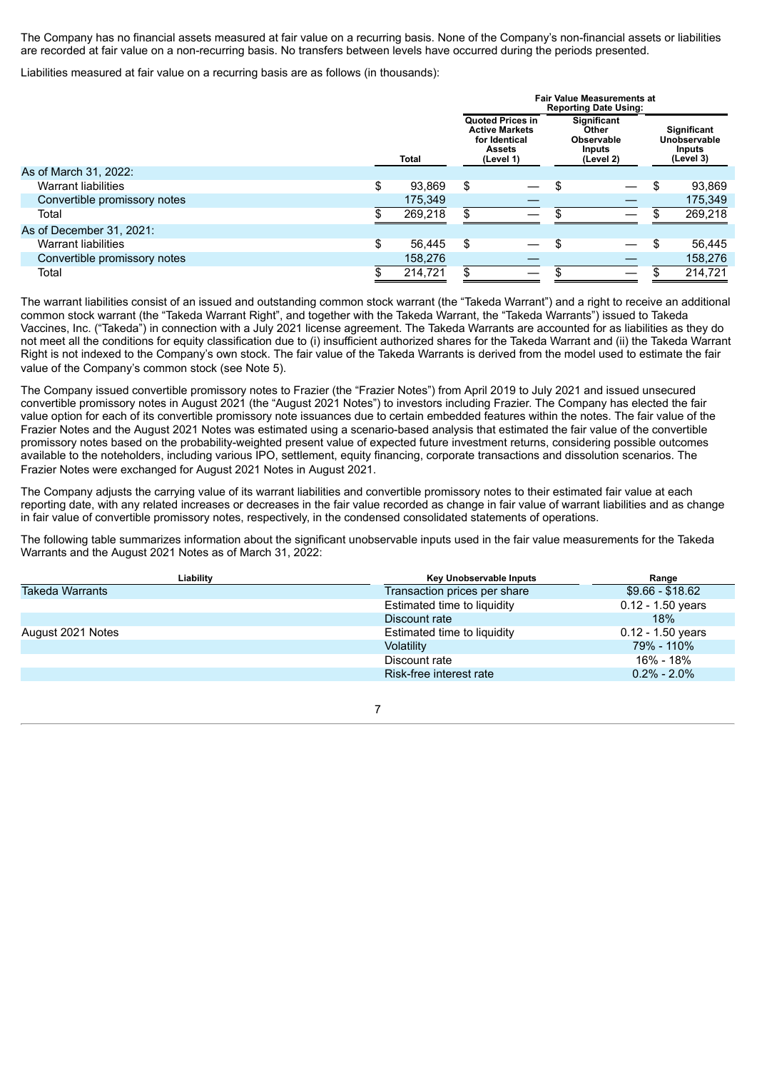The Company has no financial assets measured at fair value on a recurring basis. None of the Company's non-financial assets or liabilities are recorded at fair value on a non-recurring basis. No transfers between levels have occurred during the periods presented.

Liabilities measured at fair value on a recurring basis are as follows (in thousands):

|                              |              | <b>Fair Value Measurements at</b><br><b>Reporting Date Using:</b> |                                                                                                 |    |                                                                  |    |                                                           |
|------------------------------|--------------|-------------------------------------------------------------------|-------------------------------------------------------------------------------------------------|----|------------------------------------------------------------------|----|-----------------------------------------------------------|
|                              | <b>Total</b> |                                                                   | <b>Quoted Prices in</b><br><b>Active Markets</b><br>for Identical<br><b>Assets</b><br>(Level 1) |    | <b>Significant</b><br>Other<br>Observable<br>Inputs<br>(Level 2) |    | <b>Significant</b><br>Unobservable<br>Inputs<br>(Level 3) |
| As of March 31, 2022:        |              |                                                                   |                                                                                                 |    |                                                                  |    |                                                           |
| Warrant liabilities          | \$<br>93.869 | \$                                                                |                                                                                                 | \$ |                                                                  | \$ | 93,869                                                    |
| Convertible promissory notes | 175,349      |                                                                   |                                                                                                 |    |                                                                  |    | 175,349                                                   |
| Total                        | 269,218      |                                                                   |                                                                                                 |    |                                                                  |    | 269,218                                                   |
| As of December 31, 2021:     |              |                                                                   |                                                                                                 |    |                                                                  |    |                                                           |
| <b>Warrant liabilities</b>   | \$<br>56.445 | \$                                                                |                                                                                                 | \$ |                                                                  | \$ | 56,445                                                    |
| Convertible promissory notes | 158,276      |                                                                   |                                                                                                 |    |                                                                  |    | 158,276                                                   |
| Total                        | 214,721      |                                                                   |                                                                                                 |    |                                                                  | \$ | 214,721                                                   |

The warrant liabilities consist of an issued and outstanding common stock warrant (the "Takeda Warrant") and a right to receive an additional common stock warrant (the "Takeda Warrant Right", and together with the Takeda Warrant, the "Takeda Warrants") issued to Takeda Vaccines, Inc. ("Takeda") in connection with a July 2021 license agreement. The Takeda Warrants are accounted for as liabilities as they do not meet all the conditions for equity classification due to (i) insufficient authorized shares for the Takeda Warrant and (ii) the Takeda Warrant Right is not indexed to the Company's own stock. The fair value of the Takeda Warrants is derived from the model used to estimate the fair value of the Company's common stock (see Note 5).

The Company issued convertible promissory notes to Frazier (the "Frazier Notes") from April 2019 to July 2021 and issued unsecured convertible promissory notes in August 2021 (the "August 2021 Notes") to investors including Frazier. The Company has elected the fair value option for each of its convertible promissory note issuances due to certain embedded features within the notes. The fair value of the Frazier Notes and the August 2021 Notes was estimated using a scenario-based analysis that estimated the fair value of the convertible promissory notes based on the probability-weighted present value of expected future investment returns, considering possible outcomes available to the noteholders, including various IPO, settlement, equity financing, corporate transactions and dissolution scenarios. The Frazier Notes were exchanged for August 2021 Notes in August 2021.

The Company adjusts the carrying value of its warrant liabilities and convertible promissory notes to their estimated fair value at each reporting date, with any related increases or decreases in the fair value recorded as change in fair value of warrant liabilities and as change in fair value of convertible promissory notes, respectively, in the condensed consolidated statements of operations.

The following table summarizes information about the significant unobservable inputs used in the fair value measurements for the Takeda Warrants and the August 2021 Notes as of March 31, 2022:

| Liabilitv         | Key Unobservable Inputs      | Range               |
|-------------------|------------------------------|---------------------|
| Takeda Warrants   | Transaction prices per share | $$9.66 - $18.62$    |
|                   | Estimated time to liquidity  | $0.12 - 1.50$ years |
|                   | Discount rate                | 18%                 |
| August 2021 Notes | Estimated time to liquidity  | $0.12 - 1.50$ years |
|                   | Volatility                   | 79% - 110%          |
|                   | Discount rate                | 16% - 18%           |
|                   | Risk-free interest rate      | $0.2\% - 2.0\%$     |
|                   |                              |                     |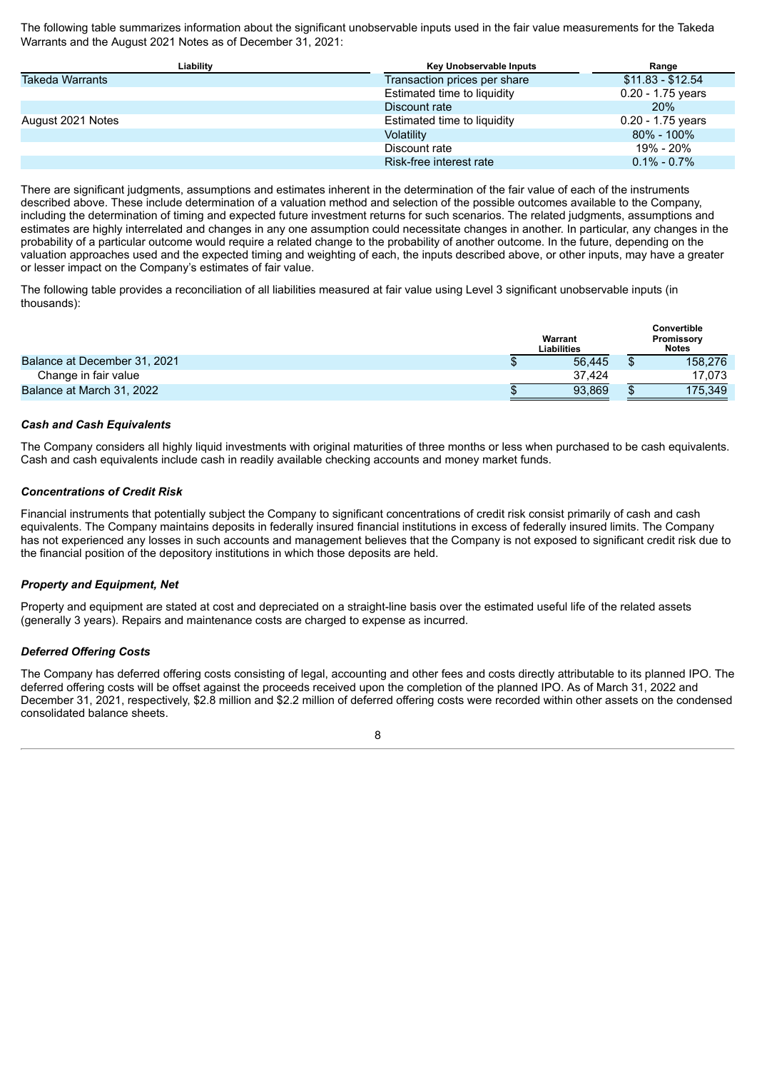The following table summarizes information about the significant unobservable inputs used in the fair value measurements for the Takeda Warrants and the August 2021 Notes as of December 31, 2021:

| Liability              | <b>Key Unobservable Inputs</b> | Range               |
|------------------------|--------------------------------|---------------------|
| <b>Takeda Warrants</b> | Transaction prices per share   | $$11.83 - $12.54$   |
|                        | Estimated time to liquidity    | $0.20 - 1.75$ years |
|                        | Discount rate                  | <b>20%</b>          |
| August 2021 Notes      | Estimated time to liquidity    | $0.20 - 1.75$ years |
|                        | Volatility                     | $80\% - 100\%$      |
|                        | Discount rate                  | 19% - 20%           |
|                        | Risk-free interest rate        | $0.1\% - 0.7\%$     |

There are significant judgments, assumptions and estimates inherent in the determination of the fair value of each of the instruments described above. These include determination of a valuation method and selection of the possible outcomes available to the Company, including the determination of timing and expected future investment returns for such scenarios. The related judgments, assumptions and estimates are highly interrelated and changes in any one assumption could necessitate changes in another. In particular, any changes in the probability of a particular outcome would require a related change to the probability of another outcome. In the future, depending on the valuation approaches used and the expected timing and weighting of each, the inputs described above, or other inputs, may have a greater or lesser impact on the Company's estimates of fair value.

The following table provides a reconciliation of all liabilities measured at fair value using Level 3 significant unobservable inputs (in thousands):

|                              | Warrant<br><b>Liabilities</b> | Convertible<br>Promissory<br><b>Notes</b> |
|------------------------------|-------------------------------|-------------------------------------------|
| Balance at December 31, 2021 | 56.445                        | 158,276                                   |
| Change in fair value         | 37.424                        | 17.073                                    |
| Balance at March 31, 2022    | 93.869                        | 175.349                                   |

### *Cash and Cash Equivalents*

The Company considers all highly liquid investments with original maturities of three months or less when purchased to be cash equivalents. Cash and cash equivalents include cash in readily available checking accounts and money market funds.

### *Concentrations of Credit Risk*

Financial instruments that potentially subject the Company to significant concentrations of credit risk consist primarily of cash and cash equivalents. The Company maintains deposits in federally insured financial institutions in excess of federally insured limits. The Company has not experienced any losses in such accounts and management believes that the Company is not exposed to significant credit risk due to the financial position of the depository institutions in which those deposits are held.

### *Property and Equipment, Net*

Property and equipment are stated at cost and depreciated on a straight-line basis over the estimated useful life of the related assets (generally 3 years). Repairs and maintenance costs are charged to expense as incurred.

### *Deferred Offering Costs*

The Company has deferred offering costs consisting of legal, accounting and other fees and costs directly attributable to its planned IPO. The deferred offering costs will be offset against the proceeds received upon the completion of the planned IPO. As of March 31, 2022 and December 31, 2021, respectively, \$2.8 million and \$2.2 million of deferred offering costs were recorded within other assets on the condensed consolidated balance sheets.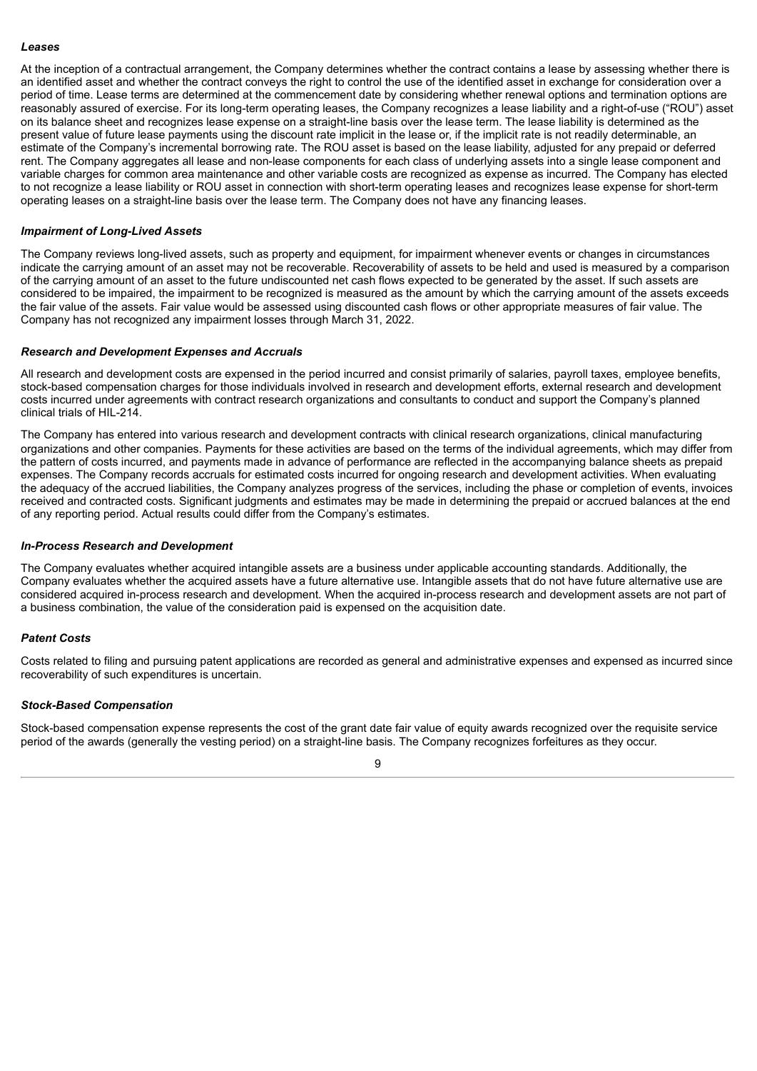#### *Leases*

At the inception of a contractual arrangement, the Company determines whether the contract contains a lease by assessing whether there is an identified asset and whether the contract conveys the right to control the use of the identified asset in exchange for consideration over a period of time. Lease terms are determined at the commencement date by considering whether renewal options and termination options are reasonably assured of exercise. For its long-term operating leases, the Company recognizes a lease liability and a right-of-use ("ROU") asset on its balance sheet and recognizes lease expense on a straight-line basis over the lease term. The lease liability is determined as the present value of future lease payments using the discount rate implicit in the lease or, if the implicit rate is not readily determinable, an estimate of the Company's incremental borrowing rate. The ROU asset is based on the lease liability, adjusted for any prepaid or deferred rent. The Company aggregates all lease and non-lease components for each class of underlying assets into a single lease component and variable charges for common area maintenance and other variable costs are recognized as expense as incurred. The Company has elected to not recognize a lease liability or ROU asset in connection with short-term operating leases and recognizes lease expense for short-term operating leases on a straight-line basis over the lease term. The Company does not have any financing leases.

### *Impairment of Long-Lived Assets*

The Company reviews long-lived assets, such as property and equipment, for impairment whenever events or changes in circumstances indicate the carrying amount of an asset may not be recoverable. Recoverability of assets to be held and used is measured by a comparison of the carrying amount of an asset to the future undiscounted net cash flows expected to be generated by the asset. If such assets are considered to be impaired, the impairment to be recognized is measured as the amount by which the carrying amount of the assets exceeds the fair value of the assets. Fair value would be assessed using discounted cash flows or other appropriate measures of fair value. The Company has not recognized any impairment losses through March 31, 2022.

### *Research and Development Expenses and Accruals*

All research and development costs are expensed in the period incurred and consist primarily of salaries, payroll taxes, employee benefits, stock-based compensation charges for those individuals involved in research and development efforts, external research and development costs incurred under agreements with contract research organizations and consultants to conduct and support the Company's planned clinical trials of HIL-214.

The Company has entered into various research and development contracts with clinical research organizations, clinical manufacturing organizations and other companies. Payments for these activities are based on the terms of the individual agreements, which may differ from the pattern of costs incurred, and payments made in advance of performance are reflected in the accompanying balance sheets as prepaid expenses. The Company records accruals for estimated costs incurred for ongoing research and development activities. When evaluating the adequacy of the accrued liabilities, the Company analyzes progress of the services, including the phase or completion of events, invoices received and contracted costs. Significant judgments and estimates may be made in determining the prepaid or accrued balances at the end of any reporting period. Actual results could differ from the Company's estimates.

### *In-Process Research and Development*

The Company evaluates whether acquired intangible assets are a business under applicable accounting standards. Additionally, the Company evaluates whether the acquired assets have a future alternative use. Intangible assets that do not have future alternative use are considered acquired in-process research and development. When the acquired in-process research and development assets are not part of a business combination, the value of the consideration paid is expensed on the acquisition date.

### *Patent Costs*

Costs related to filing and pursuing patent applications are recorded as general and administrative expenses and expensed as incurred since recoverability of such expenditures is uncertain.

### *Stock-Based Compensation*

Stock-based compensation expense represents the cost of the grant date fair value of equity awards recognized over the requisite service period of the awards (generally the vesting period) on a straight-line basis. The Company recognizes forfeitures as they occur.

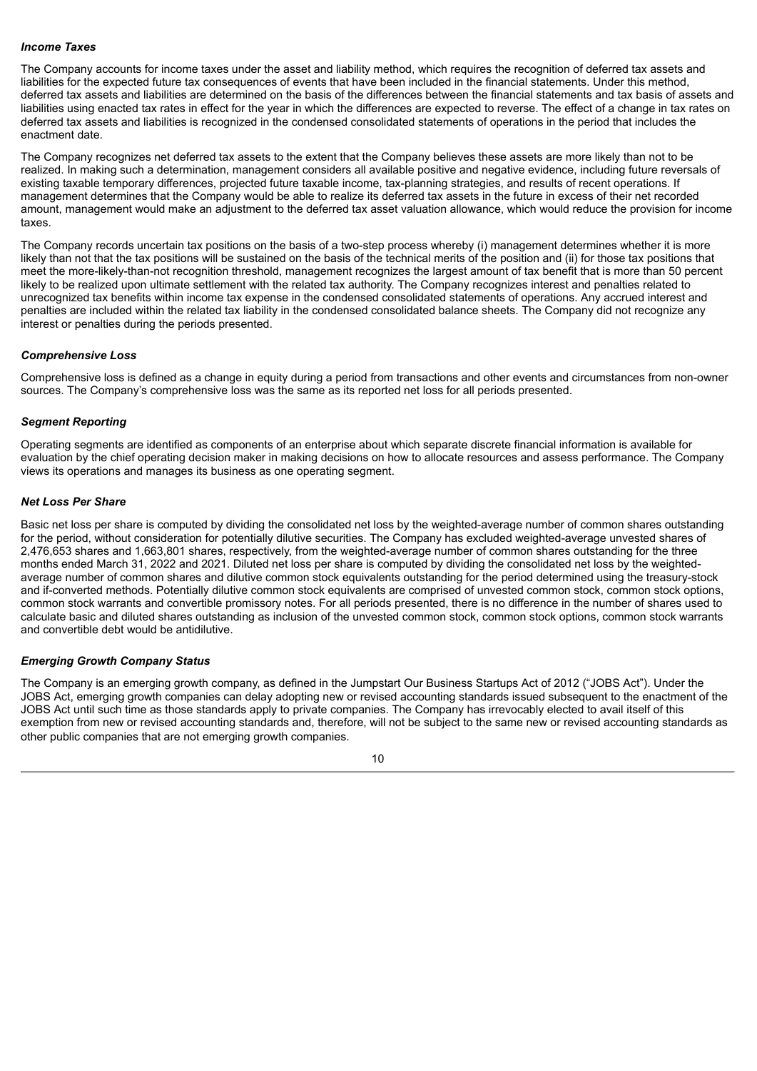### *Income Taxes*

The Company accounts for income taxes under the asset and liability method, which requires the recognition of deferred tax assets and liabilities for the expected future tax consequences of events that have been included in the financial statements. Under this method, deferred tax assets and liabilities are determined on the basis of the differences between the financial statements and tax basis of assets and liabilities using enacted tax rates in effect for the year in which the differences are expected to reverse. The effect of a change in tax rates on deferred tax assets and liabilities is recognized in the condensed consolidated statements of operations in the period that includes the enactment date.

The Company recognizes net deferred tax assets to the extent that the Company believes these assets are more likely than not to be realized. In making such a determination, management considers all available positive and negative evidence, including future reversals of existing taxable temporary differences, projected future taxable income, tax-planning strategies, and results of recent operations. If management determines that the Company would be able to realize its deferred tax assets in the future in excess of their net recorded amount, management would make an adjustment to the deferred tax asset valuation allowance, which would reduce the provision for income taxes.

The Company records uncertain tax positions on the basis of a two-step process whereby (i) management determines whether it is more likely than not that the tax positions will be sustained on the basis of the technical merits of the position and (ii) for those tax positions that meet the more-likely-than-not recognition threshold, management recognizes the largest amount of tax benefit that is more than 50 percent likely to be realized upon ultimate settlement with the related tax authority. The Company recognizes interest and penalties related to unrecognized tax benefits within income tax expense in the condensed consolidated statements of operations. Any accrued interest and penalties are included within the related tax liability in the condensed consolidated balance sheets. The Company did not recognize any interest or penalties during the periods presented.

### *Comprehensive Loss*

Comprehensive loss is defined as a change in equity during a period from transactions and other events and circumstances from non-owner sources. The Company's comprehensive loss was the same as its reported net loss for all periods presented.

### *Segment Reporting*

Operating segments are identified as components of an enterprise about which separate discrete financial information is available for evaluation by the chief operating decision maker in making decisions on how to allocate resources and assess performance. The Company views its operations and manages its business as one operating segment.

### *Net Loss Per Share*

Basic net loss per share is computed by dividing the consolidated net loss by the weighted-average number of common shares outstanding for the period, without consideration for potentially dilutive securities. The Company has excluded weighted-average unvested shares of 2,476,653 shares and 1,663,801 shares, respectively, from the weighted-average number of common shares outstanding for the three months ended March 31, 2022 and 2021. Diluted net loss per share is computed by dividing the consolidated net loss by the weightedaverage number of common shares and dilutive common stock equivalents outstanding for the period determined using the treasury-stock and if-converted methods. Potentially dilutive common stock equivalents are comprised of unvested common stock, common stock options, common stock warrants and convertible promissory notes. For all periods presented, there is no difference in the number of shares used to calculate basic and diluted shares outstanding as inclusion of the unvested common stock, common stock options, common stock warrants and convertible debt would be antidilutive.

### *Emerging Growth Company Status*

The Company is an emerging growth company, as defined in the Jumpstart Our Business Startups Act of 2012 ("JOBS Act"). Under the JOBS Act, emerging growth companies can delay adopting new or revised accounting standards issued subsequent to the enactment of the JOBS Act until such time as those standards apply to private companies. The Company has irrevocably elected to avail itself of this exemption from new or revised accounting standards and, therefore, will not be subject to the same new or revised accounting standards as other public companies that are not emerging growth companies.

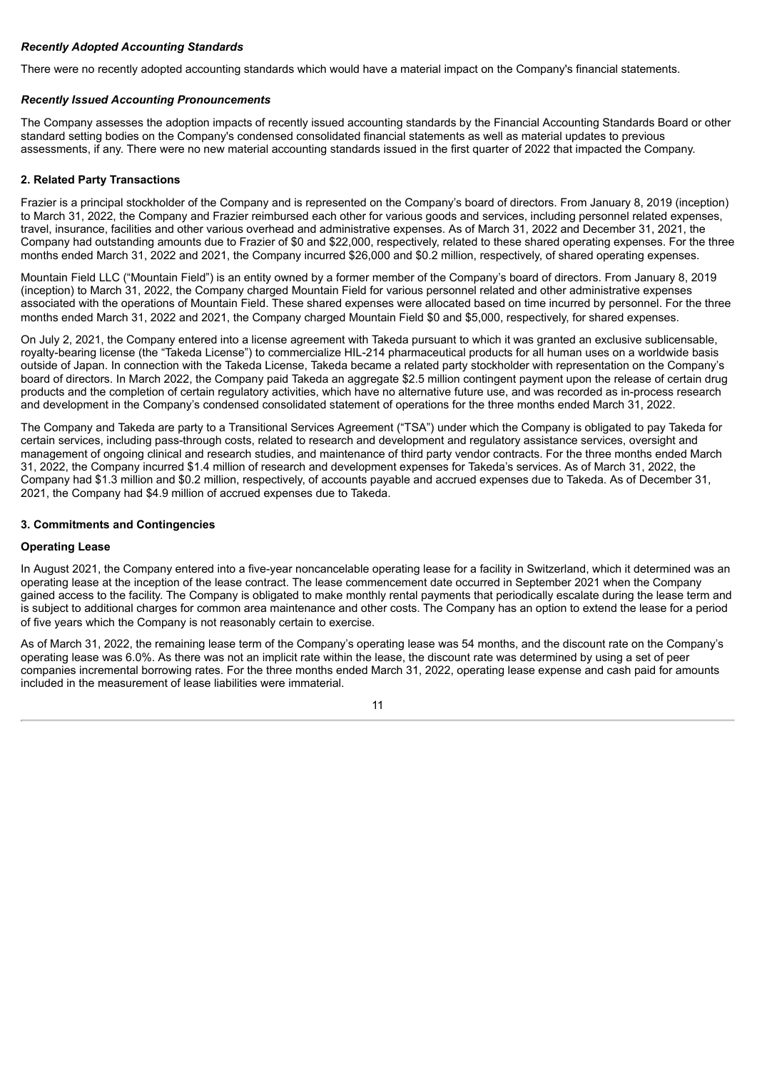### *Recently Adopted Accounting Standards*

There were no recently adopted accounting standards which would have a material impact on the Company's financial statements.

### *Recently Issued Accounting Pronouncements*

The Company assesses the adoption impacts of recently issued accounting standards by the Financial Accounting Standards Board or other standard setting bodies on the Company's condensed consolidated financial statements as well as material updates to previous assessments, if any. There were no new material accounting standards issued in the first quarter of 2022 that impacted the Company.

### **2. Related Party Transactions**

Frazier is a principal stockholder of the Company and is represented on the Company's board of directors. From January 8, 2019 (inception) to March 31, 2022, the Company and Frazier reimbursed each other for various goods and services, including personnel related expenses, travel, insurance, facilities and other various overhead and administrative expenses. As of March 31, 2022 and December 31, 2021, the Company had outstanding amounts due to Frazier of \$0 and \$22,000, respectively, related to these shared operating expenses. For the three months ended March 31, 2022 and 2021, the Company incurred \$26,000 and \$0.2 million, respectively, of shared operating expenses.

Mountain Field LLC ("Mountain Field") is an entity owned by a former member of the Company's board of directors. From January 8, 2019 (inception) to March 31, 2022, the Company charged Mountain Field for various personnel related and other administrative expenses associated with the operations of Mountain Field. These shared expenses were allocated based on time incurred by personnel. For the three months ended March 31, 2022 and 2021, the Company charged Mountain Field \$0 and \$5,000, respectively, for shared expenses.

On July 2, 2021, the Company entered into a license agreement with Takeda pursuant to which it was granted an exclusive sublicensable, royalty-bearing license (the "Takeda License") to commercialize HIL-214 pharmaceutical products for all human uses on a worldwide basis outside of Japan. In connection with the Takeda License, Takeda became a related party stockholder with representation on the Company's board of directors. In March 2022, the Company paid Takeda an aggregate \$2.5 million contingent payment upon the release of certain drug products and the completion of certain regulatory activities, which have no alternative future use, and was recorded as in-process research and development in the Company's condensed consolidated statement of operations for the three months ended March 31, 2022.

The Company and Takeda are party to a Transitional Services Agreement ("TSA") under which the Company is obligated to pay Takeda for certain services, including pass-through costs, related to research and development and regulatory assistance services, oversight and management of ongoing clinical and research studies, and maintenance of third party vendor contracts. For the three months ended March 31, 2022, the Company incurred \$1.4 million of research and development expenses for Takeda's services. As of March 31, 2022, the Company had \$1.3 million and \$0.2 million, respectively, of accounts payable and accrued expenses due to Takeda. As of December 31, 2021, the Company had \$4.9 million of accrued expenses due to Takeda.

### **3. Commitments and Contingencies**

### **Operating Lease**

In August 2021, the Company entered into a five-year noncancelable operating lease for a facility in Switzerland, which it determined was an operating lease at the inception of the lease contract. The lease commencement date occurred in September 2021 when the Company gained access to the facility. The Company is obligated to make monthly rental payments that periodically escalate during the lease term and is subject to additional charges for common area maintenance and other costs. The Company has an option to extend the lease for a period of five years which the Company is not reasonably certain to exercise.

As of March 31, 2022, the remaining lease term of the Company's operating lease was 54 months, and the discount rate on the Company's operating lease was 6.0%. As there was not an implicit rate within the lease, the discount rate was determined by using a set of peer companies incremental borrowing rates. For the three months ended March 31, 2022, operating lease expense and cash paid for amounts included in the measurement of lease liabilities were immaterial.

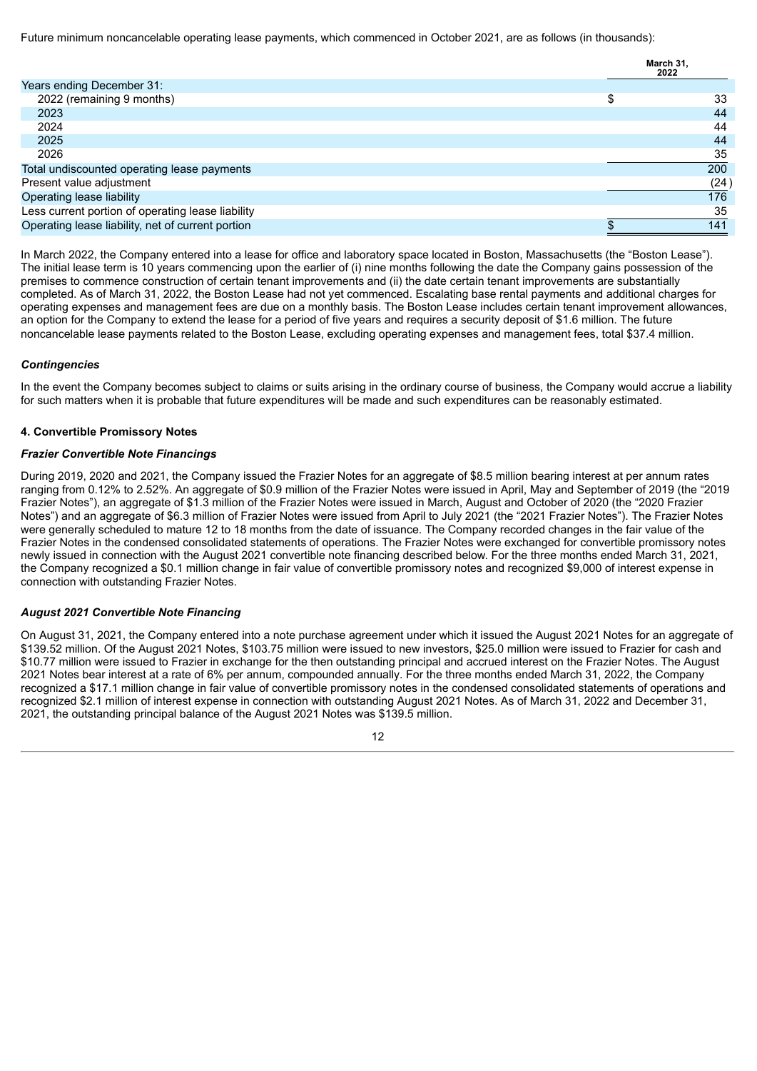Future minimum noncancelable operating lease payments, which commenced in October 2021, are as follows (in thousands):

|                                                   | March 31,<br>2022 |
|---------------------------------------------------|-------------------|
| Years ending December 31:                         |                   |
| 2022 (remaining 9 months)                         | \$<br>33          |
| 2023                                              | 44                |
| 2024                                              | 44                |
| 2025                                              | 44                |
| 2026                                              | 35                |
| Total undiscounted operating lease payments       | 200               |
| Present value adjustment                          | (24)              |
| Operating lease liability                         | 176               |
| Less current portion of operating lease liability | 35                |
| Operating lease liability, net of current portion | 141               |

In March 2022, the Company entered into a lease for office and laboratory space located in Boston, Massachusetts (the "Boston Lease"). The initial lease term is 10 years commencing upon the earlier of (i) nine months following the date the Company gains possession of the premises to commence construction of certain tenant improvements and (ii) the date certain tenant improvements are substantially completed. As of March 31, 2022, the Boston Lease had not yet commenced. Escalating base rental payments and additional charges for operating expenses and management fees are due on a monthly basis. The Boston Lease includes certain tenant improvement allowances, an option for the Company to extend the lease for a period of five years and requires a security deposit of \$1.6 million. The future noncancelable lease payments related to the Boston Lease, excluding operating expenses and management fees, total \$37.4 million.

### *Contingencies*

In the event the Company becomes subject to claims or suits arising in the ordinary course of business, the Company would accrue a liability for such matters when it is probable that future expenditures will be made and such expenditures can be reasonably estimated.

### **4. Convertible Promissory Notes**

#### *Frazier Convertible Note Financings*

During 2019, 2020 and 2021, the Company issued the Frazier Notes for an aggregate of \$8.5 million bearing interest at per annum rates ranging from 0.12% to 2.52%. An aggregate of \$0.9 million of the Frazier Notes were issued in April, May and September of 2019 (the "2019 Frazier Notes"), an aggregate of \$1.3 million of the Frazier Notes were issued in March, August and October of 2020 (the "2020 Frazier Notes") and an aggregate of \$6.3 million of Frazier Notes were issued from April to July 2021 (the "2021 Frazier Notes"). The Frazier Notes were generally scheduled to mature 12 to 18 months from the date of issuance. The Company recorded changes in the fair value of the Frazier Notes in the condensed consolidated statements of operations. The Frazier Notes were exchanged for convertible promissory notes newly issued in connection with the August 2021 convertible note financing described below. For the three months ended March 31, 2021, the Company recognized a \$0.1 million change in fair value of convertible promissory notes and recognized \$9,000 of interest expense in connection with outstanding Frazier Notes.

### *August 2021 Convertible Note Financing*

On August 31, 2021, the Company entered into a note purchase agreement under which it issued the August 2021 Notes for an aggregate of \$139.52 million. Of the August 2021 Notes, \$103.75 million were issued to new investors, \$25.0 million were issued to Frazier for cash and \$10.77 million were issued to Frazier in exchange for the then outstanding principal and accrued interest on the Frazier Notes. The August 2021 Notes bear interest at a rate of 6% per annum, compounded annually. For the three months ended March 31, 2022, the Company recognized a \$17.1 million change in fair value of convertible promissory notes in the condensed consolidated statements of operations and recognized \$2.1 million of interest expense in connection with outstanding August 2021 Notes. As of March 31, 2022 and December 31, 2021, the outstanding principal balance of the August 2021 Notes was \$139.5 million.

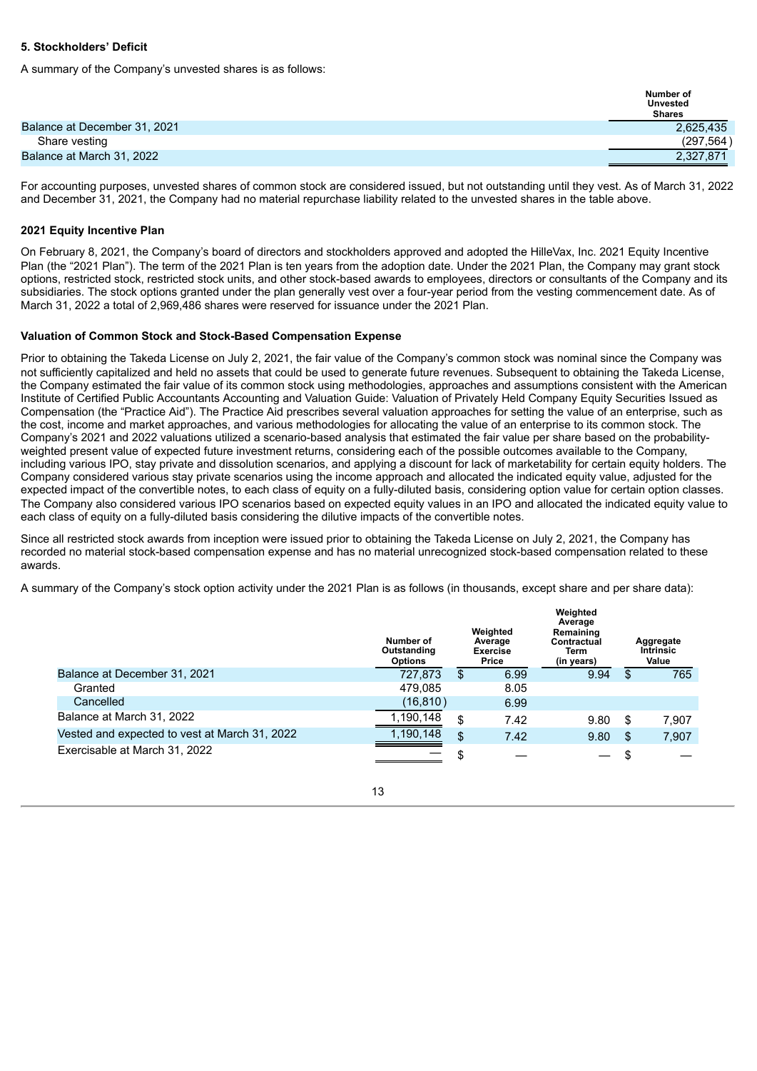### **5. Stockholders' Deficit**

A summary of the Company's unvested shares is as follows:

|                              | Number of<br><b>Unvested</b><br><b>Shares</b> |
|------------------------------|-----------------------------------------------|
| Balance at December 31, 2021 | 2,625,435                                     |
| Share vesting                | (297, 564)                                    |
| Balance at March 31, 2022    | 2,327,871                                     |

For accounting purposes, unvested shares of common stock are considered issued, but not outstanding until they vest. As of March 31, 2022 and December 31, 2021, the Company had no material repurchase liability related to the unvested shares in the table above.

### **2021 Equity Incentive Plan**

On February 8, 2021, the Company's board of directors and stockholders approved and adopted the HilleVax, Inc. 2021 Equity Incentive Plan (the "2021 Plan"). The term of the 2021 Plan is ten years from the adoption date. Under the 2021 Plan, the Company may grant stock options, restricted stock, restricted stock units, and other stock-based awards to employees, directors or consultants of the Company and its subsidiaries. The stock options granted under the plan generally vest over a four-year period from the vesting commencement date. As of March 31, 2022 a total of 2,969,486 shares were reserved for issuance under the 2021 Plan.

### **Valuation of Common Stock and Stock-Based Compensation Expense**

Prior to obtaining the Takeda License on July 2, 2021, the fair value of the Company's common stock was nominal since the Company was not sufficiently capitalized and held no assets that could be used to generate future revenues. Subsequent to obtaining the Takeda License, the Company estimated the fair value of its common stock using methodologies, approaches and assumptions consistent with the American Institute of Certified Public Accountants Accounting and Valuation Guide: Valuation of Privately Held Company Equity Securities Issued as Compensation (the "Practice Aid"). The Practice Aid prescribes several valuation approaches for setting the value of an enterprise, such as the cost, income and market approaches, and various methodologies for allocating the value of an enterprise to its common stock. The Company's 2021 and 2022 valuations utilized a scenario-based analysis that estimated the fair value per share based on the probabilityweighted present value of expected future investment returns, considering each of the possible outcomes available to the Company, including various IPO, stay private and dissolution scenarios, and applying a discount for lack of marketability for certain equity holders. The Company considered various stay private scenarios using the income approach and allocated the indicated equity value, adjusted for the expected impact of the convertible notes, to each class of equity on a fully-diluted basis, considering option value for certain option classes. The Company also considered various IPO scenarios based on expected equity values in an IPO and allocated the indicated equity value to each class of equity on a fully-diluted basis considering the dilutive impacts of the convertible notes.

Since all restricted stock awards from inception were issued prior to obtaining the Takeda License on July 2, 2021, the Company has recorded no material stock-based compensation expense and has no material unrecognized stock-based compensation related to these awards.

A summary of the Company's stock option activity under the 2021 Plan is as follows (in thousands, except share and per share data):

|                                               | Number of<br>Outstanding<br><b>Options</b> |    | Weighted<br>Average<br><b>Exercise</b><br>Price | Weighted<br>Average<br>Remaining<br>Contractual<br>Term<br>(in years) |     | Aggregate<br><b>Intrinsic</b><br>Value |
|-----------------------------------------------|--------------------------------------------|----|-------------------------------------------------|-----------------------------------------------------------------------|-----|----------------------------------------|
| Balance at December 31, 2021                  | 727,873                                    | \$ | 6.99                                            | 9.94                                                                  | \$. | 765                                    |
| Granted                                       | 479.085                                    |    | 8.05                                            |                                                                       |     |                                        |
| Cancelled                                     | (16, 810)                                  |    | 6.99                                            |                                                                       |     |                                        |
| Balance at March 31, 2022                     | 1,190,148                                  | \$ | 7.42                                            | 9.80                                                                  | \$  | 7,907                                  |
| Vested and expected to vest at March 31, 2022 | 1,190,148                                  | \$ | 7.42                                            | 9.80                                                                  | \$. | 7,907                                  |
| Exercisable at March 31, 2022                 |                                            | S  |                                                 |                                                                       | S   |                                        |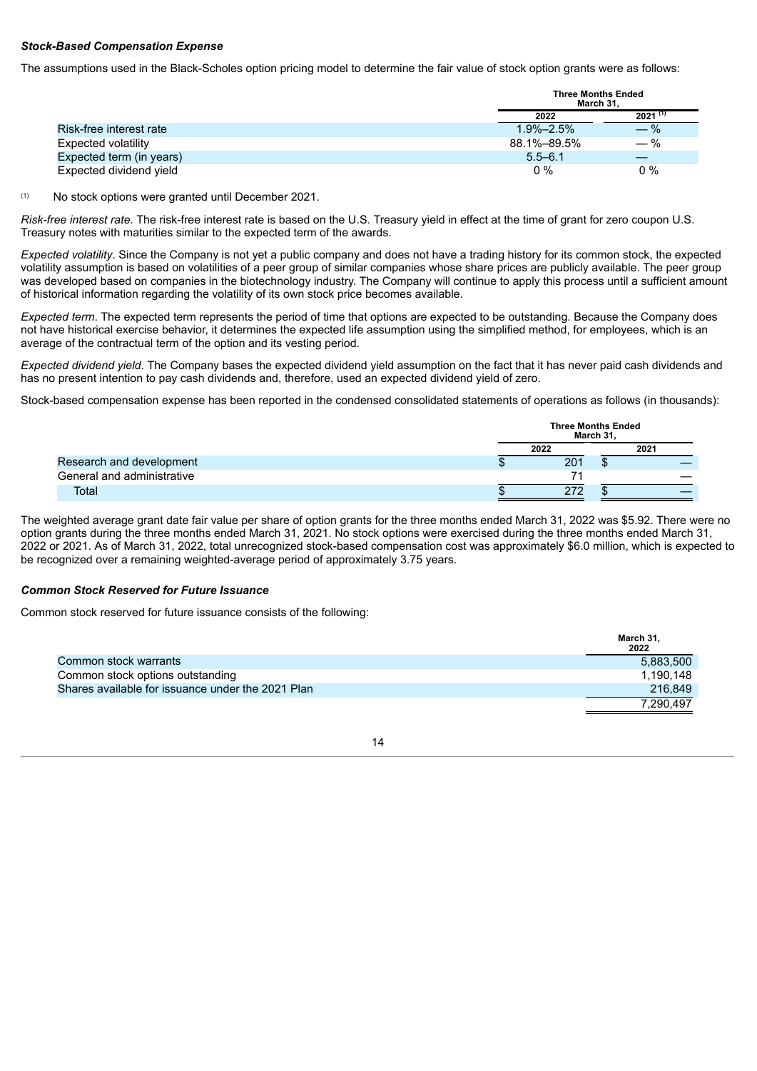#### *Stock-Based Compensation Expense*

The assumptions used in the Black-Scholes option pricing model to determine the fair value of stock option grants were as follows:

|                          |                 | <b>Three Months Ended</b><br>March 31, |  |  |
|--------------------------|-----------------|----------------------------------------|--|--|
|                          | 2022            | $2021^{(1)}$                           |  |  |
| Risk-free interest rate  | $1.9\% - 2.5\%$ | $-$ %                                  |  |  |
| Expected volatility      | 88.1%-89.5%     | $-$ %                                  |  |  |
| Expected term (in years) | $5.5 - 6.1$     |                                        |  |  |
| Expected dividend yield  | $0\%$           | $0\%$                                  |  |  |

No stock options were granted until December 2021. (1)

*Risk-free interest rate*. The risk-free interest rate is based on the U.S. Treasury yield in effect at the time of grant for zero coupon U.S. Treasury notes with maturities similar to the expected term of the awards.

*Expected volatility*. Since the Company is not yet a public company and does not have a trading history for its common stock, the expected volatility assumption is based on volatilities of a peer group of similar companies whose share prices are publicly available. The peer group was developed based on companies in the biotechnology industry. The Company will continue to apply this process until a sufficient amount of historical information regarding the volatility of its own stock price becomes available.

*Expected term*. The expected term represents the period of time that options are expected to be outstanding. Because the Company does not have historical exercise behavior, it determines the expected life assumption using the simplified method, for employees, which is an average of the contractual term of the option and its vesting period.

*Expected dividend yield*. The Company bases the expected dividend yield assumption on the fact that it has never paid cash dividends and has no present intention to pay cash dividends and, therefore, used an expected dividend yield of zero.

Stock-based compensation expense has been reported in the condensed consolidated statements of operations as follows (in thousands):

|                            | <b>Three Months Ended</b><br>March 31. |    |  |  |  |
|----------------------------|----------------------------------------|----|--|--|--|
|                            | 2022                                   |    |  |  |  |
| Research and development   | 201                                    | ۰D |  |  |  |
| General and administrative |                                        |    |  |  |  |
| Total                      | 272                                    |    |  |  |  |

The weighted average grant date fair value per share of option grants for the three months ended March 31, 2022 was \$5.92. There were no option grants during the three months ended March 31, 2021. No stock options were exercised during the three months ended March 31, 2022 or 2021. As of March 31, 2022, total unrecognized stock-based compensation cost was approximately \$6.0 million, which is expected to be recognized over a remaining weighted-average period of approximately 3.75 years.

### *Common Stock Reserved for Future Issuance*

Common stock reserved for future issuance consists of the following:

|                                                   | March 31.<br>2022 |
|---------------------------------------------------|-------------------|
| Common stock warrants                             | 5,883,500         |
| Common stock options outstanding                  | 1.190.148         |
| Shares available for issuance under the 2021 Plan | 216.849           |
|                                                   | 7.290.497         |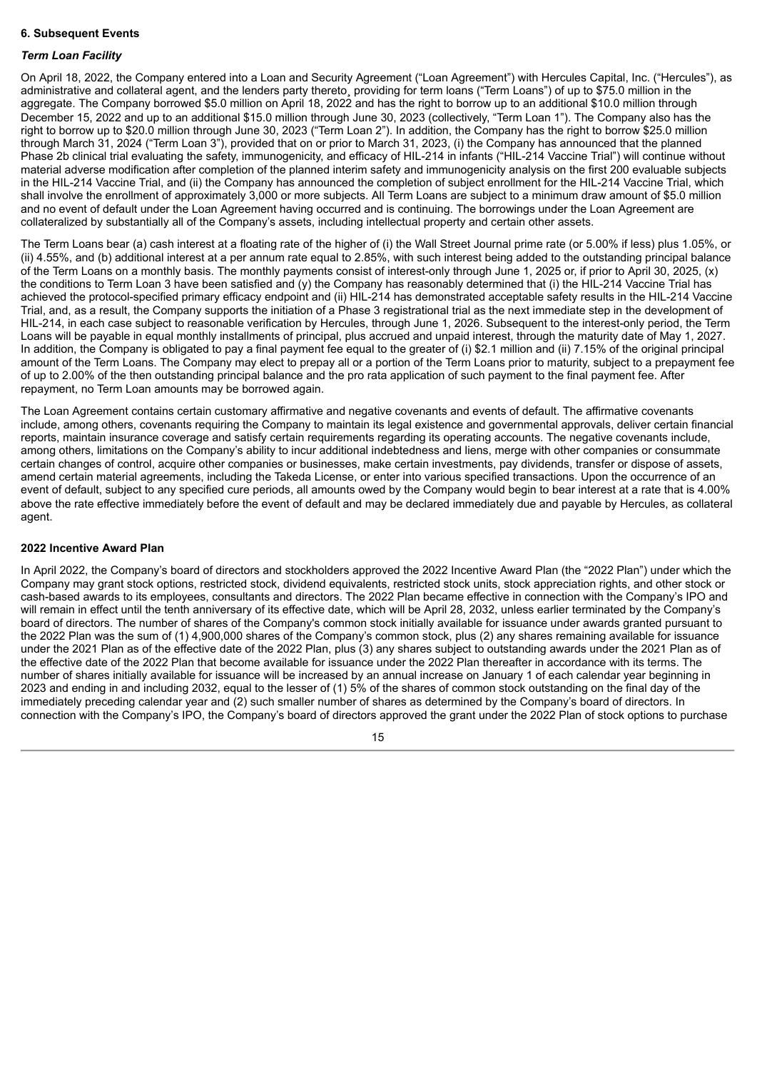### **6. Subsequent Events**

### *Term Loan Facility*

On April 18, 2022, the Company entered into a Loan and Security Agreement ("Loan Agreement") with Hercules Capital, Inc. ("Hercules"), as administrative and collateral agent, and the lenders party thereto¸ providing for term loans ("Term Loans") of up to \$75.0 million in the aggregate. The Company borrowed \$5.0 million on April 18, 2022 and has the right to borrow up to an additional \$10.0 million through December 15, 2022 and up to an additional \$15.0 million through June 30, 2023 (collectively, "Term Loan 1"). The Company also has the right to borrow up to \$20.0 million through June 30, 2023 ("Term Loan 2"). In addition, the Company has the right to borrow \$25.0 million through March 31, 2024 ("Term Loan 3"), provided that on or prior to March 31, 2023, (i) the Company has announced that the planned Phase 2b clinical trial evaluating the safety, immunogenicity, and efficacy of HIL-214 in infants ("HIL-214 Vaccine Trial") will continue without material adverse modification after completion of the planned interim safety and immunogenicity analysis on the first 200 evaluable subjects in the HIL-214 Vaccine Trial, and (ii) the Company has announced the completion of subject enrollment for the HIL-214 Vaccine Trial, which shall involve the enrollment of approximately 3,000 or more subjects. All Term Loans are subject to a minimum draw amount of \$5.0 million and no event of default under the Loan Agreement having occurred and is continuing. The borrowings under the Loan Agreement are collateralized by substantially all of the Company's assets, including intellectual property and certain other assets.

The Term Loans bear (a) cash interest at a floating rate of the higher of (i) the Wall Street Journal prime rate (or 5.00% if less) plus 1.05%, or (ii) 4.55%, and (b) additional interest at a per annum rate equal to 2.85%, with such interest being added to the outstanding principal balance of the Term Loans on a monthly basis. The monthly payments consist of interest-only through June 1, 2025 or, if prior to April 30, 2025, (x) the conditions to Term Loan 3 have been satisfied and (y) the Company has reasonably determined that (i) the HIL-214 Vaccine Trial has achieved the protocol-specified primary efficacy endpoint and (ii) HIL-214 has demonstrated acceptable safety results in the HIL-214 Vaccine Trial, and, as a result, the Company supports the initiation of a Phase 3 registrational trial as the next immediate step in the development of HIL-214, in each case subject to reasonable verification by Hercules, through June 1, 2026. Subsequent to the interest-only period, the Term Loans will be payable in equal monthly installments of principal, plus accrued and unpaid interest, through the maturity date of May 1, 2027. In addition, the Company is obligated to pay a final payment fee equal to the greater of (i) \$2.1 million and (ii) 7.15% of the original principal amount of the Term Loans. The Company may elect to prepay all or a portion of the Term Loans prior to maturity, subject to a prepayment fee of up to 2.00% of the then outstanding principal balance and the pro rata application of such payment to the final payment fee. After repayment, no Term Loan amounts may be borrowed again.

The Loan Agreement contains certain customary affirmative and negative covenants and events of default. The affirmative covenants include, among others, covenants requiring the Company to maintain its legal existence and governmental approvals, deliver certain financial reports, maintain insurance coverage and satisfy certain requirements regarding its operating accounts. The negative covenants include, among others, limitations on the Company's ability to incur additional indebtedness and liens, merge with other companies or consummate certain changes of control, acquire other companies or businesses, make certain investments, pay dividends, transfer or dispose of assets, amend certain material agreements, including the Takeda License, or enter into various specified transactions. Upon the occurrence of an event of default, subject to any specified cure periods, all amounts owed by the Company would begin to bear interest at a rate that is 4.00% above the rate effective immediately before the event of default and may be declared immediately due and payable by Hercules, as collateral agent.

### **2022 Incentive Award Plan**

In April 2022, the Company's board of directors and stockholders approved the 2022 Incentive Award Plan (the "2022 Plan") under which the Company may grant stock options, restricted stock, dividend equivalents, restricted stock units, stock appreciation rights, and other stock or cash-based awards to its employees, consultants and directors. The 2022 Plan became effective in connection with the Company's IPO and will remain in effect until the tenth anniversary of its effective date, which will be April 28, 2032, unless earlier terminated by the Company's board of directors. The number of shares of the Company's common stock initially available for issuance under awards granted pursuant to the 2022 Plan was the sum of (1) 4,900,000 shares of the Company's common stock, plus (2) any shares remaining available for issuance under the 2021 Plan as of the effective date of the 2022 Plan, plus (3) any shares subject to outstanding awards under the 2021 Plan as of the effective date of the 2022 Plan that become available for issuance under the 2022 Plan thereafter in accordance with its terms. The number of shares initially available for issuance will be increased by an annual increase on January 1 of each calendar year beginning in 2023 and ending in and including 2032, equal to the lesser of (1) 5% of the shares of common stock outstanding on the final day of the immediately preceding calendar year and (2) such smaller number of shares as determined by the Company's board of directors. In connection with the Company's IPO, the Company's board of directors approved the grant under the 2022 Plan of stock options to purchase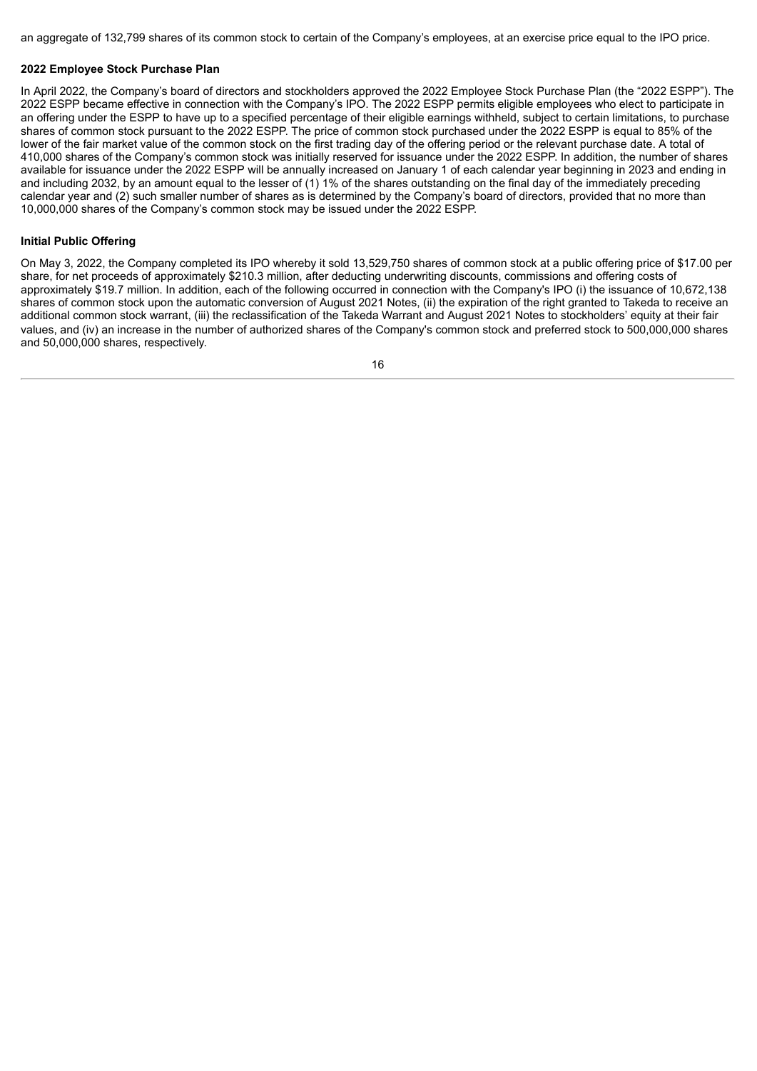an aggregate of 132,799 shares of its common stock to certain of the Company's employees, at an exercise price equal to the IPO price.

### **2022 Employee Stock Purchase Plan**

In April 2022, the Company's board of directors and stockholders approved the 2022 Employee Stock Purchase Plan (the "2022 ESPP"). The 2022 ESPP became effective in connection with the Company's IPO. The 2022 ESPP permits eligible employees who elect to participate in an offering under the ESPP to have up to a specified percentage of their eligible earnings withheld, subject to certain limitations, to purchase shares of common stock pursuant to the 2022 ESPP. The price of common stock purchased under the 2022 ESPP is equal to 85% of the lower of the fair market value of the common stock on the first trading day of the offering period or the relevant purchase date. A total of 410,000 shares of the Company's common stock was initially reserved for issuance under the 2022 ESPP. In addition, the number of shares available for issuance under the 2022 ESPP will be annually increased on January 1 of each calendar year beginning in 2023 and ending in and including 2032, by an amount equal to the lesser of (1) 1% of the shares outstanding on the final day of the immediately preceding calendar year and (2) such smaller number of shares as is determined by the Company's board of directors, provided that no more than 10,000,000 shares of the Company's common stock may be issued under the 2022 ESPP.

### **Initial Public Offering**

On May 3, 2022, the Company completed its IPO whereby it sold 13,529,750 shares of common stock at a public offering price of \$17.00 per share, for net proceeds of approximately \$210.3 million, after deducting underwriting discounts, commissions and offering costs of approximately \$19.7 million. In addition, each of the following occurred in connection with the Company's IPO (i) the issuance of 10,672,138 shares of common stock upon the automatic conversion of August 2021 Notes, (ii) the expiration of the right granted to Takeda to receive an additional common stock warrant, (iii) the reclassification of the Takeda Warrant and August 2021 Notes to stockholders' equity at their fair values, and (iv) an increase in the number of authorized shares of the Company's common stock and preferred stock to 500,000,000 shares and 50,000,000 shares, respectively.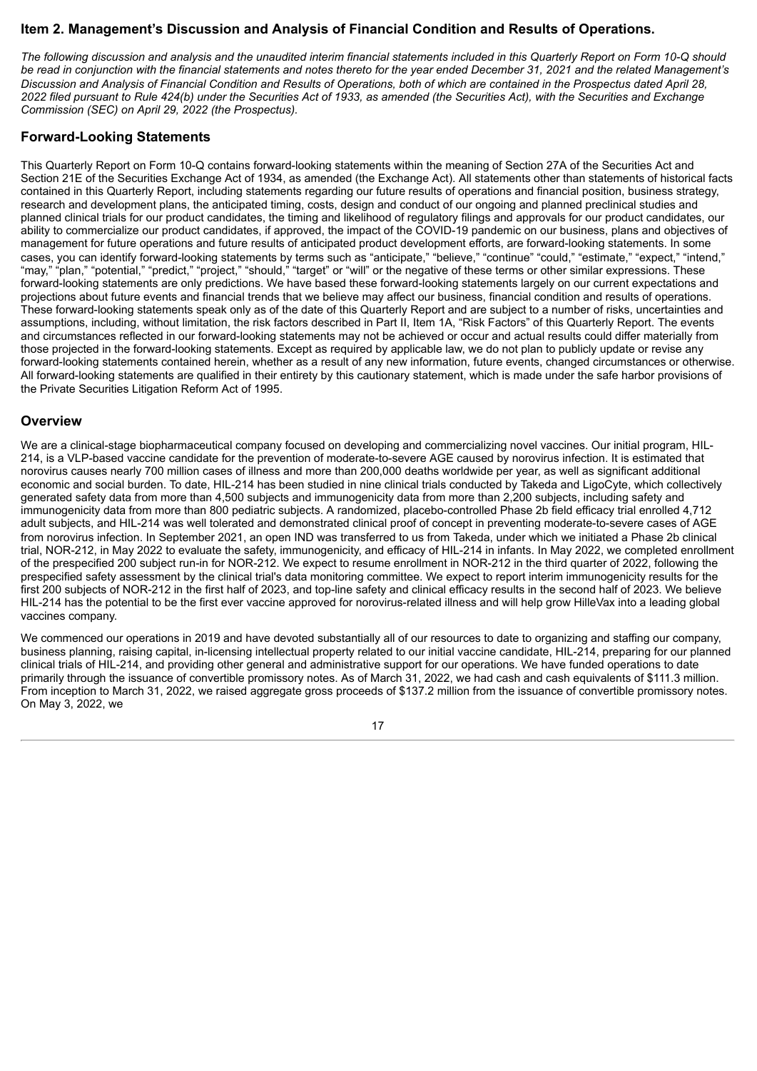### <span id="page-18-0"></span>**Item 2. Management's Discussion and Analysis of Financial Condition and Results of Operations.**

The following discussion and analysis and the unaudited interim financial statements included in this Quarterly Report on Form 10-Q should be read in conjunction with the financial statements and notes thereto for the year ended December 31, 2021 and the related Management's Discussion and Analysis of Financial Condition and Results of Operations, both of which are contained in the Prospectus dated April 28, 2022 filed pursuant to Rule 424(b) under the Securities Act of 1933, as amended (the Securities Act), with the Securities and Exchange *Commission (SEC) on April 29, 2022 (the Prospectus).*

### **Forward-Looking Statements**

This Quarterly Report on Form 10-Q contains forward-looking statements within the meaning of Section 27A of the Securities Act and Section 21E of the Securities Exchange Act of 1934, as amended (the Exchange Act). All statements other than statements of historical facts contained in this Quarterly Report, including statements regarding our future results of operations and financial position, business strategy, research and development plans, the anticipated timing, costs, design and conduct of our ongoing and planned preclinical studies and planned clinical trials for our product candidates, the timing and likelihood of regulatory filings and approvals for our product candidates, our ability to commercialize our product candidates, if approved, the impact of the COVID-19 pandemic on our business, plans and objectives of management for future operations and future results of anticipated product development efforts, are forward-looking statements. In some cases, you can identify forward-looking statements by terms such as "anticipate," "believe," "continue" "could," "estimate," "expect," "intend," "may," "plan," "potential," "predict," "project," "should," "target" or "will" or the negative of these terms or other similar expressions. These forward-looking statements are only predictions. We have based these forward-looking statements largely on our current expectations and projections about future events and financial trends that we believe may affect our business, financial condition and results of operations. These forward-looking statements speak only as of the date of this Quarterly Report and are subject to a number of risks, uncertainties and assumptions, including, without limitation, the risk factors described in Part II, Item 1A, "Risk Factors" of this Quarterly Report. The events and circumstances reflected in our forward-looking statements may not be achieved or occur and actual results could differ materially from those projected in the forward-looking statements. Except as required by applicable law, we do not plan to publicly update or revise any forward-looking statements contained herein, whether as a result of any new information, future events, changed circumstances or otherwise. All forward-looking statements are qualified in their entirety by this cautionary statement, which is made under the safe harbor provisions of the Private Securities Litigation Reform Act of 1995.

### **Overview**

We are a clinical-stage biopharmaceutical company focused on developing and commercializing novel vaccines. Our initial program, HIL-214, is a VLP-based vaccine candidate for the prevention of moderate-to-severe AGE caused by norovirus infection. It is estimated that norovirus causes nearly 700 million cases of illness and more than 200,000 deaths worldwide per year, as well as significant additional economic and social burden. To date, HIL-214 has been studied in nine clinical trials conducted by Takeda and LigoCyte, which collectively generated safety data from more than 4,500 subjects and immunogenicity data from more than 2,200 subjects, including safety and immunogenicity data from more than 800 pediatric subjects. A randomized, placebo-controlled Phase 2b field efficacy trial enrolled 4,712 adult subjects, and HIL-214 was well tolerated and demonstrated clinical proof of concept in preventing moderate-to-severe cases of AGE from norovirus infection. In September 2021, an open IND was transferred to us from Takeda, under which we initiated a Phase 2b clinical trial, NOR-212, in May 2022 to evaluate the safety, immunogenicity, and efficacy of HIL-214 in infants. In May 2022, we completed enrollment of the prespecified 200 subject run-in for NOR-212. We expect to resume enrollment in NOR-212 in the third quarter of 2022, following the prespecified safety assessment by the clinical trial's data monitoring committee. We expect to report interim immunogenicity results for the first 200 subjects of NOR-212 in the first half of 2023, and top-line safety and clinical efficacy results in the second half of 2023. We believe HIL-214 has the potential to be the first ever vaccine approved for norovirus-related illness and will help grow HilleVax into a leading global vaccines company.

We commenced our operations in 2019 and have devoted substantially all of our resources to date to organizing and staffing our company, business planning, raising capital, in-licensing intellectual property related to our initial vaccine candidate, HIL-214, preparing for our planned clinical trials of HIL-214, and providing other general and administrative support for our operations. We have funded operations to date primarily through the issuance of convertible promissory notes. As of March 31, 2022, we had cash and cash equivalents of \$111.3 million. From inception to March 31, 2022, we raised aggregate gross proceeds of \$137.2 million from the issuance of convertible promissory notes. On May 3, 2022, we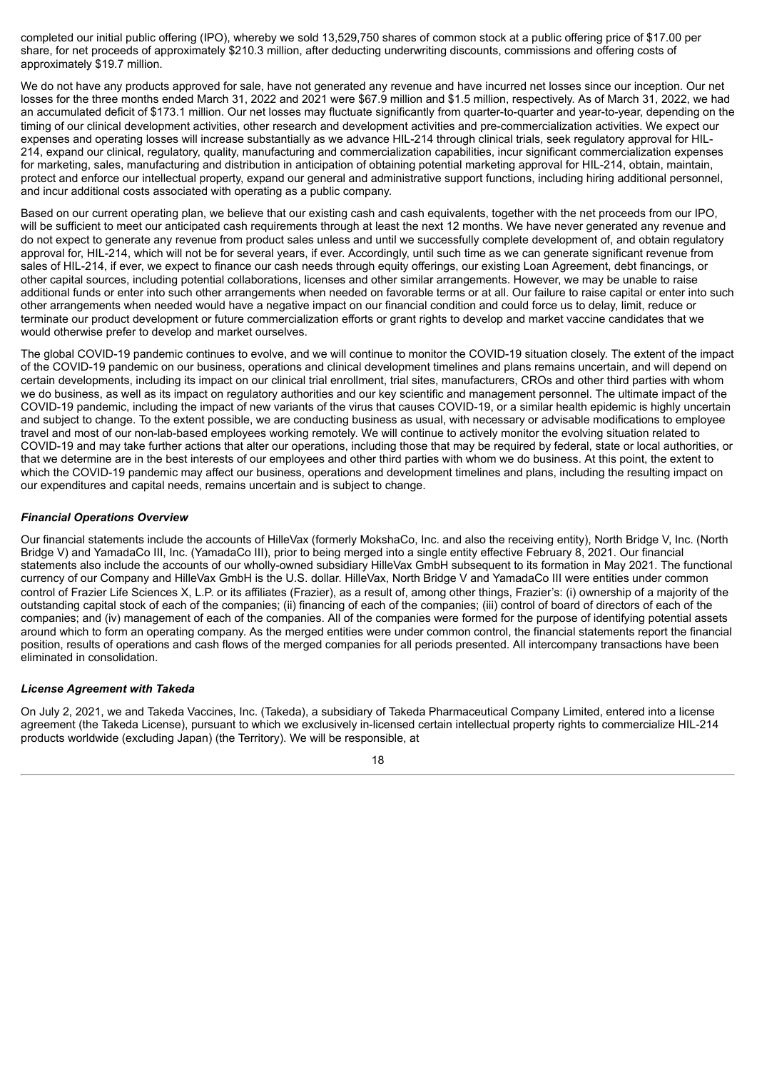completed our initial public offering (IPO), whereby we sold 13,529,750 shares of common stock at a public offering price of \$17.00 per share, for net proceeds of approximately \$210.3 million, after deducting underwriting discounts, commissions and offering costs of approximately \$19.7 million.

We do not have any products approved for sale, have not generated any revenue and have incurred net losses since our inception. Our net losses for the three months ended March 31, 2022 and 2021 were \$67.9 million and \$1.5 million, respectively. As of March 31, 2022, we had an accumulated deficit of \$173.1 million. Our net losses may fluctuate significantly from quarter-to-quarter and year-to-year, depending on the timing of our clinical development activities, other research and development activities and pre-commercialization activities. We expect our expenses and operating losses will increase substantially as we advance HIL-214 through clinical trials, seek regulatory approval for HIL-214, expand our clinical, regulatory, quality, manufacturing and commercialization capabilities, incur significant commercialization expenses for marketing, sales, manufacturing and distribution in anticipation of obtaining potential marketing approval for HIL-214, obtain, maintain, protect and enforce our intellectual property, expand our general and administrative support functions, including hiring additional personnel, and incur additional costs associated with operating as a public company.

Based on our current operating plan, we believe that our existing cash and cash equivalents, together with the net proceeds from our IPO, will be sufficient to meet our anticipated cash requirements through at least the next 12 months. We have never generated any revenue and do not expect to generate any revenue from product sales unless and until we successfully complete development of, and obtain regulatory approval for, HIL-214, which will not be for several years, if ever. Accordingly, until such time as we can generate significant revenue from sales of HIL-214, if ever, we expect to finance our cash needs through equity offerings, our existing Loan Agreement, debt financings, or other capital sources, including potential collaborations, licenses and other similar arrangements. However, we may be unable to raise additional funds or enter into such other arrangements when needed on favorable terms or at all. Our failure to raise capital or enter into such other arrangements when needed would have a negative impact on our financial condition and could force us to delay, limit, reduce or terminate our product development or future commercialization efforts or grant rights to develop and market vaccine candidates that we would otherwise prefer to develop and market ourselves.

The global COVID-19 pandemic continues to evolve, and we will continue to monitor the COVID-19 situation closely. The extent of the impact of the COVID-19 pandemic on our business, operations and clinical development timelines and plans remains uncertain, and will depend on certain developments, including its impact on our clinical trial enrollment, trial sites, manufacturers, CROs and other third parties with whom we do business, as well as its impact on regulatory authorities and our key scientific and management personnel. The ultimate impact of the COVID-19 pandemic, including the impact of new variants of the virus that causes COVID-19, or a similar health epidemic is highly uncertain and subject to change. To the extent possible, we are conducting business as usual, with necessary or advisable modifications to employee travel and most of our non-lab-based employees working remotely. We will continue to actively monitor the evolving situation related to COVID-19 and may take further actions that alter our operations, including those that may be required by federal, state or local authorities, or that we determine are in the best interests of our employees and other third parties with whom we do business. At this point, the extent to which the COVID-19 pandemic may affect our business, operations and development timelines and plans, including the resulting impact on our expenditures and capital needs, remains uncertain and is subject to change.

### *Financial Operations Overview*

Our financial statements include the accounts of HilleVax (formerly MokshaCo, Inc. and also the receiving entity), North Bridge V, Inc. (North Bridge V) and YamadaCo III, Inc. (YamadaCo III), prior to being merged into a single entity effective February 8, 2021. Our financial statements also include the accounts of our wholly-owned subsidiary HilleVax GmbH subsequent to its formation in May 2021. The functional currency of our Company and HilleVax GmbH is the U.S. dollar. HilleVax, North Bridge V and YamadaCo III were entities under common control of Frazier Life Sciences X, L.P. or its affiliates (Frazier), as a result of, among other things, Frazier's: (i) ownership of a majority of the outstanding capital stock of each of the companies; (ii) financing of each of the companies; (iii) control of board of directors of each of the companies; and (iv) management of each of the companies. All of the companies were formed for the purpose of identifying potential assets around which to form an operating company. As the merged entities were under common control, the financial statements report the financial position, results of operations and cash flows of the merged companies for all periods presented. All intercompany transactions have been eliminated in consolidation.

### *License Agreement with Takeda*

On July 2, 2021, we and Takeda Vaccines, Inc. (Takeda), a subsidiary of Takeda Pharmaceutical Company Limited, entered into a license agreement (the Takeda License), pursuant to which we exclusively in-licensed certain intellectual property rights to commercialize HIL-214 products worldwide (excluding Japan) (the Territory). We will be responsible, at

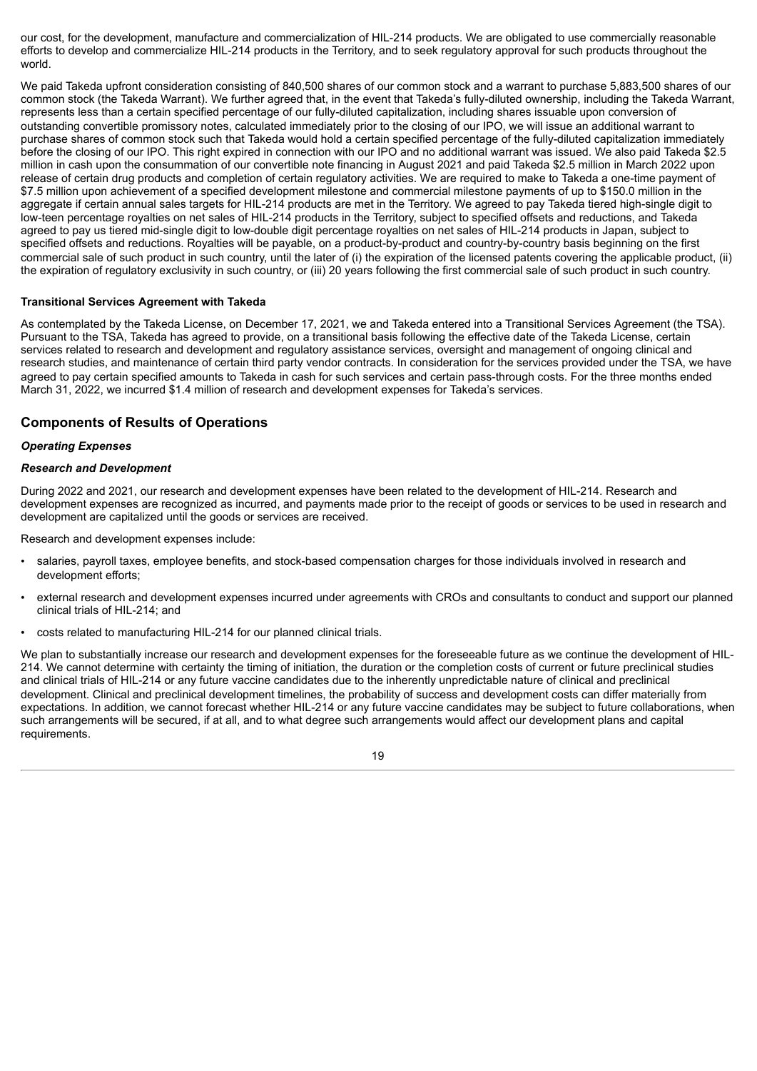our cost, for the development, manufacture and commercialization of HIL-214 products. We are obligated to use commercially reasonable efforts to develop and commercialize HIL-214 products in the Territory, and to seek regulatory approval for such products throughout the world.

We paid Takeda upfront consideration consisting of 840,500 shares of our common stock and a warrant to purchase 5,883,500 shares of our common stock (the Takeda Warrant). We further agreed that, in the event that Takeda's fully-diluted ownership, including the Takeda Warrant, represents less than a certain specified percentage of our fully-diluted capitalization, including shares issuable upon conversion of outstanding convertible promissory notes, calculated immediately prior to the closing of our IPO, we will issue an additional warrant to purchase shares of common stock such that Takeda would hold a certain specified percentage of the fully-diluted capitalization immediately before the closing of our IPO. This right expired in connection with our IPO and no additional warrant was issued. We also paid Takeda \$2.5 million in cash upon the consummation of our convertible note financing in August 2021 and paid Takeda \$2.5 million in March 2022 upon release of certain drug products and completion of certain regulatory activities. We are required to make to Takeda a one-time payment of \$7.5 million upon achievement of a specified development milestone and commercial milestone payments of up to \$150.0 million in the aggregate if certain annual sales targets for HIL-214 products are met in the Territory. We agreed to pay Takeda tiered high-single digit to low-teen percentage royalties on net sales of HIL-214 products in the Territory, subject to specified offsets and reductions, and Takeda agreed to pay us tiered mid-single digit to low-double digit percentage royalties on net sales of HIL-214 products in Japan, subject to specified offsets and reductions. Royalties will be payable, on a product-by-product and country-by-country basis beginning on the first commercial sale of such product in such country, until the later of (i) the expiration of the licensed patents covering the applicable product, (ii) the expiration of regulatory exclusivity in such country, or (iii) 20 years following the first commercial sale of such product in such country.

### **Transitional Services Agreement with Takeda**

As contemplated by the Takeda License, on December 17, 2021, we and Takeda entered into a Transitional Services Agreement (the TSA). Pursuant to the TSA, Takeda has agreed to provide, on a transitional basis following the effective date of the Takeda License, certain services related to research and development and regulatory assistance services, oversight and management of ongoing clinical and research studies, and maintenance of certain third party vendor contracts. In consideration for the services provided under the TSA, we have agreed to pay certain specified amounts to Takeda in cash for such services and certain pass-through costs. For the three months ended March 31, 2022, we incurred \$1.4 million of research and development expenses for Takeda's services.

### **Components of Results of Operations**

### *Operating Expenses*

### *Research and Development*

During 2022 and 2021, our research and development expenses have been related to the development of HIL-214. Research and development expenses are recognized as incurred, and payments made prior to the receipt of goods or services to be used in research and development are capitalized until the goods or services are received.

Research and development expenses include:

- salaries, payroll taxes, employee benefits, and stock-based compensation charges for those individuals involved in research and development efforts;
- external research and development expenses incurred under agreements with CROs and consultants to conduct and support our planned clinical trials of HIL-214; and
- costs related to manufacturing HIL-214 for our planned clinical trials.

We plan to substantially increase our research and development expenses for the foreseeable future as we continue the development of HIL-214. We cannot determine with certainty the timing of initiation, the duration or the completion costs of current or future preclinical studies and clinical trials of HIL-214 or any future vaccine candidates due to the inherently unpredictable nature of clinical and preclinical development. Clinical and preclinical development timelines, the probability of success and development costs can differ materially from expectations. In addition, we cannot forecast whether HIL-214 or any future vaccine candidates may be subject to future collaborations, when such arrangements will be secured, if at all, and to what degree such arrangements would affect our development plans and capital requirements.

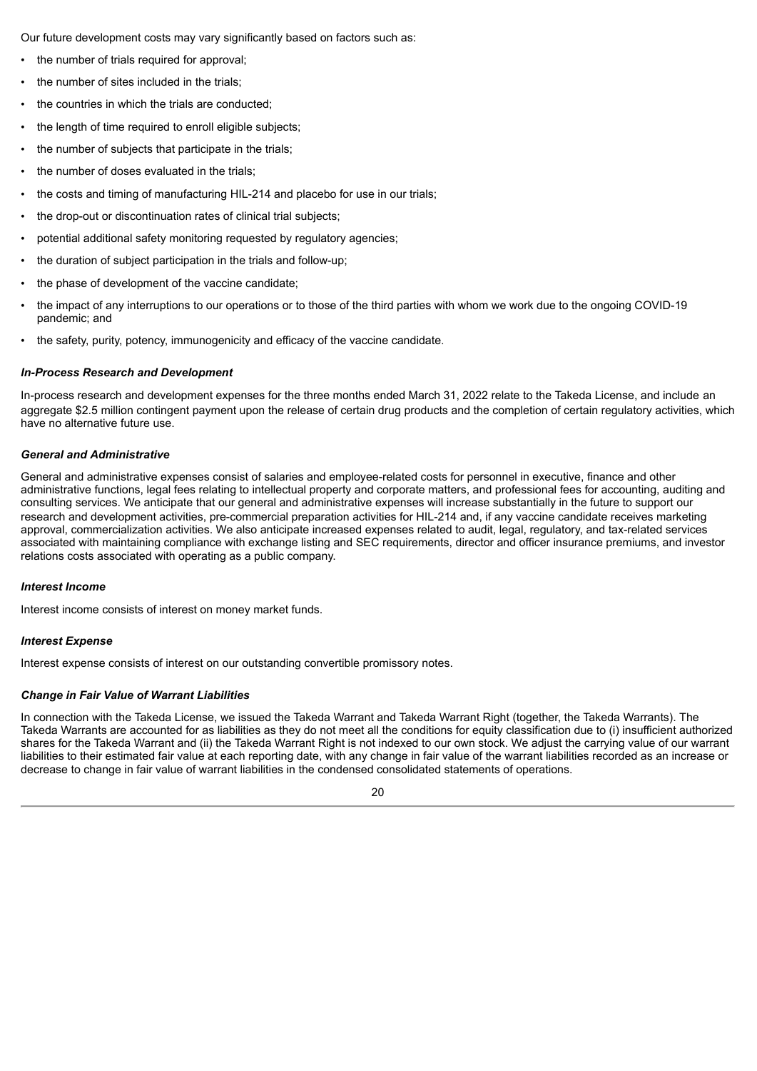Our future development costs may vary significantly based on factors such as:

- the number of trials required for approval;
- the number of sites included in the trials:
- the countries in which the trials are conducted;
- the length of time required to enroll eligible subjects;
- the number of subjects that participate in the trials;
- the number of doses evaluated in the trials;
- the costs and timing of manufacturing HIL-214 and placebo for use in our trials;
- the drop-out or discontinuation rates of clinical trial subjects;
- potential additional safety monitoring requested by regulatory agencies;
- the duration of subject participation in the trials and follow-up;
- the phase of development of the vaccine candidate;
- the impact of any interruptions to our operations or to those of the third parties with whom we work due to the ongoing COVID-19 pandemic; and
- the safety, purity, potency, immunogenicity and efficacy of the vaccine candidate.

### *In-Process Research and Development*

In-process research and development expenses for the three months ended March 31, 2022 relate to the Takeda License, and include an aggregate \$2.5 million contingent payment upon the release of certain drug products and the completion of certain regulatory activities, which have no alternative future use.

### *General and Administrative*

General and administrative expenses consist of salaries and employee-related costs for personnel in executive, finance and other administrative functions, legal fees relating to intellectual property and corporate matters, and professional fees for accounting, auditing and consulting services. We anticipate that our general and administrative expenses will increase substantially in the future to support our research and development activities, pre-commercial preparation activities for HIL-214 and, if any vaccine candidate receives marketing approval, commercialization activities. We also anticipate increased expenses related to audit, legal, regulatory, and tax-related services associated with maintaining compliance with exchange listing and SEC requirements, director and officer insurance premiums, and investor relations costs associated with operating as a public company.

### *Interest Income*

Interest income consists of interest on money market funds.

### *Interest Expense*

Interest expense consists of interest on our outstanding convertible promissory notes.

### *Change in Fair Value of Warrant Liabilities*

In connection with the Takeda License, we issued the Takeda Warrant and Takeda Warrant Right (together, the Takeda Warrants). The Takeda Warrants are accounted for as liabilities as they do not meet all the conditions for equity classification due to (i) insufficient authorized shares for the Takeda Warrant and (ii) the Takeda Warrant Right is not indexed to our own stock. We adjust the carrying value of our warrant liabilities to their estimated fair value at each reporting date, with any change in fair value of the warrant liabilities recorded as an increase or decrease to change in fair value of warrant liabilities in the condensed consolidated statements of operations.

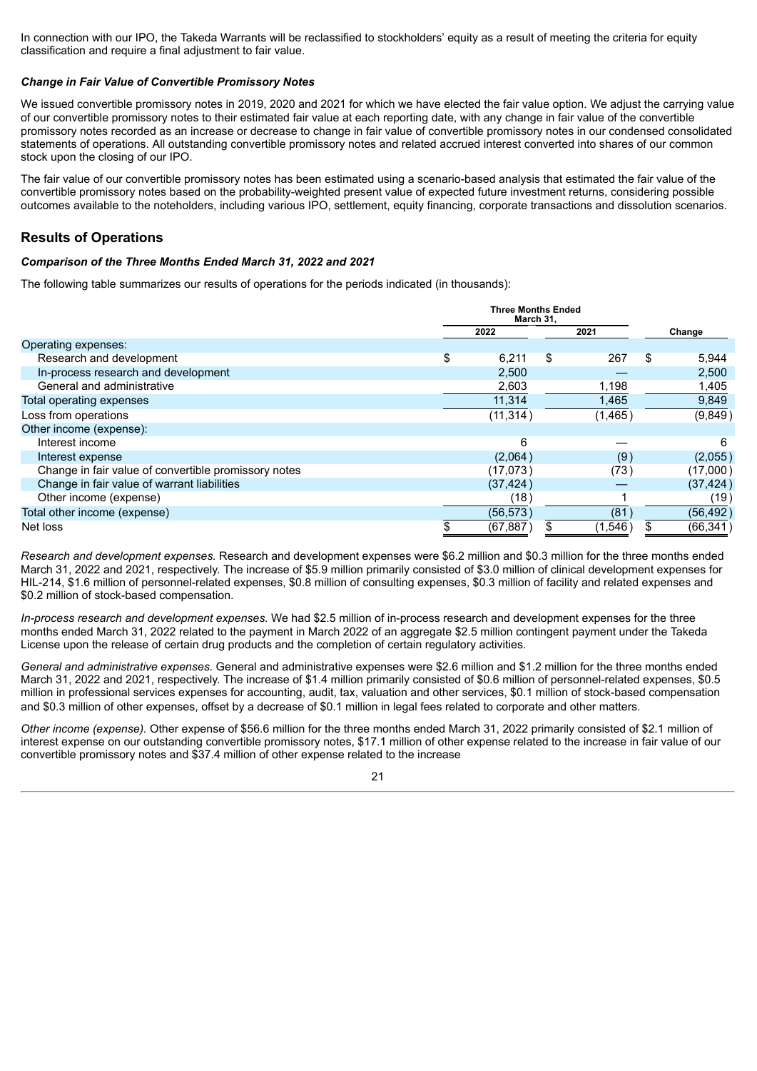In connection with our IPO, the Takeda Warrants will be reclassified to stockholders' equity as a result of meeting the criteria for equity classification and require a final adjustment to fair value.

### *Change in Fair Value of Convertible Promissory Notes*

We issued convertible promissory notes in 2019, 2020 and 2021 for which we have elected the fair value option. We adjust the carrying value of our convertible promissory notes to their estimated fair value at each reporting date, with any change in fair value of the convertible promissory notes recorded as an increase or decrease to change in fair value of convertible promissory notes in our condensed consolidated statements of operations. All outstanding convertible promissory notes and related accrued interest converted into shares of our common stock upon the closing of our IPO.

The fair value of our convertible promissory notes has been estimated using a scenario-based analysis that estimated the fair value of the convertible promissory notes based on the probability-weighted present value of expected future investment returns, considering possible outcomes available to the noteholders, including various IPO, settlement, equity financing, corporate transactions and dissolution scenarios.

### **Results of Operations**

### *Comparison of the Three Months Ended March 31, 2022 and 2021*

The following table summarizes our results of operations for the periods indicated (in thousands):

|                                                      | <b>Three Months Ended</b><br>March 31. |           |    |          |    |           |
|------------------------------------------------------|----------------------------------------|-----------|----|----------|----|-----------|
|                                                      |                                        | 2022      |    | 2021     |    | Change    |
| Operating expenses:                                  |                                        |           |    |          |    |           |
| Research and development                             | \$                                     | 6.211     | \$ | 267      | \$ | 5,944     |
| In-process research and development                  |                                        | 2,500     |    |          |    | 2,500     |
| General and administrative                           |                                        | 2,603     |    | 1,198    |    | 1,405     |
| Total operating expenses                             |                                        | 11,314    |    | 1,465    |    | 9,849     |
| Loss from operations                                 |                                        | (11, 314) |    | (1, 465) |    | (9,849)   |
| Other income (expense):                              |                                        |           |    |          |    |           |
| Interest income                                      |                                        | 6         |    |          |    | 6         |
| Interest expense                                     |                                        | (2,064)   |    | (9)      |    | (2,055)   |
| Change in fair value of convertible promissory notes |                                        | (17,073)  |    | (73)     |    | (17,000)  |
| Change in fair value of warrant liabilities          |                                        | (37, 424) |    |          |    | (37, 424) |
| Other income (expense)                               |                                        | 〔18〕      |    |          |    | (19)      |
| Total other income (expense)                         |                                        | (56, 573) |    | (81)     |    | (56, 492) |
| Net loss                                             |                                        | (67, 887) | \$ | (1,546)  |    | (66, 341) |

*Research and development expenses.* Research and development expenses were \$6.2 million and \$0.3 million for the three months ended March 31, 2022 and 2021, respectively. The increase of \$5.9 million primarily consisted of \$3.0 million of clinical development expenses for HIL-214, \$1.6 million of personnel-related expenses, \$0.8 million of consulting expenses, \$0.3 million of facility and related expenses and \$0.2 million of stock-based compensation.

*In-process research and development expenses.* We had \$2.5 million of in-process research and development expenses for the three months ended March 31, 2022 related to the payment in March 2022 of an aggregate \$2.5 million contingent payment under the Takeda License upon the release of certain drug products and the completion of certain regulatory activities.

*General and administrative expenses.* General and administrative expenses were \$2.6 million and \$1.2 million for the three months ended March 31, 2022 and 2021, respectively. The increase of \$1.4 million primarily consisted of \$0.6 million of personnel-related expenses, \$0.5 million in professional services expenses for accounting, audit, tax, valuation and other services, \$0.1 million of stock-based compensation and \$0.3 million of other expenses, offset by a decrease of \$0.1 million in legal fees related to corporate and other matters.

*Other income (expense).* Other expense of \$56.6 million for the three months ended March 31, 2022 primarily consisted of \$2.1 million of interest expense on our outstanding convertible promissory notes, \$17.1 million of other expense related to the increase in fair value of our convertible promissory notes and \$37.4 million of other expense related to the increase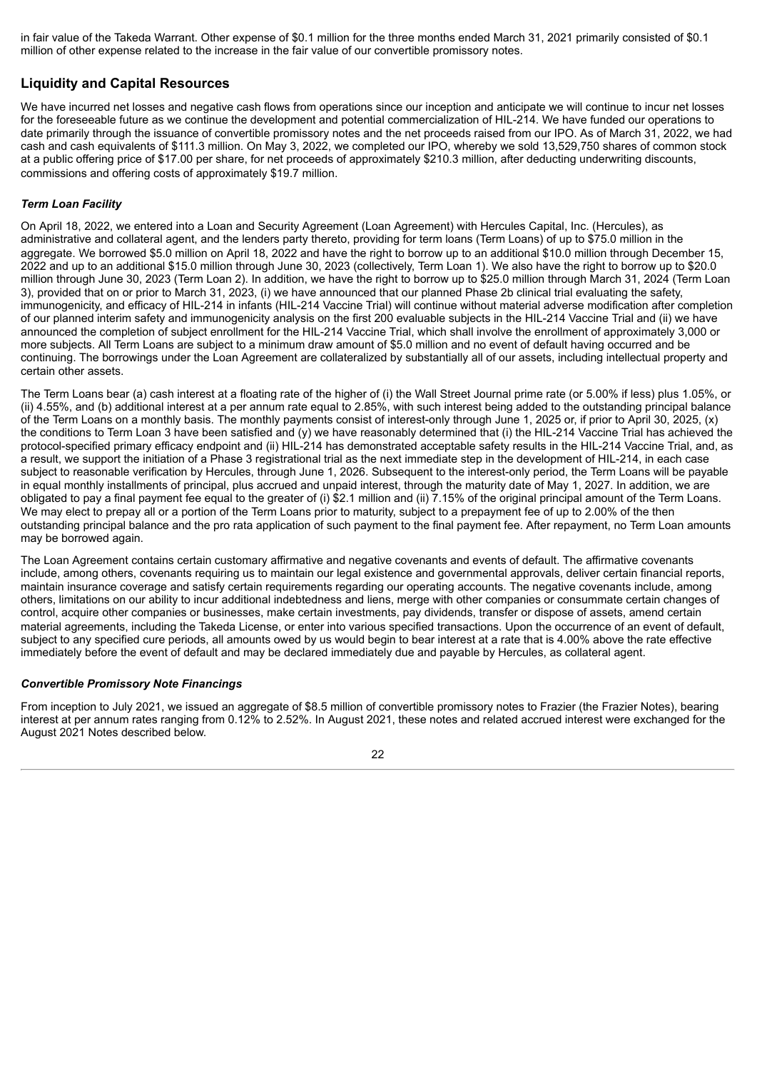in fair value of the Takeda Warrant. Other expense of \$0.1 million for the three months ended March 31, 2021 primarily consisted of \$0.1 million of other expense related to the increase in the fair value of our convertible promissory notes.

### **Liquidity and Capital Resources**

We have incurred net losses and negative cash flows from operations since our inception and anticipate we will continue to incur net losses for the foreseeable future as we continue the development and potential commercialization of HIL-214. We have funded our operations to date primarily through the issuance of convertible promissory notes and the net proceeds raised from our IPO. As of March 31, 2022, we had cash and cash equivalents of \$111.3 million. On May 3, 2022, we completed our IPO, whereby we sold 13,529,750 shares of common stock at a public offering price of \$17.00 per share, for net proceeds of approximately \$210.3 million, after deducting underwriting discounts, commissions and offering costs of approximately \$19.7 million.

### *Term Loan Facility*

On April 18, 2022, we entered into a Loan and Security Agreement (Loan Agreement) with Hercules Capital, Inc. (Hercules), as administrative and collateral agent, and the lenders party thereto, providing for term loans (Term Loans) of up to \$75.0 million in the aggregate. We borrowed \$5.0 million on April 18, 2022 and have the right to borrow up to an additional \$10.0 million through December 15, 2022 and up to an additional \$15.0 million through June 30, 2023 (collectively, Term Loan 1). We also have the right to borrow up to \$20.0 million through June 30, 2023 (Term Loan 2). In addition, we have the right to borrow up to \$25.0 million through March 31, 2024 (Term Loan 3), provided that on or prior to March 31, 2023, (i) we have announced that our planned Phase 2b clinical trial evaluating the safety, immunogenicity, and efficacy of HIL-214 in infants (HIL-214 Vaccine Trial) will continue without material adverse modification after completion of our planned interim safety and immunogenicity analysis on the first 200 evaluable subjects in the HIL-214 Vaccine Trial and (ii) we have announced the completion of subject enrollment for the HIL-214 Vaccine Trial, which shall involve the enrollment of approximately 3,000 or more subjects. All Term Loans are subject to a minimum draw amount of \$5.0 million and no event of default having occurred and be continuing. The borrowings under the Loan Agreement are collateralized by substantially all of our assets, including intellectual property and certain other assets.

The Term Loans bear (a) cash interest at a floating rate of the higher of (i) the Wall Street Journal prime rate (or 5.00% if less) plus 1.05%, or (ii) 4.55%, and (b) additional interest at a per annum rate equal to 2.85%, with such interest being added to the outstanding principal balance of the Term Loans on a monthly basis. The monthly payments consist of interest-only through June 1, 2025 or, if prior to April 30, 2025, (x) the conditions to Term Loan 3 have been satisfied and (y) we have reasonably determined that (i) the HIL-214 Vaccine Trial has achieved the protocol-specified primary efficacy endpoint and (ii) HIL-214 has demonstrated acceptable safety results in the HIL-214 Vaccine Trial, and, as a result, we support the initiation of a Phase 3 registrational trial as the next immediate step in the development of HIL-214, in each case subject to reasonable verification by Hercules, through June 1, 2026. Subsequent to the interest-only period, the Term Loans will be payable in equal monthly installments of principal, plus accrued and unpaid interest, through the maturity date of May 1, 2027. In addition, we are obligated to pay a final payment fee equal to the greater of (i) \$2.1 million and (ii) 7.15% of the original principal amount of the Term Loans. We may elect to prepay all or a portion of the Term Loans prior to maturity, subject to a prepayment fee of up to 2.00% of the then outstanding principal balance and the pro rata application of such payment to the final payment fee. After repayment, no Term Loan amounts may be borrowed again.

The Loan Agreement contains certain customary affirmative and negative covenants and events of default. The affirmative covenants include, among others, covenants requiring us to maintain our legal existence and governmental approvals, deliver certain financial reports, maintain insurance coverage and satisfy certain requirements regarding our operating accounts. The negative covenants include, among others, limitations on our ability to incur additional indebtedness and liens, merge with other companies or consummate certain changes of control, acquire other companies or businesses, make certain investments, pay dividends, transfer or dispose of assets, amend certain material agreements, including the Takeda License, or enter into various specified transactions. Upon the occurrence of an event of default, subject to any specified cure periods, all amounts owed by us would begin to bear interest at a rate that is 4.00% above the rate effective immediately before the event of default and may be declared immediately due and payable by Hercules, as collateral agent.

### *Convertible Promissory Note Financings*

From inception to July 2021, we issued an aggregate of \$8.5 million of convertible promissory notes to Frazier (the Frazier Notes), bearing interest at per annum rates ranging from 0.12% to 2.52%. In August 2021, these notes and related accrued interest were exchanged for the August 2021 Notes described below.

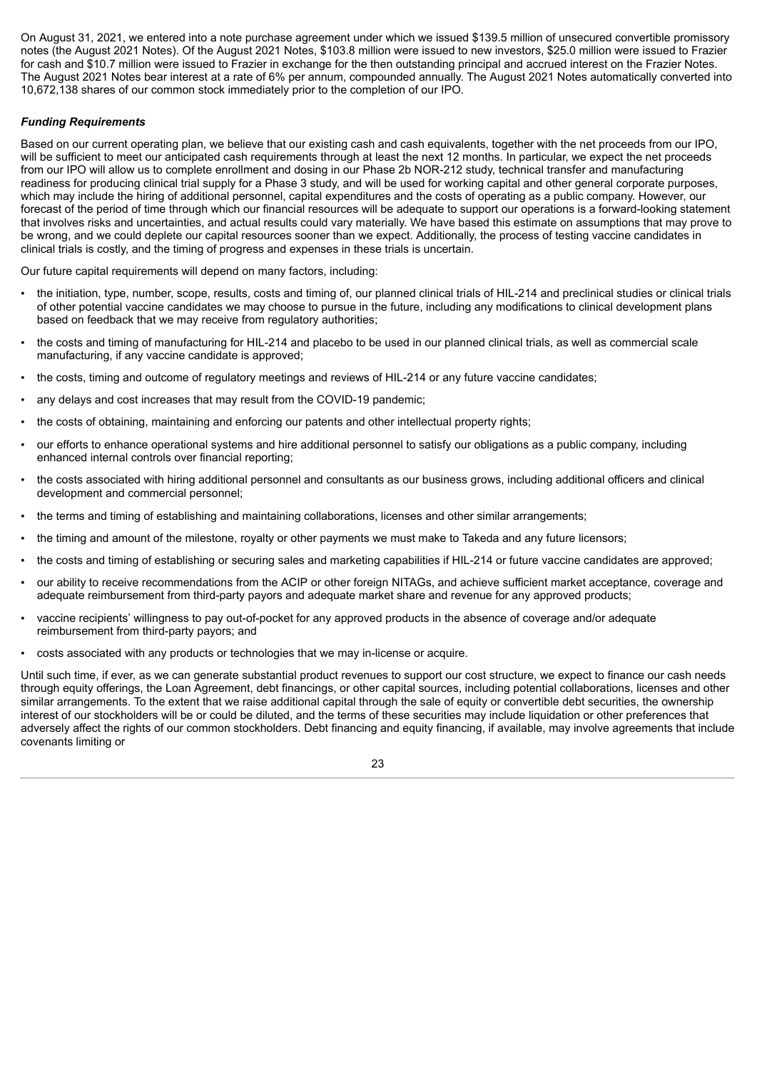On August 31, 2021, we entered into a note purchase agreement under which we issued \$139.5 million of unsecured convertible promissory notes (the August 2021 Notes). Of the August 2021 Notes, \$103.8 million were issued to new investors, \$25.0 million were issued to Frazier for cash and \$10.7 million were issued to Frazier in exchange for the then outstanding principal and accrued interest on the Frazier Notes. The August 2021 Notes bear interest at a rate of 6% per annum, compounded annually. The August 2021 Notes automatically converted into 10,672,138 shares of our common stock immediately prior to the completion of our IPO.

### *Funding Requirements*

Based on our current operating plan, we believe that our existing cash and cash equivalents, together with the net proceeds from our IPO, will be sufficient to meet our anticipated cash requirements through at least the next 12 months. In particular, we expect the net proceeds from our IPO will allow us to complete enrollment and dosing in our Phase 2b NOR-212 study, technical transfer and manufacturing readiness for producing clinical trial supply for a Phase 3 study, and will be used for working capital and other general corporate purposes, which may include the hiring of additional personnel, capital expenditures and the costs of operating as a public company. However, our forecast of the period of time through which our financial resources will be adequate to support our operations is a forward-looking statement that involves risks and uncertainties, and actual results could vary materially. We have based this estimate on assumptions that may prove to be wrong, and we could deplete our capital resources sooner than we expect. Additionally, the process of testing vaccine candidates in clinical trials is costly, and the timing of progress and expenses in these trials is uncertain.

Our future capital requirements will depend on many factors, including:

- the initiation, type, number, scope, results, costs and timing of, our planned clinical trials of HIL-214 and preclinical studies or clinical trials of other potential vaccine candidates we may choose to pursue in the future, including any modifications to clinical development plans based on feedback that we may receive from regulatory authorities;
- the costs and timing of manufacturing for HIL-214 and placebo to be used in our planned clinical trials, as well as commercial scale manufacturing, if any vaccine candidate is approved;
- the costs, timing and outcome of regulatory meetings and reviews of HIL-214 or any future vaccine candidates;
- any delays and cost increases that may result from the COVID-19 pandemic:
- the costs of obtaining, maintaining and enforcing our patents and other intellectual property rights;
- our efforts to enhance operational systems and hire additional personnel to satisfy our obligations as a public company, including enhanced internal controls over financial reporting;
- the costs associated with hiring additional personnel and consultants as our business grows, including additional officers and clinical development and commercial personnel;
- the terms and timing of establishing and maintaining collaborations, licenses and other similar arrangements;
- the timing and amount of the milestone, royalty or other payments we must make to Takeda and any future licensors;
- the costs and timing of establishing or securing sales and marketing capabilities if HIL-214 or future vaccine candidates are approved;
- our ability to receive recommendations from the ACIP or other foreign NITAGs, and achieve sufficient market acceptance, coverage and adequate reimbursement from third-party payors and adequate market share and revenue for any approved products;
- vaccine recipients' willingness to pay out-of-pocket for any approved products in the absence of coverage and/or adequate reimbursement from third-party payors; and
- costs associated with any products or technologies that we may in-license or acquire.

Until such time, if ever, as we can generate substantial product revenues to support our cost structure, we expect to finance our cash needs through equity offerings, the Loan Agreement, debt financings, or other capital sources, including potential collaborations, licenses and other similar arrangements. To the extent that we raise additional capital through the sale of equity or convertible debt securities, the ownership interest of our stockholders will be or could be diluted, and the terms of these securities may include liquidation or other preferences that adversely affect the rights of our common stockholders. Debt financing and equity financing, if available, may involve agreements that include covenants limiting or

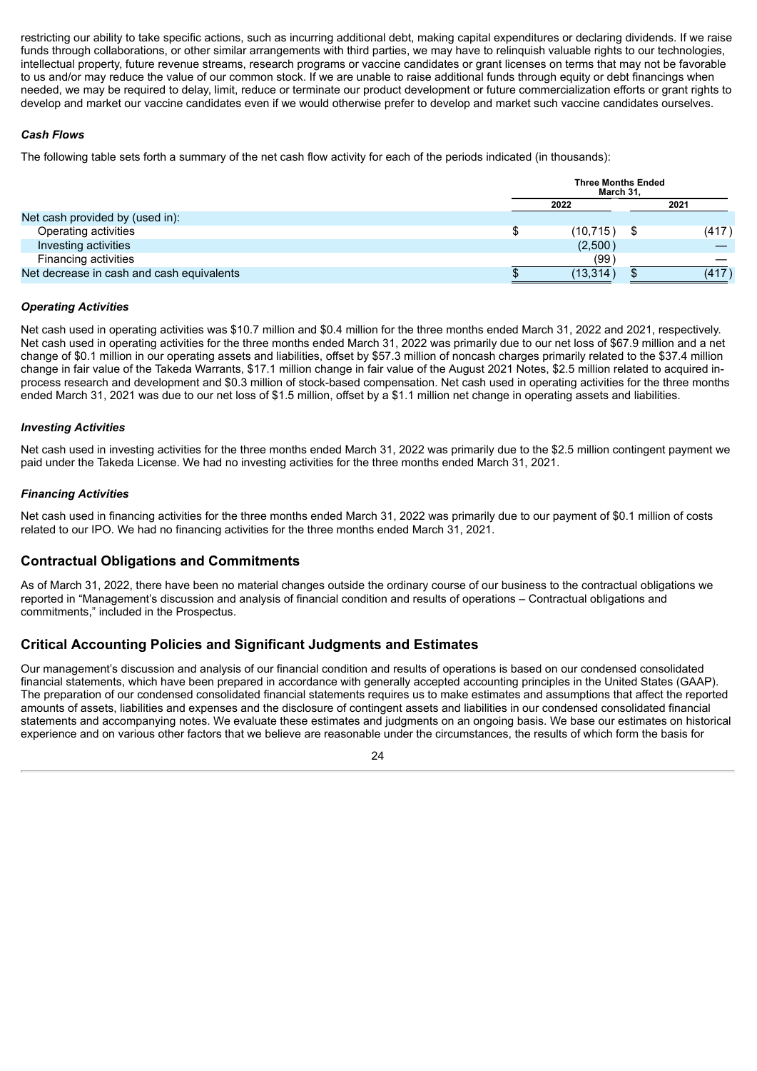restricting our ability to take specific actions, such as incurring additional debt, making capital expenditures or declaring dividends. If we raise funds through collaborations, or other similar arrangements with third parties, we may have to relinquish valuable rights to our technologies, intellectual property, future revenue streams, research programs or vaccine candidates or grant licenses on terms that may not be favorable to us and/or may reduce the value of our common stock. If we are unable to raise additional funds through equity or debt financings when needed, we may be required to delay, limit, reduce or terminate our product development or future commercialization efforts or grant rights to develop and market our vaccine candidates even if we would otherwise prefer to develop and market such vaccine candidates ourselves.

### *Cash Flows*

The following table sets forth a summary of the net cash flow activity for each of the periods indicated (in thousands):

|                                           |    | <b>Three Months Ended</b><br>March 31. |      |       |  |
|-------------------------------------------|----|----------------------------------------|------|-------|--|
|                                           |    | 2022                                   | 2021 |       |  |
| Net cash provided by (used in):           |    |                                        |      |       |  |
| Operating activities                      | J. | (10, 715)                              |      | (417) |  |
| Investing activities                      |    | (2,500)                                |      |       |  |
| Financing activities                      |    | (99)                                   |      |       |  |
| Net decrease in cash and cash equivalents |    | (13.314)                               |      | (417) |  |

### *Operating Activities*

Net cash used in operating activities was \$10.7 million and \$0.4 million for the three months ended March 31, 2022 and 2021, respectively. Net cash used in operating activities for the three months ended March 31, 2022 was primarily due to our net loss of \$67.9 million and a net change of \$0.1 million in our operating assets and liabilities, offset by \$57.3 million of noncash charges primarily related to the \$37.4 million change in fair value of the Takeda Warrants, \$17.1 million change in fair value of the August 2021 Notes, \$2.5 million related to acquired inprocess research and development and \$0.3 million of stock-based compensation. Net cash used in operating activities for the three months ended March 31, 2021 was due to our net loss of \$1.5 million, offset by a \$1.1 million net change in operating assets and liabilities.

### *Investing Activities*

Net cash used in investing activities for the three months ended March 31, 2022 was primarily due to the \$2.5 million contingent payment we paid under the Takeda License. We had no investing activities for the three months ended March 31, 2021.

### *Financing Activities*

Net cash used in financing activities for the three months ended March 31, 2022 was primarily due to our payment of \$0.1 million of costs related to our IPO. We had no financing activities for the three months ended March 31, 2021.

### **Contractual Obligations and Commitments**

As of March 31, 2022, there have been no material changes outside the ordinary course of our business to the contractual obligations we reported in "Management's discussion and analysis of financial condition and results of operations – Contractual obligations and commitments," included in the Prospectus.

### **Critical Accounting Policies and Significant Judgments and Estimates**

Our management's discussion and analysis of our financial condition and results of operations is based on our condensed consolidated financial statements, which have been prepared in accordance with generally accepted accounting principles in the United States (GAAP). The preparation of our condensed consolidated financial statements requires us to make estimates and assumptions that affect the reported amounts of assets, liabilities and expenses and the disclosure of contingent assets and liabilities in our condensed consolidated financial statements and accompanying notes. We evaluate these estimates and judgments on an ongoing basis. We base our estimates on historical experience and on various other factors that we believe are reasonable under the circumstances, the results of which form the basis for

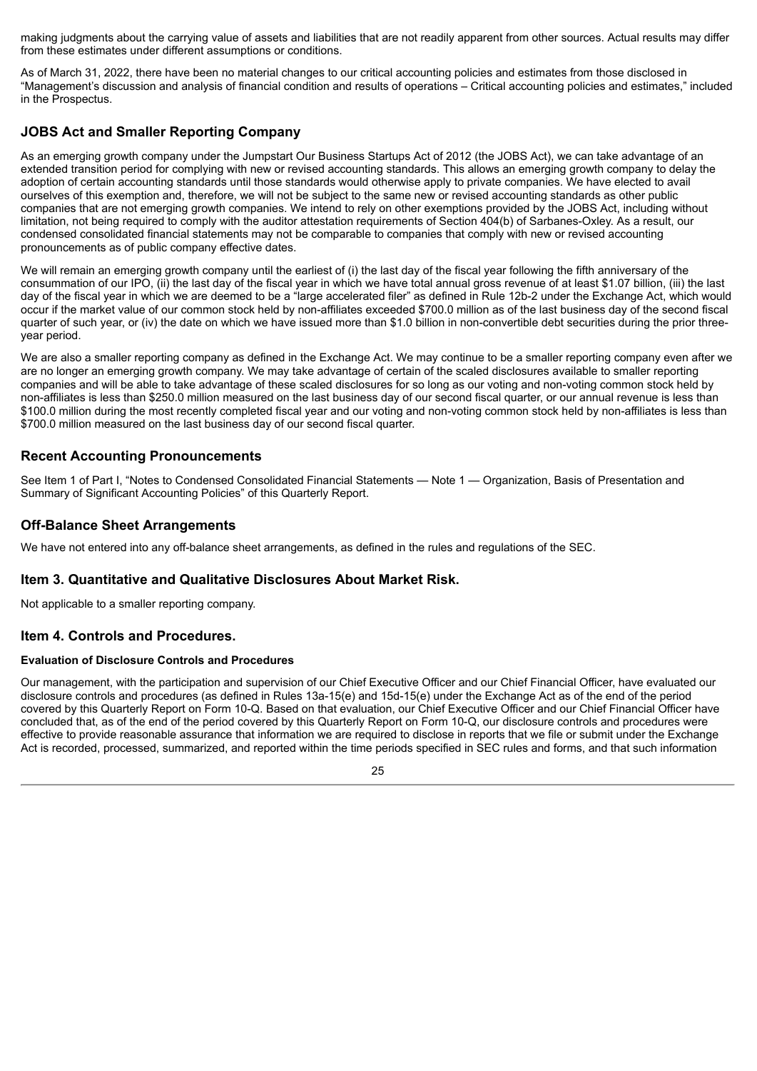making judgments about the carrying value of assets and liabilities that are not readily apparent from other sources. Actual results may differ from these estimates under different assumptions or conditions.

As of March 31, 2022, there have been no material changes to our critical accounting policies and estimates from those disclosed in "Management's discussion and analysis of financial condition and results of operations – Critical accounting policies and estimates," included in the Prospectus.

### **JOBS Act and Smaller Reporting Company**

As an emerging growth company under the Jumpstart Our Business Startups Act of 2012 (the JOBS Act), we can take advantage of an extended transition period for complying with new or revised accounting standards. This allows an emerging growth company to delay the adoption of certain accounting standards until those standards would otherwise apply to private companies. We have elected to avail ourselves of this exemption and, therefore, we will not be subject to the same new or revised accounting standards as other public companies that are not emerging growth companies. We intend to rely on other exemptions provided by the JOBS Act, including without limitation, not being required to comply with the auditor attestation requirements of Section 404(b) of Sarbanes-Oxley. As a result, our condensed consolidated financial statements may not be comparable to companies that comply with new or revised accounting pronouncements as of public company effective dates.

We will remain an emerging growth company until the earliest of (i) the last day of the fiscal year following the fifth anniversary of the consummation of our IPO, (ii) the last day of the fiscal year in which we have total annual gross revenue of at least \$1.07 billion, (iii) the last day of the fiscal year in which we are deemed to be a "large accelerated filer" as defined in Rule 12b-2 under the Exchange Act, which would occur if the market value of our common stock held by non-affiliates exceeded \$700.0 million as of the last business day of the second fiscal quarter of such year, or (iv) the date on which we have issued more than \$1.0 billion in non-convertible debt securities during the prior threeyear period.

We are also a smaller reporting company as defined in the Exchange Act. We may continue to be a smaller reporting company even after we are no longer an emerging growth company. We may take advantage of certain of the scaled disclosures available to smaller reporting companies and will be able to take advantage of these scaled disclosures for so long as our voting and non-voting common stock held by non-affiliates is less than \$250.0 million measured on the last business day of our second fiscal quarter, or our annual revenue is less than \$100.0 million during the most recently completed fiscal year and our voting and non-voting common stock held by non-affiliates is less than \$700.0 million measured on the last business day of our second fiscal quarter.

### **Recent Accounting Pronouncements**

See Item 1 of Part I, "Notes to Condensed Consolidated Financial Statements — Note 1 — Organization, Basis of Presentation and Summary of Significant Accounting Policies" of this Quarterly Report.

### **Off-Balance Sheet Arrangements**

We have not entered into any off-balance sheet arrangements, as defined in the rules and regulations of the SEC.

### <span id="page-26-0"></span>**Item 3. Quantitative and Qualitative Disclosures About Market Risk.**

Not applicable to a smaller reporting company.

### <span id="page-26-1"></span>**Item 4. Controls and Procedures.**

### **Evaluation of Disclosure Controls and Procedures**

Our management, with the participation and supervision of our Chief Executive Officer and our Chief Financial Officer, have evaluated our disclosure controls and procedures (as defined in Rules 13a-15(e) and 15d-15(e) under the Exchange Act as of the end of the period covered by this Quarterly Report on Form 10-Q. Based on that evaluation, our Chief Executive Officer and our Chief Financial Officer have concluded that, as of the end of the period covered by this Quarterly Report on Form 10-Q, our disclosure controls and procedures were effective to provide reasonable assurance that information we are required to disclose in reports that we file or submit under the Exchange Act is recorded, processed, summarized, and reported within the time periods specified in SEC rules and forms, and that such information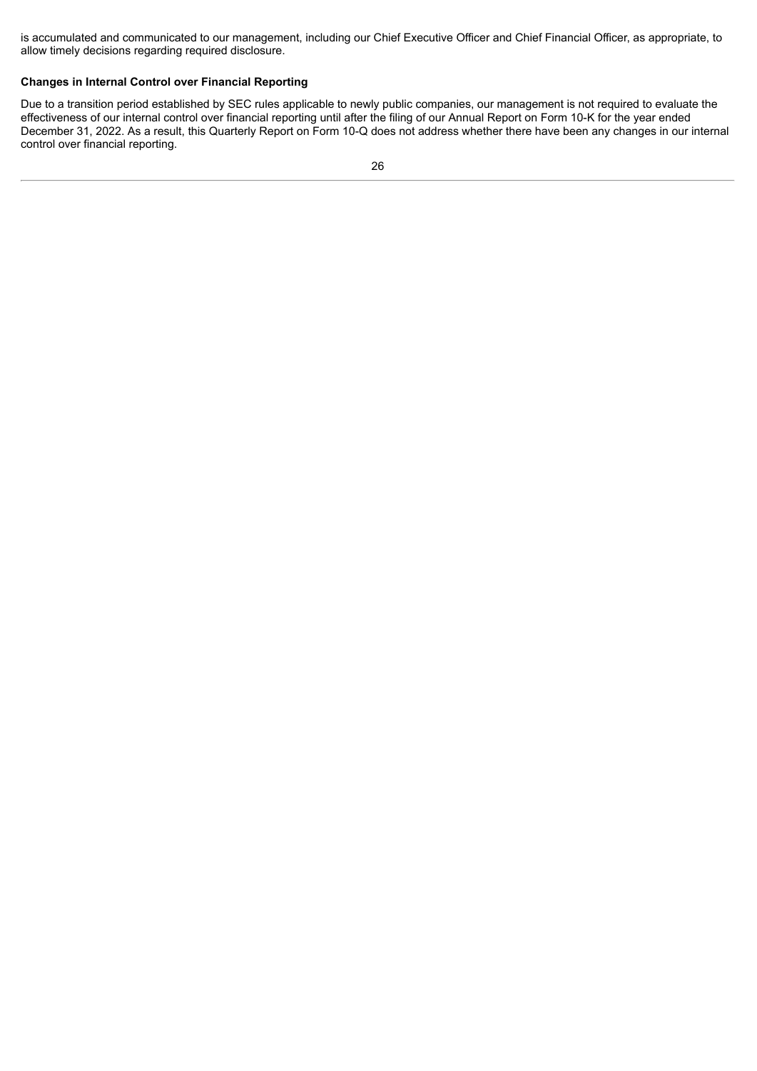is accumulated and communicated to our management, including our Chief Executive Officer and Chief Financial Officer, as appropriate, to allow timely decisions regarding required disclosure.

### **Changes in Internal Control over Financial Reporting**

Due to a transition period established by SEC rules applicable to newly public companies, our management is not required to evaluate the effectiveness of our internal control over financial reporting until after the filing of our Annual Report on Form 10-K for the year ended December 31, 2022. As a result, this Quarterly Report on Form 10-Q does not address whether there have been any changes in our internal control over financial reporting.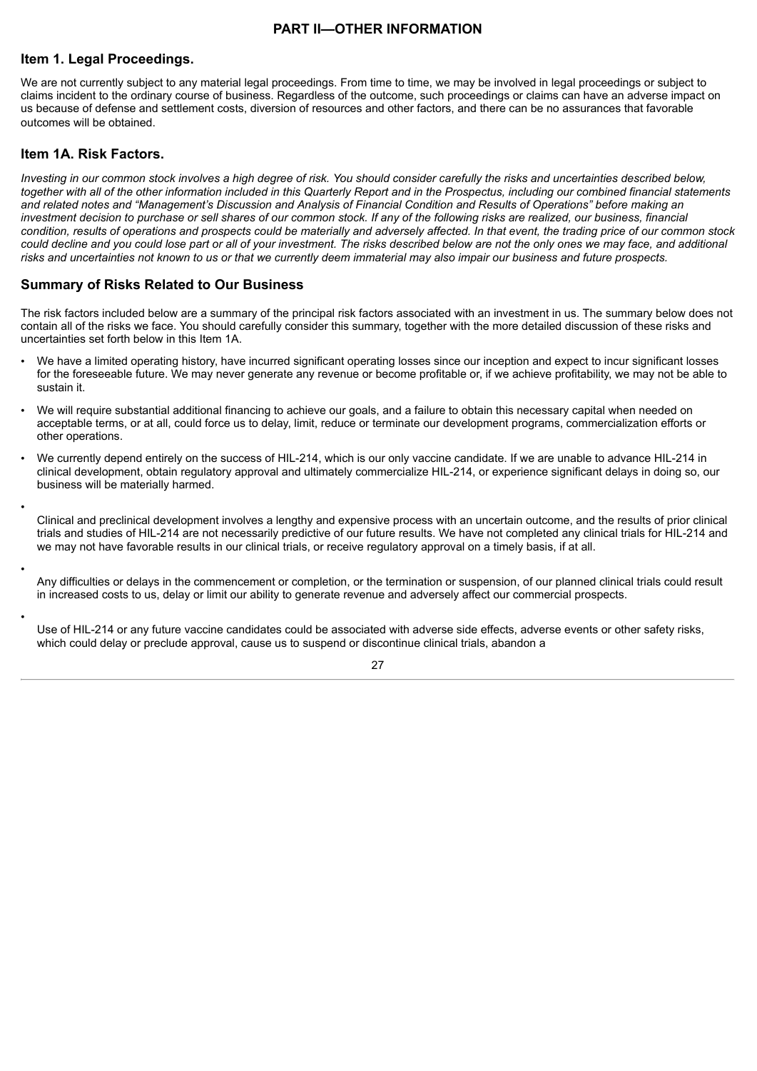### **PART II—OTHER INFORMATION**

### <span id="page-28-1"></span><span id="page-28-0"></span>**Item 1. Legal Proceedings.**

We are not currently subject to any material legal proceedings. From time to time, we may be involved in legal proceedings or subject to claims incident to the ordinary course of business. Regardless of the outcome, such proceedings or claims can have an adverse impact on us because of defense and settlement costs, diversion of resources and other factors, and there can be no assurances that favorable outcomes will be obtained.

### <span id="page-28-2"></span>**Item 1A. Risk Factors.**

•

Investing in our common stock involves a high degree of risk. You should consider carefully the risks and uncertainties described below. together with all of the other information included in this Quarterly Report and in the Prospectus, including our combined financial statements and related notes and "Management's Discussion and Analysis of Financial Condition and Results of Operations" before making an investment decision to purchase or sell shares of our common stock. If any of the following risks are realized, our business, financial condition, results of operations and prospects could be materially and adversely affected. In that event, the trading price of our common stock could decline and you could lose part or all of your investment. The risks described below are not the only ones we may face, and additional risks and uncertainties not known to us or that we currently deem immaterial may also impair our business and future prospects.

### **Summary of Risks Related to Our Business**

The risk factors included below are a summary of the principal risk factors associated with an investment in us. The summary below does not contain all of the risks we face. You should carefully consider this summary, together with the more detailed discussion of these risks and uncertainties set forth below in this Item 1A.

- We have a limited operating history, have incurred significant operating losses since our inception and expect to incur significant losses for the foreseeable future. We may never generate any revenue or become profitable or, if we achieve profitability, we may not be able to sustain it.
- We will require substantial additional financing to achieve our goals, and a failure to obtain this necessary capital when needed on acceptable terms, or at all, could force us to delay, limit, reduce or terminate our development programs, commercialization efforts or other operations.
- We currently depend entirely on the success of HIL-214, which is our only vaccine candidate. If we are unable to advance HIL-214 in clinical development, obtain regulatory approval and ultimately commercialize HIL-214, or experience significant delays in doing so, our business will be materially harmed.
- Clinical and preclinical development involves a lengthy and expensive process with an uncertain outcome, and the results of prior clinical trials and studies of HIL-214 are not necessarily predictive of our future results. We have not completed any clinical trials for HIL-214 and we may not have favorable results in our clinical trials, or receive regulatory approval on a timely basis, if at all.
- Any difficulties or delays in the commencement or completion, or the termination or suspension, of our planned clinical trials could result in increased costs to us, delay or limit our ability to generate revenue and adversely affect our commercial prospects.
- Use of HIL-214 or any future vaccine candidates could be associated with adverse side effects, adverse events or other safety risks, which could delay or preclude approval, cause us to suspend or discontinue clinical trials, abandon a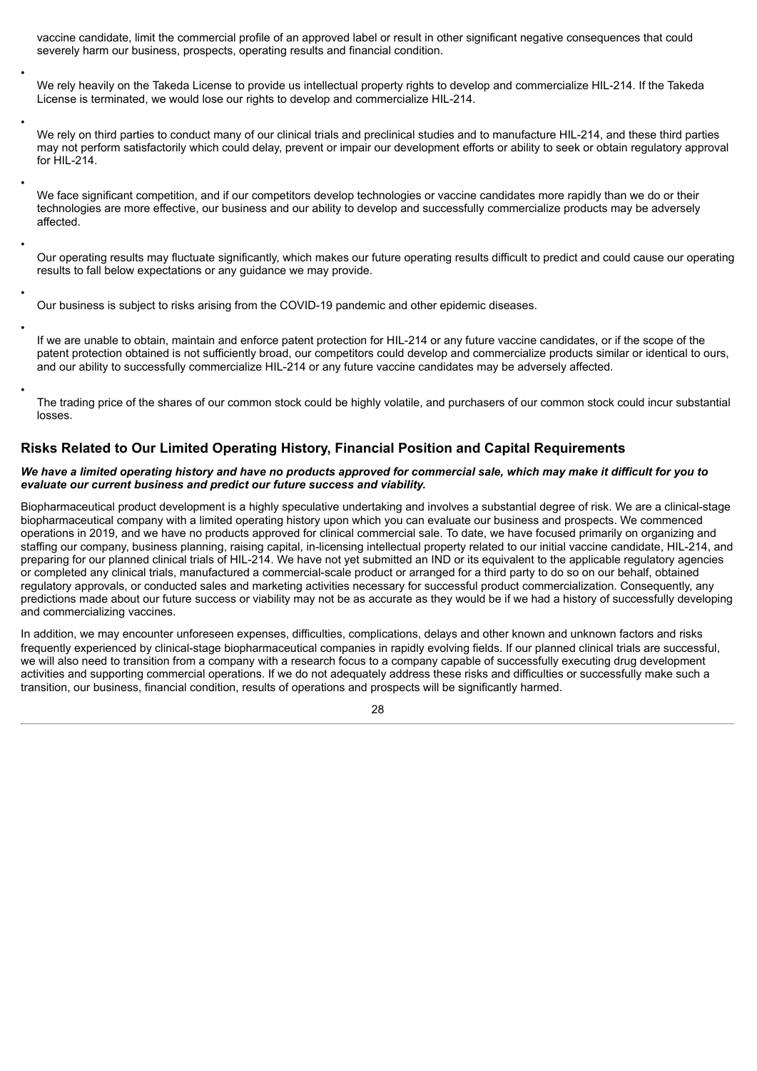vaccine candidate, limit the commercial profile of an approved label or result in other significant negative consequences that could severely harm our business, prospects, operating results and financial condition.

- We rely heavily on the Takeda License to provide us intellectual property rights to develop and commercialize HIL-214. If the Takeda License is terminated, we would lose our rights to develop and commercialize HIL-214.
- We rely on third parties to conduct many of our clinical trials and preclinical studies and to manufacture HIL-214, and these third parties may not perform satisfactorily which could delay, prevent or impair our development efforts or ability to seek or obtain regulatory approval for HIL-214.
- We face significant competition, and if our competitors develop technologies or vaccine candidates more rapidly than we do or their technologies are more effective, our business and our ability to develop and successfully commercialize products may be adversely affected.
- Our operating results may fluctuate significantly, which makes our future operating results difficult to predict and could cause our operating results to fall below expectations or any guidance we may provide.
- Our business is subject to risks arising from the COVID-19 pandemic and other epidemic diseases.

•

- If we are unable to obtain, maintain and enforce patent protection for HIL-214 or any future vaccine candidates, or if the scope of the patent protection obtained is not sufficiently broad, our competitors could develop and commercialize products similar or identical to ours, and our ability to successfully commercialize HIL-214 or any future vaccine candidates may be adversely affected.
- The trading price of the shares of our common stock could be highly volatile, and purchasers of our common stock could incur substantial losses.

### **Risks Related to Our Limited Operating History, Financial Position and Capital Requirements**

#### We have a limited operating history and have no products approved for commercial sale, which may make it difficult for you to *evaluate our current business and predict our future success and viability.*

Biopharmaceutical product development is a highly speculative undertaking and involves a substantial degree of risk. We are a clinical-stage biopharmaceutical company with a limited operating history upon which you can evaluate our business and prospects. We commenced operations in 2019, and we have no products approved for clinical commercial sale. To date, we have focused primarily on organizing and staffing our company, business planning, raising capital, in-licensing intellectual property related to our initial vaccine candidate, HIL-214, and preparing for our planned clinical trials of HIL-214. We have not yet submitted an IND or its equivalent to the applicable regulatory agencies or completed any clinical trials, manufactured a commercial-scale product or arranged for a third party to do so on our behalf, obtained regulatory approvals, or conducted sales and marketing activities necessary for successful product commercialization. Consequently, any predictions made about our future success or viability may not be as accurate as they would be if we had a history of successfully developing and commercializing vaccines.

In addition, we may encounter unforeseen expenses, difficulties, complications, delays and other known and unknown factors and risks frequently experienced by clinical-stage biopharmaceutical companies in rapidly evolving fields. If our planned clinical trials are successful, we will also need to transition from a company with a research focus to a company capable of successfully executing drug development activities and supporting commercial operations. If we do not adequately address these risks and difficulties or successfully make such a transition, our business, financial condition, results of operations and prospects will be significantly harmed.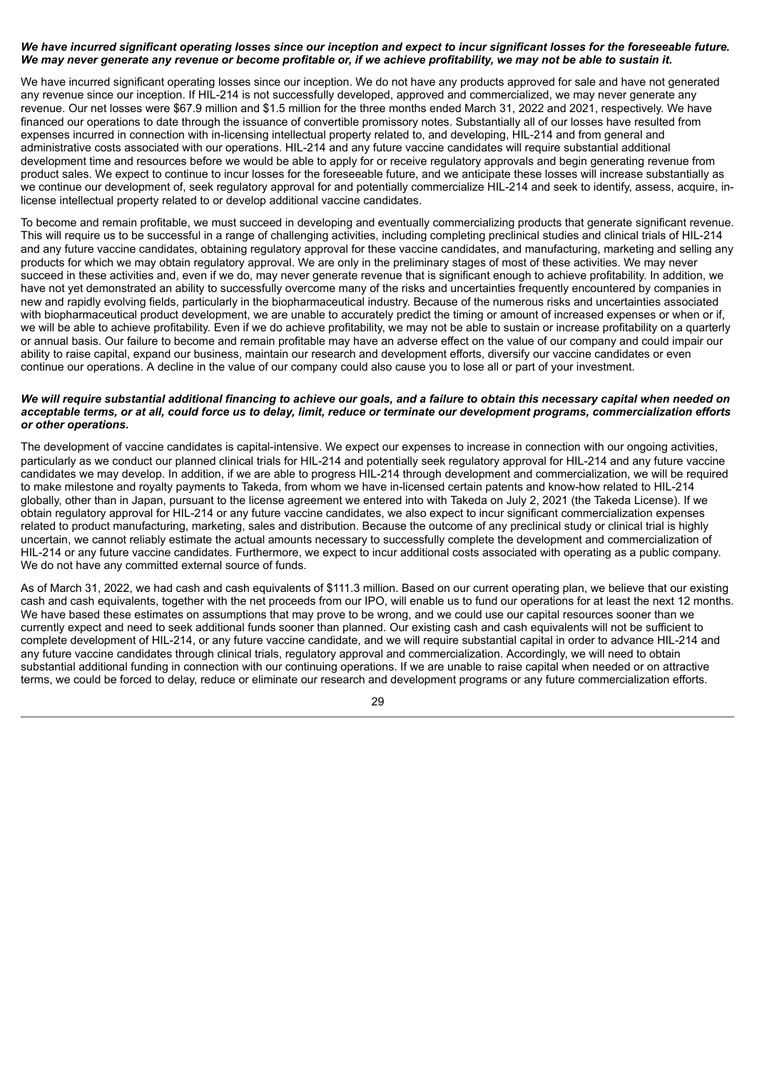### We have incurred significant operating losses since our inception and expect to incur significant losses for the foreseeable future. We may never generate any revenue or become profitable or, if we achieve profitability, we may not be able to sustain it.

We have incurred significant operating losses since our inception. We do not have any products approved for sale and have not generated any revenue since our inception. If HIL-214 is not successfully developed, approved and commercialized, we may never generate any revenue. Our net losses were \$67.9 million and \$1.5 million for the three months ended March 31, 2022 and 2021, respectively. We have financed our operations to date through the issuance of convertible promissory notes. Substantially all of our losses have resulted from expenses incurred in connection with in-licensing intellectual property related to, and developing, HIL-214 and from general and administrative costs associated with our operations. HIL-214 and any future vaccine candidates will require substantial additional development time and resources before we would be able to apply for or receive regulatory approvals and begin generating revenue from product sales. We expect to continue to incur losses for the foreseeable future, and we anticipate these losses will increase substantially as we continue our development of, seek regulatory approval for and potentially commercialize HIL-214 and seek to identify, assess, acquire, inlicense intellectual property related to or develop additional vaccine candidates.

To become and remain profitable, we must succeed in developing and eventually commercializing products that generate significant revenue. This will require us to be successful in a range of challenging activities, including completing preclinical studies and clinical trials of HIL-214 and any future vaccine candidates, obtaining regulatory approval for these vaccine candidates, and manufacturing, marketing and selling any products for which we may obtain regulatory approval. We are only in the preliminary stages of most of these activities. We may never succeed in these activities and, even if we do, may never generate revenue that is significant enough to achieve profitability. In addition, we have not yet demonstrated an ability to successfully overcome many of the risks and uncertainties frequently encountered by companies in new and rapidly evolving fields, particularly in the biopharmaceutical industry. Because of the numerous risks and uncertainties associated with biopharmaceutical product development, we are unable to accurately predict the timing or amount of increased expenses or when or if, we will be able to achieve profitability. Even if we do achieve profitability, we may not be able to sustain or increase profitability on a quarterly or annual basis. Our failure to become and remain profitable may have an adverse effect on the value of our company and could impair our ability to raise capital, expand our business, maintain our research and development efforts, diversify our vaccine candidates or even continue our operations. A decline in the value of our company could also cause you to lose all or part of your investment.

#### We will require substantial additional financing to achieve our goals, and a failure to obtain this necessary capital when needed on acceptable terms, or at all, could force us to delay, limit, reduce or terminate our development programs, commercialization efforts *or other operations.*

The development of vaccine candidates is capital-intensive. We expect our expenses to increase in connection with our ongoing activities, particularly as we conduct our planned clinical trials for HIL-214 and potentially seek regulatory approval for HIL-214 and any future vaccine candidates we may develop. In addition, if we are able to progress HIL-214 through development and commercialization, we will be required to make milestone and royalty payments to Takeda, from whom we have in-licensed certain patents and know-how related to HIL-214 globally, other than in Japan, pursuant to the license agreement we entered into with Takeda on July 2, 2021 (the Takeda License). If we obtain regulatory approval for HIL-214 or any future vaccine candidates, we also expect to incur significant commercialization expenses related to product manufacturing, marketing, sales and distribution. Because the outcome of any preclinical study or clinical trial is highly uncertain, we cannot reliably estimate the actual amounts necessary to successfully complete the development and commercialization of HIL-214 or any future vaccine candidates. Furthermore, we expect to incur additional costs associated with operating as a public company. We do not have any committed external source of funds.

As of March 31, 2022, we had cash and cash equivalents of \$111.3 million. Based on our current operating plan, we believe that our existing cash and cash equivalents, together with the net proceeds from our IPO, will enable us to fund our operations for at least the next 12 months. We have based these estimates on assumptions that may prove to be wrong, and we could use our capital resources sooner than we currently expect and need to seek additional funds sooner than planned. Our existing cash and cash equivalents will not be sufficient to complete development of HIL-214, or any future vaccine candidate, and we will require substantial capital in order to advance HIL-214 and any future vaccine candidates through clinical trials, regulatory approval and commercialization. Accordingly, we will need to obtain substantial additional funding in connection with our continuing operations. If we are unable to raise capital when needed or on attractive terms, we could be forced to delay, reduce or eliminate our research and development programs or any future commercialization efforts.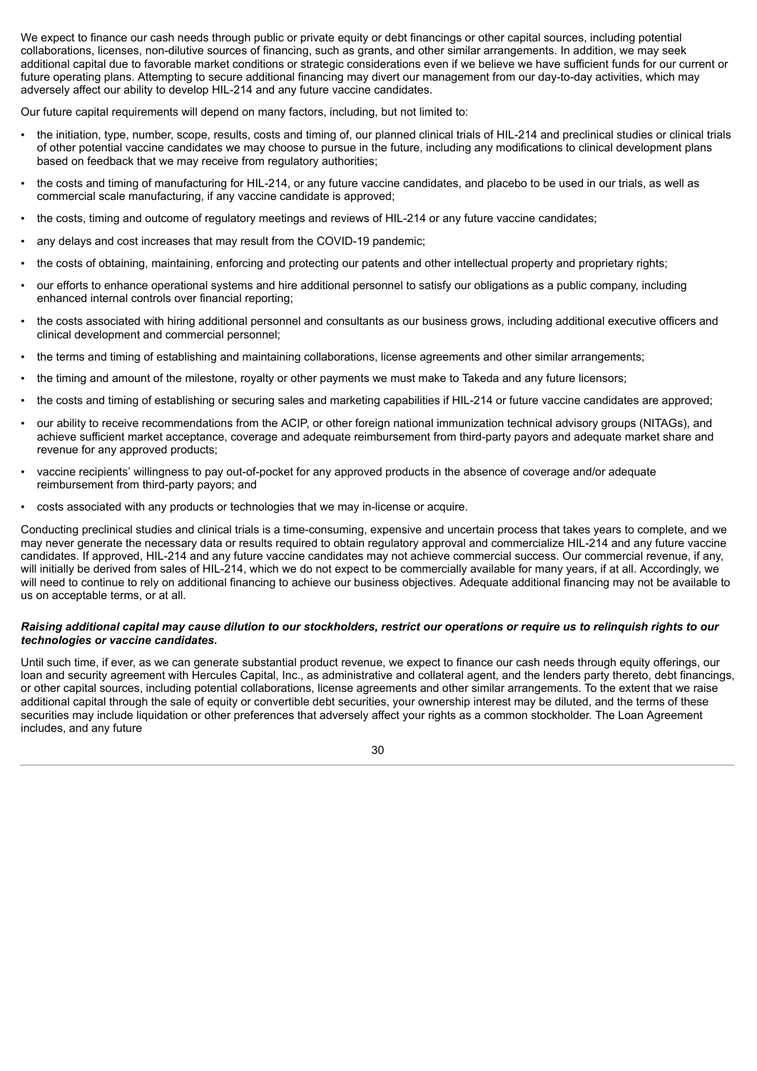We expect to finance our cash needs through public or private equity or debt financings or other capital sources, including potential collaborations, licenses, non-dilutive sources of financing, such as grants, and other similar arrangements. In addition, we may seek additional capital due to favorable market conditions or strategic considerations even if we believe we have sufficient funds for our current or future operating plans. Attempting to secure additional financing may divert our management from our day-to-day activities, which may adversely affect our ability to develop HIL-214 and any future vaccine candidates.

Our future capital requirements will depend on many factors, including, but not limited to:

- the initiation, type, number, scope, results, costs and timing of, our planned clinical trials of HIL-214 and preclinical studies or clinical trials of other potential vaccine candidates we may choose to pursue in the future, including any modifications to clinical development plans based on feedback that we may receive from regulatory authorities;
- the costs and timing of manufacturing for HIL-214, or any future vaccine candidates, and placebo to be used in our trials, as well as commercial scale manufacturing, if any vaccine candidate is approved;
- the costs, timing and outcome of regulatory meetings and reviews of HIL-214 or any future vaccine candidates;
- any delays and cost increases that may result from the COVID-19 pandemic;
- the costs of obtaining, maintaining, enforcing and protecting our patents and other intellectual property and proprietary rights;
- our efforts to enhance operational systems and hire additional personnel to satisfy our obligations as a public company, including enhanced internal controls over financial reporting;
- the costs associated with hiring additional personnel and consultants as our business grows, including additional executive officers and clinical development and commercial personnel;
- the terms and timing of establishing and maintaining collaborations, license agreements and other similar arrangements;
- the timing and amount of the milestone, royalty or other payments we must make to Takeda and any future licensors;
- the costs and timing of establishing or securing sales and marketing capabilities if HIL-214 or future vaccine candidates are approved;
- our ability to receive recommendations from the ACIP, or other foreign national immunization technical advisory groups (NITAGs), and achieve sufficient market acceptance, coverage and adequate reimbursement from third-party payors and adequate market share and revenue for any approved products;
- vaccine recipients' willingness to pay out-of-pocket for any approved products in the absence of coverage and/or adequate reimbursement from third-party payors; and
- costs associated with any products or technologies that we may in-license or acquire.

Conducting preclinical studies and clinical trials is a time-consuming, expensive and uncertain process that takes years to complete, and we may never generate the necessary data or results required to obtain regulatory approval and commercialize HIL-214 and any future vaccine candidates. If approved, HIL-214 and any future vaccine candidates may not achieve commercial success. Our commercial revenue, if any, will initially be derived from sales of HIL-214, which we do not expect to be commercially available for many years, if at all. Accordingly, we will need to continue to rely on additional financing to achieve our business objectives. Adequate additional financing may not be available to us on acceptable terms, or at all.

### Raising additional capital may cause dilution to our stockholders, restrict our operations or require us to relinquish rights to our *technologies or vaccine candidates.*

Until such time, if ever, as we can generate substantial product revenue, we expect to finance our cash needs through equity offerings, our loan and security agreement with Hercules Capital, Inc., as administrative and collateral agent, and the lenders party thereto, debt financings, or other capital sources, including potential collaborations, license agreements and other similar arrangements. To the extent that we raise additional capital through the sale of equity or convertible debt securities, your ownership interest may be diluted, and the terms of these securities may include liquidation or other preferences that adversely affect your rights as a common stockholder. The Loan Agreement includes, and any future

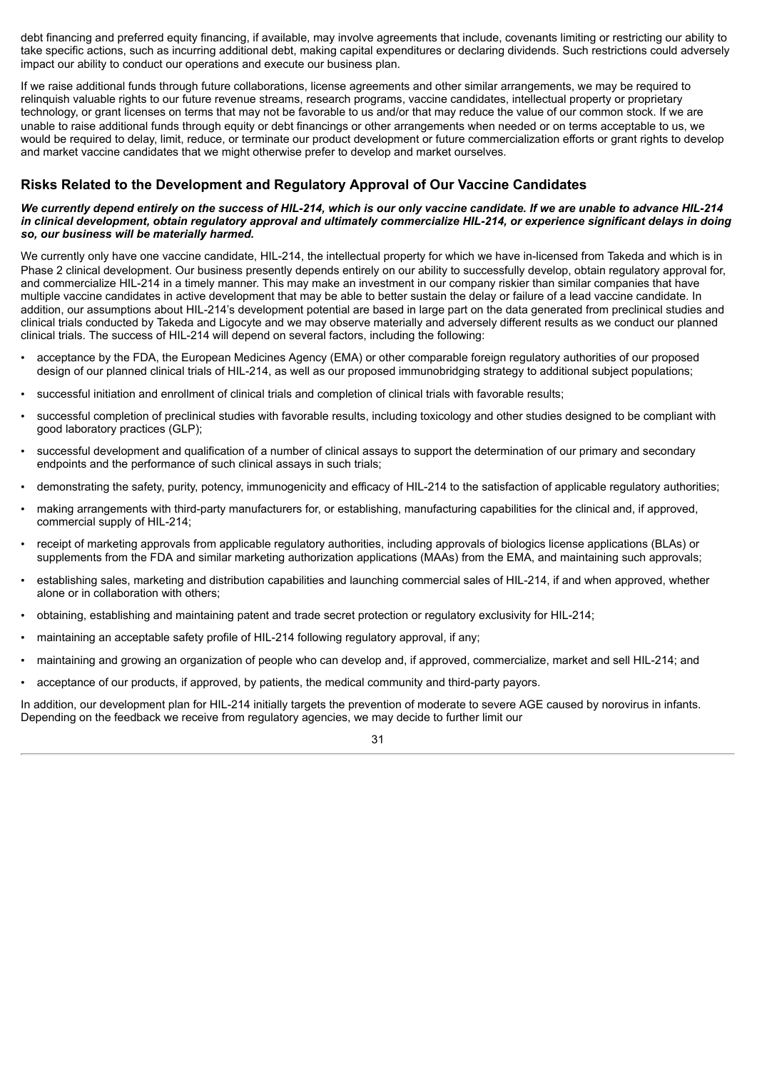debt financing and preferred equity financing, if available, may involve agreements that include, covenants limiting or restricting our ability to take specific actions, such as incurring additional debt, making capital expenditures or declaring dividends. Such restrictions could adversely impact our ability to conduct our operations and execute our business plan.

If we raise additional funds through future collaborations, license agreements and other similar arrangements, we may be required to relinquish valuable rights to our future revenue streams, research programs, vaccine candidates, intellectual property or proprietary technology, or grant licenses on terms that may not be favorable to us and/or that may reduce the value of our common stock. If we are unable to raise additional funds through equity or debt financings or other arrangements when needed or on terms acceptable to us, we would be required to delay, limit, reduce, or terminate our product development or future commercialization efforts or grant rights to develop and market vaccine candidates that we might otherwise prefer to develop and market ourselves.

### **Risks Related to the Development and Regulatory Approval of Our Vaccine Candidates**

#### We currently depend entirely on the success of HIL-214, which is our only vaccine candidate. If we are unable to advance HIL-214 in clinical development, obtain requlatory approval and ultimately commercialize HIL-214, or experience significant delays in doing *so, our business will be materially harmed.*

We currently only have one vaccine candidate, HIL-214, the intellectual property for which we have in-licensed from Takeda and which is in Phase 2 clinical development. Our business presently depends entirely on our ability to successfully develop, obtain regulatory approval for, and commercialize HIL-214 in a timely manner. This may make an investment in our company riskier than similar companies that have multiple vaccine candidates in active development that may be able to better sustain the delay or failure of a lead vaccine candidate. In addition, our assumptions about HIL-214's development potential are based in large part on the data generated from preclinical studies and clinical trials conducted by Takeda and Ligocyte and we may observe materially and adversely different results as we conduct our planned clinical trials. The success of HIL-214 will depend on several factors, including the following:

- acceptance by the FDA, the European Medicines Agency (EMA) or other comparable foreign regulatory authorities of our proposed design of our planned clinical trials of HIL-214, as well as our proposed immunobridging strategy to additional subject populations;
- successful initiation and enrollment of clinical trials and completion of clinical trials with favorable results;
- successful completion of preclinical studies with favorable results, including toxicology and other studies designed to be compliant with good laboratory practices (GLP);
- successful development and qualification of a number of clinical assays to support the determination of our primary and secondary endpoints and the performance of such clinical assays in such trials;
- demonstrating the safety, purity, potency, immunogenicity and efficacy of HIL-214 to the satisfaction of applicable regulatory authorities;
- making arrangements with third-party manufacturers for, or establishing, manufacturing capabilities for the clinical and, if approved, commercial supply of HIL-214;
- receipt of marketing approvals from applicable regulatory authorities, including approvals of biologics license applications (BLAs) or supplements from the FDA and similar marketing authorization applications (MAAs) from the EMA, and maintaining such approvals;
- establishing sales, marketing and distribution capabilities and launching commercial sales of HIL-214, if and when approved, whether alone or in collaboration with others;
- obtaining, establishing and maintaining patent and trade secret protection or regulatory exclusivity for HIL-214;
- maintaining an acceptable safety profile of HIL-214 following regulatory approval, if any;
- maintaining and growing an organization of people who can develop and, if approved, commercialize, market and sell HIL-214; and
- acceptance of our products, if approved, by patients, the medical community and third-party payors.

In addition, our development plan for HIL-214 initially targets the prevention of moderate to severe AGE caused by norovirus in infants. Depending on the feedback we receive from regulatory agencies, we may decide to further limit our

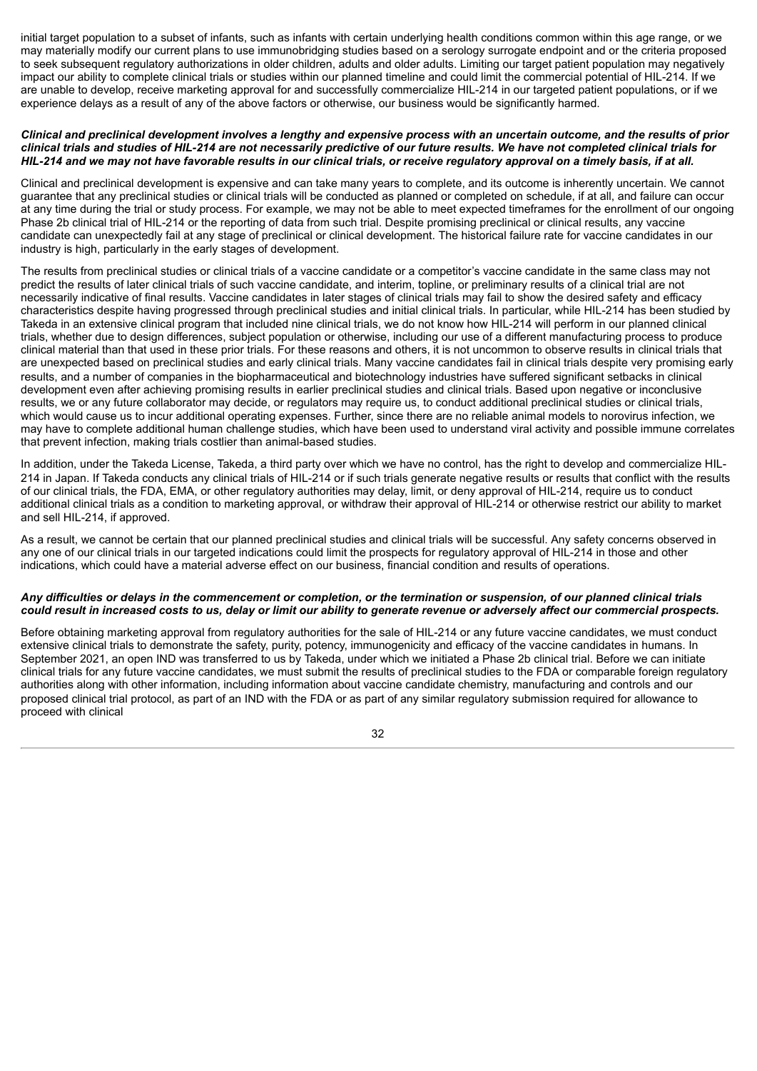initial target population to a subset of infants, such as infants with certain underlying health conditions common within this age range, or we may materially modify our current plans to use immunobridging studies based on a serology surrogate endpoint and or the criteria proposed to seek subsequent regulatory authorizations in older children, adults and older adults. Limiting our target patient population may negatively impact our ability to complete clinical trials or studies within our planned timeline and could limit the commercial potential of HIL-214. If we are unable to develop, receive marketing approval for and successfully commercialize HIL-214 in our targeted patient populations, or if we experience delays as a result of any of the above factors or otherwise, our business would be significantly harmed.

### Clinical and preclinical development involves a lengthy and expensive process with an uncertain outcome, and the results of prior clinical trials and studies of HIL-214 are not necessarily predictive of our future results. We have not completed clinical trials for HIL-214 and we may not have favorable results in our clinical trials, or receive regulatory approval on a timely basis, if at all.

Clinical and preclinical development is expensive and can take many years to complete, and its outcome is inherently uncertain. We cannot guarantee that any preclinical studies or clinical trials will be conducted as planned or completed on schedule, if at all, and failure can occur at any time during the trial or study process. For example, we may not be able to meet expected timeframes for the enrollment of our ongoing Phase 2b clinical trial of HIL-214 or the reporting of data from such trial. Despite promising preclinical or clinical results, any vaccine candidate can unexpectedly fail at any stage of preclinical or clinical development. The historical failure rate for vaccine candidates in our industry is high, particularly in the early stages of development.

The results from preclinical studies or clinical trials of a vaccine candidate or a competitor's vaccine candidate in the same class may not predict the results of later clinical trials of such vaccine candidate, and interim, topline, or preliminary results of a clinical trial are not necessarily indicative of final results. Vaccine candidates in later stages of clinical trials may fail to show the desired safety and efficacy characteristics despite having progressed through preclinical studies and initial clinical trials. In particular, while HIL-214 has been studied by Takeda in an extensive clinical program that included nine clinical trials, we do not know how HIL-214 will perform in our planned clinical trials, whether due to design differences, subject population or otherwise, including our use of a different manufacturing process to produce clinical material than that used in these prior trials. For these reasons and others, it is not uncommon to observe results in clinical trials that are unexpected based on preclinical studies and early clinical trials. Many vaccine candidates fail in clinical trials despite very promising early results, and a number of companies in the biopharmaceutical and biotechnology industries have suffered significant setbacks in clinical development even after achieving promising results in earlier preclinical studies and clinical trials. Based upon negative or inconclusive results, we or any future collaborator may decide, or regulators may require us, to conduct additional preclinical studies or clinical trials, which would cause us to incur additional operating expenses. Further, since there are no reliable animal models to norovirus infection, we may have to complete additional human challenge studies, which have been used to understand viral activity and possible immune correlates that prevent infection, making trials costlier than animal-based studies.

In addition, under the Takeda License, Takeda, a third party over which we have no control, has the right to develop and commercialize HIL-214 in Japan. If Takeda conducts any clinical trials of HIL-214 or if such trials generate negative results or results that conflict with the results of our clinical trials, the FDA, EMA, or other regulatory authorities may delay, limit, or deny approval of HIL-214, require us to conduct additional clinical trials as a condition to marketing approval, or withdraw their approval of HIL-214 or otherwise restrict our ability to market and sell HIL-214, if approved.

As a result, we cannot be certain that our planned preclinical studies and clinical trials will be successful. Any safety concerns observed in any one of our clinical trials in our targeted indications could limit the prospects for regulatory approval of HIL-214 in those and other indications, which could have a material adverse effect on our business, financial condition and results of operations.

### Any difficulties or delays in the commencement or completion, or the termination or suspension, of our planned clinical trials could result in increased costs to us, delay or limit our ability to generate revenue or adversely affect our commercial prospects.

Before obtaining marketing approval from regulatory authorities for the sale of HIL-214 or any future vaccine candidates, we must conduct extensive clinical trials to demonstrate the safety, purity, potency, immunogenicity and efficacy of the vaccine candidates in humans. In September 2021, an open IND was transferred to us by Takeda, under which we initiated a Phase 2b clinical trial. Before we can initiate clinical trials for any future vaccine candidates, we must submit the results of preclinical studies to the FDA or comparable foreign regulatory authorities along with other information, including information about vaccine candidate chemistry, manufacturing and controls and our proposed clinical trial protocol, as part of an IND with the FDA or as part of any similar regulatory submission required for allowance to proceed with clinical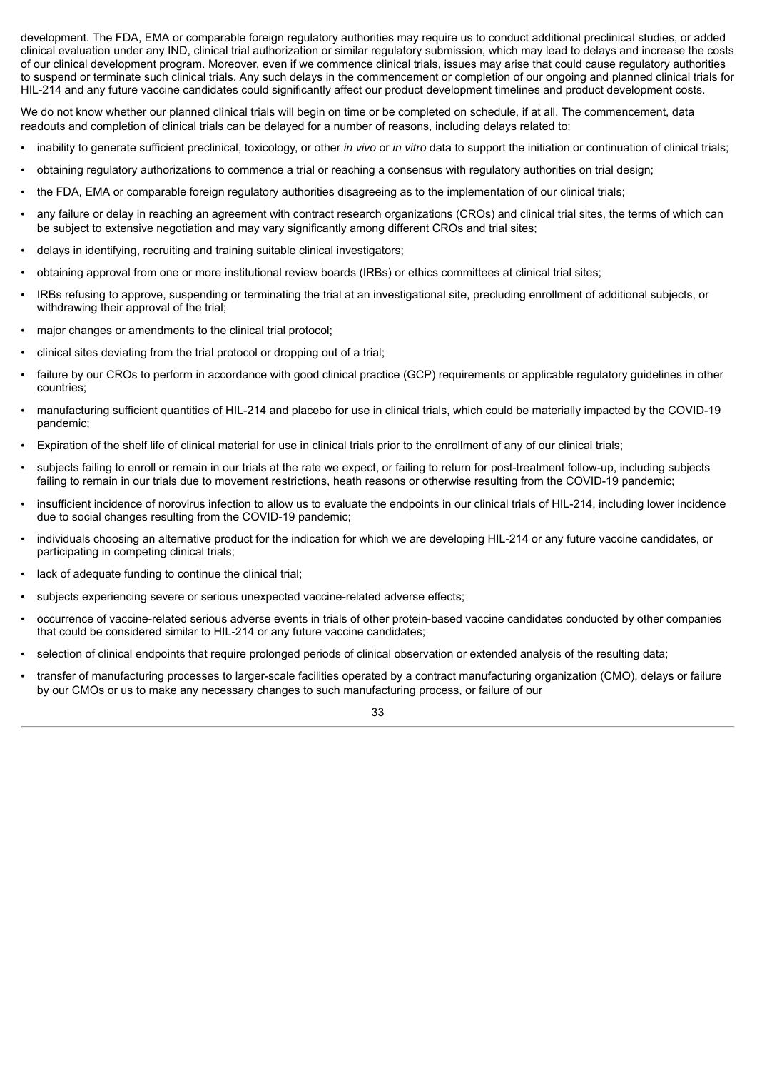development. The FDA, EMA or comparable foreign regulatory authorities may require us to conduct additional preclinical studies, or added clinical evaluation under any IND, clinical trial authorization or similar regulatory submission, which may lead to delays and increase the costs of our clinical development program. Moreover, even if we commence clinical trials, issues may arise that could cause regulatory authorities to suspend or terminate such clinical trials. Any such delays in the commencement or completion of our ongoing and planned clinical trials for HIL-214 and any future vaccine candidates could significantly affect our product development timelines and product development costs.

We do not know whether our planned clinical trials will begin on time or be completed on schedule, if at all. The commencement, data readouts and completion of clinical trials can be delayed for a number of reasons, including delays related to:

- inability to generate sufficient preclinical, toxicology, or other *in vivo* or *in vitro* data to support the initiation or continuation of clinical trials;
- obtaining regulatory authorizations to commence a trial or reaching a consensus with regulatory authorities on trial design;
- the FDA, EMA or comparable foreign regulatory authorities disagreeing as to the implementation of our clinical trials;
- any failure or delay in reaching an agreement with contract research organizations (CROs) and clinical trial sites, the terms of which can be subject to extensive negotiation and may vary significantly among different CROs and trial sites;
- delays in identifying, recruiting and training suitable clinical investigators;
- obtaining approval from one or more institutional review boards (IRBs) or ethics committees at clinical trial sites;
- IRBs refusing to approve, suspending or terminating the trial at an investigational site, precluding enrollment of additional subjects, or withdrawing their approval of the trial;
- major changes or amendments to the clinical trial protocol;
- clinical sites deviating from the trial protocol or dropping out of a trial;
- failure by our CROs to perform in accordance with good clinical practice (GCP) requirements or applicable regulatory quidelines in other countries;
- manufacturing sufficient quantities of HIL-214 and placebo for use in clinical trials, which could be materially impacted by the COVID-19 pandemic;
- Expiration of the shelf life of clinical material for use in clinical trials prior to the enrollment of any of our clinical trials;
- subjects failing to enroll or remain in our trials at the rate we expect, or failing to return for post-treatment follow-up, including subjects failing to remain in our trials due to movement restrictions, heath reasons or otherwise resulting from the COVID-19 pandemic;
- insufficient incidence of norovirus infection to allow us to evaluate the endpoints in our clinical trials of HIL-214, including lower incidence due to social changes resulting from the COVID-19 pandemic;
- individuals choosing an alternative product for the indication for which we are developing HIL-214 or any future vaccine candidates, or participating in competing clinical trials;
- lack of adequate funding to continue the clinical trial;
- subjects experiencing severe or serious unexpected vaccine-related adverse effects;
- occurrence of vaccine-related serious adverse events in trials of other protein-based vaccine candidates conducted by other companies that could be considered similar to HIL-214 or any future vaccine candidates;
- selection of clinical endpoints that require prolonged periods of clinical observation or extended analysis of the resulting data;
- transfer of manufacturing processes to larger-scale facilities operated by a contract manufacturing organization (CMO), delays or failure by our CMOs or us to make any necessary changes to such manufacturing process, or failure of our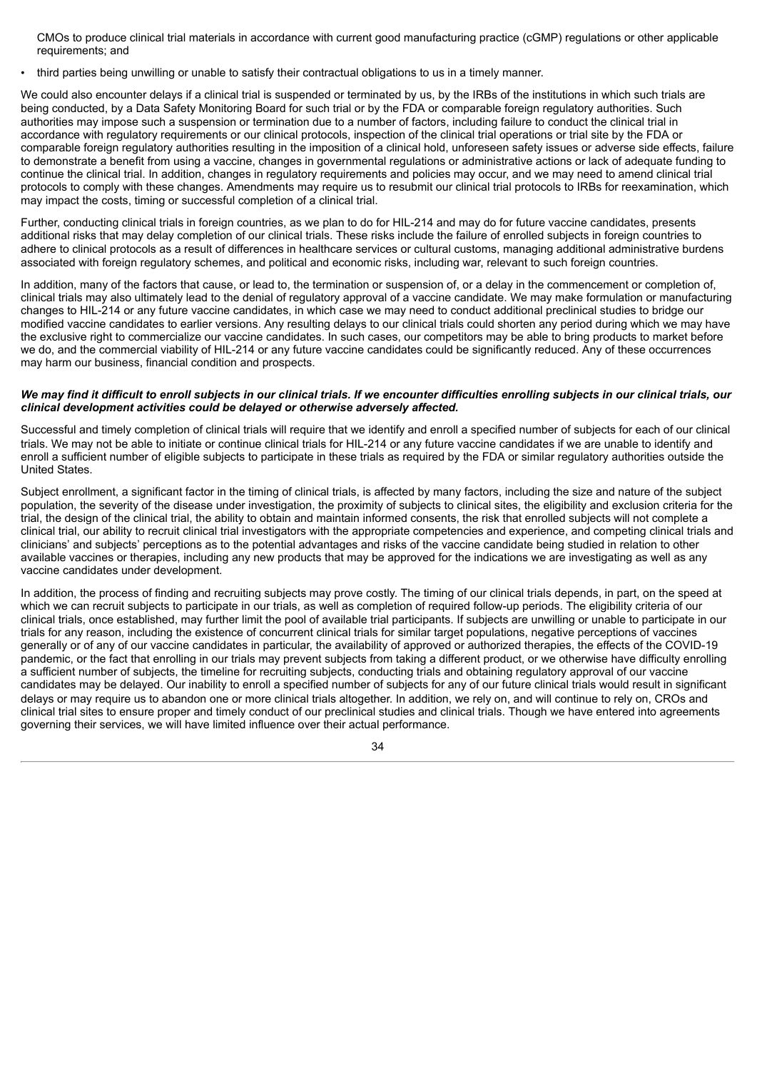CMOs to produce clinical trial materials in accordance with current good manufacturing practice (cGMP) regulations or other applicable requirements; and

• third parties being unwilling or unable to satisfy their contractual obligations to us in a timely manner.

We could also encounter delays if a clinical trial is suspended or terminated by us, by the IRBs of the institutions in which such trials are being conducted, by a Data Safety Monitoring Board for such trial or by the FDA or comparable foreign regulatory authorities. Such authorities may impose such a suspension or termination due to a number of factors, including failure to conduct the clinical trial in accordance with regulatory requirements or our clinical protocols, inspection of the clinical trial operations or trial site by the FDA or comparable foreign regulatory authorities resulting in the imposition of a clinical hold, unforeseen safety issues or adverse side effects, failure to demonstrate a benefit from using a vaccine, changes in governmental regulations or administrative actions or lack of adequate funding to continue the clinical trial. In addition, changes in regulatory requirements and policies may occur, and we may need to amend clinical trial protocols to comply with these changes. Amendments may require us to resubmit our clinical trial protocols to IRBs for reexamination, which may impact the costs, timing or successful completion of a clinical trial.

Further, conducting clinical trials in foreign countries, as we plan to do for HIL-214 and may do for future vaccine candidates, presents additional risks that may delay completion of our clinical trials. These risks include the failure of enrolled subjects in foreign countries to adhere to clinical protocols as a result of differences in healthcare services or cultural customs, managing additional administrative burdens associated with foreign regulatory schemes, and political and economic risks, including war, relevant to such foreign countries.

In addition, many of the factors that cause, or lead to, the termination or suspension of, or a delay in the commencement or completion of, clinical trials may also ultimately lead to the denial of regulatory approval of a vaccine candidate. We may make formulation or manufacturing changes to HIL-214 or any future vaccine candidates, in which case we may need to conduct additional preclinical studies to bridge our modified vaccine candidates to earlier versions. Any resulting delays to our clinical trials could shorten any period during which we may have the exclusive right to commercialize our vaccine candidates. In such cases, our competitors may be able to bring products to market before we do, and the commercial viability of HIL-214 or any future vaccine candidates could be significantly reduced. Any of these occurrences may harm our business, financial condition and prospects.

#### We may find it difficult to enroll subjects in our clinical trials. If we encounter difficulties enrolling subjects in our clinical trials, our *clinical development activities could be delayed or otherwise adversely affected.*

Successful and timely completion of clinical trials will require that we identify and enroll a specified number of subjects for each of our clinical trials. We may not be able to initiate or continue clinical trials for HIL-214 or any future vaccine candidates if we are unable to identify and enroll a sufficient number of eligible subjects to participate in these trials as required by the FDA or similar regulatory authorities outside the United States.

Subject enrollment, a significant factor in the timing of clinical trials, is affected by many factors, including the size and nature of the subject population, the severity of the disease under investigation, the proximity of subjects to clinical sites, the eligibility and exclusion criteria for the trial, the design of the clinical trial, the ability to obtain and maintain informed consents, the risk that enrolled subjects will not complete a clinical trial, our ability to recruit clinical trial investigators with the appropriate competencies and experience, and competing clinical trials and clinicians' and subjects' perceptions as to the potential advantages and risks of the vaccine candidate being studied in relation to other available vaccines or therapies, including any new products that may be approved for the indications we are investigating as well as any vaccine candidates under development.

In addition, the process of finding and recruiting subjects may prove costly. The timing of our clinical trials depends, in part, on the speed at which we can recruit subjects to participate in our trials, as well as completion of required follow-up periods. The eligibility criteria of our clinical trials, once established, may further limit the pool of available trial participants. If subjects are unwilling or unable to participate in our trials for any reason, including the existence of concurrent clinical trials for similar target populations, negative perceptions of vaccines generally or of any of our vaccine candidates in particular, the availability of approved or authorized therapies, the effects of the COVID-19 pandemic, or the fact that enrolling in our trials may prevent subjects from taking a different product, or we otherwise have difficulty enrolling a sufficient number of subjects, the timeline for recruiting subjects, conducting trials and obtaining regulatory approval of our vaccine candidates may be delayed. Our inability to enroll a specified number of subjects for any of our future clinical trials would result in significant delays or may require us to abandon one or more clinical trials altogether. In addition, we rely on, and will continue to rely on, CROs and clinical trial sites to ensure proper and timely conduct of our preclinical studies and clinical trials. Though we have entered into agreements governing their services, we will have limited influence over their actual performance.

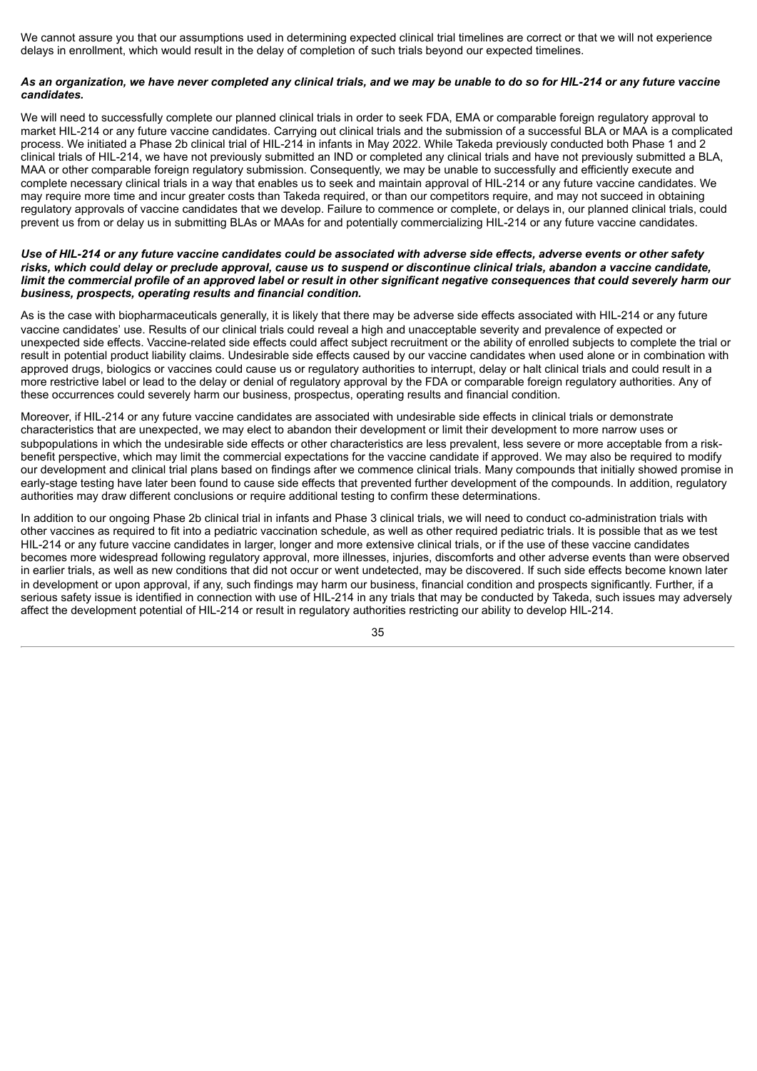We cannot assure you that our assumptions used in determining expected clinical trial timelines are correct or that we will not experience delays in enrollment, which would result in the delay of completion of such trials beyond our expected timelines.

## As an organization, we have never completed any clinical trials, and we may be unable to do so for HIL-214 or any future vaccine *candidates.*

We will need to successfully complete our planned clinical trials in order to seek FDA, EMA or comparable foreign regulatory approval to market HIL-214 or any future vaccine candidates. Carrying out clinical trials and the submission of a successful BLA or MAA is a complicated process. We initiated a Phase 2b clinical trial of HIL-214 in infants in May 2022. While Takeda previously conducted both Phase 1 and 2 clinical trials of HIL-214, we have not previously submitted an IND or completed any clinical trials and have not previously submitted a BLA, MAA or other comparable foreign regulatory submission. Consequently, we may be unable to successfully and efficiently execute and complete necessary clinical trials in a way that enables us to seek and maintain approval of HIL-214 or any future vaccine candidates. We may require more time and incur greater costs than Takeda required, or than our competitors require, and may not succeed in obtaining regulatory approvals of vaccine candidates that we develop. Failure to commence or complete, or delays in, our planned clinical trials, could prevent us from or delay us in submitting BLAs or MAAs for and potentially commercializing HIL-214 or any future vaccine candidates.

# Use of HIL-214 or any future vaccine candidates could be associated with adverse side effects, adverse events or other safety risks, which could delay or preclude approval, cause us to suspend or discontinue clinical trials, abandon a vaccine candidate, limit the commercial profile of an approved label or result in other significant negative consequences that could severely harm our *business, prospects, operating results and financial condition.*

As is the case with biopharmaceuticals generally, it is likely that there may be adverse side effects associated with HIL-214 or any future vaccine candidates' use. Results of our clinical trials could reveal a high and unacceptable severity and prevalence of expected or unexpected side effects. Vaccine-related side effects could affect subject recruitment or the ability of enrolled subjects to complete the trial or result in potential product liability claims. Undesirable side effects caused by our vaccine candidates when used alone or in combination with approved drugs, biologics or vaccines could cause us or regulatory authorities to interrupt, delay or halt clinical trials and could result in a more restrictive label or lead to the delay or denial of regulatory approval by the FDA or comparable foreign regulatory authorities. Any of these occurrences could severely harm our business, prospectus, operating results and financial condition.

Moreover, if HIL-214 or any future vaccine candidates are associated with undesirable side effects in clinical trials or demonstrate characteristics that are unexpected, we may elect to abandon their development or limit their development to more narrow uses or subpopulations in which the undesirable side effects or other characteristics are less prevalent, less severe or more acceptable from a riskbenefit perspective, which may limit the commercial expectations for the vaccine candidate if approved. We may also be required to modify our development and clinical trial plans based on findings after we commence clinical trials. Many compounds that initially showed promise in early-stage testing have later been found to cause side effects that prevented further development of the compounds. In addition, regulatory authorities may draw different conclusions or require additional testing to confirm these determinations.

In addition to our ongoing Phase 2b clinical trial in infants and Phase 3 clinical trials, we will need to conduct co-administration trials with other vaccines as required to fit into a pediatric vaccination schedule, as well as other required pediatric trials. It is possible that as we test HIL-214 or any future vaccine candidates in larger, longer and more extensive clinical trials, or if the use of these vaccine candidates becomes more widespread following regulatory approval, more illnesses, injuries, discomforts and other adverse events than were observed in earlier trials, as well as new conditions that did not occur or went undetected, may be discovered. If such side effects become known later in development or upon approval, if any, such findings may harm our business, financial condition and prospects significantly. Further, if a serious safety issue is identified in connection with use of HIL-214 in any trials that may be conducted by Takeda, such issues may adversely affect the development potential of HIL-214 or result in regulatory authorities restricting our ability to develop HIL-214.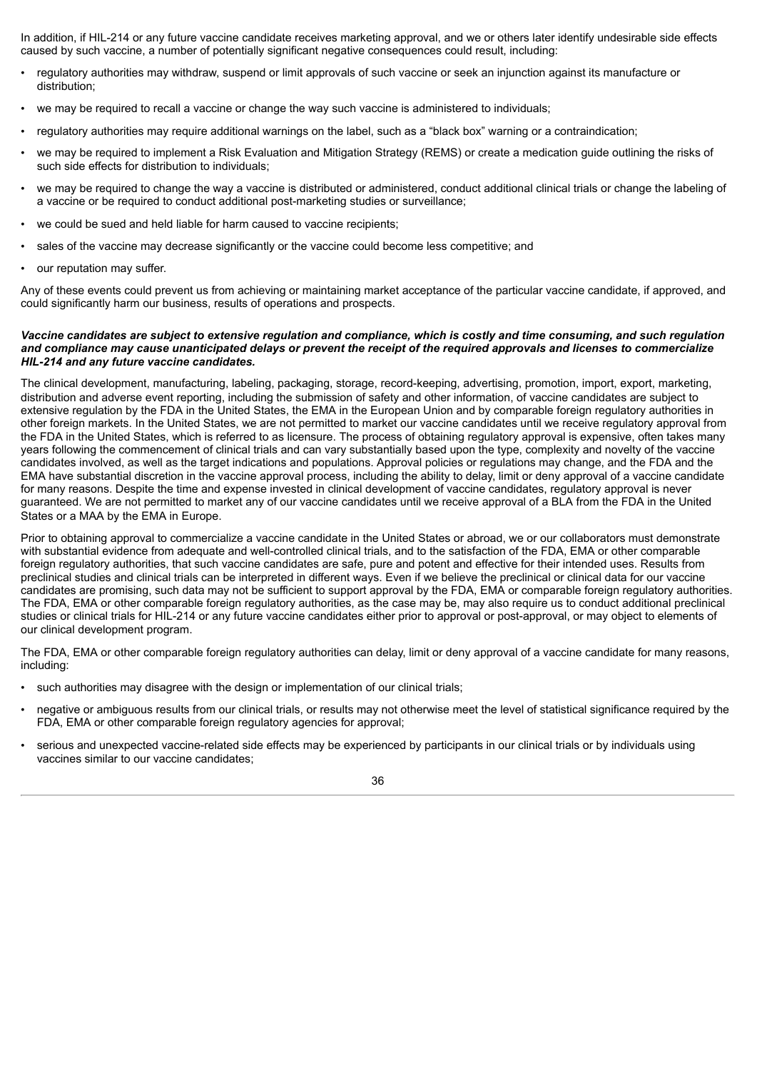In addition, if HIL-214 or any future vaccine candidate receives marketing approval, and we or others later identify undesirable side effects caused by such vaccine, a number of potentially significant negative consequences could result, including:

- regulatory authorities may withdraw, suspend or limit approvals of such vaccine or seek an injunction against its manufacture or distribution;
- we may be required to recall a vaccine or change the way such vaccine is administered to individuals;
- regulatory authorities may require additional warnings on the label, such as a "black box" warning or a contraindication;
- we may be required to implement a Risk Evaluation and Mitigation Strategy (REMS) or create a medication guide outlining the risks of such side effects for distribution to individuals;
- we may be required to change the way a vaccine is distributed or administered, conduct additional clinical trials or change the labeling of a vaccine or be required to conduct additional post-marketing studies or surveillance;
- we could be sued and held liable for harm caused to vaccine recipients;
- sales of the vaccine may decrease significantly or the vaccine could become less competitive; and
- our reputation may suffer.

Any of these events could prevent us from achieving or maintaining market acceptance of the particular vaccine candidate, if approved, and could significantly harm our business, results of operations and prospects.

## Vaccine candidates are subject to extensive regulation and compliance, which is costly and time consuming, and such regulation and compliance may cause unanticipated delays or prevent the receipt of the required approvals and licenses to commercialize *HIL-214 and any future vaccine candidates.*

The clinical development, manufacturing, labeling, packaging, storage, record-keeping, advertising, promotion, import, export, marketing, distribution and adverse event reporting, including the submission of safety and other information, of vaccine candidates are subject to extensive regulation by the FDA in the United States, the EMA in the European Union and by comparable foreign regulatory authorities in other foreign markets. In the United States, we are not permitted to market our vaccine candidates until we receive regulatory approval from the FDA in the United States, which is referred to as licensure. The process of obtaining regulatory approval is expensive, often takes many years following the commencement of clinical trials and can vary substantially based upon the type, complexity and novelty of the vaccine candidates involved, as well as the target indications and populations. Approval policies or regulations may change, and the FDA and the EMA have substantial discretion in the vaccine approval process, including the ability to delay, limit or deny approval of a vaccine candidate for many reasons. Despite the time and expense invested in clinical development of vaccine candidates, regulatory approval is never guaranteed. We are not permitted to market any of our vaccine candidates until we receive approval of a BLA from the FDA in the United States or a MAA by the EMA in Europe.

Prior to obtaining approval to commercialize a vaccine candidate in the United States or abroad, we or our collaborators must demonstrate with substantial evidence from adequate and well-controlled clinical trials, and to the satisfaction of the FDA, EMA or other comparable foreign regulatory authorities, that such vaccine candidates are safe, pure and potent and effective for their intended uses. Results from preclinical studies and clinical trials can be interpreted in different ways. Even if we believe the preclinical or clinical data for our vaccine candidates are promising, such data may not be sufficient to support approval by the FDA, EMA or comparable foreign regulatory authorities. The FDA, EMA or other comparable foreign regulatory authorities, as the case may be, may also require us to conduct additional preclinical studies or clinical trials for HIL-214 or any future vaccine candidates either prior to approval or post-approval, or may object to elements of our clinical development program.

The FDA, EMA or other comparable foreign regulatory authorities can delay, limit or deny approval of a vaccine candidate for many reasons, including:

- such authorities may disagree with the design or implementation of our clinical trials;
- negative or ambiguous results from our clinical trials, or results may not otherwise meet the level of statistical significance required by the FDA, EMA or other comparable foreign regulatory agencies for approval;
- serious and unexpected vaccine-related side effects may be experienced by participants in our clinical trials or by individuals using vaccines similar to our vaccine candidates;

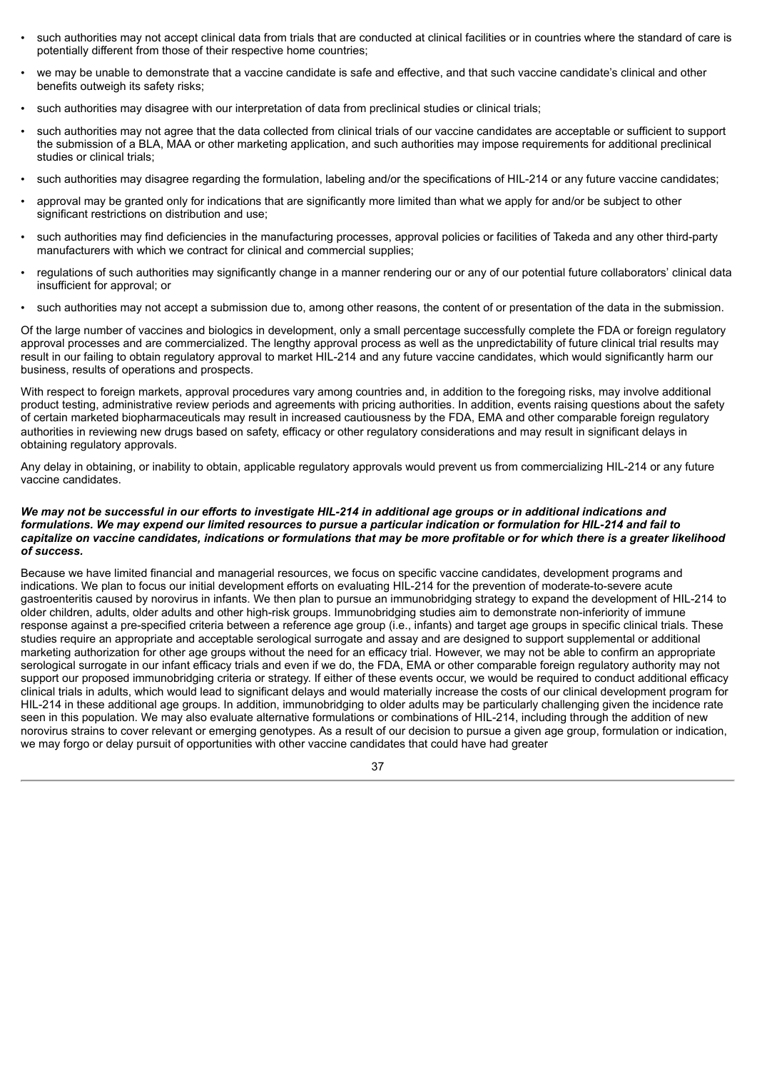- such authorities may not accept clinical data from trials that are conducted at clinical facilities or in countries where the standard of care is potentially different from those of their respective home countries;
- we may be unable to demonstrate that a vaccine candidate is safe and effective, and that such vaccine candidate's clinical and other benefits outweigh its safety risks;
- such authorities may disagree with our interpretation of data from preclinical studies or clinical trials;
- such authorities may not agree that the data collected from clinical trials of our vaccine candidates are acceptable or sufficient to support the submission of a BLA, MAA or other marketing application, and such authorities may impose requirements for additional preclinical studies or clinical trials;
- such authorities may disagree regarding the formulation, labeling and/or the specifications of HIL-214 or any future vaccine candidates;
- approval may be granted only for indications that are significantly more limited than what we apply for and/or be subject to other significant restrictions on distribution and use;
- such authorities may find deficiencies in the manufacturing processes, approval policies or facilities of Takeda and any other third-party manufacturers with which we contract for clinical and commercial supplies;
- regulations of such authorities may significantly change in a manner rendering our or any of our potential future collaborators' clinical data insufficient for approval; or
- such authorities may not accept a submission due to, among other reasons, the content of or presentation of the data in the submission.

Of the large number of vaccines and biologics in development, only a small percentage successfully complete the FDA or foreign regulatory approval processes and are commercialized. The lengthy approval process as well as the unpredictability of future clinical trial results may result in our failing to obtain regulatory approval to market HIL-214 and any future vaccine candidates, which would significantly harm our business, results of operations and prospects.

With respect to foreign markets, approval procedures vary among countries and, in addition to the foregoing risks, may involve additional product testing, administrative review periods and agreements with pricing authorities. In addition, events raising questions about the safety of certain marketed biopharmaceuticals may result in increased cautiousness by the FDA, EMA and other comparable foreign regulatory authorities in reviewing new drugs based on safety, efficacy or other regulatory considerations and may result in significant delays in obtaining regulatory approvals.

Any delay in obtaining, or inability to obtain, applicable regulatory approvals would prevent us from commercializing HIL-214 or any future vaccine candidates.

# We may not be successful in our efforts to investigate HIL-214 in additional age groups or in additional indications and formulations. We may expend our limited resources to pursue a particular indication or formulation for HIL-214 and fail to capitalize on vaccine candidates, indications or formulations that may be more profitable or for which there is a greater likelihood *of success.*

Because we have limited financial and managerial resources, we focus on specific vaccine candidates, development programs and indications. We plan to focus our initial development efforts on evaluating HIL-214 for the prevention of moderate-to-severe acute gastroenteritis caused by norovirus in infants. We then plan to pursue an immunobridging strategy to expand the development of HIL-214 to older children, adults, older adults and other high-risk groups. Immunobridging studies aim to demonstrate non-inferiority of immune response against a pre-specified criteria between a reference age group (i.e., infants) and target age groups in specific clinical trials. These studies require an appropriate and acceptable serological surrogate and assay and are designed to support supplemental or additional marketing authorization for other age groups without the need for an efficacy trial. However, we may not be able to confirm an appropriate serological surrogate in our infant efficacy trials and even if we do, the FDA, EMA or other comparable foreign regulatory authority may not support our proposed immunobridging criteria or strategy. If either of these events occur, we would be required to conduct additional efficacy clinical trials in adults, which would lead to significant delays and would materially increase the costs of our clinical development program for HIL-214 in these additional age groups. In addition, immunobridging to older adults may be particularly challenging given the incidence rate seen in this population. We may also evaluate alternative formulations or combinations of HIL-214, including through the addition of new norovirus strains to cover relevant or emerging genotypes. As a result of our decision to pursue a given age group, formulation or indication, we may forgo or delay pursuit of opportunities with other vaccine candidates that could have had greater

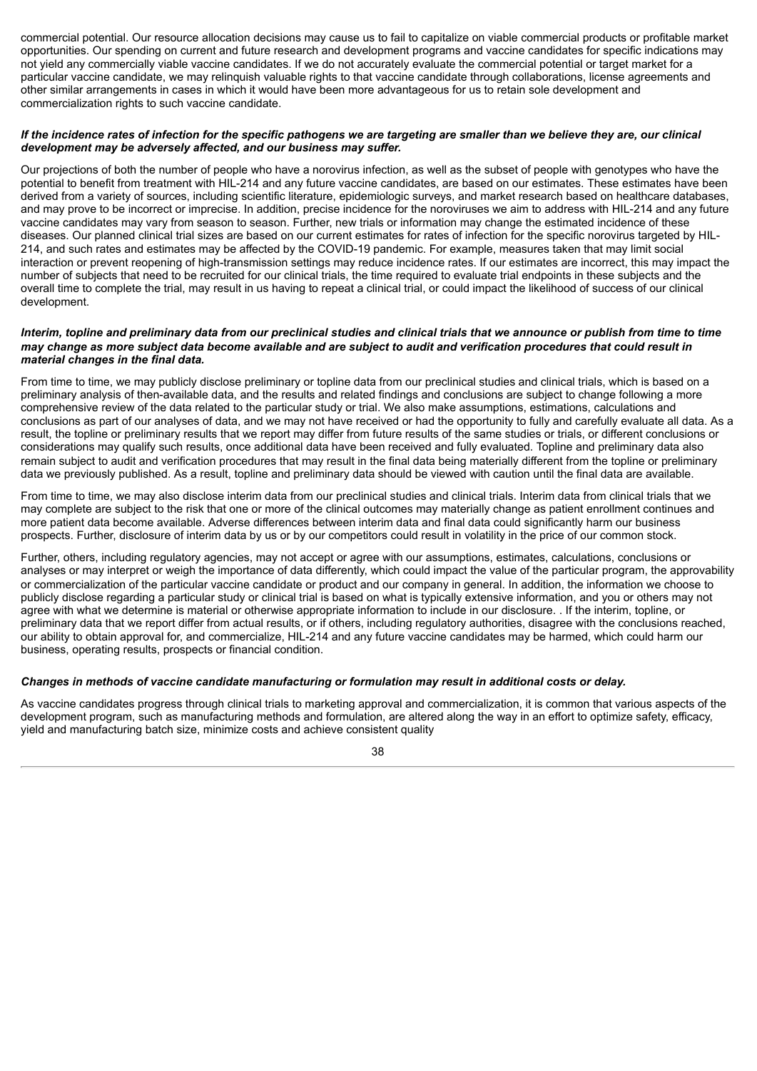commercial potential. Our resource allocation decisions may cause us to fail to capitalize on viable commercial products or profitable market opportunities. Our spending on current and future research and development programs and vaccine candidates for specific indications may not yield any commercially viable vaccine candidates. If we do not accurately evaluate the commercial potential or target market for a particular vaccine candidate, we may relinquish valuable rights to that vaccine candidate through collaborations, license agreements and other similar arrangements in cases in which it would have been more advantageous for us to retain sole development and commercialization rights to such vaccine candidate.

# If the incidence rates of infection for the specific pathogens we are targeting are smaller than we believe they are, our clinical *development may be adversely affected, and our business may suffer.*

Our projections of both the number of people who have a norovirus infection, as well as the subset of people with genotypes who have the potential to benefit from treatment with HIL-214 and any future vaccine candidates, are based on our estimates. These estimates have been derived from a variety of sources, including scientific literature, epidemiologic surveys, and market research based on healthcare databases, and may prove to be incorrect or imprecise. In addition, precise incidence for the noroviruses we aim to address with HIL-214 and any future vaccine candidates may vary from season to season. Further, new trials or information may change the estimated incidence of these diseases. Our planned clinical trial sizes are based on our current estimates for rates of infection for the specific norovirus targeted by HIL-214, and such rates and estimates may be affected by the COVID-19 pandemic. For example, measures taken that may limit social interaction or prevent reopening of high-transmission settings may reduce incidence rates. If our estimates are incorrect, this may impact the number of subjects that need to be recruited for our clinical trials, the time required to evaluate trial endpoints in these subjects and the overall time to complete the trial, may result in us having to repeat a clinical trial, or could impact the likelihood of success of our clinical development.

# Interim, topline and preliminary data from our preclinical studies and clinical trials that we announce or publish from time to time may change as more subject data become available and are subject to audit and verification procedures that could result in *material changes in the final data.*

From time to time, we may publicly disclose preliminary or topline data from our preclinical studies and clinical trials, which is based on a preliminary analysis of then-available data, and the results and related findings and conclusions are subject to change following a more comprehensive review of the data related to the particular study or trial. We also make assumptions, estimations, calculations and conclusions as part of our analyses of data, and we may not have received or had the opportunity to fully and carefully evaluate all data. As a result, the topline or preliminary results that we report may differ from future results of the same studies or trials, or different conclusions or considerations may qualify such results, once additional data have been received and fully evaluated. Topline and preliminary data also remain subject to audit and verification procedures that may result in the final data being materially different from the topline or preliminary data we previously published. As a result, topline and preliminary data should be viewed with caution until the final data are available.

From time to time, we may also disclose interim data from our preclinical studies and clinical trials. Interim data from clinical trials that we may complete are subject to the risk that one or more of the clinical outcomes may materially change as patient enrollment continues and more patient data become available. Adverse differences between interim data and final data could significantly harm our business prospects. Further, disclosure of interim data by us or by our competitors could result in volatility in the price of our common stock.

Further, others, including regulatory agencies, may not accept or agree with our assumptions, estimates, calculations, conclusions or analyses or may interpret or weigh the importance of data differently, which could impact the value of the particular program, the approvability or commercialization of the particular vaccine candidate or product and our company in general. In addition, the information we choose to publicly disclose regarding a particular study or clinical trial is based on what is typically extensive information, and you or others may not agree with what we determine is material or otherwise appropriate information to include in our disclosure. . If the interim, topline, or preliminary data that we report differ from actual results, or if others, including regulatory authorities, disagree with the conclusions reached, our ability to obtain approval for, and commercialize, HIL-214 and any future vaccine candidates may be harmed, which could harm our business, operating results, prospects or financial condition.

# *Changes in methods of vaccine candidate manufacturing or formulation may result in additional costs or delay.*

As vaccine candidates progress through clinical trials to marketing approval and commercialization, it is common that various aspects of the development program, such as manufacturing methods and formulation, are altered along the way in an effort to optimize safety, efficacy, yield and manufacturing batch size, minimize costs and achieve consistent quality

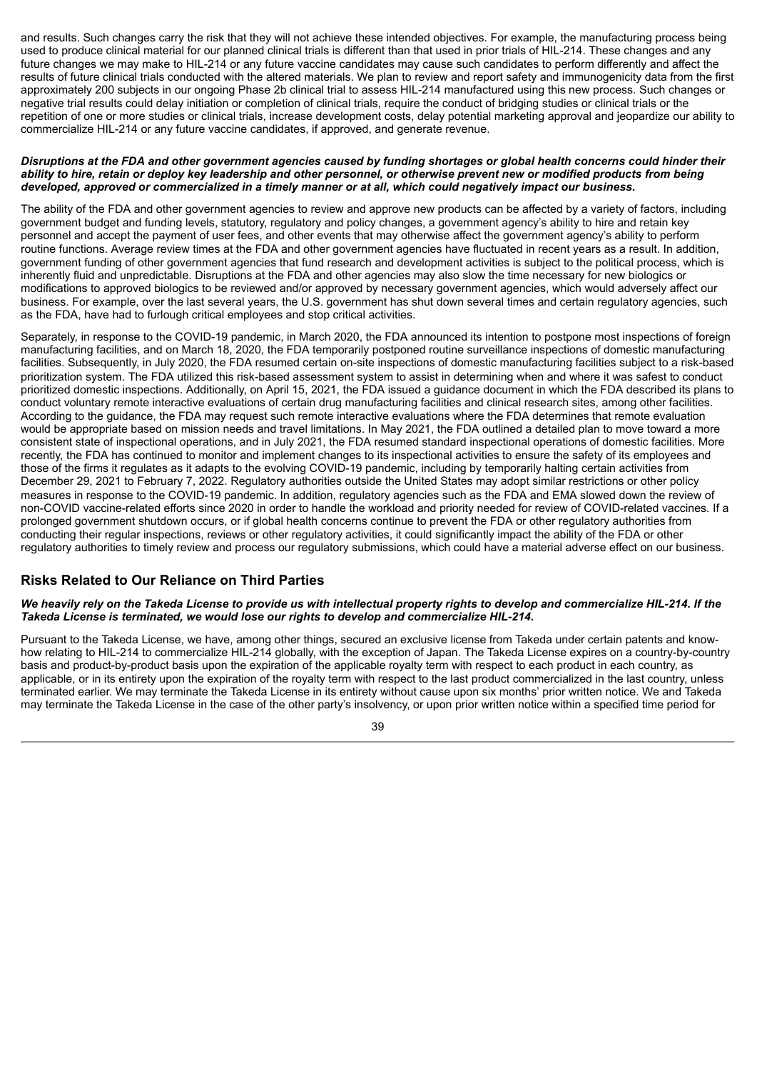and results. Such changes carry the risk that they will not achieve these intended objectives. For example, the manufacturing process being used to produce clinical material for our planned clinical trials is different than that used in prior trials of HIL-214. These changes and any future changes we may make to HIL-214 or any future vaccine candidates may cause such candidates to perform differently and affect the results of future clinical trials conducted with the altered materials. We plan to review and report safety and immunogenicity data from the first approximately 200 subjects in our ongoing Phase 2b clinical trial to assess HIL-214 manufactured using this new process. Such changes or negative trial results could delay initiation or completion of clinical trials, require the conduct of bridging studies or clinical trials or the repetition of one or more studies or clinical trials, increase development costs, delay potential marketing approval and jeopardize our ability to commercialize HIL-214 or any future vaccine candidates, if approved, and generate revenue.

## Disruptions at the FDA and other government agencies caused by funding shortages or global health concerns could hinder their ability to hire, retain or deploy key leadership and other personnel, or otherwise prevent new or modified products from being developed, approved or commercialized in a timely manner or at all, which could negatively impact our business.

The ability of the FDA and other government agencies to review and approve new products can be affected by a variety of factors, including government budget and funding levels, statutory, regulatory and policy changes, a government agency's ability to hire and retain key personnel and accept the payment of user fees, and other events that may otherwise affect the government agency's ability to perform routine functions. Average review times at the FDA and other government agencies have fluctuated in recent years as a result. In addition, government funding of other government agencies that fund research and development activities is subject to the political process, which is inherently fluid and unpredictable. Disruptions at the FDA and other agencies may also slow the time necessary for new biologics or modifications to approved biologics to be reviewed and/or approved by necessary government agencies, which would adversely affect our business. For example, over the last several years, the U.S. government has shut down several times and certain regulatory agencies, such as the FDA, have had to furlough critical employees and stop critical activities.

Separately, in response to the COVID-19 pandemic, in March 2020, the FDA announced its intention to postpone most inspections of foreign manufacturing facilities, and on March 18, 2020, the FDA temporarily postponed routine surveillance inspections of domestic manufacturing facilities. Subsequently, in July 2020, the FDA resumed certain on-site inspections of domestic manufacturing facilities subject to a risk-based prioritization system. The FDA utilized this risk-based assessment system to assist in determining when and where it was safest to conduct prioritized domestic inspections. Additionally, on April 15, 2021, the FDA issued a guidance document in which the FDA described its plans to conduct voluntary remote interactive evaluations of certain drug manufacturing facilities and clinical research sites, among other facilities. According to the guidance, the FDA may request such remote interactive evaluations where the FDA determines that remote evaluation would be appropriate based on mission needs and travel limitations. In May 2021, the FDA outlined a detailed plan to move toward a more consistent state of inspectional operations, and in July 2021, the FDA resumed standard inspectional operations of domestic facilities. More recently, the FDA has continued to monitor and implement changes to its inspectional activities to ensure the safety of its employees and those of the firms it regulates as it adapts to the evolving COVID-19 pandemic, including by temporarily halting certain activities from December 29, 2021 to February 7, 2022. Regulatory authorities outside the United States may adopt similar restrictions or other policy measures in response to the COVID-19 pandemic. In addition, regulatory agencies such as the FDA and EMA slowed down the review of non-COVID vaccine-related efforts since 2020 in order to handle the workload and priority needed for review of COVID-related vaccines. If a prolonged government shutdown occurs, or if global health concerns continue to prevent the FDA or other regulatory authorities from conducting their regular inspections, reviews or other regulatory activities, it could significantly impact the ability of the FDA or other regulatory authorities to timely review and process our regulatory submissions, which could have a material adverse effect on our business.

# **Risks Related to Our Reliance on Third Parties**

## We heavily rely on the Takeda License to provide us with intellectual property rights to develop and commercialize HIL-214. If the *Takeda License is terminated, we would lose our rights to develop and commercialize HIL-214.*

Pursuant to the Takeda License, we have, among other things, secured an exclusive license from Takeda under certain patents and knowhow relating to HIL-214 to commercialize HIL-214 globally, with the exception of Japan. The Takeda License expires on a country-by-country basis and product-by-product basis upon the expiration of the applicable royalty term with respect to each product in each country, as applicable, or in its entirety upon the expiration of the royalty term with respect to the last product commercialized in the last country, unless terminated earlier. We may terminate the Takeda License in its entirety without cause upon six months' prior written notice. We and Takeda may terminate the Takeda License in the case of the other party's insolvency, or upon prior written notice within a specified time period for

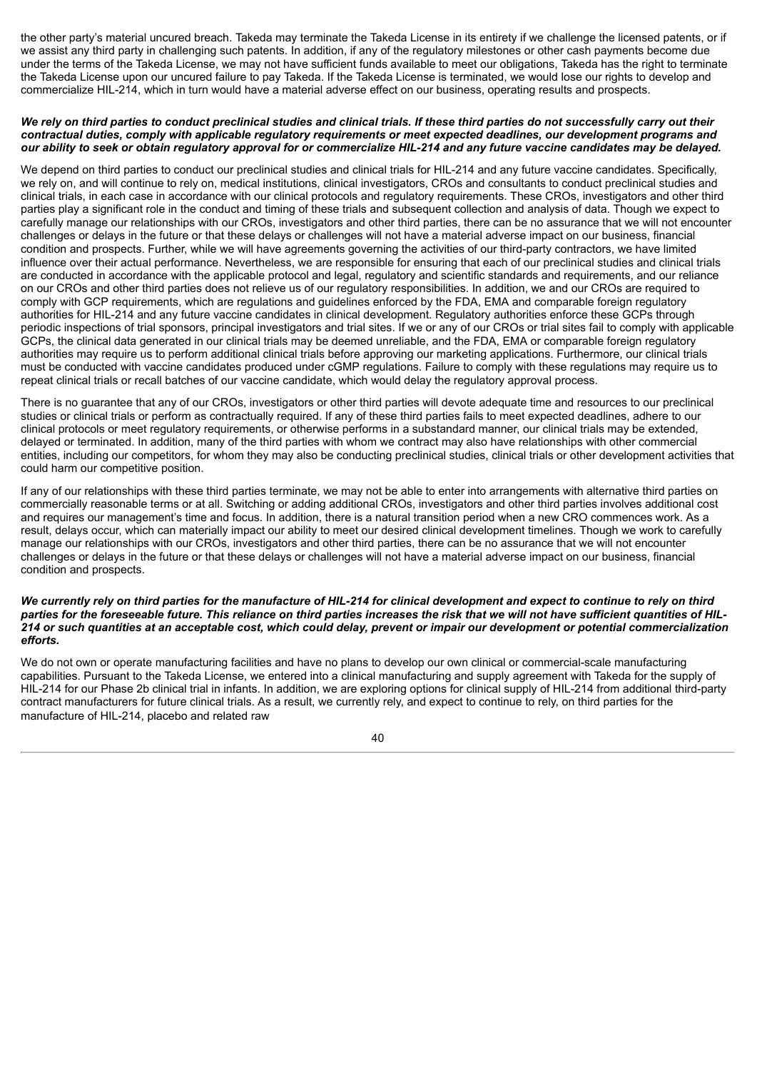the other party's material uncured breach. Takeda may terminate the Takeda License in its entirety if we challenge the licensed patents, or if we assist any third party in challenging such patents. In addition, if any of the regulatory milestones or other cash payments become due under the terms of the Takeda License, we may not have sufficient funds available to meet our obligations, Takeda has the right to terminate the Takeda License upon our uncured failure to pay Takeda. If the Takeda License is terminated, we would lose our rights to develop and commercialize HIL-214, which in turn would have a material adverse effect on our business, operating results and prospects.

# We rely on third parties to conduct preclinical studies and clinical trials. If these third parties do not successfully carry out their contractual duties, comply with applicable regulatory requirements or meet expected deadlines, our development programs and our ability to seek or obtain regulatory approval for or commercialize HIL-214 and any future vaccine candidates may be delayed.

We depend on third parties to conduct our preclinical studies and clinical trials for HIL-214 and any future vaccine candidates. Specifically, we rely on, and will continue to rely on, medical institutions, clinical investigators, CROs and consultants to conduct preclinical studies and clinical trials, in each case in accordance with our clinical protocols and regulatory requirements. These CROs, investigators and other third parties play a significant role in the conduct and timing of these trials and subsequent collection and analysis of data. Though we expect to carefully manage our relationships with our CROs, investigators and other third parties, there can be no assurance that we will not encounter challenges or delays in the future or that these delays or challenges will not have a material adverse impact on our business, financial condition and prospects. Further, while we will have agreements governing the activities of our third-party contractors, we have limited influence over their actual performance. Nevertheless, we are responsible for ensuring that each of our preclinical studies and clinical trials are conducted in accordance with the applicable protocol and legal, regulatory and scientific standards and requirements, and our reliance on our CROs and other third parties does not relieve us of our regulatory responsibilities. In addition, we and our CROs are required to comply with GCP requirements, which are regulations and guidelines enforced by the FDA, EMA and comparable foreign regulatory authorities for HIL-214 and any future vaccine candidates in clinical development. Regulatory authorities enforce these GCPs through periodic inspections of trial sponsors, principal investigators and trial sites. If we or any of our CROs or trial sites fail to comply with applicable GCPs, the clinical data generated in our clinical trials may be deemed unreliable, and the FDA, EMA or comparable foreign regulatory authorities may require us to perform additional clinical trials before approving our marketing applications. Furthermore, our clinical trials must be conducted with vaccine candidates produced under cGMP regulations. Failure to comply with these regulations may require us to repeat clinical trials or recall batches of our vaccine candidate, which would delay the regulatory approval process.

There is no guarantee that any of our CROs, investigators or other third parties will devote adequate time and resources to our preclinical studies or clinical trials or perform as contractually required. If any of these third parties fails to meet expected deadlines, adhere to our clinical protocols or meet regulatory requirements, or otherwise performs in a substandard manner, our clinical trials may be extended, delayed or terminated. In addition, many of the third parties with whom we contract may also have relationships with other commercial entities, including our competitors, for whom they may also be conducting preclinical studies, clinical trials or other development activities that could harm our competitive position.

If any of our relationships with these third parties terminate, we may not be able to enter into arrangements with alternative third parties on commercially reasonable terms or at all. Switching or adding additional CROs, investigators and other third parties involves additional cost and requires our management's time and focus. In addition, there is a natural transition period when a new CRO commences work. As a result, delays occur, which can materially impact our ability to meet our desired clinical development timelines. Though we work to carefully manage our relationships with our CROs, investigators and other third parties, there can be no assurance that we will not encounter challenges or delays in the future or that these delays or challenges will not have a material adverse impact on our business, financial condition and prospects.

#### We currently rely on third parties for the manufacture of HIL-214 for clinical development and expect to continue to rely on third parties for the foreseeable future. This reliance on third parties increases the risk that we will not have sufficient quantities of HIL-214 or such quantities at an acceptable cost, which could delay, prevent or impair our development or potential commercialization *efforts.*

We do not own or operate manufacturing facilities and have no plans to develop our own clinical or commercial-scale manufacturing capabilities. Pursuant to the Takeda License, we entered into a clinical manufacturing and supply agreement with Takeda for the supply of HIL-214 for our Phase 2b clinical trial in infants. In addition, we are exploring options for clinical supply of HIL-214 from additional third-party contract manufacturers for future clinical trials. As a result, we currently rely, and expect to continue to rely, on third parties for the manufacture of HIL-214, placebo and related raw

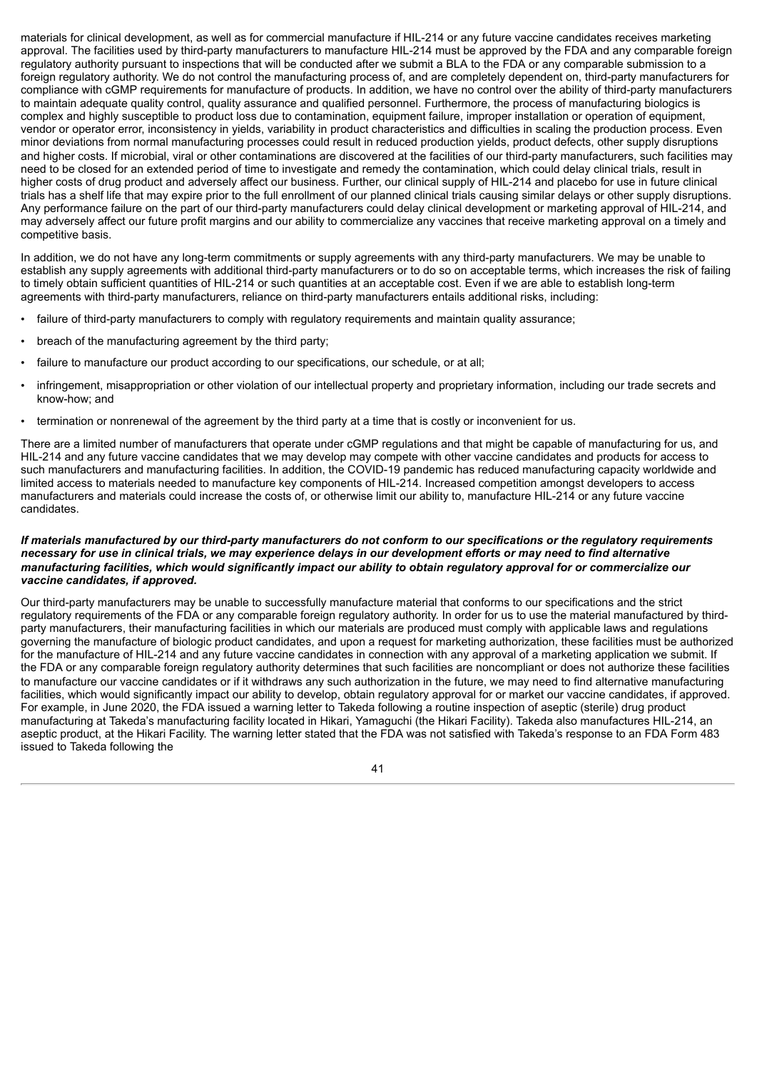materials for clinical development, as well as for commercial manufacture if HIL-214 or any future vaccine candidates receives marketing approval. The facilities used by third-party manufacturers to manufacture HIL-214 must be approved by the FDA and any comparable foreign regulatory authority pursuant to inspections that will be conducted after we submit a BLA to the FDA or any comparable submission to a foreign regulatory authority. We do not control the manufacturing process of, and are completely dependent on, third-party manufacturers for compliance with cGMP requirements for manufacture of products. In addition, we have no control over the ability of third-party manufacturers to maintain adequate quality control, quality assurance and qualified personnel. Furthermore, the process of manufacturing biologics is complex and highly susceptible to product loss due to contamination, equipment failure, improper installation or operation of equipment, vendor or operator error, inconsistency in yields, variability in product characteristics and difficulties in scaling the production process. Even minor deviations from normal manufacturing processes could result in reduced production yields, product defects, other supply disruptions and higher costs. If microbial, viral or other contaminations are discovered at the facilities of our third-party manufacturers, such facilities may need to be closed for an extended period of time to investigate and remedy the contamination, which could delay clinical trials, result in higher costs of drug product and adversely affect our business. Further, our clinical supply of HIL-214 and placebo for use in future clinical trials has a shelf life that may expire prior to the full enrollment of our planned clinical trials causing similar delays or other supply disruptions. Any performance failure on the part of our third-party manufacturers could delay clinical development or marketing approval of HIL-214, and may adversely affect our future profit margins and our ability to commercialize any vaccines that receive marketing approval on a timely and competitive basis.

In addition, we do not have any long-term commitments or supply agreements with any third-party manufacturers. We may be unable to establish any supply agreements with additional third-party manufacturers or to do so on acceptable terms, which increases the risk of failing to timely obtain sufficient quantities of HIL-214 or such quantities at an acceptable cost. Even if we are able to establish long-term agreements with third-party manufacturers, reliance on third-party manufacturers entails additional risks, including:

- failure of third-party manufacturers to comply with regulatory requirements and maintain quality assurance;
- breach of the manufacturing agreement by the third party;
- failure to manufacture our product according to our specifications, our schedule, or at all;
- infringement, misappropriation or other violation of our intellectual property and proprietary information, including our trade secrets and know-how; and
- termination or nonrenewal of the agreement by the third party at a time that is costly or inconvenient for us.

There are a limited number of manufacturers that operate under cGMP regulations and that might be capable of manufacturing for us, and HIL-214 and any future vaccine candidates that we may develop may compete with other vaccine candidates and products for access to such manufacturers and manufacturing facilities. In addition, the COVID-19 pandemic has reduced manufacturing capacity worldwide and limited access to materials needed to manufacture key components of HIL-214. Increased competition amongst developers to access manufacturers and materials could increase the costs of, or otherwise limit our ability to, manufacture HIL-214 or any future vaccine candidates.

# If materials manufactured by our third-party manufacturers do not conform to our specifications or the regulatory requirements necessary for use in clinical trials, we may experience delays in our development efforts or may need to find alternative manufacturing facilities, which would significantly impact our ability to obtain regulatory approval for or commercialize our *vaccine candidates, if approved.*

Our third-party manufacturers may be unable to successfully manufacture material that conforms to our specifications and the strict regulatory requirements of the FDA or any comparable foreign regulatory authority. In order for us to use the material manufactured by thirdparty manufacturers, their manufacturing facilities in which our materials are produced must comply with applicable laws and regulations governing the manufacture of biologic product candidates, and upon a request for marketing authorization, these facilities must be authorized for the manufacture of HIL-214 and any future vaccine candidates in connection with any approval of a marketing application we submit. If the FDA or any comparable foreign regulatory authority determines that such facilities are noncompliant or does not authorize these facilities to manufacture our vaccine candidates or if it withdraws any such authorization in the future, we may need to find alternative manufacturing facilities, which would significantly impact our ability to develop, obtain regulatory approval for or market our vaccine candidates, if approved. For example, in June 2020, the FDA issued a warning letter to Takeda following a routine inspection of aseptic (sterile) drug product manufacturing at Takeda's manufacturing facility located in Hikari, Yamaguchi (the Hikari Facility). Takeda also manufactures HIL-214, an aseptic product, at the Hikari Facility. The warning letter stated that the FDA was not satisfied with Takeda's response to an FDA Form 483 issued to Takeda following the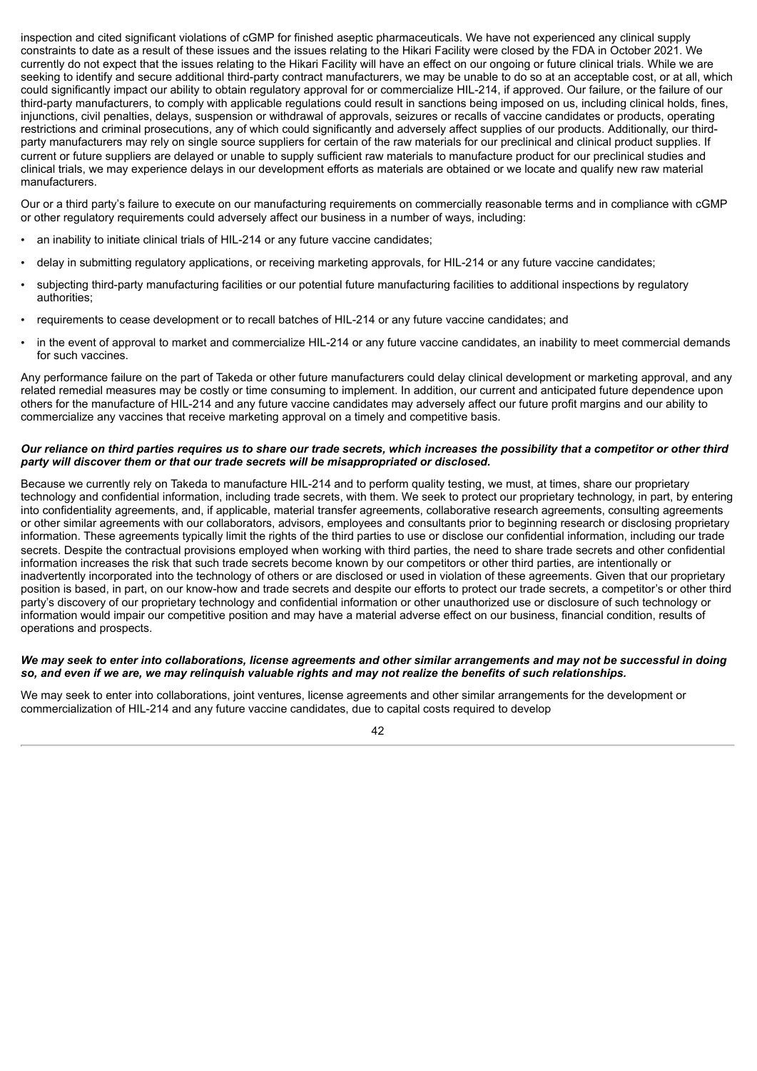inspection and cited significant violations of cGMP for finished aseptic pharmaceuticals. We have not experienced any clinical supply constraints to date as a result of these issues and the issues relating to the Hikari Facility were closed by the FDA in October 2021. We currently do not expect that the issues relating to the Hikari Facility will have an effect on our ongoing or future clinical trials. While we are seeking to identify and secure additional third-party contract manufacturers, we may be unable to do so at an acceptable cost, or at all, which could significantly impact our ability to obtain regulatory approval for or commercialize HIL-214, if approved. Our failure, or the failure of our third-party manufacturers, to comply with applicable regulations could result in sanctions being imposed on us, including clinical holds, fines, injunctions, civil penalties, delays, suspension or withdrawal of approvals, seizures or recalls of vaccine candidates or products, operating restrictions and criminal prosecutions, any of which could significantly and adversely affect supplies of our products. Additionally, our thirdparty manufacturers may rely on single source suppliers for certain of the raw materials for our preclinical and clinical product supplies. If current or future suppliers are delayed or unable to supply sufficient raw materials to manufacture product for our preclinical studies and clinical trials, we may experience delays in our development efforts as materials are obtained or we locate and qualify new raw material manufacturers.

Our or a third party's failure to execute on our manufacturing requirements on commercially reasonable terms and in compliance with cGMP or other regulatory requirements could adversely affect our business in a number of ways, including:

- an inability to initiate clinical trials of HIL-214 or any future vaccine candidates;
- delay in submitting regulatory applications, or receiving marketing approvals, for HIL-214 or any future vaccine candidates;
- subjecting third-party manufacturing facilities or our potential future manufacturing facilities to additional inspections by regulatory authorities;
- requirements to cease development or to recall batches of HIL-214 or any future vaccine candidates; and
- in the event of approval to market and commercialize HIL-214 or any future vaccine candidates, an inability to meet commercial demands for such vaccines.

Any performance failure on the part of Takeda or other future manufacturers could delay clinical development or marketing approval, and any related remedial measures may be costly or time consuming to implement. In addition, our current and anticipated future dependence upon others for the manufacture of HIL-214 and any future vaccine candidates may adversely affect our future profit margins and our ability to commercialize any vaccines that receive marketing approval on a timely and competitive basis.

## Our reliance on third parties requires us to share our trade secrets, which increases the possibility that a competitor or other third *party will discover them or that our trade secrets will be misappropriated or disclosed.*

Because we currently rely on Takeda to manufacture HIL-214 and to perform quality testing, we must, at times, share our proprietary technology and confidential information, including trade secrets, with them. We seek to protect our proprietary technology, in part, by entering into confidentiality agreements, and, if applicable, material transfer agreements, collaborative research agreements, consulting agreements or other similar agreements with our collaborators, advisors, employees and consultants prior to beginning research or disclosing proprietary information. These agreements typically limit the rights of the third parties to use or disclose our confidential information, including our trade secrets. Despite the contractual provisions employed when working with third parties, the need to share trade secrets and other confidential information increases the risk that such trade secrets become known by our competitors or other third parties, are intentionally or inadvertently incorporated into the technology of others or are disclosed or used in violation of these agreements. Given that our proprietary position is based, in part, on our know-how and trade secrets and despite our efforts to protect our trade secrets, a competitor's or other third party's discovery of our proprietary technology and confidential information or other unauthorized use or disclosure of such technology or information would impair our competitive position and may have a material adverse effect on our business, financial condition, results of operations and prospects.

# We may seek to enter into collaborations, license agreements and other similar arrangements and may not be successful in doing so, and even if we are, we may relinquish valuable rights and may not realize the benefits of such relationships.

We may seek to enter into collaborations, joint ventures, license agreements and other similar arrangements for the development or commercialization of HIL-214 and any future vaccine candidates, due to capital costs required to develop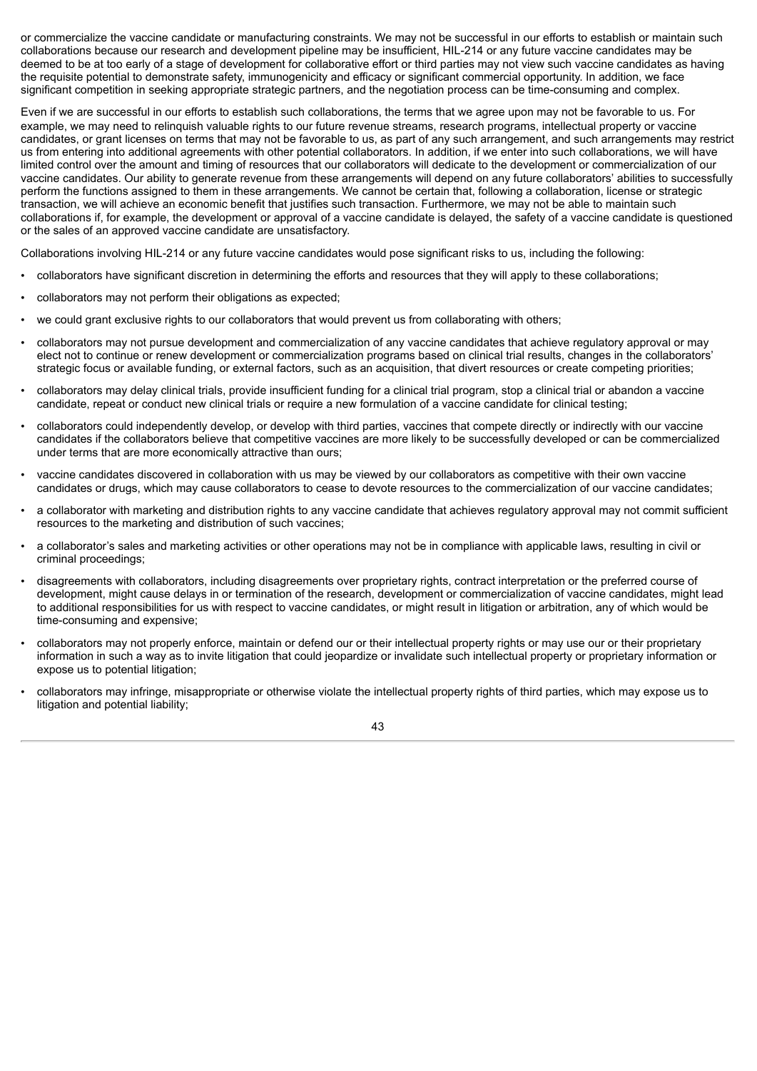or commercialize the vaccine candidate or manufacturing constraints. We may not be successful in our efforts to establish or maintain such collaborations because our research and development pipeline may be insufficient, HIL-214 or any future vaccine candidates may be deemed to be at too early of a stage of development for collaborative effort or third parties may not view such vaccine candidates as having the requisite potential to demonstrate safety, immunogenicity and efficacy or significant commercial opportunity. In addition, we face significant competition in seeking appropriate strategic partners, and the negotiation process can be time-consuming and complex.

Even if we are successful in our efforts to establish such collaborations, the terms that we agree upon may not be favorable to us. For example, we may need to relinquish valuable rights to our future revenue streams, research programs, intellectual property or vaccine candidates, or grant licenses on terms that may not be favorable to us, as part of any such arrangement, and such arrangements may restrict us from entering into additional agreements with other potential collaborators. In addition, if we enter into such collaborations, we will have limited control over the amount and timing of resources that our collaborators will dedicate to the development or commercialization of our vaccine candidates. Our ability to generate revenue from these arrangements will depend on any future collaborators' abilities to successfully perform the functions assigned to them in these arrangements. We cannot be certain that, following a collaboration, license or strategic transaction, we will achieve an economic benefit that justifies such transaction. Furthermore, we may not be able to maintain such collaborations if, for example, the development or approval of a vaccine candidate is delayed, the safety of a vaccine candidate is questioned or the sales of an approved vaccine candidate are unsatisfactory.

Collaborations involving HIL-214 or any future vaccine candidates would pose significant risks to us, including the following:

- collaborators have significant discretion in determining the efforts and resources that they will apply to these collaborations;
- collaborators may not perform their obligations as expected;
- we could grant exclusive rights to our collaborators that would prevent us from collaborating with others;
- collaborators may not pursue development and commercialization of any vaccine candidates that achieve regulatory approval or may elect not to continue or renew development or commercialization programs based on clinical trial results, changes in the collaborators' strategic focus or available funding, or external factors, such as an acquisition, that divert resources or create competing priorities;
- collaborators may delay clinical trials, provide insufficient funding for a clinical trial program, stop a clinical trial or abandon a vaccine candidate, repeat or conduct new clinical trials or require a new formulation of a vaccine candidate for clinical testing;
- collaborators could independently develop, or develop with third parties, vaccines that compete directly or indirectly with our vaccine candidates if the collaborators believe that competitive vaccines are more likely to be successfully developed or can be commercialized under terms that are more economically attractive than ours;
- vaccine candidates discovered in collaboration with us may be viewed by our collaborators as competitive with their own vaccine candidates or drugs, which may cause collaborators to cease to devote resources to the commercialization of our vaccine candidates;
- a collaborator with marketing and distribution rights to any vaccine candidate that achieves regulatory approval may not commit sufficient resources to the marketing and distribution of such vaccines;
- a collaborator's sales and marketing activities or other operations may not be in compliance with applicable laws, resulting in civil or criminal proceedings;
- disagreements with collaborators, including disagreements over proprietary rights, contract interpretation or the preferred course of development, might cause delays in or termination of the research, development or commercialization of vaccine candidates, might lead to additional responsibilities for us with respect to vaccine candidates, or might result in litigation or arbitration, any of which would be time-consuming and expensive;
- collaborators may not properly enforce, maintain or defend our or their intellectual property rights or may use our or their proprietary information in such a way as to invite litigation that could jeopardize or invalidate such intellectual property or proprietary information or expose us to potential litigation;
- collaborators may infringe, misappropriate or otherwise violate the intellectual property rights of third parties, which may expose us to litigation and potential liability;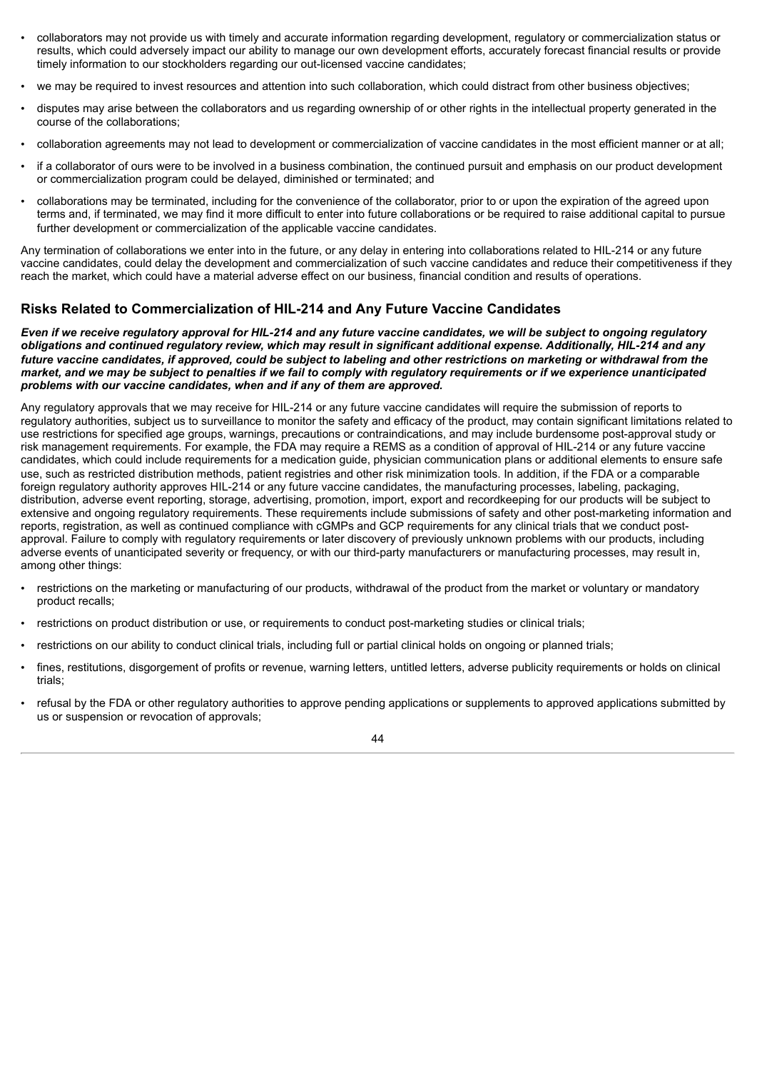- collaborators may not provide us with timely and accurate information regarding development, regulatory or commercialization status or results, which could adversely impact our ability to manage our own development efforts, accurately forecast financial results or provide timely information to our stockholders regarding our out-licensed vaccine candidates;
- we may be required to invest resources and attention into such collaboration, which could distract from other business objectives;
- disputes may arise between the collaborators and us regarding ownership of or other rights in the intellectual property generated in the course of the collaborations;
- collaboration agreements may not lead to development or commercialization of vaccine candidates in the most efficient manner or at all;
- if a collaborator of ours were to be involved in a business combination, the continued pursuit and emphasis on our product development or commercialization program could be delayed, diminished or terminated; and
- collaborations may be terminated, including for the convenience of the collaborator, prior to or upon the expiration of the agreed upon terms and, if terminated, we may find it more difficult to enter into future collaborations or be required to raise additional capital to pursue further development or commercialization of the applicable vaccine candidates.

Any termination of collaborations we enter into in the future, or any delay in entering into collaborations related to HIL-214 or any future vaccine candidates, could delay the development and commercialization of such vaccine candidates and reduce their competitiveness if they reach the market, which could have a material adverse effect on our business, financial condition and results of operations.

# **Risks Related to Commercialization of HIL-214 and Any Future Vaccine Candidates**

Even if we receive reaulatory approval for HIL-214 and any future vaccine candidates, we will be subject to ongoing regulatory obligations and continued regulatory review, which may result in significant additional expense. Additionally, HIL-214 and any future vaccine candidates, if approved, could be subject to labeling and other restrictions on marketing or withdrawal from the market, and we may be subject to penalties if we fail to comply with regulatory requirements or if we experience unanticipated *problems with our vaccine candidates, when and if any of them are approved.*

Any regulatory approvals that we may receive for HIL-214 or any future vaccine candidates will require the submission of reports to regulatory authorities, subject us to surveillance to monitor the safety and efficacy of the product, may contain significant limitations related to use restrictions for specified age groups, warnings, precautions or contraindications, and may include burdensome post-approval study or risk management requirements. For example, the FDA may require a REMS as a condition of approval of HIL-214 or any future vaccine candidates, which could include requirements for a medication guide, physician communication plans or additional elements to ensure safe use, such as restricted distribution methods, patient registries and other risk minimization tools. In addition, if the FDA or a comparable foreign regulatory authority approves HIL-214 or any future vaccine candidates, the manufacturing processes, labeling, packaging, distribution, adverse event reporting, storage, advertising, promotion, import, export and recordkeeping for our products will be subject to extensive and ongoing regulatory requirements. These requirements include submissions of safety and other post-marketing information and reports, registration, as well as continued compliance with cGMPs and GCP requirements for any clinical trials that we conduct postapproval. Failure to comply with regulatory requirements or later discovery of previously unknown problems with our products, including adverse events of unanticipated severity or frequency, or with our third-party manufacturers or manufacturing processes, may result in, among other things:

- restrictions on the marketing or manufacturing of our products, withdrawal of the product from the market or voluntary or mandatory product recalls;
- restrictions on product distribution or use, or requirements to conduct post-marketing studies or clinical trials;
- restrictions on our ability to conduct clinical trials, including full or partial clinical holds on ongoing or planned trials;
- fines, restitutions, disgorgement of profits or revenue, warning letters, untitled letters, adverse publicity requirements or holds on clinical trials;
- refusal by the FDA or other regulatory authorities to approve pending applications or supplements to approved applications submitted by us or suspension or revocation of approvals;

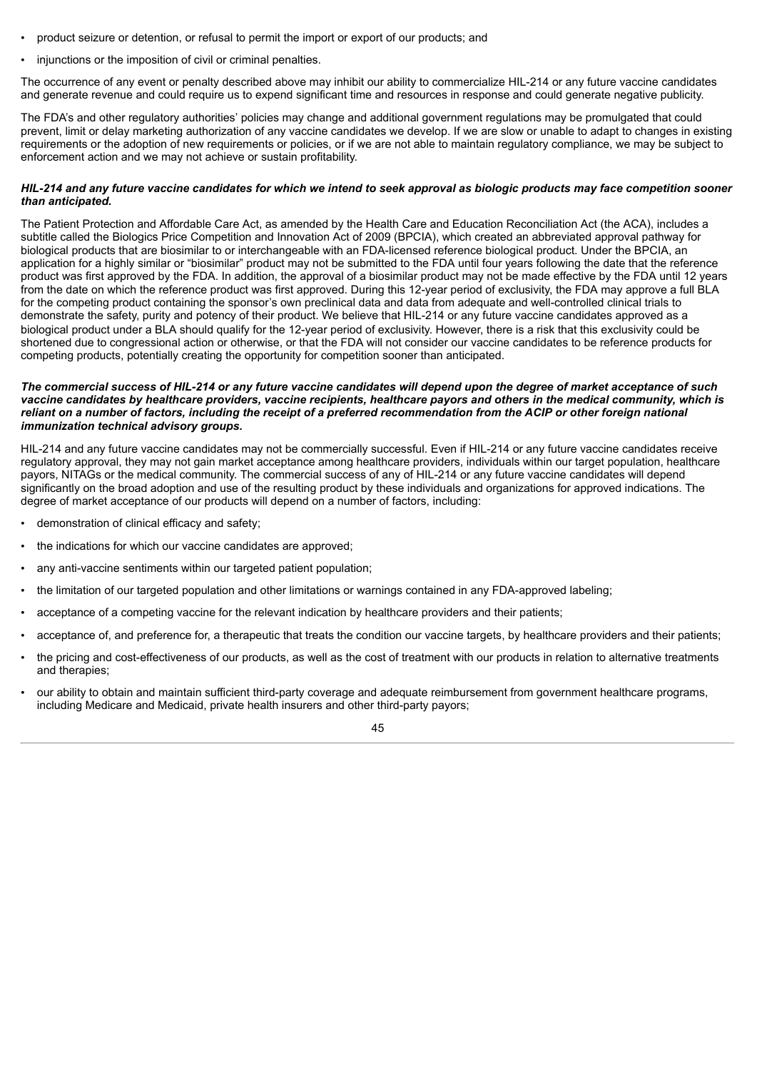- product seizure or detention, or refusal to permit the import or export of our products; and
- injunctions or the imposition of civil or criminal penalties.

The occurrence of any event or penalty described above may inhibit our ability to commercialize HIL-214 or any future vaccine candidates and generate revenue and could require us to expend significant time and resources in response and could generate negative publicity.

The FDA's and other regulatory authorities' policies may change and additional government regulations may be promulgated that could prevent, limit or delay marketing authorization of any vaccine candidates we develop. If we are slow or unable to adapt to changes in existing requirements or the adoption of new requirements or policies, or if we are not able to maintain regulatory compliance, we may be subject to enforcement action and we may not achieve or sustain profitability.

# HIL-214 and any future vaccine candidates for which we intend to seek approval as biologic products may face competition sooner *than anticipated.*

The Patient Protection and Affordable Care Act, as amended by the Health Care and Education Reconciliation Act (the ACA), includes a subtitle called the Biologics Price Competition and Innovation Act of 2009 (BPCIA), which created an abbreviated approval pathway for biological products that are biosimilar to or interchangeable with an FDA-licensed reference biological product. Under the BPCIA, an application for a highly similar or "biosimilar" product may not be submitted to the FDA until four years following the date that the reference product was first approved by the FDA. In addition, the approval of a biosimilar product may not be made effective by the FDA until 12 years from the date on which the reference product was first approved. During this 12-year period of exclusivity, the FDA may approve a full BLA for the competing product containing the sponsor's own preclinical data and data from adequate and well-controlled clinical trials to demonstrate the safety, purity and potency of their product. We believe that HIL-214 or any future vaccine candidates approved as a biological product under a BLA should qualify for the 12-year period of exclusivity. However, there is a risk that this exclusivity could be shortened due to congressional action or otherwise, or that the FDA will not consider our vaccine candidates to be reference products for competing products, potentially creating the opportunity for competition sooner than anticipated.

# The commercial success of HIL-214 or any future vaccine candidates will depend upon the degree of market acceptance of such vaccine candidates by healthcare providers, vaccine recipients, healthcare pavors and others in the medical community, which is reliant on a number of factors, including the receipt of a preferred recommendation from the ACIP or other foreign national *immunization technical advisory groups.*

HIL-214 and any future vaccine candidates may not be commercially successful. Even if HIL-214 or any future vaccine candidates receive regulatory approval, they may not gain market acceptance among healthcare providers, individuals within our target population, healthcare payors, NITAGs or the medical community. The commercial success of any of HIL-214 or any future vaccine candidates will depend significantly on the broad adoption and use of the resulting product by these individuals and organizations for approved indications. The degree of market acceptance of our products will depend on a number of factors, including:

- demonstration of clinical efficacy and safety;
- the indications for which our vaccine candidates are approved;
- any anti-vaccine sentiments within our targeted patient population;
- the limitation of our targeted population and other limitations or warnings contained in any FDA-approved labeling;
- acceptance of a competing vaccine for the relevant indication by healthcare providers and their patients;
- acceptance of, and preference for, a therapeutic that treats the condition our vaccine targets, by healthcare providers and their patients;
- the pricing and cost-effectiveness of our products, as well as the cost of treatment with our products in relation to alternative treatments and therapies;
- our ability to obtain and maintain sufficient third-party coverage and adequate reimbursement from government healthcare programs, including Medicare and Medicaid, private health insurers and other third-party payors;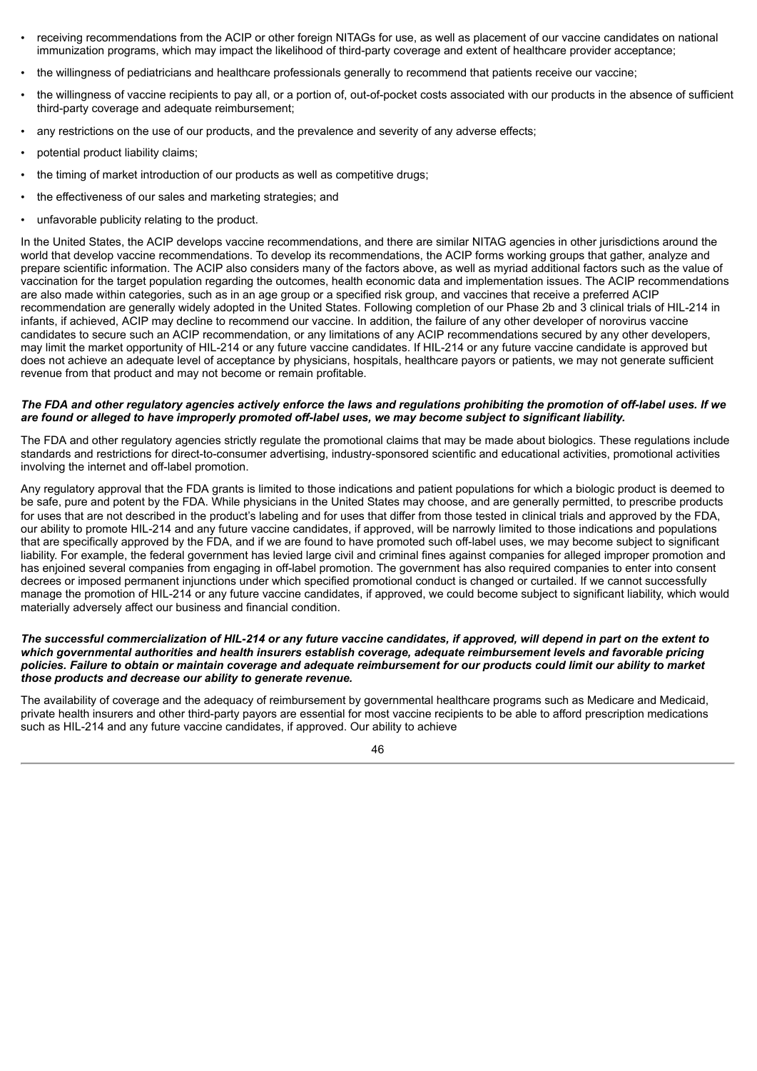- receiving recommendations from the ACIP or other foreign NITAGs for use, as well as placement of our vaccine candidates on national immunization programs, which may impact the likelihood of third-party coverage and extent of healthcare provider acceptance;
- the willingness of pediatricians and healthcare professionals generally to recommend that patients receive our vaccine;
- the willingness of vaccine recipients to pay all, or a portion of, out-of-pocket costs associated with our products in the absence of sufficient third-party coverage and adequate reimbursement;
- any restrictions on the use of our products, and the prevalence and severity of any adverse effects;
- potential product liability claims;
- the timing of market introduction of our products as well as competitive drugs;
- the effectiveness of our sales and marketing strategies; and
- unfavorable publicity relating to the product.

In the United States, the ACIP develops vaccine recommendations, and there are similar NITAG agencies in other jurisdictions around the world that develop vaccine recommendations. To develop its recommendations, the ACIP forms working groups that gather, analyze and prepare scientific information. The ACIP also considers many of the factors above, as well as myriad additional factors such as the value of vaccination for the target population regarding the outcomes, health economic data and implementation issues. The ACIP recommendations are also made within categories, such as in an age group or a specified risk group, and vaccines that receive a preferred ACIP recommendation are generally widely adopted in the United States. Following completion of our Phase 2b and 3 clinical trials of HIL-214 in infants, if achieved, ACIP may decline to recommend our vaccine. In addition, the failure of any other developer of norovirus vaccine candidates to secure such an ACIP recommendation, or any limitations of any ACIP recommendations secured by any other developers, may limit the market opportunity of HIL-214 or any future vaccine candidates. If HIL-214 or any future vaccine candidate is approved but does not achieve an adequate level of acceptance by physicians, hospitals, healthcare payors or patients, we may not generate sufficient revenue from that product and may not become or remain profitable.

#### The FDA and other regulatory agencies actively enforce the laws and regulations prohibiting the promotion of off-label uses. If we are found or alleged to have improperly promoted off-label uses, we may become subject to significant liability.

The FDA and other regulatory agencies strictly regulate the promotional claims that may be made about biologics. These regulations include standards and restrictions for direct-to-consumer advertising, industry-sponsored scientific and educational activities, promotional activities involving the internet and off-label promotion.

Any regulatory approval that the FDA grants is limited to those indications and patient populations for which a biologic product is deemed to be safe, pure and potent by the FDA. While physicians in the United States may choose, and are generally permitted, to prescribe products for uses that are not described in the product's labeling and for uses that differ from those tested in clinical trials and approved by the FDA, our ability to promote HIL-214 and any future vaccine candidates, if approved, will be narrowly limited to those indications and populations that are specifically approved by the FDA, and if we are found to have promoted such off-label uses, we may become subject to significant liability. For example, the federal government has levied large civil and criminal fines against companies for alleged improper promotion and has enjoined several companies from engaging in off-label promotion. The government has also required companies to enter into consent decrees or imposed permanent injunctions under which specified promotional conduct is changed or curtailed. If we cannot successfully manage the promotion of HIL-214 or any future vaccine candidates, if approved, we could become subject to significant liability, which would materially adversely affect our business and financial condition.

#### The successful commercialization of HIL-214 or any future vaccine candidates, if approved, will depend in part on the extent to *which governmental authorities and health insurers establish coverage, adequate reimbursement levels and favorable pricing* policies. Failure to obtain or maintain coverage and adequate reimbursement for our products could limit our ability to market *those products and decrease our ability to generate revenue.*

The availability of coverage and the adequacy of reimbursement by governmental healthcare programs such as Medicare and Medicaid, private health insurers and other third-party payors are essential for most vaccine recipients to be able to afford prescription medications such as HIL-214 and any future vaccine candidates, if approved. Our ability to achieve

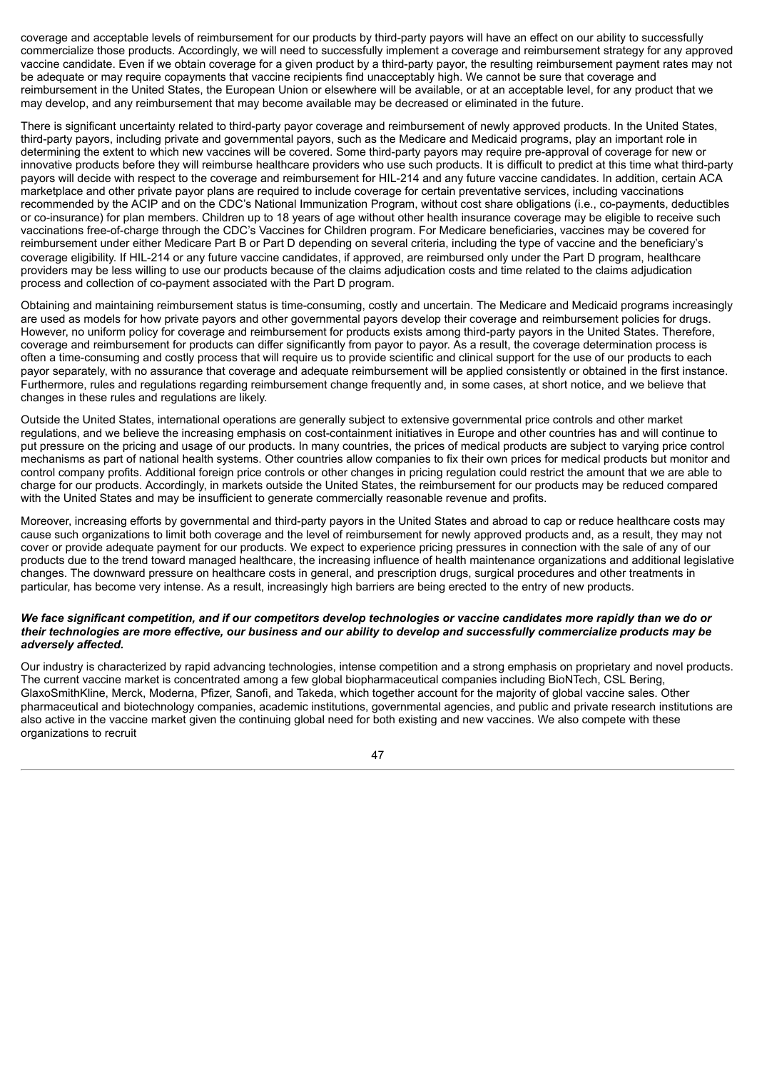coverage and acceptable levels of reimbursement for our products by third-party payors will have an effect on our ability to successfully commercialize those products. Accordingly, we will need to successfully implement a coverage and reimbursement strategy for any approved vaccine candidate. Even if we obtain coverage for a given product by a third-party payor, the resulting reimbursement payment rates may not be adequate or may require copayments that vaccine recipients find unacceptably high. We cannot be sure that coverage and reimbursement in the United States, the European Union or elsewhere will be available, or at an acceptable level, for any product that we may develop, and any reimbursement that may become available may be decreased or eliminated in the future.

There is significant uncertainty related to third-party payor coverage and reimbursement of newly approved products. In the United States, third-party payors, including private and governmental payors, such as the Medicare and Medicaid programs, play an important role in determining the extent to which new vaccines will be covered. Some third-party payors may require pre-approval of coverage for new or innovative products before they will reimburse healthcare providers who use such products. It is difficult to predict at this time what third-party payors will decide with respect to the coverage and reimbursement for HIL-214 and any future vaccine candidates. In addition, certain ACA marketplace and other private payor plans are required to include coverage for certain preventative services, including vaccinations recommended by the ACIP and on the CDC's National Immunization Program, without cost share obligations (i.e., co-payments, deductibles or co-insurance) for plan members. Children up to 18 years of age without other health insurance coverage may be eligible to receive such vaccinations free-of-charge through the CDC's Vaccines for Children program. For Medicare beneficiaries, vaccines may be covered for reimbursement under either Medicare Part B or Part D depending on several criteria, including the type of vaccine and the beneficiary's coverage eligibility. If HIL-214 or any future vaccine candidates, if approved, are reimbursed only under the Part D program, healthcare providers may be less willing to use our products because of the claims adjudication costs and time related to the claims adjudication process and collection of co-payment associated with the Part D program.

Obtaining and maintaining reimbursement status is time-consuming, costly and uncertain. The Medicare and Medicaid programs increasingly are used as models for how private payors and other governmental payors develop their coverage and reimbursement policies for drugs. However, no uniform policy for coverage and reimbursement for products exists among third-party payors in the United States. Therefore, coverage and reimbursement for products can differ significantly from payor to payor. As a result, the coverage determination process is often a time-consuming and costly process that will require us to provide scientific and clinical support for the use of our products to each payor separately, with no assurance that coverage and adequate reimbursement will be applied consistently or obtained in the first instance. Furthermore, rules and regulations regarding reimbursement change frequently and, in some cases, at short notice, and we believe that changes in these rules and regulations are likely.

Outside the United States, international operations are generally subject to extensive governmental price controls and other market regulations, and we believe the increasing emphasis on cost-containment initiatives in Europe and other countries has and will continue to put pressure on the pricing and usage of our products. In many countries, the prices of medical products are subject to varying price control mechanisms as part of national health systems. Other countries allow companies to fix their own prices for medical products but monitor and control company profits. Additional foreign price controls or other changes in pricing regulation could restrict the amount that we are able to charge for our products. Accordingly, in markets outside the United States, the reimbursement for our products may be reduced compared with the United States and may be insufficient to generate commercially reasonable revenue and profits.

Moreover, increasing efforts by governmental and third-party payors in the United States and abroad to cap or reduce healthcare costs may cause such organizations to limit both coverage and the level of reimbursement for newly approved products and, as a result, they may not cover or provide adequate payment for our products. We expect to experience pricing pressures in connection with the sale of any of our products due to the trend toward managed healthcare, the increasing influence of health maintenance organizations and additional legislative changes. The downward pressure on healthcare costs in general, and prescription drugs, surgical procedures and other treatments in particular, has become very intense. As a result, increasingly high barriers are being erected to the entry of new products.

# We face significant competition, and if our competitors develop technologies or vaccine candidates more rapidly than we do or their technologies are more effective, our business and our ability to develop and successfully commercialize products may be *adversely affected.*

Our industry is characterized by rapid advancing technologies, intense competition and a strong emphasis on proprietary and novel products. The current vaccine market is concentrated among a few global biopharmaceutical companies including BioNTech, CSL Bering, GlaxoSmithKline, Merck, Moderna, Pfizer, Sanofi, and Takeda, which together account for the majority of global vaccine sales. Other pharmaceutical and biotechnology companies, academic institutions, governmental agencies, and public and private research institutions are also active in the vaccine market given the continuing global need for both existing and new vaccines. We also compete with these organizations to recruit

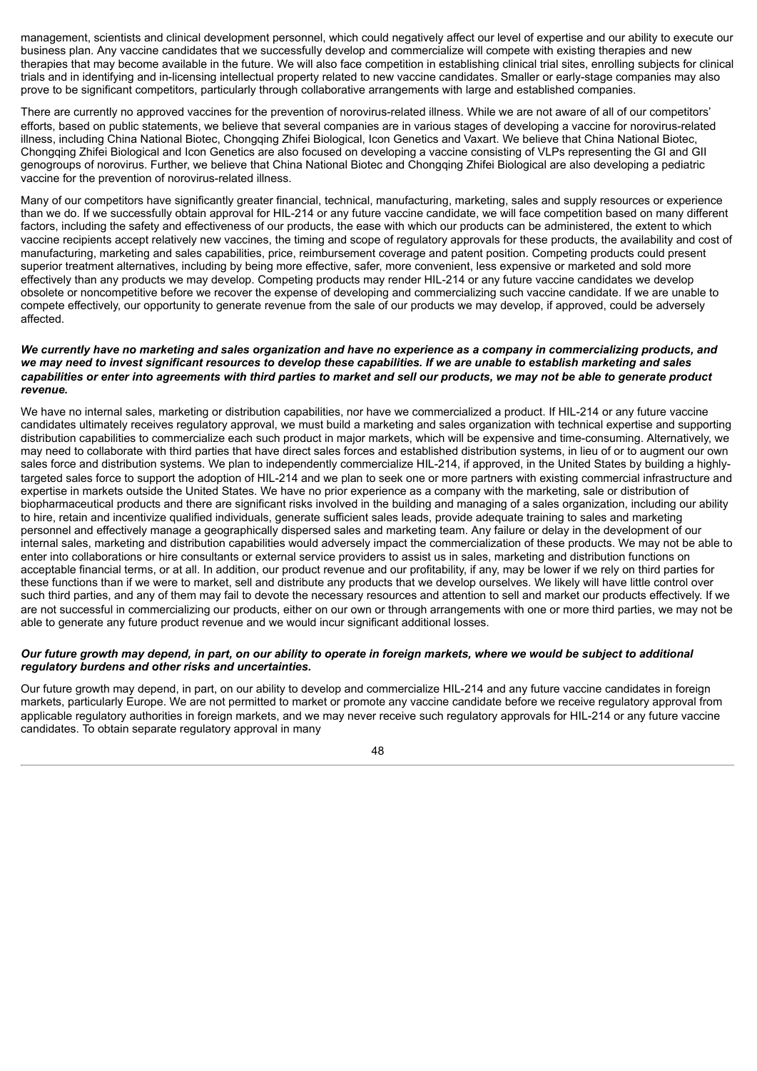management, scientists and clinical development personnel, which could negatively affect our level of expertise and our ability to execute our business plan. Any vaccine candidates that we successfully develop and commercialize will compete with existing therapies and new therapies that may become available in the future. We will also face competition in establishing clinical trial sites, enrolling subjects for clinical trials and in identifying and in-licensing intellectual property related to new vaccine candidates. Smaller or early-stage companies may also prove to be significant competitors, particularly through collaborative arrangements with large and established companies.

There are currently no approved vaccines for the prevention of norovirus-related illness. While we are not aware of all of our competitors' efforts, based on public statements, we believe that several companies are in various stages of developing a vaccine for norovirus-related illness, including China National Biotec, Chongqing Zhifei Biological, Icon Genetics and Vaxart. We believe that China National Biotec, Chongqing Zhifei Biological and Icon Genetics are also focused on developing a vaccine consisting of VLPs representing the GI and GII genogroups of norovirus. Further, we believe that China National Biotec and Chongqing Zhifei Biological are also developing a pediatric vaccine for the prevention of norovirus-related illness.

Many of our competitors have significantly greater financial, technical, manufacturing, marketing, sales and supply resources or experience than we do. If we successfully obtain approval for HIL-214 or any future vaccine candidate, we will face competition based on many different factors, including the safety and effectiveness of our products, the ease with which our products can be administered, the extent to which vaccine recipients accept relatively new vaccines, the timing and scope of regulatory approvals for these products, the availability and cost of manufacturing, marketing and sales capabilities, price, reimbursement coverage and patent position. Competing products could present superior treatment alternatives, including by being more effective, safer, more convenient, less expensive or marketed and sold more effectively than any products we may develop. Competing products may render HIL-214 or any future vaccine candidates we develop obsolete or noncompetitive before we recover the expense of developing and commercializing such vaccine candidate. If we are unable to compete effectively, our opportunity to generate revenue from the sale of our products we may develop, if approved, could be adversely affected.

# We currently have no marketing and sales organization and have no experience as a company in commercializing products, and we may need to invest significant resources to develop these capabilities. If we are unable to establish marketing and sales capabilities or enter into agreements with third parties to market and sell our products, we may not be able to generate product *revenue.*

We have no internal sales, marketing or distribution capabilities, nor have we commercialized a product. If HIL-214 or any future vaccine candidates ultimately receives regulatory approval, we must build a marketing and sales organization with technical expertise and supporting distribution capabilities to commercialize each such product in major markets, which will be expensive and time-consuming. Alternatively, we may need to collaborate with third parties that have direct sales forces and established distribution systems, in lieu of or to augment our own sales force and distribution systems. We plan to independently commercialize HIL-214, if approved, in the United States by building a highlytargeted sales force to support the adoption of HIL-214 and we plan to seek one or more partners with existing commercial infrastructure and expertise in markets outside the United States. We have no prior experience as a company with the marketing, sale or distribution of biopharmaceutical products and there are significant risks involved in the building and managing of a sales organization, including our ability to hire, retain and incentivize qualified individuals, generate sufficient sales leads, provide adequate training to sales and marketing personnel and effectively manage a geographically dispersed sales and marketing team. Any failure or delay in the development of our internal sales, marketing and distribution capabilities would adversely impact the commercialization of these products. We may not be able to enter into collaborations or hire consultants or external service providers to assist us in sales, marketing and distribution functions on acceptable financial terms, or at all. In addition, our product revenue and our profitability, if any, may be lower if we rely on third parties for these functions than if we were to market, sell and distribute any products that we develop ourselves. We likely will have little control over such third parties, and any of them may fail to devote the necessary resources and attention to sell and market our products effectively. If we are not successful in commercializing our products, either on our own or through arrangements with one or more third parties, we may not be able to generate any future product revenue and we would incur significant additional losses.

# Our future growth may depend, in part, on our ability to operate in foreign markets, where we would be subject to additional *regulatory burdens and other risks and uncertainties.*

Our future growth may depend, in part, on our ability to develop and commercialize HIL-214 and any future vaccine candidates in foreign markets, particularly Europe. We are not permitted to market or promote any vaccine candidate before we receive regulatory approval from applicable regulatory authorities in foreign markets, and we may never receive such regulatory approvals for HIL-214 or any future vaccine candidates. To obtain separate regulatory approval in many

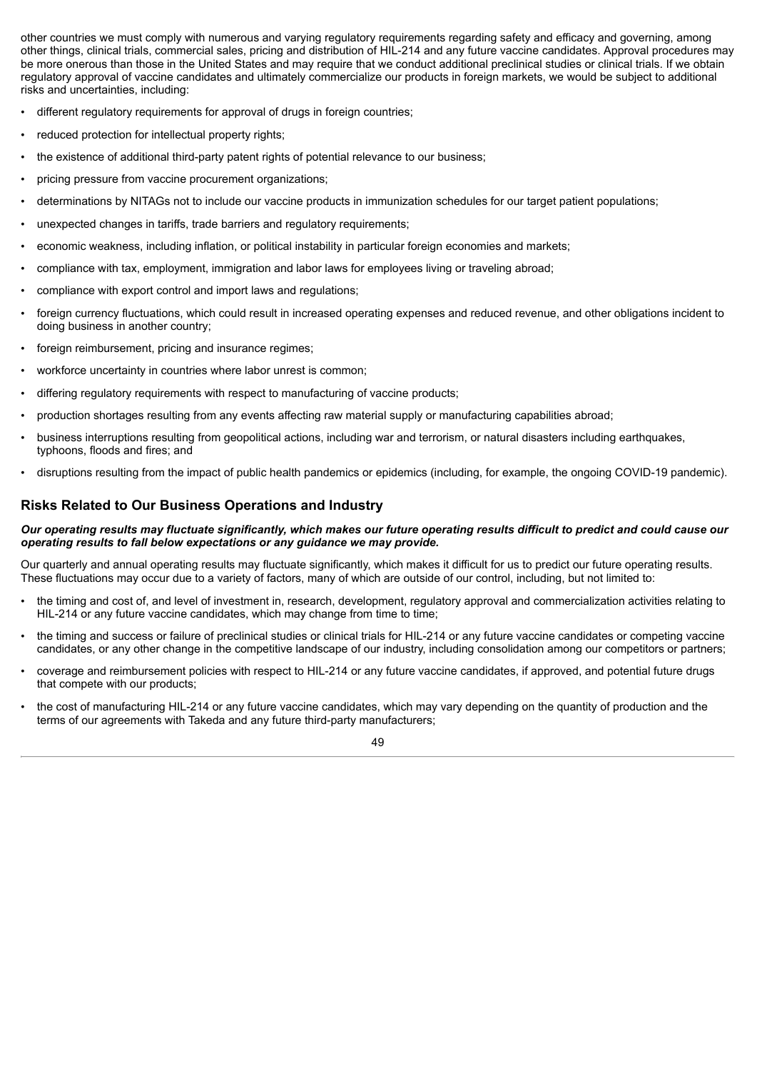other countries we must comply with numerous and varying regulatory requirements regarding safety and efficacy and governing, among other things, clinical trials, commercial sales, pricing and distribution of HIL-214 and any future vaccine candidates. Approval procedures may be more onerous than those in the United States and may require that we conduct additional preclinical studies or clinical trials. If we obtain regulatory approval of vaccine candidates and ultimately commercialize our products in foreign markets, we would be subject to additional risks and uncertainties, including:

- different regulatory requirements for approval of drugs in foreign countries;
- reduced protection for intellectual property rights:
- the existence of additional third-party patent rights of potential relevance to our business;
- pricing pressure from vaccine procurement organizations;
- determinations by NITAGs not to include our vaccine products in immunization schedules for our target patient populations;
- unexpected changes in tariffs, trade barriers and regulatory requirements;
- economic weakness, including inflation, or political instability in particular foreign economies and markets;
- compliance with tax, employment, immigration and labor laws for employees living or traveling abroad;
- compliance with export control and import laws and regulations;
- foreign currency fluctuations, which could result in increased operating expenses and reduced revenue, and other obligations incident to doing business in another country;
- foreign reimbursement, pricing and insurance regimes;
- workforce uncertainty in countries where labor unrest is common;
- differing regulatory requirements with respect to manufacturing of vaccine products;
- production shortages resulting from any events affecting raw material supply or manufacturing capabilities abroad;
- business interruptions resulting from geopolitical actions, including war and terrorism, or natural disasters including earthquakes, typhoons, floods and fires; and
- disruptions resulting from the impact of public health pandemics or epidemics (including, for example, the ongoing COVID-19 pandemic).

# **Risks Related to Our Business Operations and Industry**

# Our operating results may fluctuate significantly, which makes our future operating results difficult to predict and could cause our *operating results to fall below expectations or any guidance we may provide.*

Our quarterly and annual operating results may fluctuate significantly, which makes it difficult for us to predict our future operating results. These fluctuations may occur due to a variety of factors, many of which are outside of our control, including, but not limited to:

- the timing and cost of, and level of investment in, research, development, regulatory approval and commercialization activities relating to HIL-214 or any future vaccine candidates, which may change from time to time;
- the timing and success or failure of preclinical studies or clinical trials for HIL-214 or any future vaccine candidates or competing vaccine candidates, or any other change in the competitive landscape of our industry, including consolidation among our competitors or partners;
- coverage and reimbursement policies with respect to HIL-214 or any future vaccine candidates, if approved, and potential future drugs that compete with our products;
- the cost of manufacturing HIL-214 or any future vaccine candidates, which may vary depending on the quantity of production and the terms of our agreements with Takeda and any future third-party manufacturers;

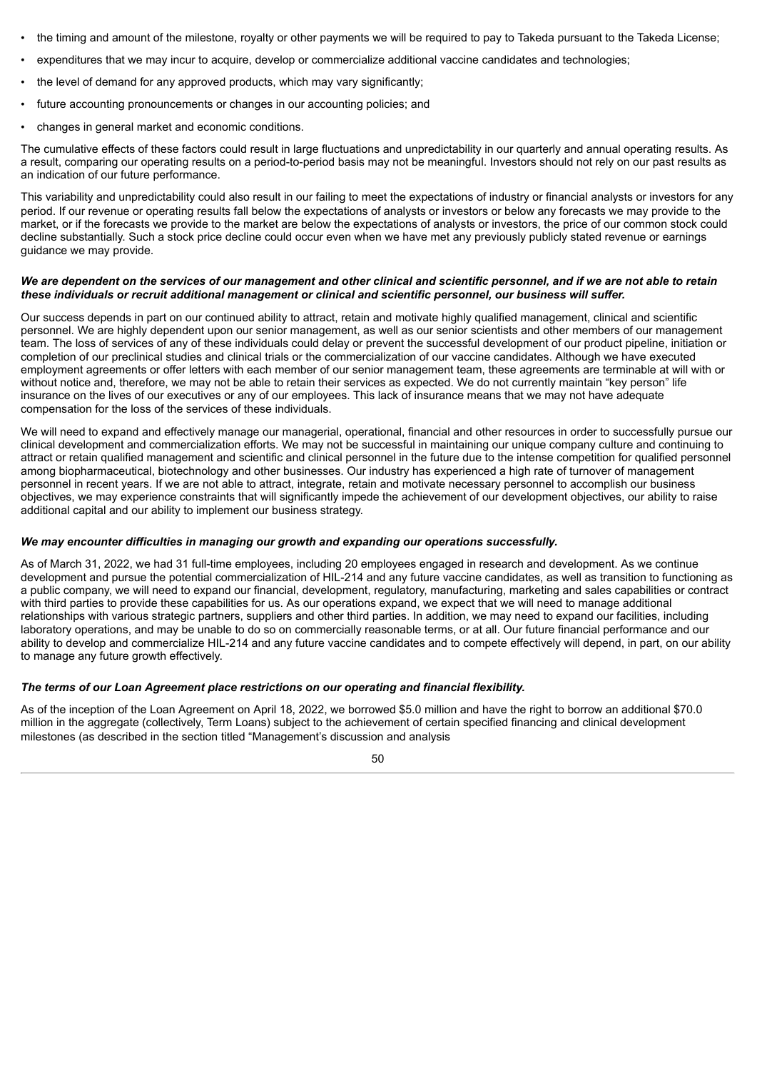- the timing and amount of the milestone, royalty or other payments we will be required to pay to Takeda pursuant to the Takeda License;
- expenditures that we may incur to acquire, develop or commercialize additional vaccine candidates and technologies;
- the level of demand for any approved products, which may vary significantly:
- future accounting pronouncements or changes in our accounting policies; and
- changes in general market and economic conditions.

The cumulative effects of these factors could result in large fluctuations and unpredictability in our quarterly and annual operating results. As a result, comparing our operating results on a period-to-period basis may not be meaningful. Investors should not rely on our past results as an indication of our future performance.

This variability and unpredictability could also result in our failing to meet the expectations of industry or financial analysts or investors for any period. If our revenue or operating results fall below the expectations of analysts or investors or below any forecasts we may provide to the market, or if the forecasts we provide to the market are below the expectations of analysts or investors, the price of our common stock could decline substantially. Such a stock price decline could occur even when we have met any previously publicly stated revenue or earnings guidance we may provide.

# We are dependent on the services of our management and other clinical and scientific personnel, and if we are not able to retain *these individuals or recruit additional management or clinical and scientific personnel, our business will suffer.*

Our success depends in part on our continued ability to attract, retain and motivate highly qualified management, clinical and scientific personnel. We are highly dependent upon our senior management, as well as our senior scientists and other members of our management team. The loss of services of any of these individuals could delay or prevent the successful development of our product pipeline, initiation or completion of our preclinical studies and clinical trials or the commercialization of our vaccine candidates. Although we have executed employment agreements or offer letters with each member of our senior management team, these agreements are terminable at will with or without notice and, therefore, we may not be able to retain their services as expected. We do not currently maintain "key person" life insurance on the lives of our executives or any of our employees. This lack of insurance means that we may not have adequate compensation for the loss of the services of these individuals.

We will need to expand and effectively manage our managerial, operational, financial and other resources in order to successfully pursue our clinical development and commercialization efforts. We may not be successful in maintaining our unique company culture and continuing to attract or retain qualified management and scientific and clinical personnel in the future due to the intense competition for qualified personnel among biopharmaceutical, biotechnology and other businesses. Our industry has experienced a high rate of turnover of management personnel in recent years. If we are not able to attract, integrate, retain and motivate necessary personnel to accomplish our business objectives, we may experience constraints that will significantly impede the achievement of our development objectives, our ability to raise additional capital and our ability to implement our business strategy.

# *We may encounter difficulties in managing our growth and expanding our operations successfully.*

As of March 31, 2022, we had 31 full-time employees, including 20 employees engaged in research and development. As we continue development and pursue the potential commercialization of HIL-214 and any future vaccine candidates, as well as transition to functioning as a public company, we will need to expand our financial, development, regulatory, manufacturing, marketing and sales capabilities or contract with third parties to provide these capabilities for us. As our operations expand, we expect that we will need to manage additional relationships with various strategic partners, suppliers and other third parties. In addition, we may need to expand our facilities, including laboratory operations, and may be unable to do so on commercially reasonable terms, or at all. Our future financial performance and our ability to develop and commercialize HIL-214 and any future vaccine candidates and to compete effectively will depend, in part, on our ability to manage any future growth effectively.

# *The terms of our Loan Agreement place restrictions on our operating and financial flexibility.*

As of the inception of the Loan Agreement on April 18, 2022, we borrowed \$5.0 million and have the right to borrow an additional \$70.0 million in the aggregate (collectively, Term Loans) subject to the achievement of certain specified financing and clinical development milestones (as described in the section titled "Management's discussion and analysis

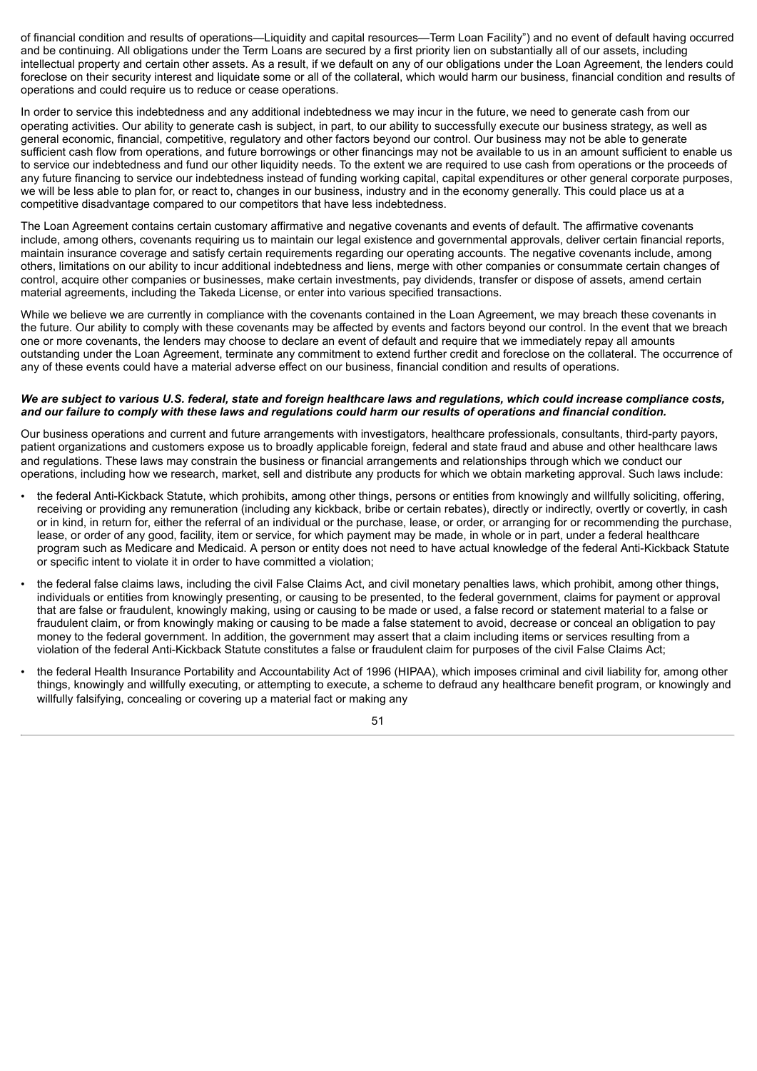of financial condition and results of operations—Liquidity and capital resources—Term Loan Facility") and no event of default having occurred and be continuing. All obligations under the Term Loans are secured by a first priority lien on substantially all of our assets, including intellectual property and certain other assets. As a result, if we default on any of our obligations under the Loan Agreement, the lenders could foreclose on their security interest and liquidate some or all of the collateral, which would harm our business, financial condition and results of operations and could require us to reduce or cease operations.

In order to service this indebtedness and any additional indebtedness we may incur in the future, we need to generate cash from our operating activities. Our ability to generate cash is subject, in part, to our ability to successfully execute our business strategy, as well as general economic, financial, competitive, regulatory and other factors beyond our control. Our business may not be able to generate sufficient cash flow from operations, and future borrowings or other financings may not be available to us in an amount sufficient to enable us to service our indebtedness and fund our other liquidity needs. To the extent we are required to use cash from operations or the proceeds of any future financing to service our indebtedness instead of funding working capital, capital expenditures or other general corporate purposes, we will be less able to plan for, or react to, changes in our business, industry and in the economy generally. This could place us at a competitive disadvantage compared to our competitors that have less indebtedness.

The Loan Agreement contains certain customary affirmative and negative covenants and events of default. The affirmative covenants include, among others, covenants requiring us to maintain our legal existence and governmental approvals, deliver certain financial reports, maintain insurance coverage and satisfy certain requirements regarding our operating accounts. The negative covenants include, among others, limitations on our ability to incur additional indebtedness and liens, merge with other companies or consummate certain changes of control, acquire other companies or businesses, make certain investments, pay dividends, transfer or dispose of assets, amend certain material agreements, including the Takeda License, or enter into various specified transactions.

While we believe we are currently in compliance with the covenants contained in the Loan Agreement, we may breach these covenants in the future. Our ability to comply with these covenants may be affected by events and factors beyond our control. In the event that we breach one or more covenants, the lenders may choose to declare an event of default and require that we immediately repay all amounts outstanding under the Loan Agreement, terminate any commitment to extend further credit and foreclose on the collateral. The occurrence of any of these events could have a material adverse effect on our business, financial condition and results of operations.

#### We are subject to various U.S. federal, state and foreign healthcare laws and regulations, which could increase compliance costs, and our failure to comply with these laws and regulations could harm our results of operations and financial condition.

Our business operations and current and future arrangements with investigators, healthcare professionals, consultants, third-party payors, patient organizations and customers expose us to broadly applicable foreign, federal and state fraud and abuse and other healthcare laws and regulations. These laws may constrain the business or financial arrangements and relationships through which we conduct our operations, including how we research, market, sell and distribute any products for which we obtain marketing approval. Such laws include:

- the federal Anti-Kickback Statute, which prohibits, among other things, persons or entities from knowingly and willfully soliciting, offering, receiving or providing any remuneration (including any kickback, bribe or certain rebates), directly or indirectly, overtly or covertly, in cash or in kind, in return for, either the referral of an individual or the purchase, lease, or order, or arranging for or recommending the purchase, lease, or order of any good, facility, item or service, for which payment may be made, in whole or in part, under a federal healthcare program such as Medicare and Medicaid. A person or entity does not need to have actual knowledge of the federal Anti-Kickback Statute or specific intent to violate it in order to have committed a violation;
- the federal false claims laws, including the civil False Claims Act, and civil monetary penalties laws, which prohibit, among other things, individuals or entities from knowingly presenting, or causing to be presented, to the federal government, claims for payment or approval that are false or fraudulent, knowingly making, using or causing to be made or used, a false record or statement material to a false or fraudulent claim, or from knowingly making or causing to be made a false statement to avoid, decrease or conceal an obligation to pay money to the federal government. In addition, the government may assert that a claim including items or services resulting from a violation of the federal Anti-Kickback Statute constitutes a false or fraudulent claim for purposes of the civil False Claims Act;
- the federal Health Insurance Portability and Accountability Act of 1996 (HIPAA), which imposes criminal and civil liability for, among other things, knowingly and willfully executing, or attempting to execute, a scheme to defraud any healthcare benefit program, or knowingly and willfully falsifying, concealing or covering up a material fact or making any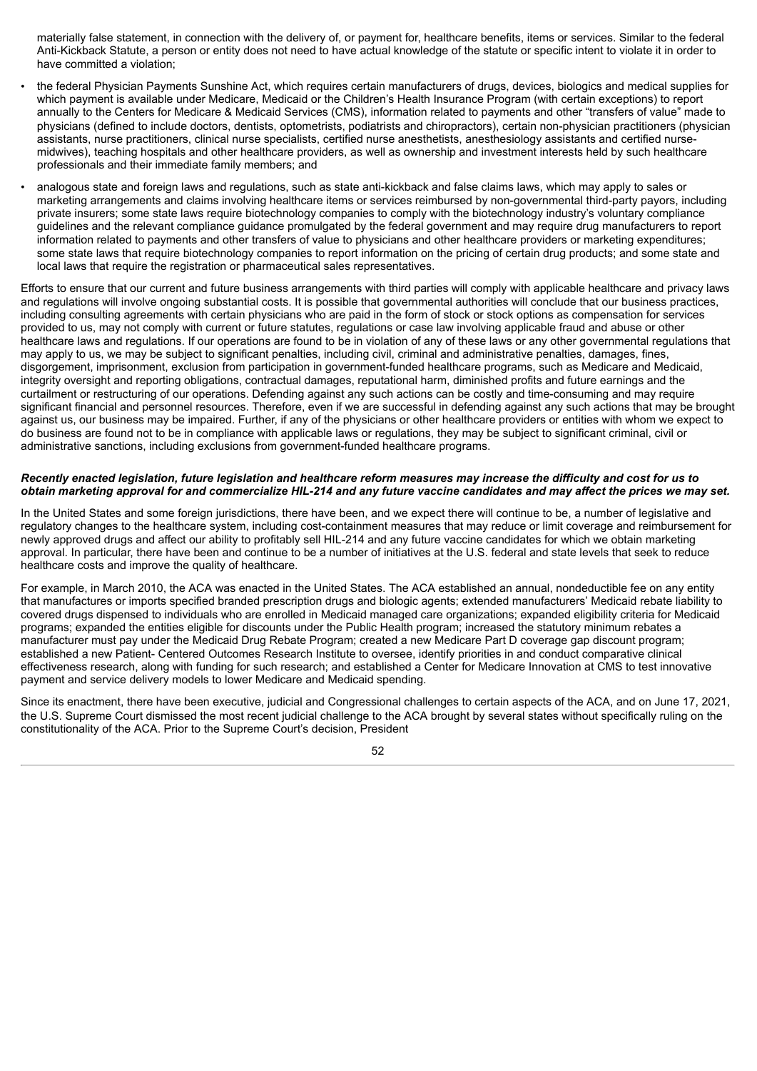materially false statement, in connection with the delivery of, or payment for, healthcare benefits, items or services. Similar to the federal Anti-Kickback Statute, a person or entity does not need to have actual knowledge of the statute or specific intent to violate it in order to have committed a violation;

- the federal Physician Payments Sunshine Act, which requires certain manufacturers of drugs, devices, biologics and medical supplies for which payment is available under Medicare, Medicaid or the Children's Health Insurance Program (with certain exceptions) to report annually to the Centers for Medicare & Medicaid Services (CMS), information related to payments and other "transfers of value" made to physicians (defined to include doctors, dentists, optometrists, podiatrists and chiropractors), certain non-physician practitioners (physician assistants, nurse practitioners, clinical nurse specialists, certified nurse anesthetists, anesthesiology assistants and certified nursemidwives), teaching hospitals and other healthcare providers, as well as ownership and investment interests held by such healthcare professionals and their immediate family members; and
- analogous state and foreign laws and regulations, such as state anti-kickback and false claims laws, which may apply to sales or marketing arrangements and claims involving healthcare items or services reimbursed by non-governmental third-party payors, including private insurers; some state laws require biotechnology companies to comply with the biotechnology industry's voluntary compliance guidelines and the relevant compliance guidance promulgated by the federal government and may require drug manufacturers to report information related to payments and other transfers of value to physicians and other healthcare providers or marketing expenditures; some state laws that require biotechnology companies to report information on the pricing of certain drug products; and some state and local laws that require the registration or pharmaceutical sales representatives.

Efforts to ensure that our current and future business arrangements with third parties will comply with applicable healthcare and privacy laws and regulations will involve ongoing substantial costs. It is possible that governmental authorities will conclude that our business practices, including consulting agreements with certain physicians who are paid in the form of stock or stock options as compensation for services provided to us, may not comply with current or future statutes, regulations or case law involving applicable fraud and abuse or other healthcare laws and regulations. If our operations are found to be in violation of any of these laws or any other governmental regulations that may apply to us, we may be subject to significant penalties, including civil, criminal and administrative penalties, damages, fines, disgorgement, imprisonment, exclusion from participation in government-funded healthcare programs, such as Medicare and Medicaid, integrity oversight and reporting obligations, contractual damages, reputational harm, diminished profits and future earnings and the curtailment or restructuring of our operations. Defending against any such actions can be costly and time-consuming and may require significant financial and personnel resources. Therefore, even if we are successful in defending against any such actions that may be brought against us, our business may be impaired. Further, if any of the physicians or other healthcare providers or entities with whom we expect to do business are found not to be in compliance with applicable laws or regulations, they may be subject to significant criminal, civil or administrative sanctions, including exclusions from government-funded healthcare programs.

## Recently enacted legislation, future legislation and healthcare reform measures may increase the difficulty and cost for us to obtain marketing approval for and commercialize HIL-214 and any future vaccine candidates and may affect the prices we may set.

In the United States and some foreign jurisdictions, there have been, and we expect there will continue to be, a number of legislative and regulatory changes to the healthcare system, including cost-containment measures that may reduce or limit coverage and reimbursement for newly approved drugs and affect our ability to profitably sell HIL-214 and any future vaccine candidates for which we obtain marketing approval. In particular, there have been and continue to be a number of initiatives at the U.S. federal and state levels that seek to reduce healthcare costs and improve the quality of healthcare.

For example, in March 2010, the ACA was enacted in the United States. The ACA established an annual, nondeductible fee on any entity that manufactures or imports specified branded prescription drugs and biologic agents; extended manufacturers' Medicaid rebate liability to covered drugs dispensed to individuals who are enrolled in Medicaid managed care organizations; expanded eligibility criteria for Medicaid programs; expanded the entities eligible for discounts under the Public Health program; increased the statutory minimum rebates a manufacturer must pay under the Medicaid Drug Rebate Program; created a new Medicare Part D coverage gap discount program; established a new Patient- Centered Outcomes Research Institute to oversee, identify priorities in and conduct comparative clinical effectiveness research, along with funding for such research; and established a Center for Medicare Innovation at CMS to test innovative payment and service delivery models to lower Medicare and Medicaid spending.

Since its enactment, there have been executive, judicial and Congressional challenges to certain aspects of the ACA, and on June 17, 2021, the U.S. Supreme Court dismissed the most recent judicial challenge to the ACA brought by several states without specifically ruling on the constitutionality of the ACA. Prior to the Supreme Court's decision, President

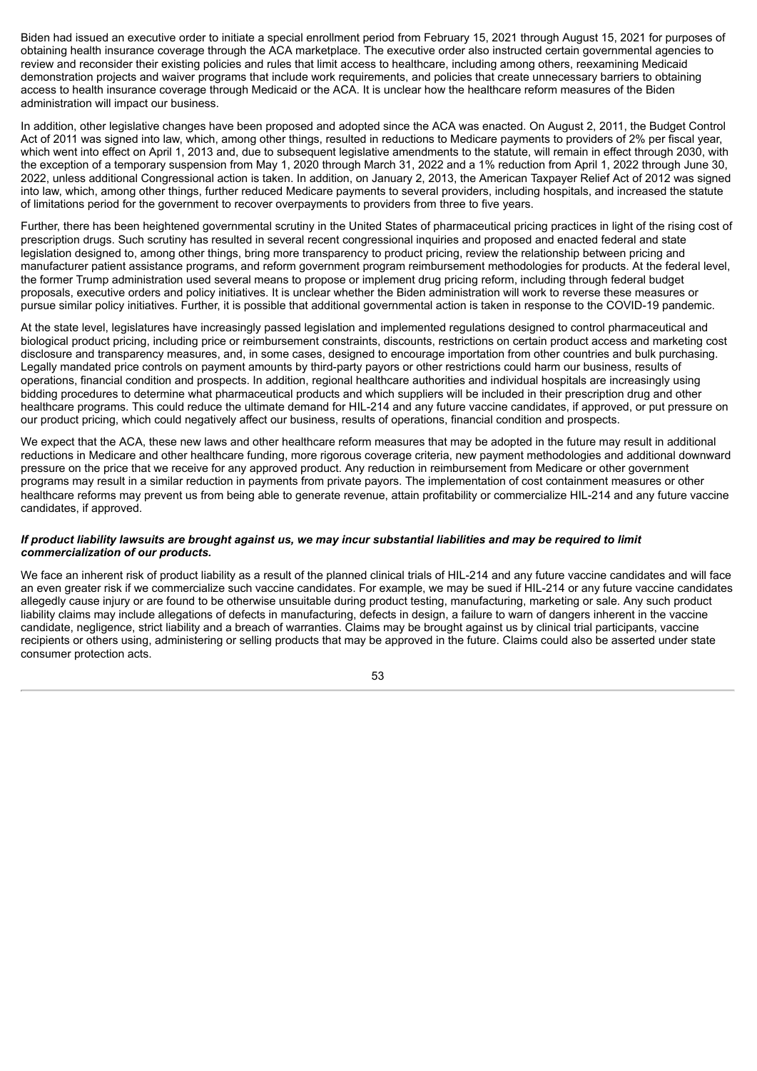Biden had issued an executive order to initiate a special enrollment period from February 15, 2021 through August 15, 2021 for purposes of obtaining health insurance coverage through the ACA marketplace. The executive order also instructed certain governmental agencies to review and reconsider their existing policies and rules that limit access to healthcare, including among others, reexamining Medicaid demonstration projects and waiver programs that include work requirements, and policies that create unnecessary barriers to obtaining access to health insurance coverage through Medicaid or the ACA. It is unclear how the healthcare reform measures of the Biden administration will impact our business.

In addition, other legislative changes have been proposed and adopted since the ACA was enacted. On August 2, 2011, the Budget Control Act of 2011 was signed into law, which, among other things, resulted in reductions to Medicare payments to providers of 2% per fiscal year, which went into effect on April 1, 2013 and, due to subsequent legislative amendments to the statute, will remain in effect through 2030, with the exception of a temporary suspension from May 1, 2020 through March 31, 2022 and a 1% reduction from April 1, 2022 through June 30, 2022, unless additional Congressional action is taken. In addition, on January 2, 2013, the American Taxpayer Relief Act of 2012 was signed into law, which, among other things, further reduced Medicare payments to several providers, including hospitals, and increased the statute of limitations period for the government to recover overpayments to providers from three to five years.

Further, there has been heightened governmental scrutiny in the United States of pharmaceutical pricing practices in light of the rising cost of prescription drugs. Such scrutiny has resulted in several recent congressional inquiries and proposed and enacted federal and state legislation designed to, among other things, bring more transparency to product pricing, review the relationship between pricing and manufacturer patient assistance programs, and reform government program reimbursement methodologies for products. At the federal level, the former Trump administration used several means to propose or implement drug pricing reform, including through federal budget proposals, executive orders and policy initiatives. It is unclear whether the Biden administration will work to reverse these measures or pursue similar policy initiatives. Further, it is possible that additional governmental action is taken in response to the COVID-19 pandemic.

At the state level, legislatures have increasingly passed legislation and implemented regulations designed to control pharmaceutical and biological product pricing, including price or reimbursement constraints, discounts, restrictions on certain product access and marketing cost disclosure and transparency measures, and, in some cases, designed to encourage importation from other countries and bulk purchasing. Legally mandated price controls on payment amounts by third-party payors or other restrictions could harm our business, results of operations, financial condition and prospects. In addition, regional healthcare authorities and individual hospitals are increasingly using bidding procedures to determine what pharmaceutical products and which suppliers will be included in their prescription drug and other healthcare programs. This could reduce the ultimate demand for HIL-214 and any future vaccine candidates, if approved, or put pressure on our product pricing, which could negatively affect our business, results of operations, financial condition and prospects.

We expect that the ACA, these new laws and other healthcare reform measures that may be adopted in the future may result in additional reductions in Medicare and other healthcare funding, more rigorous coverage criteria, new payment methodologies and additional downward pressure on the price that we receive for any approved product. Any reduction in reimbursement from Medicare or other government programs may result in a similar reduction in payments from private payors. The implementation of cost containment measures or other healthcare reforms may prevent us from being able to generate revenue, attain profitability or commercialize HIL-214 and any future vaccine candidates, if approved.

# If product liability lawsuits are brought against us, we may incur substantial liabilities and may be required to limit *commercialization of our products.*

We face an inherent risk of product liability as a result of the planned clinical trials of HIL-214 and any future vaccine candidates and will face an even greater risk if we commercialize such vaccine candidates. For example, we may be sued if HIL-214 or any future vaccine candidates allegedly cause injury or are found to be otherwise unsuitable during product testing, manufacturing, marketing or sale. Any such product liability claims may include allegations of defects in manufacturing, defects in design, a failure to warn of dangers inherent in the vaccine candidate, negligence, strict liability and a breach of warranties. Claims may be brought against us by clinical trial participants, vaccine recipients or others using, administering or selling products that may be approved in the future. Claims could also be asserted under state consumer protection acts.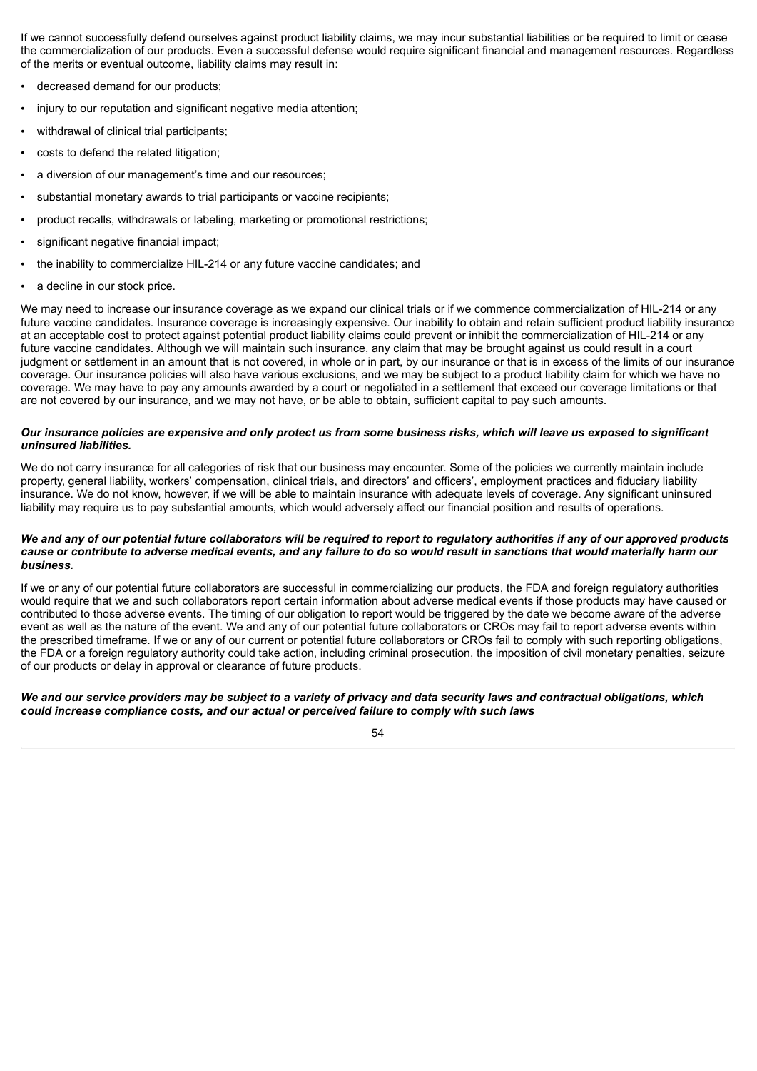If we cannot successfully defend ourselves against product liability claims, we may incur substantial liabilities or be required to limit or cease the commercialization of our products. Even a successful defense would require significant financial and management resources. Regardless of the merits or eventual outcome, liability claims may result in:

- decreased demand for our products;
- injury to our reputation and significant negative media attention:
- withdrawal of clinical trial participants;
- costs to defend the related litigation;
- a diversion of our management's time and our resources;
- substantial monetary awards to trial participants or vaccine recipients;
- product recalls, withdrawals or labeling, marketing or promotional restrictions;
- significant negative financial impact;
- the inability to commercialize HIL-214 or any future vaccine candidates; and
- a decline in our stock price.

We may need to increase our insurance coverage as we expand our clinical trials or if we commence commercialization of HIL-214 or any future vaccine candidates. Insurance coverage is increasingly expensive. Our inability to obtain and retain sufficient product liability insurance at an acceptable cost to protect against potential product liability claims could prevent or inhibit the commercialization of HIL-214 or any future vaccine candidates. Although we will maintain such insurance, any claim that may be brought against us could result in a court judgment or settlement in an amount that is not covered, in whole or in part, by our insurance or that is in excess of the limits of our insurance coverage. Our insurance policies will also have various exclusions, and we may be subject to a product liability claim for which we have no coverage. We may have to pay any amounts awarded by a court or negotiated in a settlement that exceed our coverage limitations or that are not covered by our insurance, and we may not have, or be able to obtain, sufficient capital to pay such amounts.

## Our insurance policies are expensive and only protect us from some business risks, which will leave us exposed to significant *uninsured liabilities.*

We do not carry insurance for all categories of risk that our business may encounter. Some of the policies we currently maintain include property, general liability, workers' compensation, clinical trials, and directors' and officers', employment practices and fiduciary liability insurance. We do not know, however, if we will be able to maintain insurance with adequate levels of coverage. Any significant uninsured liability may require us to pay substantial amounts, which would adversely affect our financial position and results of operations.

# We and any of our potential future collaborators will be required to report to requlatory authorities if any of our approved products cause or contribute to adverse medical events, and any failure to do so would result in sanctions that would materially harm our *business.*

If we or any of our potential future collaborators are successful in commercializing our products, the FDA and foreign regulatory authorities would require that we and such collaborators report certain information about adverse medical events if those products may have caused or contributed to those adverse events. The timing of our obligation to report would be triggered by the date we become aware of the adverse event as well as the nature of the event. We and any of our potential future collaborators or CROs may fail to report adverse events within the prescribed timeframe. If we or any of our current or potential future collaborators or CROs fail to comply with such reporting obligations, the FDA or a foreign regulatory authority could take action, including criminal prosecution, the imposition of civil monetary penalties, seizure of our products or delay in approval or clearance of future products.

# We and our service providers may be subject to a variety of privacy and data security laws and contractual obligations, which *could increase compliance costs, and our actual or perceived failure to comply with such laws*

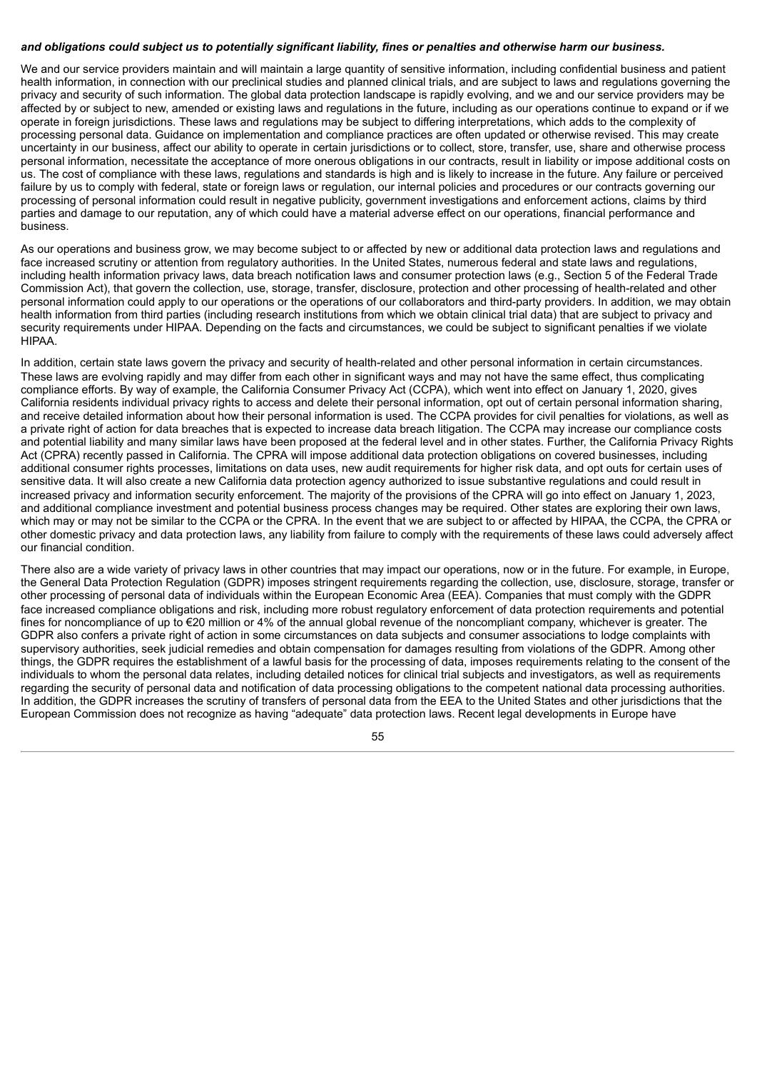#### and obligations could subject us to potentially significant liability, fines or penalties and otherwise harm our business.

We and our service providers maintain and will maintain a large quantity of sensitive information, including confidential business and patient health information, in connection with our preclinical studies and planned clinical trials, and are subject to laws and regulations governing the privacy and security of such information. The global data protection landscape is rapidly evolving, and we and our service providers may be affected by or subject to new, amended or existing laws and regulations in the future, including as our operations continue to expand or if we operate in foreign jurisdictions. These laws and regulations may be subject to differing interpretations, which adds to the complexity of processing personal data. Guidance on implementation and compliance practices are often updated or otherwise revised. This may create uncertainty in our business, affect our ability to operate in certain jurisdictions or to collect, store, transfer, use, share and otherwise process personal information, necessitate the acceptance of more onerous obligations in our contracts, result in liability or impose additional costs on us. The cost of compliance with these laws, regulations and standards is high and is likely to increase in the future. Any failure or perceived failure by us to comply with federal, state or foreign laws or regulation, our internal policies and procedures or our contracts governing our processing of personal information could result in negative publicity, government investigations and enforcement actions, claims by third parties and damage to our reputation, any of which could have a material adverse effect on our operations, financial performance and business.

As our operations and business grow, we may become subject to or affected by new or additional data protection laws and regulations and face increased scrutiny or attention from regulatory authorities. In the United States, numerous federal and state laws and regulations, including health information privacy laws, data breach notification laws and consumer protection laws (e.g., Section 5 of the Federal Trade Commission Act), that govern the collection, use, storage, transfer, disclosure, protection and other processing of health-related and other personal information could apply to our operations or the operations of our collaborators and third-party providers. In addition, we may obtain health information from third parties (including research institutions from which we obtain clinical trial data) that are subject to privacy and security requirements under HIPAA. Depending on the facts and circumstances, we could be subject to significant penalties if we violate HIPAA.

In addition, certain state laws govern the privacy and security of health-related and other personal information in certain circumstances. These laws are evolving rapidly and may differ from each other in significant ways and may not have the same effect, thus complicating compliance efforts. By way of example, the California Consumer Privacy Act (CCPA), which went into effect on January 1, 2020, gives California residents individual privacy rights to access and delete their personal information, opt out of certain personal information sharing, and receive detailed information about how their personal information is used. The CCPA provides for civil penalties for violations, as well as a private right of action for data breaches that is expected to increase data breach litigation. The CCPA may increase our compliance costs and potential liability and many similar laws have been proposed at the federal level and in other states. Further, the California Privacy Rights Act (CPRA) recently passed in California. The CPRA will impose additional data protection obligations on covered businesses, including additional consumer rights processes, limitations on data uses, new audit requirements for higher risk data, and opt outs for certain uses of sensitive data. It will also create a new California data protection agency authorized to issue substantive regulations and could result in increased privacy and information security enforcement. The majority of the provisions of the CPRA will go into effect on January 1, 2023, and additional compliance investment and potential business process changes may be required. Other states are exploring their own laws, which may or may not be similar to the CCPA or the CPRA. In the event that we are subject to or affected by HIPAA, the CCPA, the CPRA or other domestic privacy and data protection laws, any liability from failure to comply with the requirements of these laws could adversely affect our financial condition.

There also are a wide variety of privacy laws in other countries that may impact our operations, now or in the future. For example, in Europe, the General Data Protection Regulation (GDPR) imposes stringent requirements regarding the collection, use, disclosure, storage, transfer or other processing of personal data of individuals within the European Economic Area (EEA). Companies that must comply with the GDPR face increased compliance obligations and risk, including more robust regulatory enforcement of data protection requirements and potential fines for noncompliance of up to €20 million or 4% of the annual global revenue of the noncompliant company, whichever is greater. The GDPR also confers a private right of action in some circumstances on data subjects and consumer associations to lodge complaints with supervisory authorities, seek judicial remedies and obtain compensation for damages resulting from violations of the GDPR. Among other things, the GDPR requires the establishment of a lawful basis for the processing of data, imposes requirements relating to the consent of the individuals to whom the personal data relates, including detailed notices for clinical trial subjects and investigators, as well as requirements regarding the security of personal data and notification of data processing obligations to the competent national data processing authorities. In addition, the GDPR increases the scrutiny of transfers of personal data from the EEA to the United States and other jurisdictions that the European Commission does not recognize as having "adequate" data protection laws. Recent legal developments in Europe have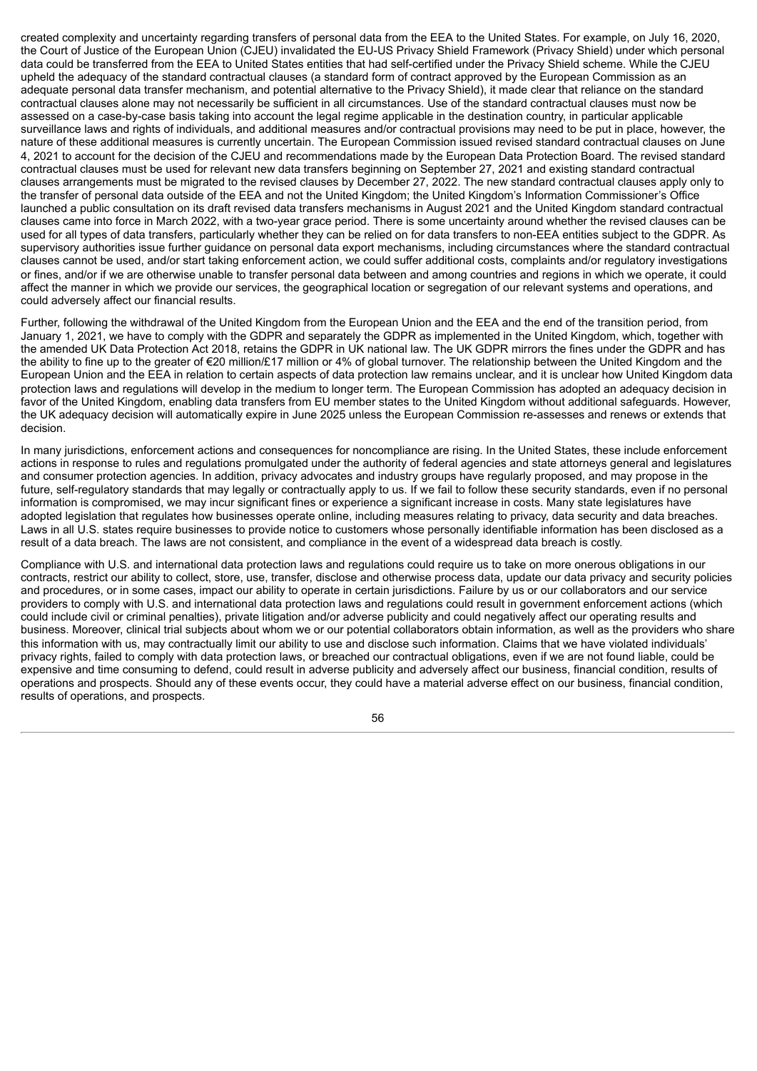created complexity and uncertainty regarding transfers of personal data from the EEA to the United States. For example, on July 16, 2020, the Court of Justice of the European Union (CJEU) invalidated the EU-US Privacy Shield Framework (Privacy Shield) under which personal data could be transferred from the EEA to United States entities that had self-certified under the Privacy Shield scheme. While the CJEU upheld the adequacy of the standard contractual clauses (a standard form of contract approved by the European Commission as an adequate personal data transfer mechanism, and potential alternative to the Privacy Shield), it made clear that reliance on the standard contractual clauses alone may not necessarily be sufficient in all circumstances. Use of the standard contractual clauses must now be assessed on a case-by-case basis taking into account the legal regime applicable in the destination country, in particular applicable surveillance laws and rights of individuals, and additional measures and/or contractual provisions may need to be put in place, however, the nature of these additional measures is currently uncertain. The European Commission issued revised standard contractual clauses on June 4, 2021 to account for the decision of the CJEU and recommendations made by the European Data Protection Board. The revised standard contractual clauses must be used for relevant new data transfers beginning on September 27, 2021 and existing standard contractual clauses arrangements must be migrated to the revised clauses by December 27, 2022. The new standard contractual clauses apply only to the transfer of personal data outside of the EEA and not the United Kingdom; the United Kingdom's Information Commissioner's Office launched a public consultation on its draft revised data transfers mechanisms in August 2021 and the United Kingdom standard contractual clauses came into force in March 2022, with a two-year grace period. There is some uncertainty around whether the revised clauses can be used for all types of data transfers, particularly whether they can be relied on for data transfers to non-EEA entities subject to the GDPR. As supervisory authorities issue further guidance on personal data export mechanisms, including circumstances where the standard contractual clauses cannot be used, and/or start taking enforcement action, we could suffer additional costs, complaints and/or regulatory investigations or fines, and/or if we are otherwise unable to transfer personal data between and among countries and regions in which we operate, it could affect the manner in which we provide our services, the geographical location or segregation of our relevant systems and operations, and could adversely affect our financial results.

Further, following the withdrawal of the United Kingdom from the European Union and the EEA and the end of the transition period, from January 1, 2021, we have to comply with the GDPR and separately the GDPR as implemented in the United Kingdom, which, together with the amended UK Data Protection Act 2018, retains the GDPR in UK national law. The UK GDPR mirrors the fines under the GDPR and has the ability to fine up to the greater of €20 million/£17 million or 4% of global turnover. The relationship between the United Kingdom and the European Union and the EEA in relation to certain aspects of data protection law remains unclear, and it is unclear how United Kingdom data protection laws and regulations will develop in the medium to longer term. The European Commission has adopted an adequacy decision in favor of the United Kingdom, enabling data transfers from EU member states to the United Kingdom without additional safeguards. However, the UK adequacy decision will automatically expire in June 2025 unless the European Commission re-assesses and renews or extends that decision.

In many jurisdictions, enforcement actions and consequences for noncompliance are rising. In the United States, these include enforcement actions in response to rules and regulations promulgated under the authority of federal agencies and state attorneys general and legislatures and consumer protection agencies. In addition, privacy advocates and industry groups have regularly proposed, and may propose in the future, self-regulatory standards that may legally or contractually apply to us. If we fail to follow these security standards, even if no personal information is compromised, we may incur significant fines or experience a significant increase in costs. Many state legislatures have adopted legislation that regulates how businesses operate online, including measures relating to privacy, data security and data breaches. Laws in all U.S. states require businesses to provide notice to customers whose personally identifiable information has been disclosed as a result of a data breach. The laws are not consistent, and compliance in the event of a widespread data breach is costly.

Compliance with U.S. and international data protection laws and regulations could require us to take on more onerous obligations in our contracts, restrict our ability to collect, store, use, transfer, disclose and otherwise process data, update our data privacy and security policies and procedures, or in some cases, impact our ability to operate in certain jurisdictions. Failure by us or our collaborators and our service providers to comply with U.S. and international data protection laws and regulations could result in government enforcement actions (which could include civil or criminal penalties), private litigation and/or adverse publicity and could negatively affect our operating results and business. Moreover, clinical trial subjects about whom we or our potential collaborators obtain information, as well as the providers who share this information with us, may contractually limit our ability to use and disclose such information. Claims that we have violated individuals' privacy rights, failed to comply with data protection laws, or breached our contractual obligations, even if we are not found liable, could be expensive and time consuming to defend, could result in adverse publicity and adversely affect our business, financial condition, results of operations and prospects. Should any of these events occur, they could have a material adverse effect on our business, financial condition, results of operations, and prospects.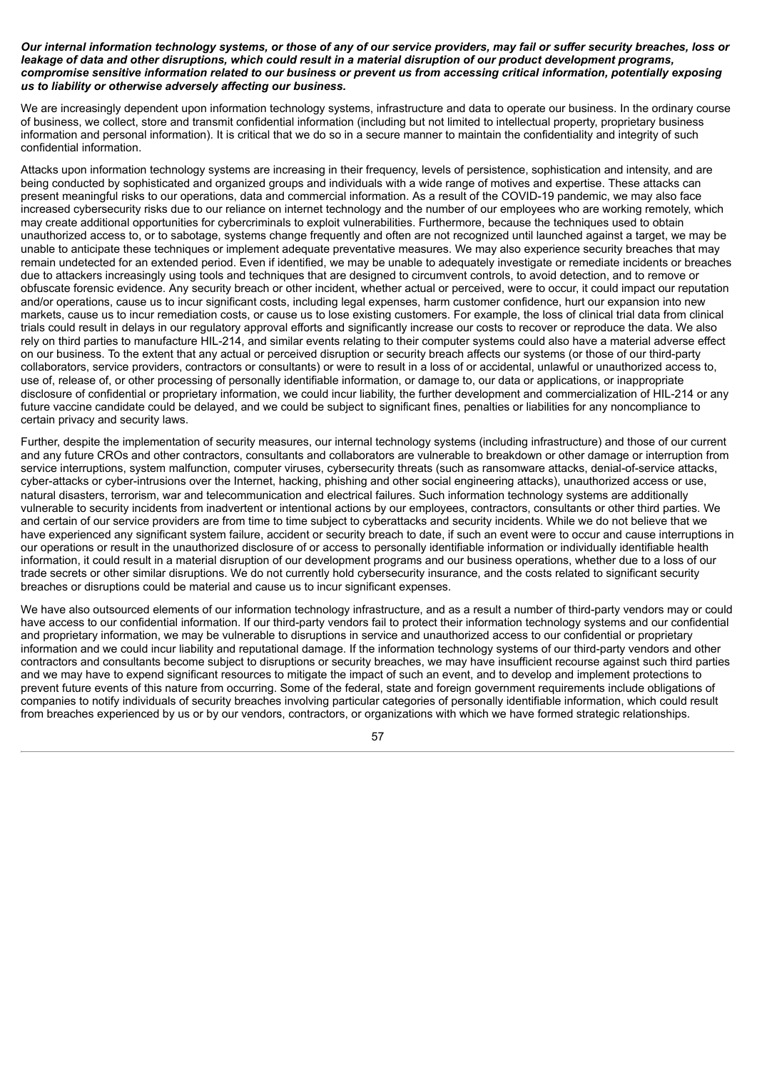## Our internal information technology systems, or those of any of our service providers, may fail or suffer security breaches, loss or leakage of data and other disruptions, which could result in a material disruption of our product development programs, compromise sensitive information related to our business or prevent us from accessing critical information, potentially exposing *us to liability or otherwise adversely affecting our business.*

We are increasingly dependent upon information technology systems, infrastructure and data to operate our business. In the ordinary course of business, we collect, store and transmit confidential information (including but not limited to intellectual property, proprietary business information and personal information). It is critical that we do so in a secure manner to maintain the confidentiality and integrity of such confidential information.

Attacks upon information technology systems are increasing in their frequency, levels of persistence, sophistication and intensity, and are being conducted by sophisticated and organized groups and individuals with a wide range of motives and expertise. These attacks can present meaningful risks to our operations, data and commercial information. As a result of the COVID-19 pandemic, we may also face increased cybersecurity risks due to our reliance on internet technology and the number of our employees who are working remotely, which may create additional opportunities for cybercriminals to exploit vulnerabilities. Furthermore, because the techniques used to obtain unauthorized access to, or to sabotage, systems change frequently and often are not recognized until launched against a target, we may be unable to anticipate these techniques or implement adequate preventative measures. We may also experience security breaches that may remain undetected for an extended period. Even if identified, we may be unable to adequately investigate or remediate incidents or breaches due to attackers increasingly using tools and techniques that are designed to circumvent controls, to avoid detection, and to remove or obfuscate forensic evidence. Any security breach or other incident, whether actual or perceived, were to occur, it could impact our reputation and/or operations, cause us to incur significant costs, including legal expenses, harm customer confidence, hurt our expansion into new markets, cause us to incur remediation costs, or cause us to lose existing customers. For example, the loss of clinical trial data from clinical trials could result in delays in our regulatory approval efforts and significantly increase our costs to recover or reproduce the data. We also rely on third parties to manufacture HIL-214, and similar events relating to their computer systems could also have a material adverse effect on our business. To the extent that any actual or perceived disruption or security breach affects our systems (or those of our third-party collaborators, service providers, contractors or consultants) or were to result in a loss of or accidental, unlawful or unauthorized access to, use of, release of, or other processing of personally identifiable information, or damage to, our data or applications, or inappropriate disclosure of confidential or proprietary information, we could incur liability, the further development and commercialization of HIL-214 or any future vaccine candidate could be delayed, and we could be subject to significant fines, penalties or liabilities for any noncompliance to certain privacy and security laws.

Further, despite the implementation of security measures, our internal technology systems (including infrastructure) and those of our current and any future CROs and other contractors, consultants and collaborators are vulnerable to breakdown or other damage or interruption from service interruptions, system malfunction, computer viruses, cybersecurity threats (such as ransomware attacks, denial-of-service attacks, cyber-attacks or cyber-intrusions over the Internet, hacking, phishing and other social engineering attacks), unauthorized access or use, natural disasters, terrorism, war and telecommunication and electrical failures. Such information technology systems are additionally vulnerable to security incidents from inadvertent or intentional actions by our employees, contractors, consultants or other third parties. We and certain of our service providers are from time to time subject to cyberattacks and security incidents. While we do not believe that we have experienced any significant system failure, accident or security breach to date, if such an event were to occur and cause interruptions in our operations or result in the unauthorized disclosure of or access to personally identifiable information or individually identifiable health information, it could result in a material disruption of our development programs and our business operations, whether due to a loss of our trade secrets or other similar disruptions. We do not currently hold cybersecurity insurance, and the costs related to significant security breaches or disruptions could be material and cause us to incur significant expenses.

We have also outsourced elements of our information technology infrastructure, and as a result a number of third-party vendors may or could have access to our confidential information. If our third-party vendors fail to protect their information technology systems and our confidential and proprietary information, we may be vulnerable to disruptions in service and unauthorized access to our confidential or proprietary information and we could incur liability and reputational damage. If the information technology systems of our third-party vendors and other contractors and consultants become subject to disruptions or security breaches, we may have insufficient recourse against such third parties and we may have to expend significant resources to mitigate the impact of such an event, and to develop and implement protections to prevent future events of this nature from occurring. Some of the federal, state and foreign government requirements include obligations of companies to notify individuals of security breaches involving particular categories of personally identifiable information, which could result from breaches experienced by us or by our vendors, contractors, or organizations with which we have formed strategic relationships.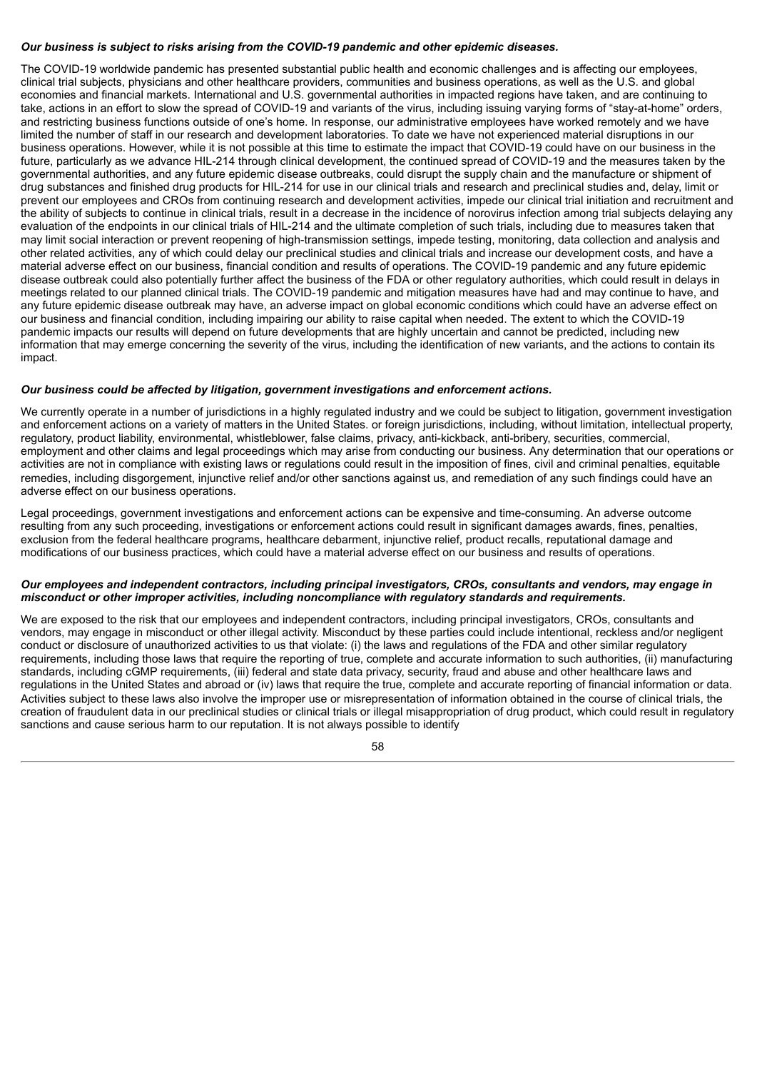## *Our business is subject to risks arising from the COVID-19 pandemic and other epidemic diseases.*

The COVID-19 worldwide pandemic has presented substantial public health and economic challenges and is affecting our employees, clinical trial subjects, physicians and other healthcare providers, communities and business operations, as well as the U.S. and global economies and financial markets. International and U.S. governmental authorities in impacted regions have taken, and are continuing to take, actions in an effort to slow the spread of COVID-19 and variants of the virus, including issuing varying forms of "stay-at-home" orders, and restricting business functions outside of one's home. In response, our administrative employees have worked remotely and we have limited the number of staff in our research and development laboratories. To date we have not experienced material disruptions in our business operations. However, while it is not possible at this time to estimate the impact that COVID-19 could have on our business in the future, particularly as we advance HIL-214 through clinical development, the continued spread of COVID-19 and the measures taken by the governmental authorities, and any future epidemic disease outbreaks, could disrupt the supply chain and the manufacture or shipment of drug substances and finished drug products for HIL-214 for use in our clinical trials and research and preclinical studies and, delay, limit or prevent our employees and CROs from continuing research and development activities, impede our clinical trial initiation and recruitment and the ability of subjects to continue in clinical trials, result in a decrease in the incidence of norovirus infection among trial subjects delaying any evaluation of the endpoints in our clinical trials of HIL-214 and the ultimate completion of such trials, including due to measures taken that may limit social interaction or prevent reopening of high-transmission settings, impede testing, monitoring, data collection and analysis and other related activities, any of which could delay our preclinical studies and clinical trials and increase our development costs, and have a material adverse effect on our business, financial condition and results of operations. The COVID-19 pandemic and any future epidemic disease outbreak could also potentially further affect the business of the FDA or other regulatory authorities, which could result in delays in meetings related to our planned clinical trials. The COVID-19 pandemic and mitigation measures have had and may continue to have, and any future epidemic disease outbreak may have, an adverse impact on global economic conditions which could have an adverse effect on our business and financial condition, including impairing our ability to raise capital when needed. The extent to which the COVID-19 pandemic impacts our results will depend on future developments that are highly uncertain and cannot be predicted, including new information that may emerge concerning the severity of the virus, including the identification of new variants, and the actions to contain its impact.

# *Our business could be affected by litigation, government investigations and enforcement actions.*

We currently operate in a number of jurisdictions in a highly regulated industry and we could be subject to litigation, government investigation and enforcement actions on a variety of matters in the United States. or foreign jurisdictions, including, without limitation, intellectual property, regulatory, product liability, environmental, whistleblower, false claims, privacy, anti-kickback, anti-bribery, securities, commercial, employment and other claims and legal proceedings which may arise from conducting our business. Any determination that our operations or activities are not in compliance with existing laws or regulations could result in the imposition of fines, civil and criminal penalties, equitable remedies, including disgorgement, injunctive relief and/or other sanctions against us, and remediation of any such findings could have an adverse effect on our business operations.

Legal proceedings, government investigations and enforcement actions can be expensive and time-consuming. An adverse outcome resulting from any such proceeding, investigations or enforcement actions could result in significant damages awards, fines, penalties, exclusion from the federal healthcare programs, healthcare debarment, injunctive relief, product recalls, reputational damage and modifications of our business practices, which could have a material adverse effect on our business and results of operations.

### Our employees and independent contractors, including principal investigators, CROs, consultants and vendors, may engage in *misconduct or other improper activities, including noncompliance with regulatory standards and requirements.*

We are exposed to the risk that our employees and independent contractors, including principal investigators, CROs, consultants and vendors, may engage in misconduct or other illegal activity. Misconduct by these parties could include intentional, reckless and/or negligent conduct or disclosure of unauthorized activities to us that violate: (i) the laws and regulations of the FDA and other similar regulatory requirements, including those laws that require the reporting of true, complete and accurate information to such authorities, (ii) manufacturing standards, including cGMP requirements, (iii) federal and state data privacy, security, fraud and abuse and other healthcare laws and regulations in the United States and abroad or (iv) laws that require the true, complete and accurate reporting of financial information or data. Activities subject to these laws also involve the improper use or misrepresentation of information obtained in the course of clinical trials, the creation of fraudulent data in our preclinical studies or clinical trials or illegal misappropriation of drug product, which could result in regulatory sanctions and cause serious harm to our reputation. It is not always possible to identify

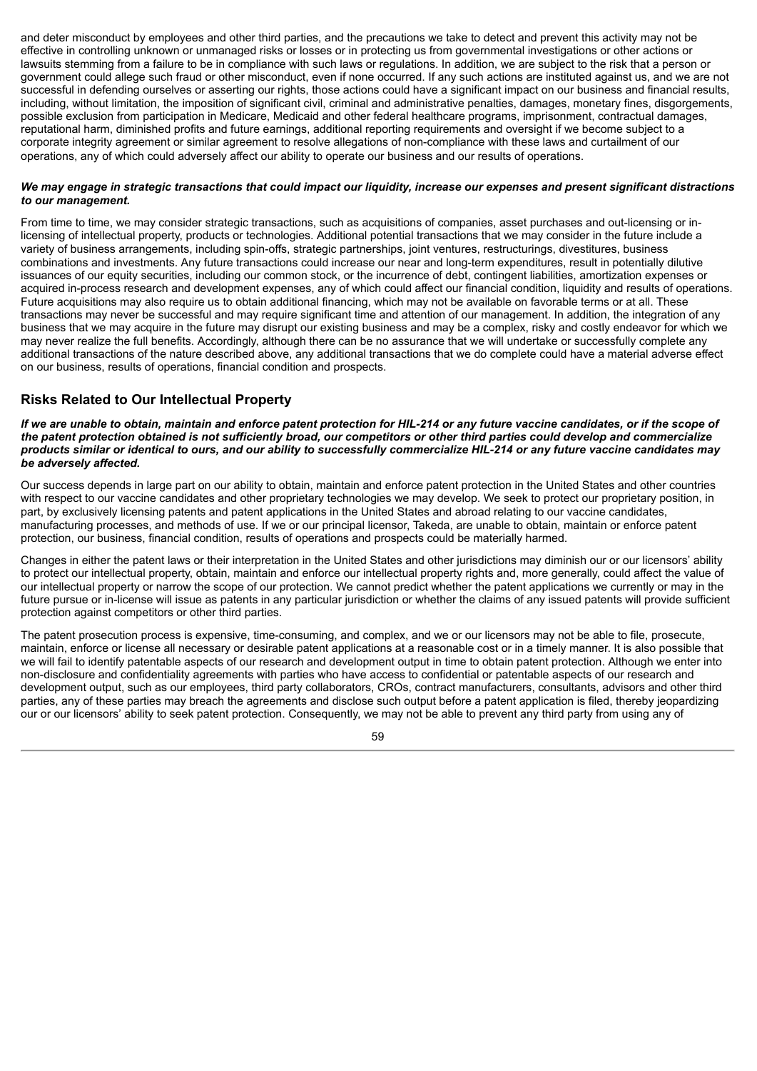and deter misconduct by employees and other third parties, and the precautions we take to detect and prevent this activity may not be effective in controlling unknown or unmanaged risks or losses or in protecting us from governmental investigations or other actions or lawsuits stemming from a failure to be in compliance with such laws or regulations. In addition, we are subject to the risk that a person or government could allege such fraud or other misconduct, even if none occurred. If any such actions are instituted against us, and we are not successful in defending ourselves or asserting our rights, those actions could have a significant impact on our business and financial results, including, without limitation, the imposition of significant civil, criminal and administrative penalties, damages, monetary fines, disgorgements, possible exclusion from participation in Medicare, Medicaid and other federal healthcare programs, imprisonment, contractual damages, reputational harm, diminished profits and future earnings, additional reporting requirements and oversight if we become subject to a corporate integrity agreement or similar agreement to resolve allegations of non-compliance with these laws and curtailment of our operations, any of which could adversely affect our ability to operate our business and our results of operations.

# We may engage in strategic transactions that could impact our liquidity, increase our expenses and present significant distractions *to our management.*

From time to time, we may consider strategic transactions, such as acquisitions of companies, asset purchases and out-licensing or inlicensing of intellectual property, products or technologies. Additional potential transactions that we may consider in the future include a variety of business arrangements, including spin-offs, strategic partnerships, joint ventures, restructurings, divestitures, business combinations and investments. Any future transactions could increase our near and long-term expenditures, result in potentially dilutive issuances of our equity securities, including our common stock, or the incurrence of debt, contingent liabilities, amortization expenses or acquired in-process research and development expenses, any of which could affect our financial condition, liquidity and results of operations. Future acquisitions may also require us to obtain additional financing, which may not be available on favorable terms or at all. These transactions may never be successful and may require significant time and attention of our management. In addition, the integration of any business that we may acquire in the future may disrupt our existing business and may be a complex, risky and costly endeavor for which we may never realize the full benefits. Accordingly, although there can be no assurance that we will undertake or successfully complete any additional transactions of the nature described above, any additional transactions that we do complete could have a material adverse effect on our business, results of operations, financial condition and prospects.

# **Risks Related to Our Intellectual Property**

If we are unable to obtain, maintain and enforce patent protection for HIL-214 or any future vaccine candidates, or if the scope of the patent protection obtained is not sufficiently broad, our competitors or other third parties could develop and commercialize products similar or identical to ours, and our ability to successfully commercialize HIL-214 or any future vaccine candidates may *be adversely affected.*

Our success depends in large part on our ability to obtain, maintain and enforce patent protection in the United States and other countries with respect to our vaccine candidates and other proprietary technologies we may develop. We seek to protect our proprietary position, in part, by exclusively licensing patents and patent applications in the United States and abroad relating to our vaccine candidates, manufacturing processes, and methods of use. If we or our principal licensor, Takeda, are unable to obtain, maintain or enforce patent protection, our business, financial condition, results of operations and prospects could be materially harmed.

Changes in either the patent laws or their interpretation in the United States and other jurisdictions may diminish our or our licensors' ability to protect our intellectual property, obtain, maintain and enforce our intellectual property rights and, more generally, could affect the value of our intellectual property or narrow the scope of our protection. We cannot predict whether the patent applications we currently or may in the future pursue or in-license will issue as patents in any particular jurisdiction or whether the claims of any issued patents will provide sufficient protection against competitors or other third parties.

The patent prosecution process is expensive, time-consuming, and complex, and we or our licensors may not be able to file, prosecute, maintain, enforce or license all necessary or desirable patent applications at a reasonable cost or in a timely manner. It is also possible that we will fail to identify patentable aspects of our research and development output in time to obtain patent protection. Although we enter into non-disclosure and confidentiality agreements with parties who have access to confidential or patentable aspects of our research and development output, such as our employees, third party collaborators, CROs, contract manufacturers, consultants, advisors and other third parties, any of these parties may breach the agreements and disclose such output before a patent application is filed, thereby jeopardizing our or our licensors' ability to seek patent protection. Consequently, we may not be able to prevent any third party from using any of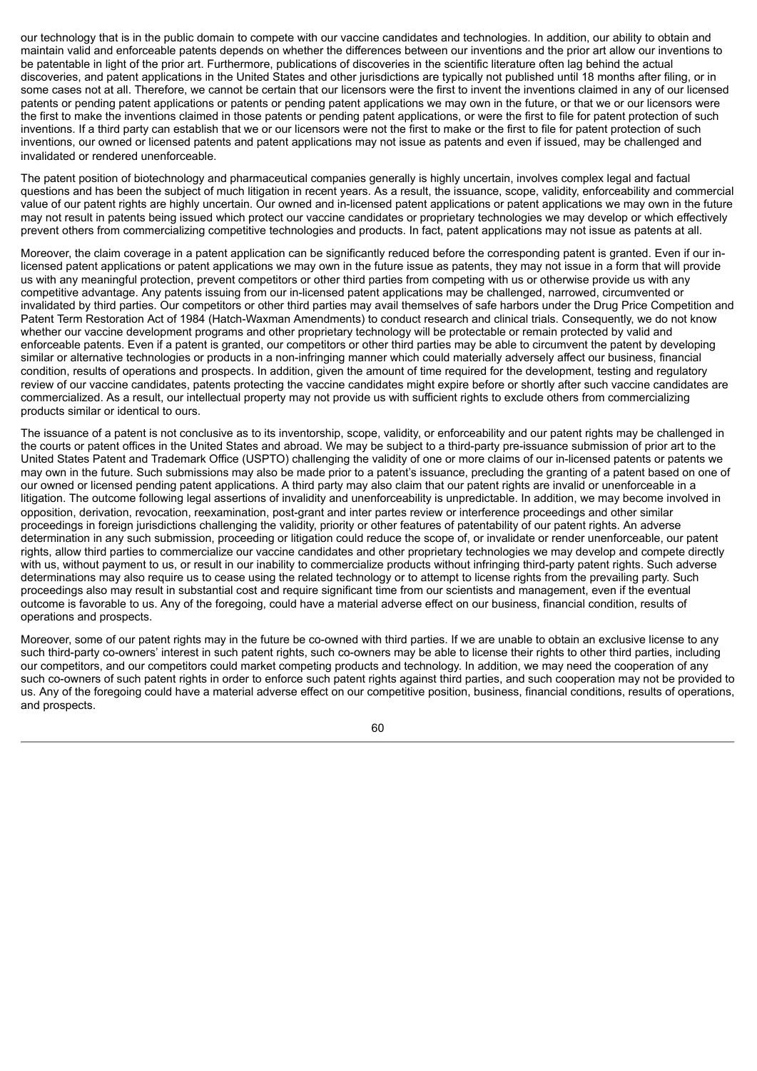our technology that is in the public domain to compete with our vaccine candidates and technologies. In addition, our ability to obtain and maintain valid and enforceable patents depends on whether the differences between our inventions and the prior art allow our inventions to be patentable in light of the prior art. Furthermore, publications of discoveries in the scientific literature often lag behind the actual discoveries, and patent applications in the United States and other jurisdictions are typically not published until 18 months after filing, or in some cases not at all. Therefore, we cannot be certain that our licensors were the first to invent the inventions claimed in any of our licensed patents or pending patent applications or patents or pending patent applications we may own in the future, or that we or our licensors were the first to make the inventions claimed in those patents or pending patent applications, or were the first to file for patent protection of such inventions. If a third party can establish that we or our licensors were not the first to make or the first to file for patent protection of such inventions, our owned or licensed patents and patent applications may not issue as patents and even if issued, may be challenged and invalidated or rendered unenforceable.

The patent position of biotechnology and pharmaceutical companies generally is highly uncertain, involves complex legal and factual questions and has been the subject of much litigation in recent years. As a result, the issuance, scope, validity, enforceability and commercial value of our patent rights are highly uncertain. Our owned and in-licensed patent applications or patent applications we may own in the future may not result in patents being issued which protect our vaccine candidates or proprietary technologies we may develop or which effectively prevent others from commercializing competitive technologies and products. In fact, patent applications may not issue as patents at all.

Moreover, the claim coverage in a patent application can be significantly reduced before the corresponding patent is granted. Even if our inlicensed patent applications or patent applications we may own in the future issue as patents, they may not issue in a form that will provide us with any meaningful protection, prevent competitors or other third parties from competing with us or otherwise provide us with any competitive advantage. Any patents issuing from our in-licensed patent applications may be challenged, narrowed, circumvented or invalidated by third parties. Our competitors or other third parties may avail themselves of safe harbors under the Drug Price Competition and Patent Term Restoration Act of 1984 (Hatch-Waxman Amendments) to conduct research and clinical trials. Consequently, we do not know whether our vaccine development programs and other proprietary technology will be protectable or remain protected by valid and enforceable patents. Even if a patent is granted, our competitors or other third parties may be able to circumvent the patent by developing similar or alternative technologies or products in a non-infringing manner which could materially adversely affect our business, financial condition, results of operations and prospects. In addition, given the amount of time required for the development, testing and regulatory review of our vaccine candidates, patents protecting the vaccine candidates might expire before or shortly after such vaccine candidates are commercialized. As a result, our intellectual property may not provide us with sufficient rights to exclude others from commercializing products similar or identical to ours.

The issuance of a patent is not conclusive as to its inventorship, scope, validity, or enforceability and our patent rights may be challenged in the courts or patent offices in the United States and abroad. We may be subject to a third-party pre-issuance submission of prior art to the United States Patent and Trademark Office (USPTO) challenging the validity of one or more claims of our in-licensed patents or patents we may own in the future. Such submissions may also be made prior to a patent's issuance, precluding the granting of a patent based on one of our owned or licensed pending patent applications. A third party may also claim that our patent rights are invalid or unenforceable in a litigation. The outcome following legal assertions of invalidity and unenforceability is unpredictable. In addition, we may become involved in opposition, derivation, revocation, reexamination, post-grant and inter partes review or interference proceedings and other similar proceedings in foreign jurisdictions challenging the validity, priority or other features of patentability of our patent rights. An adverse determination in any such submission, proceeding or litigation could reduce the scope of, or invalidate or render unenforceable, our patent rights, allow third parties to commercialize our vaccine candidates and other proprietary technologies we may develop and compete directly with us, without payment to us, or result in our inability to commercialize products without infringing third-party patent rights. Such adverse determinations may also require us to cease using the related technology or to attempt to license rights from the prevailing party. Such proceedings also may result in substantial cost and require significant time from our scientists and management, even if the eventual outcome is favorable to us. Any of the foregoing, could have a material adverse effect on our business, financial condition, results of operations and prospects.

Moreover, some of our patent rights may in the future be co-owned with third parties. If we are unable to obtain an exclusive license to any such third-party co-owners' interest in such patent rights, such co-owners may be able to license their rights to other third parties, including our competitors, and our competitors could market competing products and technology. In addition, we may need the cooperation of any such co-owners of such patent rights in order to enforce such patent rights against third parties, and such cooperation may not be provided to us. Any of the foregoing could have a material adverse effect on our competitive position, business, financial conditions, results of operations, and prospects.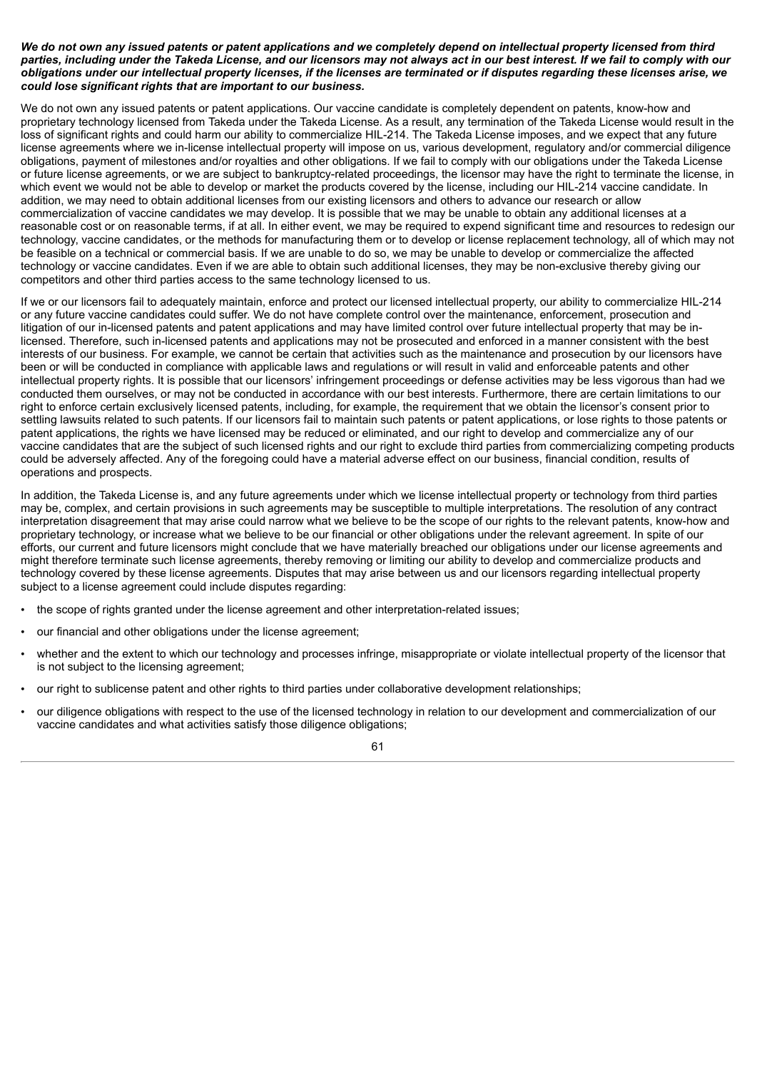# We do not own any issued patents or patent applications and we completely depend on intellectual property licensed from third parties, including under the Takeda License, and our licensors may not always act in our best interest. If we fail to comply with our obligations under our intellectual property licenses, if the licenses are terminated or if disputes regarding these licenses arise, we *could lose significant rights that are important to our business.*

We do not own any issued patents or patent applications. Our vaccine candidate is completely dependent on patents, know-how and proprietary technology licensed from Takeda under the Takeda License. As a result, any termination of the Takeda License would result in the loss of significant rights and could harm our ability to commercialize HIL-214. The Takeda License imposes, and we expect that any future license agreements where we in-license intellectual property will impose on us, various development, regulatory and/or commercial diligence obligations, payment of milestones and/or royalties and other obligations. If we fail to comply with our obligations under the Takeda License or future license agreements, or we are subject to bankruptcy-related proceedings, the licensor may have the right to terminate the license, in which event we would not be able to develop or market the products covered by the license, including our HIL-214 vaccine candidate. In addition, we may need to obtain additional licenses from our existing licensors and others to advance our research or allow commercialization of vaccine candidates we may develop. It is possible that we may be unable to obtain any additional licenses at a reasonable cost or on reasonable terms, if at all. In either event, we may be required to expend significant time and resources to redesign our technology, vaccine candidates, or the methods for manufacturing them or to develop or license replacement technology, all of which may not be feasible on a technical or commercial basis. If we are unable to do so, we may be unable to develop or commercialize the affected technology or vaccine candidates. Even if we are able to obtain such additional licenses, they may be non-exclusive thereby giving our competitors and other third parties access to the same technology licensed to us.

If we or our licensors fail to adequately maintain, enforce and protect our licensed intellectual property, our ability to commercialize HIL-214 or any future vaccine candidates could suffer. We do not have complete control over the maintenance, enforcement, prosecution and litigation of our in-licensed patents and patent applications and may have limited control over future intellectual property that may be inlicensed. Therefore, such in-licensed patents and applications may not be prosecuted and enforced in a manner consistent with the best interests of our business. For example, we cannot be certain that activities such as the maintenance and prosecution by our licensors have been or will be conducted in compliance with applicable laws and regulations or will result in valid and enforceable patents and other intellectual property rights. It is possible that our licensors' infringement proceedings or defense activities may be less vigorous than had we conducted them ourselves, or may not be conducted in accordance with our best interests. Furthermore, there are certain limitations to our right to enforce certain exclusively licensed patents, including, for example, the requirement that we obtain the licensor's consent prior to settling lawsuits related to such patents. If our licensors fail to maintain such patents or patent applications, or lose rights to those patents or patent applications, the rights we have licensed may be reduced or eliminated, and our right to develop and commercialize any of our vaccine candidates that are the subject of such licensed rights and our right to exclude third parties from commercializing competing products could be adversely affected. Any of the foregoing could have a material adverse effect on our business, financial condition, results of operations and prospects.

In addition, the Takeda License is, and any future agreements under which we license intellectual property or technology from third parties may be, complex, and certain provisions in such agreements may be susceptible to multiple interpretations. The resolution of any contract interpretation disagreement that may arise could narrow what we believe to be the scope of our rights to the relevant patents, know-how and proprietary technology, or increase what we believe to be our financial or other obligations under the relevant agreement. In spite of our efforts, our current and future licensors might conclude that we have materially breached our obligations under our license agreements and might therefore terminate such license agreements, thereby removing or limiting our ability to develop and commercialize products and technology covered by these license agreements. Disputes that may arise between us and our licensors regarding intellectual property subject to a license agreement could include disputes regarding:

- the scope of rights granted under the license agreement and other interpretation-related issues;
- our financial and other obligations under the license agreement;
- whether and the extent to which our technology and processes infringe, misappropriate or violate intellectual property of the licensor that is not subject to the licensing agreement;
- our right to sublicense patent and other rights to third parties under collaborative development relationships;
- our diligence obligations with respect to the use of the licensed technology in relation to our development and commercialization of our vaccine candidates and what activities satisfy those diligence obligations;

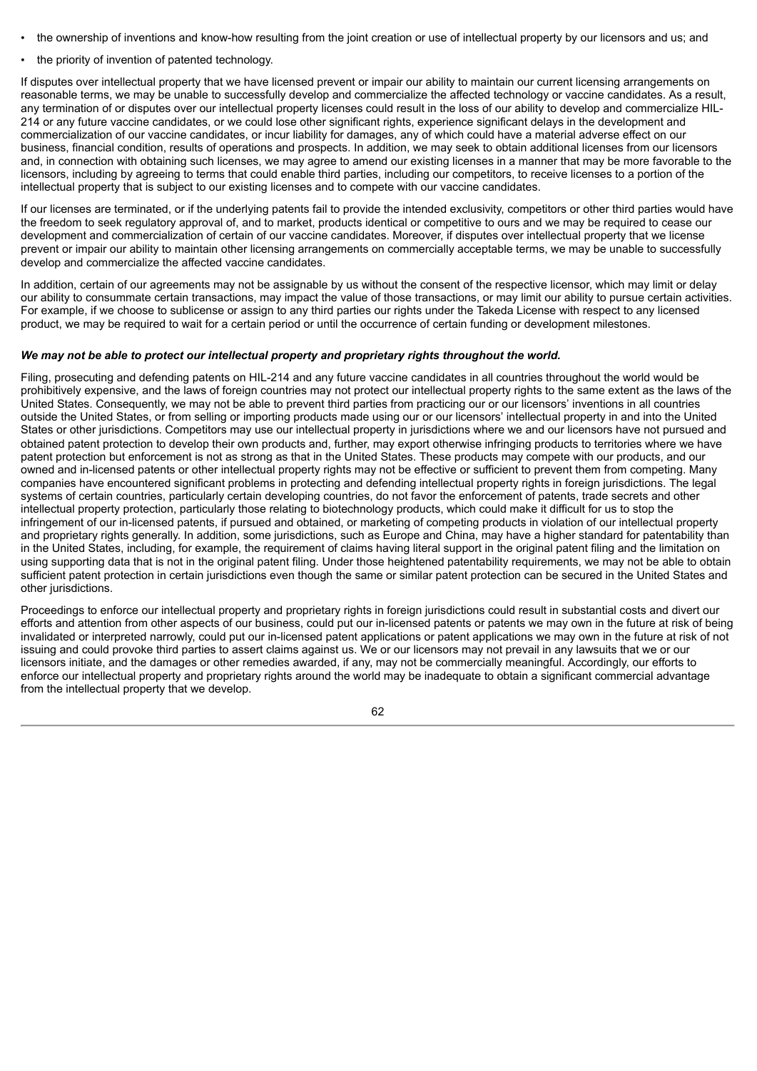- the ownership of inventions and know-how resulting from the joint creation or use of intellectual property by our licensors and us; and
- the priority of invention of patented technology.

If disputes over intellectual property that we have licensed prevent or impair our ability to maintain our current licensing arrangements on reasonable terms, we may be unable to successfully develop and commercialize the affected technology or vaccine candidates. As a result, any termination of or disputes over our intellectual property licenses could result in the loss of our ability to develop and commercialize HIL-214 or any future vaccine candidates, or we could lose other significant rights, experience significant delays in the development and commercialization of our vaccine candidates, or incur liability for damages, any of which could have a material adverse effect on our business, financial condition, results of operations and prospects. In addition, we may seek to obtain additional licenses from our licensors and, in connection with obtaining such licenses, we may agree to amend our existing licenses in a manner that may be more favorable to the licensors, including by agreeing to terms that could enable third parties, including our competitors, to receive licenses to a portion of the intellectual property that is subject to our existing licenses and to compete with our vaccine candidates.

If our licenses are terminated, or if the underlying patents fail to provide the intended exclusivity, competitors or other third parties would have the freedom to seek regulatory approval of, and to market, products identical or competitive to ours and we may be required to cease our development and commercialization of certain of our vaccine candidates. Moreover, if disputes over intellectual property that we license prevent or impair our ability to maintain other licensing arrangements on commercially acceptable terms, we may be unable to successfully develop and commercialize the affected vaccine candidates.

In addition, certain of our agreements may not be assignable by us without the consent of the respective licensor, which may limit or delay our ability to consummate certain transactions, may impact the value of those transactions, or may limit our ability to pursue certain activities. For example, if we choose to sublicense or assign to any third parties our rights under the Takeda License with respect to any licensed product, we may be required to wait for a certain period or until the occurrence of certain funding or development milestones.

# *We may not be able to protect our intellectual property and proprietary rights throughout the world.*

Filing, prosecuting and defending patents on HIL-214 and any future vaccine candidates in all countries throughout the world would be prohibitively expensive, and the laws of foreign countries may not protect our intellectual property rights to the same extent as the laws of the United States. Consequently, we may not be able to prevent third parties from practicing our or our licensors' inventions in all countries outside the United States, or from selling or importing products made using our or our licensors' intellectual property in and into the United States or other jurisdictions. Competitors may use our intellectual property in jurisdictions where we and our licensors have not pursued and obtained patent protection to develop their own products and, further, may export otherwise infringing products to territories where we have patent protection but enforcement is not as strong as that in the United States. These products may compete with our products, and our owned and in-licensed patents or other intellectual property rights may not be effective or sufficient to prevent them from competing. Many companies have encountered significant problems in protecting and defending intellectual property rights in foreign jurisdictions. The legal systems of certain countries, particularly certain developing countries, do not favor the enforcement of patents, trade secrets and other intellectual property protection, particularly those relating to biotechnology products, which could make it difficult for us to stop the infringement of our in-licensed patents, if pursued and obtained, or marketing of competing products in violation of our intellectual property and proprietary rights generally. In addition, some jurisdictions, such as Europe and China, may have a higher standard for patentability than in the United States, including, for example, the requirement of claims having literal support in the original patent filing and the limitation on using supporting data that is not in the original patent filing. Under those heightened patentability requirements, we may not be able to obtain sufficient patent protection in certain jurisdictions even though the same or similar patent protection can be secured in the United States and other jurisdictions.

Proceedings to enforce our intellectual property and proprietary rights in foreign jurisdictions could result in substantial costs and divert our efforts and attention from other aspects of our business, could put our in-licensed patents or patents we may own in the future at risk of being invalidated or interpreted narrowly, could put our in-licensed patent applications or patent applications we may own in the future at risk of not issuing and could provoke third parties to assert claims against us. We or our licensors may not prevail in any lawsuits that we or our licensors initiate, and the damages or other remedies awarded, if any, may not be commercially meaningful. Accordingly, our efforts to enforce our intellectual property and proprietary rights around the world may be inadequate to obtain a significant commercial advantage from the intellectual property that we develop.

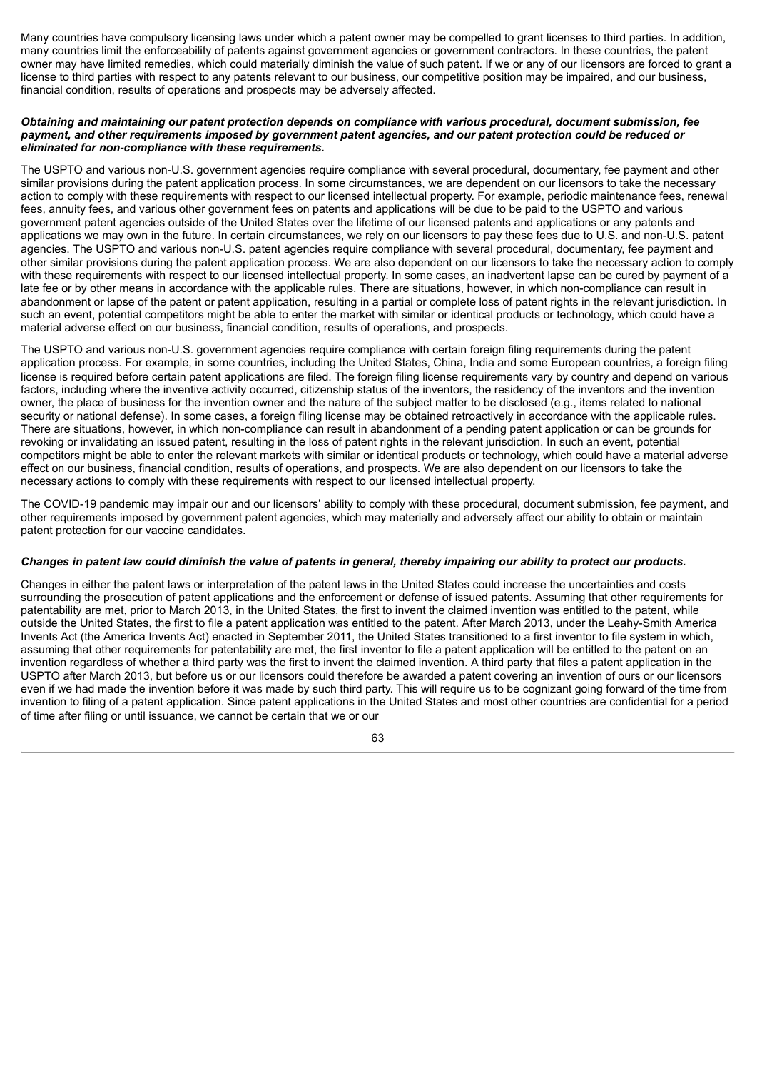Many countries have compulsory licensing laws under which a patent owner may be compelled to grant licenses to third parties. In addition, many countries limit the enforceability of patents against government agencies or government contractors. In these countries, the patent owner may have limited remedies, which could materially diminish the value of such patent. If we or any of our licensors are forced to grant a license to third parties with respect to any patents relevant to our business, our competitive position may be impaired, and our business, financial condition, results of operations and prospects may be adversely affected.

#### *Obtaining and maintaining our patent protection depends on compliance with various procedural, document submission, fee* payment, and other requirements imposed by government patent agencies, and our patent protection could be reduced or *eliminated for non-compliance with these requirements.*

The USPTO and various non-U.S. government agencies require compliance with several procedural, documentary, fee payment and other similar provisions during the patent application process. In some circumstances, we are dependent on our licensors to take the necessary action to comply with these requirements with respect to our licensed intellectual property. For example, periodic maintenance fees, renewal fees, annuity fees, and various other government fees on patents and applications will be due to be paid to the USPTO and various government patent agencies outside of the United States over the lifetime of our licensed patents and applications or any patents and applications we may own in the future. In certain circumstances, we rely on our licensors to pay these fees due to U.S. and non-U.S. patent agencies. The USPTO and various non-U.S. patent agencies require compliance with several procedural, documentary, fee payment and other similar provisions during the patent application process. We are also dependent on our licensors to take the necessary action to comply with these requirements with respect to our licensed intellectual property. In some cases, an inadvertent lapse can be cured by payment of a late fee or by other means in accordance with the applicable rules. There are situations, however, in which non-compliance can result in abandonment or lapse of the patent or patent application, resulting in a partial or complete loss of patent rights in the relevant jurisdiction. In such an event, potential competitors might be able to enter the market with similar or identical products or technology, which could have a material adverse effect on our business, financial condition, results of operations, and prospects.

The USPTO and various non-U.S. government agencies require compliance with certain foreign filing requirements during the patent application process. For example, in some countries, including the United States, China, India and some European countries, a foreign filing license is required before certain patent applications are filed. The foreign filing license requirements vary by country and depend on various factors, including where the inventive activity occurred, citizenship status of the inventors, the residency of the inventors and the invention owner, the place of business for the invention owner and the nature of the subject matter to be disclosed (e.g., items related to national security or national defense). In some cases, a foreign filing license may be obtained retroactively in accordance with the applicable rules. There are situations, however, in which non-compliance can result in abandonment of a pending patent application or can be grounds for revoking or invalidating an issued patent, resulting in the loss of patent rights in the relevant jurisdiction. In such an event, potential competitors might be able to enter the relevant markets with similar or identical products or technology, which could have a material adverse effect on our business, financial condition, results of operations, and prospects. We are also dependent on our licensors to take the necessary actions to comply with these requirements with respect to our licensed intellectual property.

The COVID-19 pandemic may impair our and our licensors' ability to comply with these procedural, document submission, fee payment, and other requirements imposed by government patent agencies, which may materially and adversely affect our ability to obtain or maintain patent protection for our vaccine candidates.

# Changes in patent law could diminish the value of patents in general, thereby impairing our ability to protect our products.

Changes in either the patent laws or interpretation of the patent laws in the United States could increase the uncertainties and costs surrounding the prosecution of patent applications and the enforcement or defense of issued patents. Assuming that other requirements for patentability are met, prior to March 2013, in the United States, the first to invent the claimed invention was entitled to the patent, while outside the United States, the first to file a patent application was entitled to the patent. After March 2013, under the Leahy-Smith America Invents Act (the America Invents Act) enacted in September 2011, the United States transitioned to a first inventor to file system in which, assuming that other requirements for patentability are met, the first inventor to file a patent application will be entitled to the patent on an invention regardless of whether a third party was the first to invent the claimed invention. A third party that files a patent application in the USPTO after March 2013, but before us or our licensors could therefore be awarded a patent covering an invention of ours or our licensors even if we had made the invention before it was made by such third party. This will require us to be cognizant going forward of the time from invention to filing of a patent application. Since patent applications in the United States and most other countries are confidential for a period of time after filing or until issuance, we cannot be certain that we or our

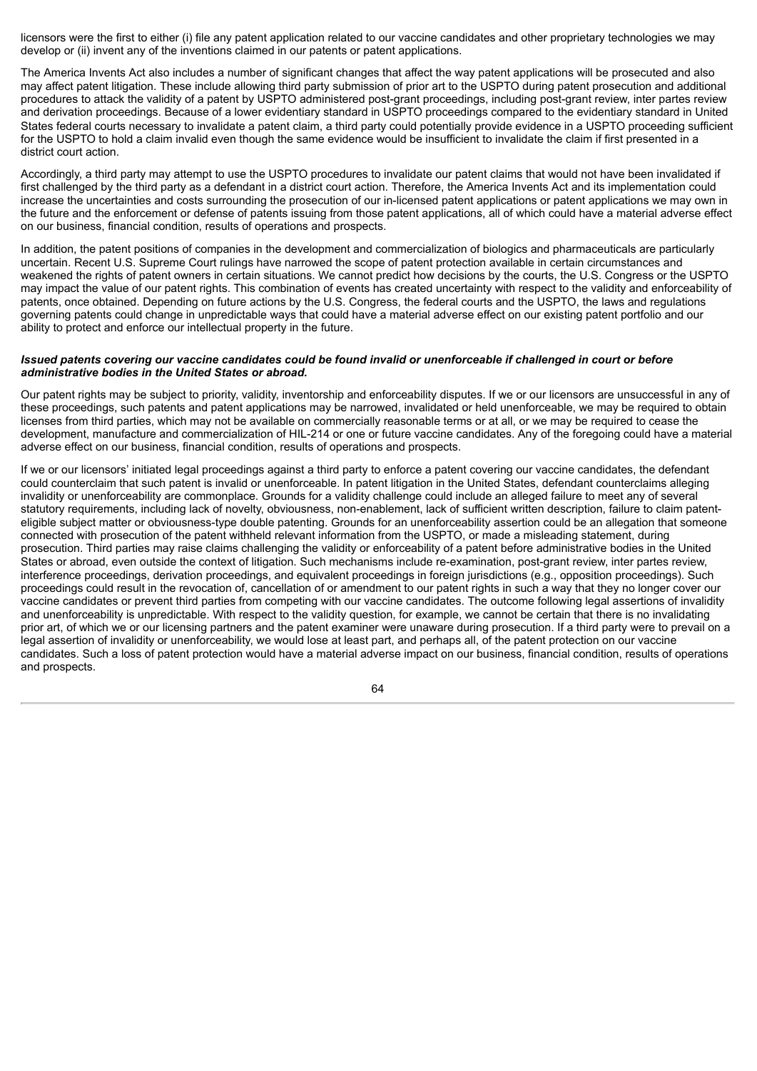licensors were the first to either (i) file any patent application related to our vaccine candidates and other proprietary technologies we may develop or (ii) invent any of the inventions claimed in our patents or patent applications.

The America Invents Act also includes a number of significant changes that affect the way patent applications will be prosecuted and also may affect patent litigation. These include allowing third party submission of prior art to the USPTO during patent prosecution and additional procedures to attack the validity of a patent by USPTO administered post-grant proceedings, including post-grant review, inter partes review and derivation proceedings. Because of a lower evidentiary standard in USPTO proceedings compared to the evidentiary standard in United States federal courts necessary to invalidate a patent claim, a third party could potentially provide evidence in a USPTO proceeding sufficient for the USPTO to hold a claim invalid even though the same evidence would be insufficient to invalidate the claim if first presented in a district court action.

Accordingly, a third party may attempt to use the USPTO procedures to invalidate our patent claims that would not have been invalidated if first challenged by the third party as a defendant in a district court action. Therefore, the America Invents Act and its implementation could increase the uncertainties and costs surrounding the prosecution of our in-licensed patent applications or patent applications we may own in the future and the enforcement or defense of patents issuing from those patent applications, all of which could have a material adverse effect on our business, financial condition, results of operations and prospects.

In addition, the patent positions of companies in the development and commercialization of biologics and pharmaceuticals are particularly uncertain. Recent U.S. Supreme Court rulings have narrowed the scope of patent protection available in certain circumstances and weakened the rights of patent owners in certain situations. We cannot predict how decisions by the courts, the U.S. Congress or the USPTO may impact the value of our patent rights. This combination of events has created uncertainty with respect to the validity and enforceability of patents, once obtained. Depending on future actions by the U.S. Congress, the federal courts and the USPTO, the laws and regulations governing patents could change in unpredictable ways that could have a material adverse effect on our existing patent portfolio and our ability to protect and enforce our intellectual property in the future.

## Issued patents covering our vaccine candidates could be found invalid or unenforceable if challenged in court or before *administrative bodies in the United States or abroad.*

Our patent rights may be subject to priority, validity, inventorship and enforceability disputes. If we or our licensors are unsuccessful in any of these proceedings, such patents and patent applications may be narrowed, invalidated or held unenforceable, we may be required to obtain licenses from third parties, which may not be available on commercially reasonable terms or at all, or we may be required to cease the development, manufacture and commercialization of HIL-214 or one or future vaccine candidates. Any of the foregoing could have a material adverse effect on our business, financial condition, results of operations and prospects.

If we or our licensors' initiated legal proceedings against a third party to enforce a patent covering our vaccine candidates, the defendant could counterclaim that such patent is invalid or unenforceable. In patent litigation in the United States, defendant counterclaims alleging invalidity or unenforceability are commonplace. Grounds for a validity challenge could include an alleged failure to meet any of several statutory requirements, including lack of novelty, obviousness, non-enablement, lack of sufficient written description, failure to claim patenteligible subject matter or obviousness-type double patenting. Grounds for an unenforceability assertion could be an allegation that someone connected with prosecution of the patent withheld relevant information from the USPTO, or made a misleading statement, during prosecution. Third parties may raise claims challenging the validity or enforceability of a patent before administrative bodies in the United States or abroad, even outside the context of litigation. Such mechanisms include re-examination, post-grant review, inter partes review, interference proceedings, derivation proceedings, and equivalent proceedings in foreign jurisdictions (e.g., opposition proceedings). Such proceedings could result in the revocation of, cancellation of or amendment to our patent rights in such a way that they no longer cover our vaccine candidates or prevent third parties from competing with our vaccine candidates. The outcome following legal assertions of invalidity and unenforceability is unpredictable. With respect to the validity question, for example, we cannot be certain that there is no invalidating prior art, of which we or our licensing partners and the patent examiner were unaware during prosecution. If a third party were to prevail on a legal assertion of invalidity or unenforceability, we would lose at least part, and perhaps all, of the patent protection on our vaccine candidates. Such a loss of patent protection would have a material adverse impact on our business, financial condition, results of operations and prospects.

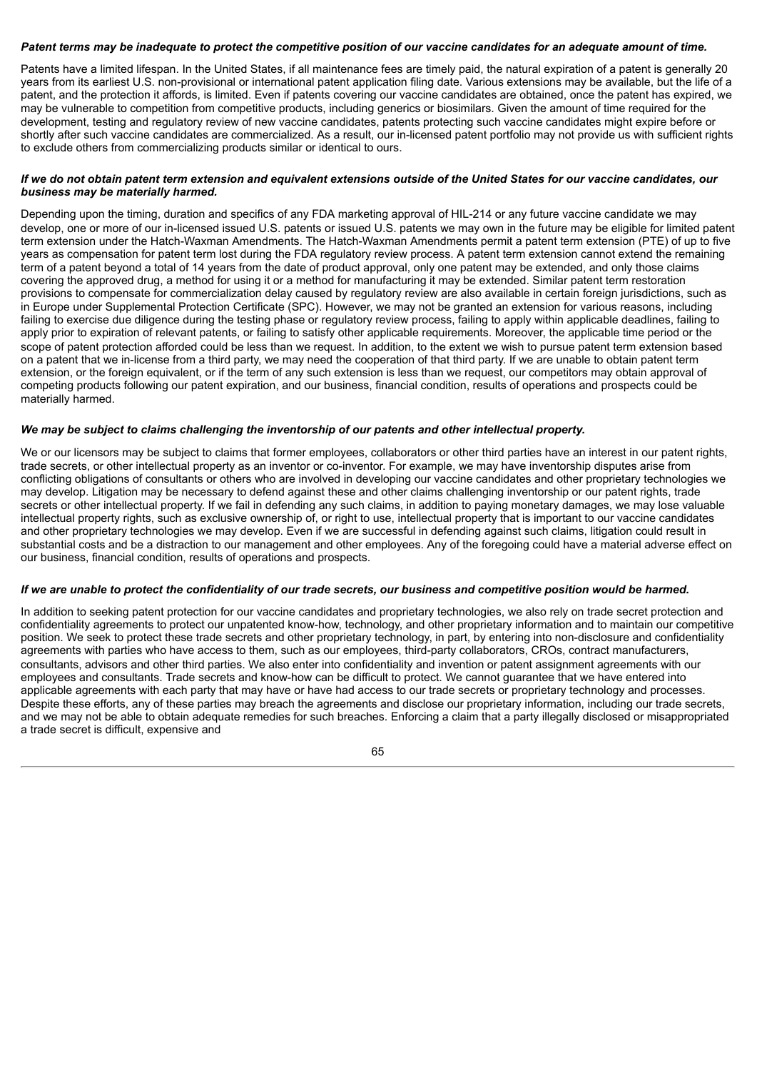#### Patent terms may be inadequate to protect the competitive position of our vaccine candidates for an adequate amount of time.

Patents have a limited lifespan. In the United States, if all maintenance fees are timely paid, the natural expiration of a patent is generally 20 years from its earliest U.S. non-provisional or international patent application filing date. Various extensions may be available, but the life of a patent, and the protection it affords, is limited. Even if patents covering our vaccine candidates are obtained, once the patent has expired, we may be vulnerable to competition from competitive products, including generics or biosimilars. Given the amount of time required for the development, testing and regulatory review of new vaccine candidates, patents protecting such vaccine candidates might expire before or shortly after such vaccine candidates are commercialized. As a result, our in-licensed patent portfolio may not provide us with sufficient rights to exclude others from commercializing products similar or identical to ours.

# If we do not obtain patent term extension and equivalent extensions outside of the United States for our vaccine candidates, our *business may be materially harmed.*

Depending upon the timing, duration and specifics of any FDA marketing approval of HIL-214 or any future vaccine candidate we may develop, one or more of our in-licensed issued U.S. patents or issued U.S. patents we may own in the future may be eligible for limited patent term extension under the Hatch-Waxman Amendments. The Hatch-Waxman Amendments permit a patent term extension (PTE) of up to five years as compensation for patent term lost during the FDA regulatory review process. A patent term extension cannot extend the remaining term of a patent beyond a total of 14 years from the date of product approval, only one patent may be extended, and only those claims covering the approved drug, a method for using it or a method for manufacturing it may be extended. Similar patent term restoration provisions to compensate for commercialization delay caused by regulatory review are also available in certain foreign jurisdictions, such as in Europe under Supplemental Protection Certificate (SPC). However, we may not be granted an extension for various reasons, including failing to exercise due diligence during the testing phase or regulatory review process, failing to apply within applicable deadlines, failing to apply prior to expiration of relevant patents, or failing to satisfy other applicable requirements. Moreover, the applicable time period or the scope of patent protection afforded could be less than we request. In addition, to the extent we wish to pursue patent term extension based on a patent that we in-license from a third party, we may need the cooperation of that third party. If we are unable to obtain patent term extension, or the foreign equivalent, or if the term of any such extension is less than we request, our competitors may obtain approval of competing products following our patent expiration, and our business, financial condition, results of operations and prospects could be materially harmed.

# *We may be subject to claims challenging the inventorship of our patents and other intellectual property.*

We or our licensors may be subject to claims that former employees, collaborators or other third parties have an interest in our patent rights, trade secrets, or other intellectual property as an inventor or co-inventor. For example, we may have inventorship disputes arise from conflicting obligations of consultants or others who are involved in developing our vaccine candidates and other proprietary technologies we may develop. Litigation may be necessary to defend against these and other claims challenging inventorship or our patent rights, trade secrets or other intellectual property. If we fail in defending any such claims, in addition to paying monetary damages, we may lose valuable intellectual property rights, such as exclusive ownership of, or right to use, intellectual property that is important to our vaccine candidates and other proprietary technologies we may develop. Even if we are successful in defending against such claims, litigation could result in substantial costs and be a distraction to our management and other employees. Any of the foregoing could have a material adverse effect on our business, financial condition, results of operations and prospects.

#### If we are unable to protect the confidentiality of our trade secrets, our business and competitive position would be harmed.

In addition to seeking patent protection for our vaccine candidates and proprietary technologies, we also rely on trade secret protection and confidentiality agreements to protect our unpatented know-how, technology, and other proprietary information and to maintain our competitive position. We seek to protect these trade secrets and other proprietary technology, in part, by entering into non-disclosure and confidentiality agreements with parties who have access to them, such as our employees, third-party collaborators, CROs, contract manufacturers, consultants, advisors and other third parties. We also enter into confidentiality and invention or patent assignment agreements with our employees and consultants. Trade secrets and know-how can be difficult to protect. We cannot guarantee that we have entered into applicable agreements with each party that may have or have had access to our trade secrets or proprietary technology and processes. Despite these efforts, any of these parties may breach the agreements and disclose our proprietary information, including our trade secrets, and we may not be able to obtain adequate remedies for such breaches. Enforcing a claim that a party illegally disclosed or misappropriated a trade secret is difficult, expensive and

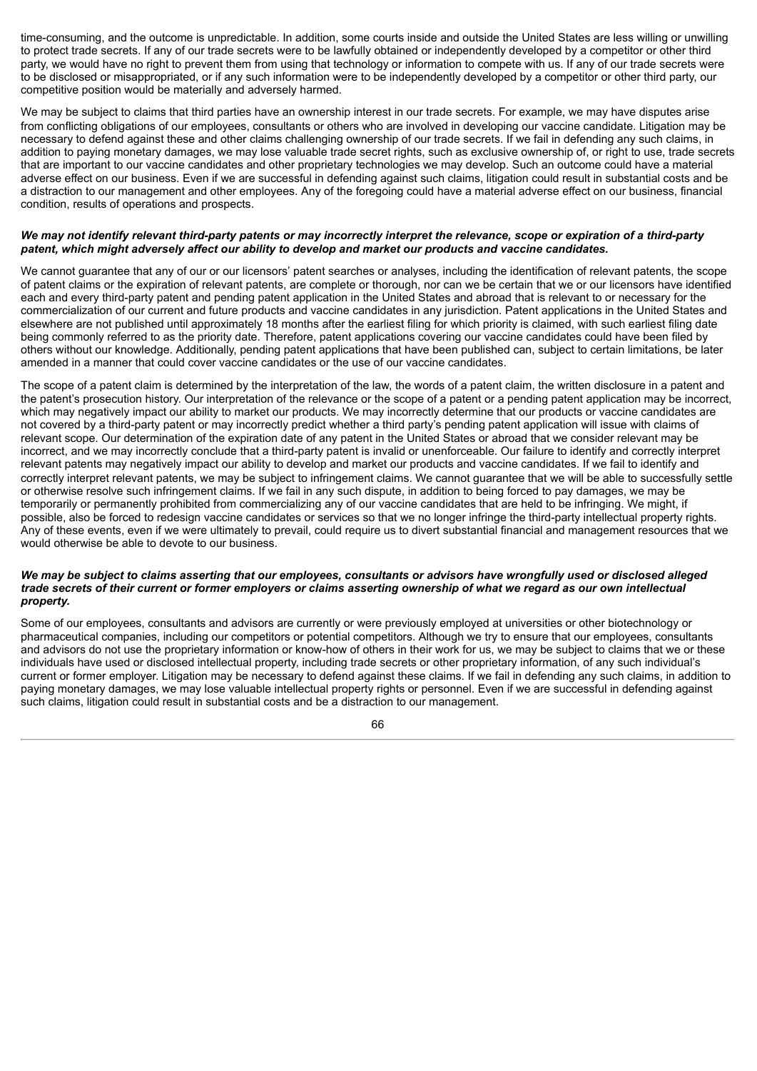time-consuming, and the outcome is unpredictable. In addition, some courts inside and outside the United States are less willing or unwilling to protect trade secrets. If any of our trade secrets were to be lawfully obtained or independently developed by a competitor or other third party, we would have no right to prevent them from using that technology or information to compete with us. If any of our trade secrets were to be disclosed or misappropriated, or if any such information were to be independently developed by a competitor or other third party, our competitive position would be materially and adversely harmed.

We may be subject to claims that third parties have an ownership interest in our trade secrets. For example, we may have disputes arise from conflicting obligations of our employees, consultants or others who are involved in developing our vaccine candidate. Litigation may be necessary to defend against these and other claims challenging ownership of our trade secrets. If we fail in defending any such claims, in addition to paying monetary damages, we may lose valuable trade secret rights, such as exclusive ownership of, or right to use, trade secrets that are important to our vaccine candidates and other proprietary technologies we may develop. Such an outcome could have a material adverse effect on our business. Even if we are successful in defending against such claims, litigation could result in substantial costs and be a distraction to our management and other employees. Any of the foregoing could have a material adverse effect on our business, financial condition, results of operations and prospects.

#### We may not identify relevant third-party patents or may incorrectly interpret the relevance, scope or expiration of a third-party *patent, which might adversely affect our ability to develop and market our products and vaccine candidates.*

We cannot guarantee that any of our or our licensors' patent searches or analyses, including the identification of relevant patents, the scope of patent claims or the expiration of relevant patents, are complete or thorough, nor can we be certain that we or our licensors have identified each and every third-party patent and pending patent application in the United States and abroad that is relevant to or necessary for the commercialization of our current and future products and vaccine candidates in any jurisdiction. Patent applications in the United States and elsewhere are not published until approximately 18 months after the earliest filing for which priority is claimed, with such earliest filing date being commonly referred to as the priority date. Therefore, patent applications covering our vaccine candidates could have been filed by others without our knowledge. Additionally, pending patent applications that have been published can, subject to certain limitations, be later amended in a manner that could cover vaccine candidates or the use of our vaccine candidates.

The scope of a patent claim is determined by the interpretation of the law, the words of a patent claim, the written disclosure in a patent and the patent's prosecution history. Our interpretation of the relevance or the scope of a patent or a pending patent application may be incorrect, which may negatively impact our ability to market our products. We may incorrectly determine that our products or vaccine candidates are not covered by a third-party patent or may incorrectly predict whether a third party's pending patent application will issue with claims of relevant scope. Our determination of the expiration date of any patent in the United States or abroad that we consider relevant may be incorrect, and we may incorrectly conclude that a third-party patent is invalid or unenforceable. Our failure to identify and correctly interpret relevant patents may negatively impact our ability to develop and market our products and vaccine candidates. If we fail to identify and correctly interpret relevant patents, we may be subject to infringement claims. We cannot guarantee that we will be able to successfully settle or otherwise resolve such infringement claims. If we fail in any such dispute, in addition to being forced to pay damages, we may be temporarily or permanently prohibited from commercializing any of our vaccine candidates that are held to be infringing. We might, if possible, also be forced to redesign vaccine candidates or services so that we no longer infringe the third-party intellectual property rights. Any of these events, even if we were ultimately to prevail, could require us to divert substantial financial and management resources that we would otherwise be able to devote to our business.

#### We may be subject to claims asserting that our employees, consultants or advisors have wrongfully used or disclosed alleged trade secrets of their current or former employers or claims asserting ownership of what we regard as our own intellectual *property.*

Some of our employees, consultants and advisors are currently or were previously employed at universities or other biotechnology or pharmaceutical companies, including our competitors or potential competitors. Although we try to ensure that our employees, consultants and advisors do not use the proprietary information or know-how of others in their work for us, we may be subject to claims that we or these individuals have used or disclosed intellectual property, including trade secrets or other proprietary information, of any such individual's current or former employer. Litigation may be necessary to defend against these claims. If we fail in defending any such claims, in addition to paying monetary damages, we may lose valuable intellectual property rights or personnel. Even if we are successful in defending against such claims, litigation could result in substantial costs and be a distraction to our management.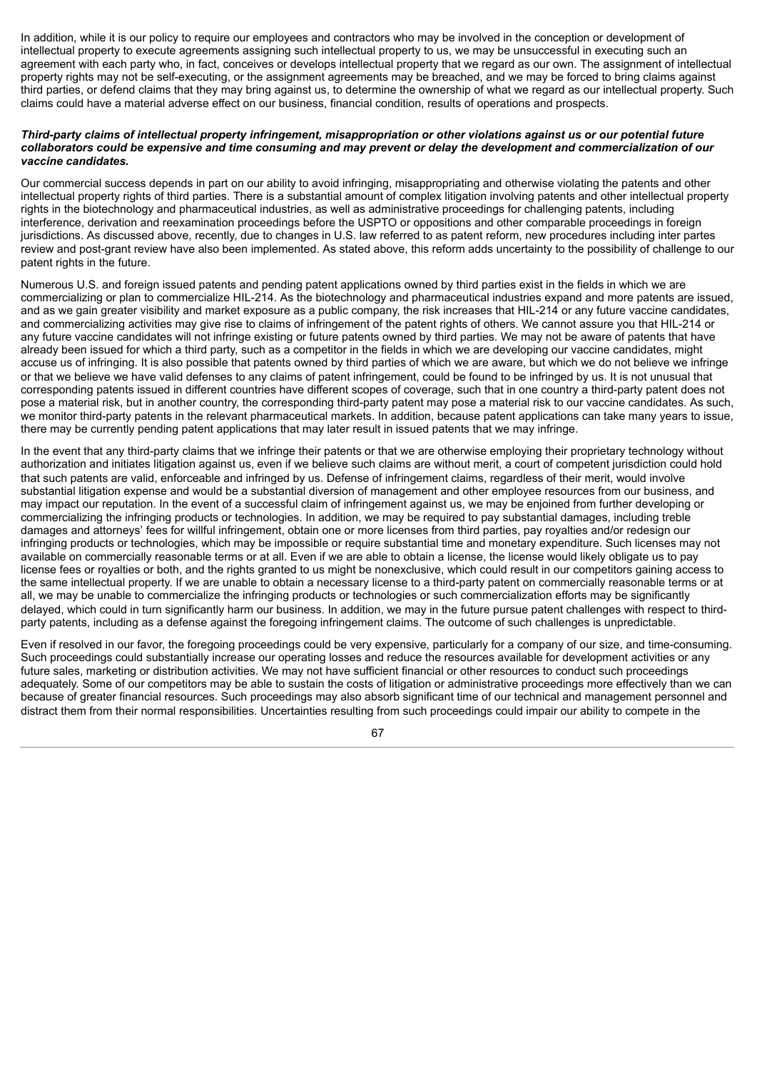In addition, while it is our policy to require our employees and contractors who may be involved in the conception or development of intellectual property to execute agreements assigning such intellectual property to us, we may be unsuccessful in executing such an agreement with each party who, in fact, conceives or develops intellectual property that we regard as our own. The assignment of intellectual property rights may not be self-executing, or the assignment agreements may be breached, and we may be forced to bring claims against third parties, or defend claims that they may bring against us, to determine the ownership of what we regard as our intellectual property. Such claims could have a material adverse effect on our business, financial condition, results of operations and prospects.

#### Third-party claims of intellectual property infringement, misappropriation or other violations against us or our potential future collaborators could be expensive and time consuming and may prevent or delay the development and commercialization of our *vaccine candidates.*

Our commercial success depends in part on our ability to avoid infringing, misappropriating and otherwise violating the patents and other intellectual property rights of third parties. There is a substantial amount of complex litigation involving patents and other intellectual property rights in the biotechnology and pharmaceutical industries, as well as administrative proceedings for challenging patents, including interference, derivation and reexamination proceedings before the USPTO or oppositions and other comparable proceedings in foreign jurisdictions. As discussed above, recently, due to changes in U.S. law referred to as patent reform, new procedures including inter partes review and post-grant review have also been implemented. As stated above, this reform adds uncertainty to the possibility of challenge to our patent rights in the future.

Numerous U.S. and foreign issued patents and pending patent applications owned by third parties exist in the fields in which we are commercializing or plan to commercialize HIL-214. As the biotechnology and pharmaceutical industries expand and more patents are issued, and as we gain greater visibility and market exposure as a public company, the risk increases that HIL-214 or any future vaccine candidates, and commercializing activities may give rise to claims of infringement of the patent rights of others. We cannot assure you that HIL-214 or any future vaccine candidates will not infringe existing or future patents owned by third parties. We may not be aware of patents that have already been issued for which a third party, such as a competitor in the fields in which we are developing our vaccine candidates, might accuse us of infringing. It is also possible that patents owned by third parties of which we are aware, but which we do not believe we infringe or that we believe we have valid defenses to any claims of patent infringement, could be found to be infringed by us. It is not unusual that corresponding patents issued in different countries have different scopes of coverage, such that in one country a third-party patent does not pose a material risk, but in another country, the corresponding third-party patent may pose a material risk to our vaccine candidates. As such, we monitor third-party patents in the relevant pharmaceutical markets. In addition, because patent applications can take many years to issue, there may be currently pending patent applications that may later result in issued patents that we may infringe.

In the event that any third-party claims that we infringe their patents or that we are otherwise employing their proprietary technology without authorization and initiates litigation against us, even if we believe such claims are without merit, a court of competent jurisdiction could hold that such patents are valid, enforceable and infringed by us. Defense of infringement claims, regardless of their merit, would involve substantial litigation expense and would be a substantial diversion of management and other employee resources from our business, and may impact our reputation. In the event of a successful claim of infringement against us, we may be enjoined from further developing or commercializing the infringing products or technologies. In addition, we may be required to pay substantial damages, including treble damages and attorneys' fees for willful infringement, obtain one or more licenses from third parties, pay royalties and/or redesign our infringing products or technologies, which may be impossible or require substantial time and monetary expenditure. Such licenses may not available on commercially reasonable terms or at all. Even if we are able to obtain a license, the license would likely obligate us to pay license fees or royalties or both, and the rights granted to us might be nonexclusive, which could result in our competitors gaining access to the same intellectual property. If we are unable to obtain a necessary license to a third-party patent on commercially reasonable terms or at all, we may be unable to commercialize the infringing products or technologies or such commercialization efforts may be significantly delayed, which could in turn significantly harm our business. In addition, we may in the future pursue patent challenges with respect to thirdparty patents, including as a defense against the foregoing infringement claims. The outcome of such challenges is unpredictable.

Even if resolved in our favor, the foregoing proceedings could be very expensive, particularly for a company of our size, and time-consuming. Such proceedings could substantially increase our operating losses and reduce the resources available for development activities or any future sales, marketing or distribution activities. We may not have sufficient financial or other resources to conduct such proceedings adequately. Some of our competitors may be able to sustain the costs of litigation or administrative proceedings more effectively than we can because of greater financial resources. Such proceedings may also absorb significant time of our technical and management personnel and distract them from their normal responsibilities. Uncertainties resulting from such proceedings could impair our ability to compete in the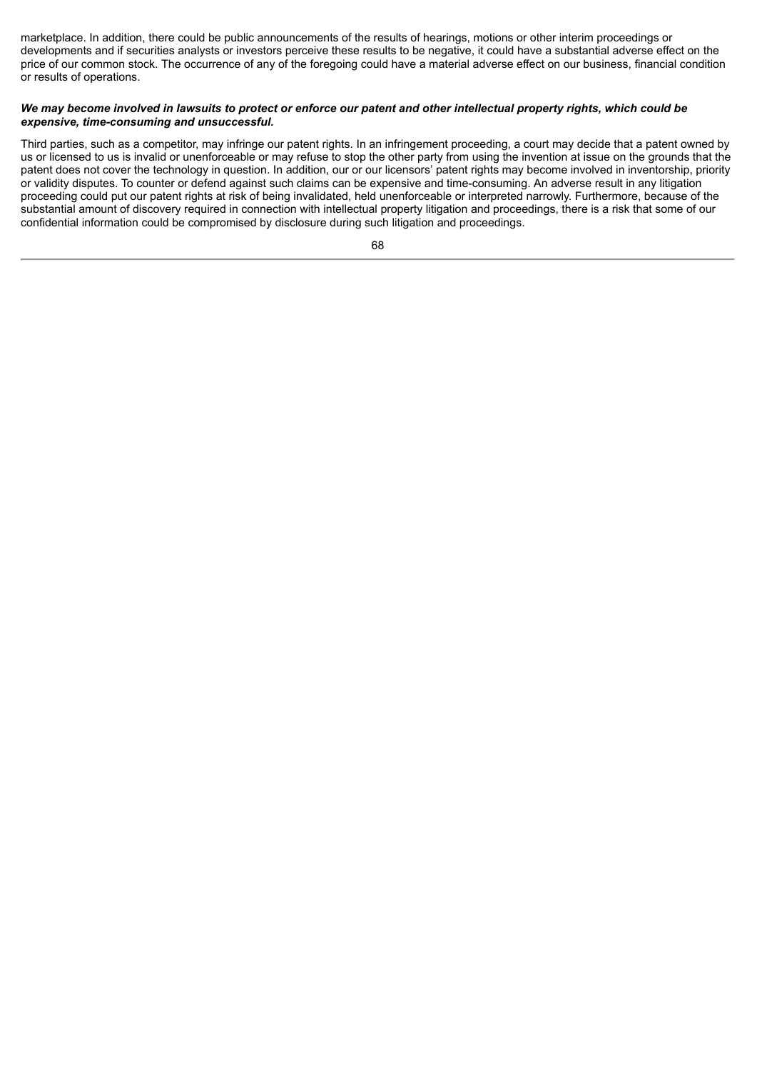marketplace. In addition, there could be public announcements of the results of hearings, motions or other interim proceedings or developments and if securities analysts or investors perceive these results to be negative, it could have a substantial adverse effect on the price of our common stock. The occurrence of any of the foregoing could have a material adverse effect on our business, financial condition or results of operations.

# We may become involved in lawsuits to protect or enforce our patent and other intellectual property rights, which could be *expensive, time-consuming and unsuccessful.*

Third parties, such as a competitor, may infringe our patent rights. In an infringement proceeding, a court may decide that a patent owned by us or licensed to us is invalid or unenforceable or may refuse to stop the other party from using the invention at issue on the grounds that the patent does not cover the technology in question. In addition, our or our licensors' patent rights may become involved in inventorship, priority or validity disputes. To counter or defend against such claims can be expensive and time-consuming. An adverse result in any litigation proceeding could put our patent rights at risk of being invalidated, held unenforceable or interpreted narrowly. Furthermore, because of the substantial amount of discovery required in connection with intellectual property litigation and proceedings, there is a risk that some of our confidential information could be compromised by disclosure during such litigation and proceedings.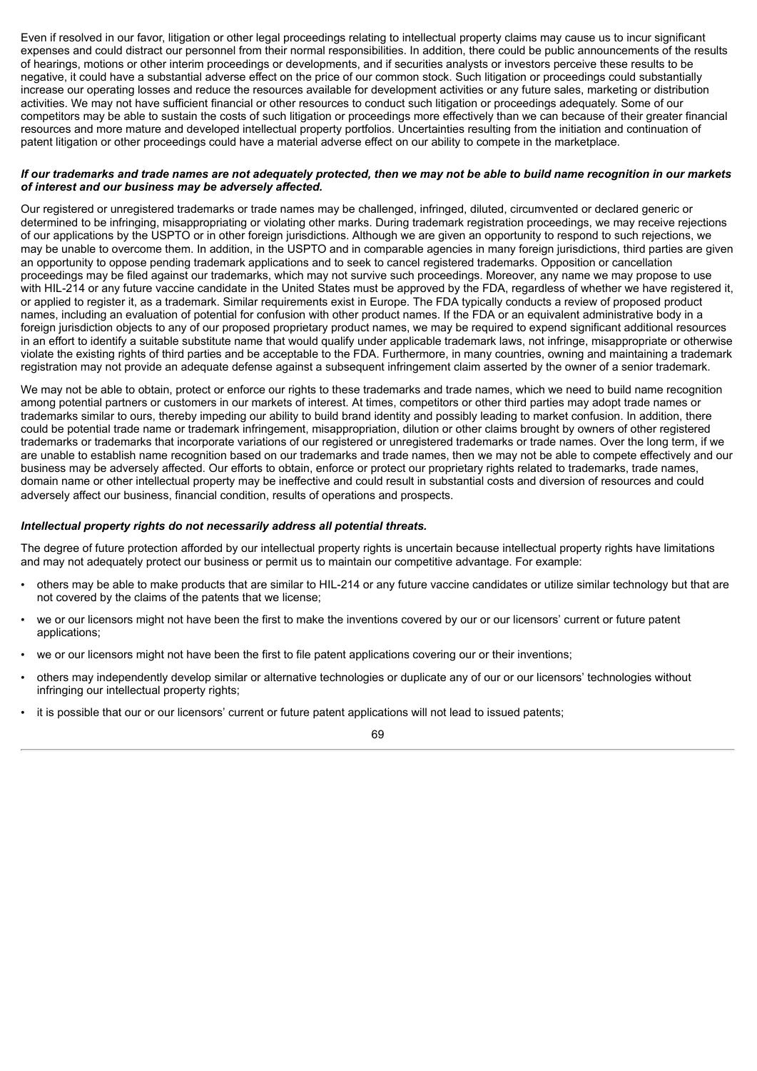Even if resolved in our favor, litigation or other legal proceedings relating to intellectual property claims may cause us to incur significant expenses and could distract our personnel from their normal responsibilities. In addition, there could be public announcements of the results of hearings, motions or other interim proceedings or developments, and if securities analysts or investors perceive these results to be negative, it could have a substantial adverse effect on the price of our common stock. Such litigation or proceedings could substantially increase our operating losses and reduce the resources available for development activities or any future sales, marketing or distribution activities. We may not have sufficient financial or other resources to conduct such litigation or proceedings adequately. Some of our competitors may be able to sustain the costs of such litigation or proceedings more effectively than we can because of their greater financial resources and more mature and developed intellectual property portfolios. Uncertainties resulting from the initiation and continuation of patent litigation or other proceedings could have a material adverse effect on our ability to compete in the marketplace.

# If our trademarks and trade names are not adequately protected, then we may not be able to build name recognition in our markets *of interest and our business may be adversely affected.*

Our registered or unregistered trademarks or trade names may be challenged, infringed, diluted, circumvented or declared generic or determined to be infringing, misappropriating or violating other marks. During trademark registration proceedings, we may receive rejections of our applications by the USPTO or in other foreign jurisdictions. Although we are given an opportunity to respond to such rejections, we may be unable to overcome them. In addition, in the USPTO and in comparable agencies in many foreign jurisdictions, third parties are given an opportunity to oppose pending trademark applications and to seek to cancel registered trademarks. Opposition or cancellation proceedings may be filed against our trademarks, which may not survive such proceedings. Moreover, any name we may propose to use with HIL-214 or any future vaccine candidate in the United States must be approved by the FDA, regardless of whether we have registered it, or applied to register it, as a trademark. Similar requirements exist in Europe. The FDA typically conducts a review of proposed product names, including an evaluation of potential for confusion with other product names. If the FDA or an equivalent administrative body in a foreign jurisdiction objects to any of our proposed proprietary product names, we may be required to expend significant additional resources in an effort to identify a suitable substitute name that would qualify under applicable trademark laws, not infringe, misappropriate or otherwise violate the existing rights of third parties and be acceptable to the FDA. Furthermore, in many countries, owning and maintaining a trademark registration may not provide an adequate defense against a subsequent infringement claim asserted by the owner of a senior trademark.

We may not be able to obtain, protect or enforce our rights to these trademarks and trade names, which we need to build name recognition among potential partners or customers in our markets of interest. At times, competitors or other third parties may adopt trade names or trademarks similar to ours, thereby impeding our ability to build brand identity and possibly leading to market confusion. In addition, there could be potential trade name or trademark infringement, misappropriation, dilution or other claims brought by owners of other registered trademarks or trademarks that incorporate variations of our registered or unregistered trademarks or trade names. Over the long term, if we are unable to establish name recognition based on our trademarks and trade names, then we may not be able to compete effectively and our business may be adversely affected. Our efforts to obtain, enforce or protect our proprietary rights related to trademarks, trade names, domain name or other intellectual property may be ineffective and could result in substantial costs and diversion of resources and could adversely affect our business, financial condition, results of operations and prospects.

# *Intellectual property rights do not necessarily address all potential threats.*

The degree of future protection afforded by our intellectual property rights is uncertain because intellectual property rights have limitations and may not adequately protect our business or permit us to maintain our competitive advantage. For example:

- others may be able to make products that are similar to HIL-214 or any future vaccine candidates or utilize similar technology but that are not covered by the claims of the patents that we license;
- we or our licensors might not have been the first to make the inventions covered by our or our licensors' current or future patent applications;
- we or our licensors might not have been the first to file patent applications covering our or their inventions;
- others may independently develop similar or alternative technologies or duplicate any of our or our licensors' technologies without infringing our intellectual property rights;
- it is possible that our or our licensors' current or future patent applications will not lead to issued patents;

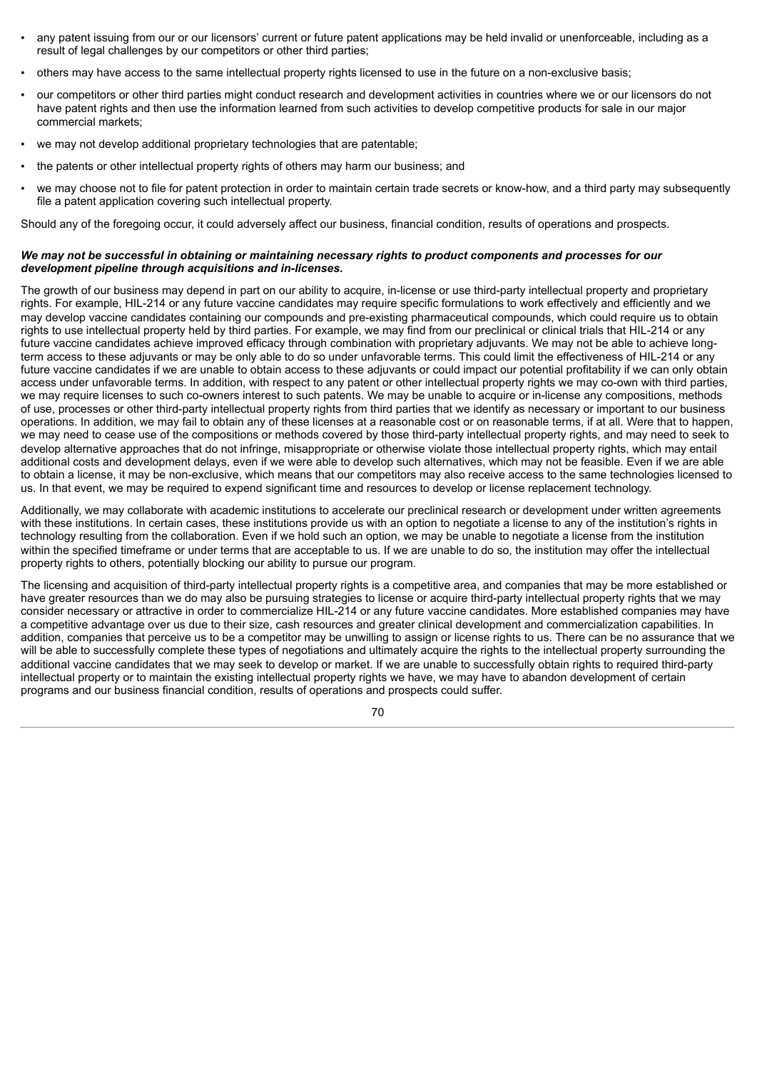- any patent issuing from our or our licensors' current or future patent applications may be held invalid or unenforceable, including as a result of legal challenges by our competitors or other third parties;
- others may have access to the same intellectual property rights licensed to use in the future on a non-exclusive basis;
- our competitors or other third parties might conduct research and development activities in countries where we or our licensors do not have patent rights and then use the information learned from such activities to develop competitive products for sale in our major commercial markets;
- we may not develop additional proprietary technologies that are patentable;
- the patents or other intellectual property rights of others may harm our business; and
- we may choose not to file for patent protection in order to maintain certain trade secrets or know-how, and a third party may subsequently file a patent application covering such intellectual property.

Should any of the foregoing occur, it could adversely affect our business, financial condition, results of operations and prospects.

#### We may not be successful in obtaining or maintaining necessary rights to product components and processes for our *development pipeline through acquisitions and in-licenses.*

The growth of our business may depend in part on our ability to acquire, in-license or use third-party intellectual property and proprietary rights. For example, HIL-214 or any future vaccine candidates may require specific formulations to work effectively and efficiently and we may develop vaccine candidates containing our compounds and pre-existing pharmaceutical compounds, which could require us to obtain rights to use intellectual property held by third parties. For example, we may find from our preclinical or clinical trials that HIL-214 or any future vaccine candidates achieve improved efficacy through combination with proprietary adjuvants. We may not be able to achieve longterm access to these adjuvants or may be only able to do so under unfavorable terms. This could limit the effectiveness of HIL-214 or any future vaccine candidates if we are unable to obtain access to these adjuvants or could impact our potential profitability if we can only obtain access under unfavorable terms. In addition, with respect to any patent or other intellectual property rights we may co-own with third parties, we may require licenses to such co-owners interest to such patents. We may be unable to acquire or in-license any compositions, methods of use, processes or other third-party intellectual property rights from third parties that we identify as necessary or important to our business operations. In addition, we may fail to obtain any of these licenses at a reasonable cost or on reasonable terms, if at all. Were that to happen, we may need to cease use of the compositions or methods covered by those third-party intellectual property rights, and may need to seek to develop alternative approaches that do not infringe, misappropriate or otherwise violate those intellectual property rights, which may entail additional costs and development delays, even if we were able to develop such alternatives, which may not be feasible. Even if we are able to obtain a license, it may be non-exclusive, which means that our competitors may also receive access to the same technologies licensed to us. In that event, we may be required to expend significant time and resources to develop or license replacement technology.

Additionally, we may collaborate with academic institutions to accelerate our preclinical research or development under written agreements with these institutions. In certain cases, these institutions provide us with an option to negotiate a license to any of the institution's rights in technology resulting from the collaboration. Even if we hold such an option, we may be unable to negotiate a license from the institution within the specified timeframe or under terms that are acceptable to us. If we are unable to do so, the institution may offer the intellectual property rights to others, potentially blocking our ability to pursue our program.

The licensing and acquisition of third-party intellectual property rights is a competitive area, and companies that may be more established or have greater resources than we do may also be pursuing strategies to license or acquire third-party intellectual property rights that we may consider necessary or attractive in order to commercialize HIL-214 or any future vaccine candidates. More established companies may have a competitive advantage over us due to their size, cash resources and greater clinical development and commercialization capabilities. In addition, companies that perceive us to be a competitor may be unwilling to assign or license rights to us. There can be no assurance that we will be able to successfully complete these types of negotiations and ultimately acquire the rights to the intellectual property surrounding the additional vaccine candidates that we may seek to develop or market. If we are unable to successfully obtain rights to required third-party intellectual property or to maintain the existing intellectual property rights we have, we may have to abandon development of certain programs and our business financial condition, results of operations and prospects could suffer.

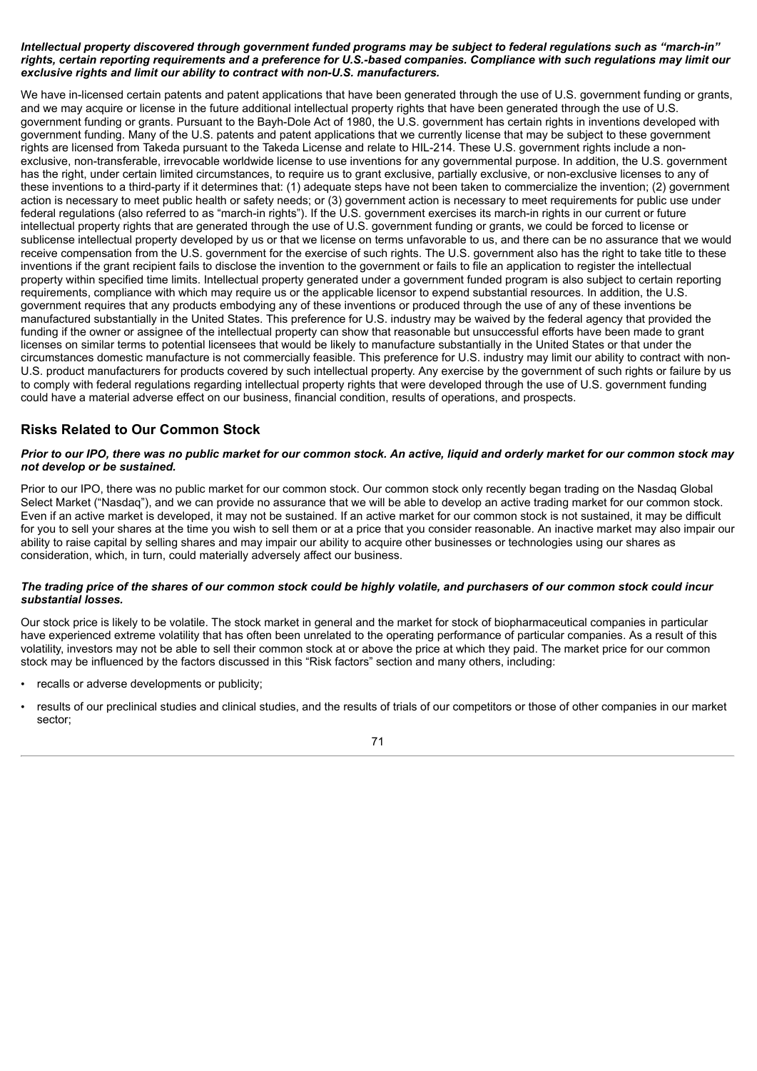## Intellectual property discovered through government funded programs may be subject to federal regulations such as "march-in" rights, certain reporting reguirements and a preference for U.S.-based companies. Compliance with such regulations may limit our *exclusive rights and limit our ability to contract with non-U.S. manufacturers.*

We have in-licensed certain patents and patent applications that have been generated through the use of U.S. government funding or grants, and we may acquire or license in the future additional intellectual property rights that have been generated through the use of U.S. government funding or grants. Pursuant to the Bayh-Dole Act of 1980, the U.S. government has certain rights in inventions developed with government funding. Many of the U.S. patents and patent applications that we currently license that may be subject to these government rights are licensed from Takeda pursuant to the Takeda License and relate to HIL-214. These U.S. government rights include a nonexclusive, non-transferable, irrevocable worldwide license to use inventions for any governmental purpose. In addition, the U.S. government has the right, under certain limited circumstances, to require us to grant exclusive, partially exclusive, or non-exclusive licenses to any of these inventions to a third-party if it determines that: (1) adequate steps have not been taken to commercialize the invention; (2) government action is necessary to meet public health or safety needs; or (3) government action is necessary to meet requirements for public use under federal regulations (also referred to as "march-in rights"). If the U.S. government exercises its march-in rights in our current or future intellectual property rights that are generated through the use of U.S. government funding or grants, we could be forced to license or sublicense intellectual property developed by us or that we license on terms unfavorable to us, and there can be no assurance that we would receive compensation from the U.S. government for the exercise of such rights. The U.S. government also has the right to take title to these inventions if the grant recipient fails to disclose the invention to the government or fails to file an application to register the intellectual property within specified time limits. Intellectual property generated under a government funded program is also subject to certain reporting requirements, compliance with which may require us or the applicable licensor to expend substantial resources. In addition, the U.S. government requires that any products embodying any of these inventions or produced through the use of any of these inventions be manufactured substantially in the United States. This preference for U.S. industry may be waived by the federal agency that provided the funding if the owner or assignee of the intellectual property can show that reasonable but unsuccessful efforts have been made to grant licenses on similar terms to potential licensees that would be likely to manufacture substantially in the United States or that under the circumstances domestic manufacture is not commercially feasible. This preference for U.S. industry may limit our ability to contract with non-U.S. product manufacturers for products covered by such intellectual property. Any exercise by the government of such rights or failure by us to comply with federal regulations regarding intellectual property rights that were developed through the use of U.S. government funding could have a material adverse effect on our business, financial condition, results of operations, and prospects.

# **Risks Related to Our Common Stock**

# Prior to our IPO, there was no public market for our common stock. An active, liquid and orderly market for our common stock may *not develop or be sustained.*

Prior to our IPO, there was no public market for our common stock. Our common stock only recently began trading on the Nasdaq Global Select Market ("Nasdaq"), and we can provide no assurance that we will be able to develop an active trading market for our common stock. Even if an active market is developed, it may not be sustained. If an active market for our common stock is not sustained, it may be difficult for you to sell your shares at the time you wish to sell them or at a price that you consider reasonable. An inactive market may also impair our ability to raise capital by selling shares and may impair our ability to acquire other businesses or technologies using our shares as consideration, which, in turn, could materially adversely affect our business.

## The trading price of the shares of our common stock could be highly volatile, and purchasers of our common stock could incur *substantial losses.*

Our stock price is likely to be volatile. The stock market in general and the market for stock of biopharmaceutical companies in particular have experienced extreme volatility that has often been unrelated to the operating performance of particular companies. As a result of this volatility, investors may not be able to sell their common stock at or above the price at which they paid. The market price for our common stock may be influenced by the factors discussed in this "Risk factors" section and many others, including:

- recalls or adverse developments or publicity;
- results of our preclinical studies and clinical studies, and the results of trials of our competitors or those of other companies in our market sector;

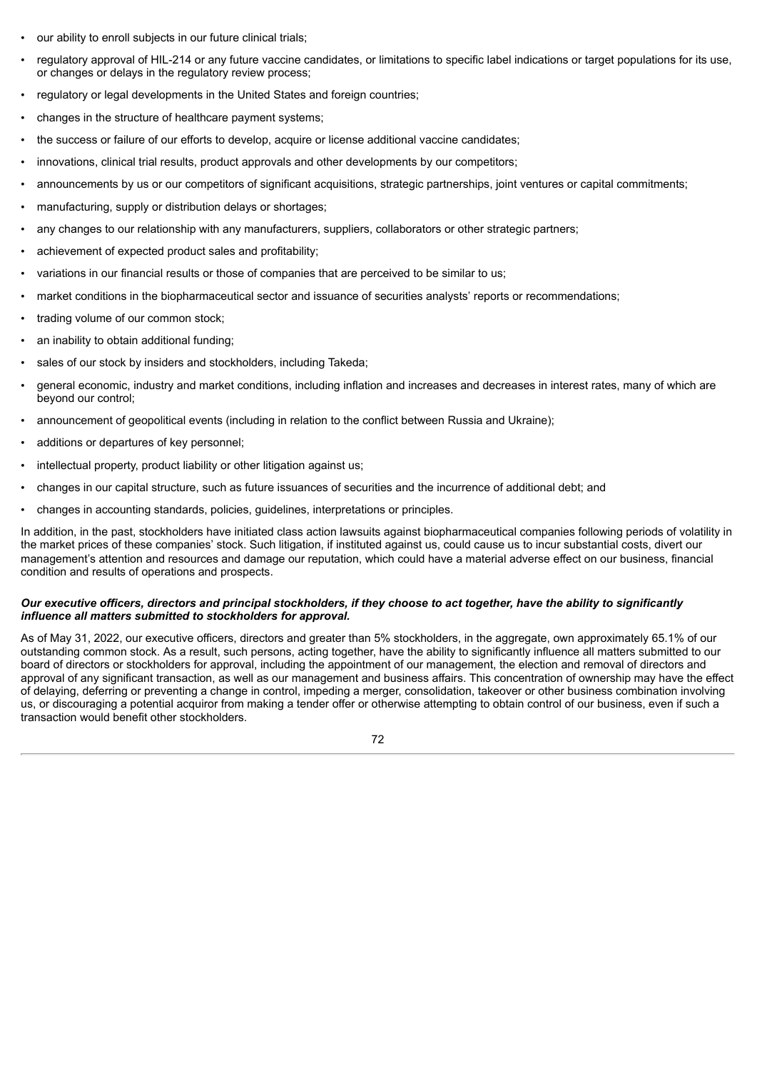- our ability to enroll subjects in our future clinical trials;
- regulatory approval of HIL-214 or any future vaccine candidates, or limitations to specific label indications or target populations for its use, or changes or delays in the regulatory review process;
- regulatory or legal developments in the United States and foreign countries;
- changes in the structure of healthcare payment systems;
- the success or failure of our efforts to develop, acquire or license additional vaccine candidates;
- innovations, clinical trial results, product approvals and other developments by our competitors;
- announcements by us or our competitors of significant acquisitions, strategic partnerships, joint ventures or capital commitments;
- manufacturing, supply or distribution delays or shortages;
- any changes to our relationship with any manufacturers, suppliers, collaborators or other strategic partners;
- achievement of expected product sales and profitability;
- variations in our financial results or those of companies that are perceived to be similar to us;
- market conditions in the biopharmaceutical sector and issuance of securities analysts' reports or recommendations;
- trading volume of our common stock;
- an inability to obtain additional funding;
- sales of our stock by insiders and stockholders, including Takeda;
- general economic, industry and market conditions, including inflation and increases and decreases in interest rates, many of which are beyond our control;
- announcement of geopolitical events (including in relation to the conflict between Russia and Ukraine);
- additions or departures of key personnel;
- intellectual property, product liability or other litigation against us;
- changes in our capital structure, such as future issuances of securities and the incurrence of additional debt; and
- changes in accounting standards, policies, guidelines, interpretations or principles.

In addition, in the past, stockholders have initiated class action lawsuits against biopharmaceutical companies following periods of volatility in the market prices of these companies' stock. Such litigation, if instituted against us, could cause us to incur substantial costs, divert our management's attention and resources and damage our reputation, which could have a material adverse effect on our business, financial condition and results of operations and prospects.

## Our executive officers, directors and principal stockholders, if they choose to act together, have the ability to significantly *influence all matters submitted to stockholders for approval.*

As of May 31, 2022, our executive officers, directors and greater than 5% stockholders, in the aggregate, own approximately 65.1% of our outstanding common stock. As a result, such persons, acting together, have the ability to significantly influence all matters submitted to our board of directors or stockholders for approval, including the appointment of our management, the election and removal of directors and approval of any significant transaction, as well as our management and business affairs. This concentration of ownership may have the effect of delaying, deferring or preventing a change in control, impeding a merger, consolidation, takeover or other business combination involving us, or discouraging a potential acquiror from making a tender offer or otherwise attempting to obtain control of our business, even if such a transaction would benefit other stockholders.

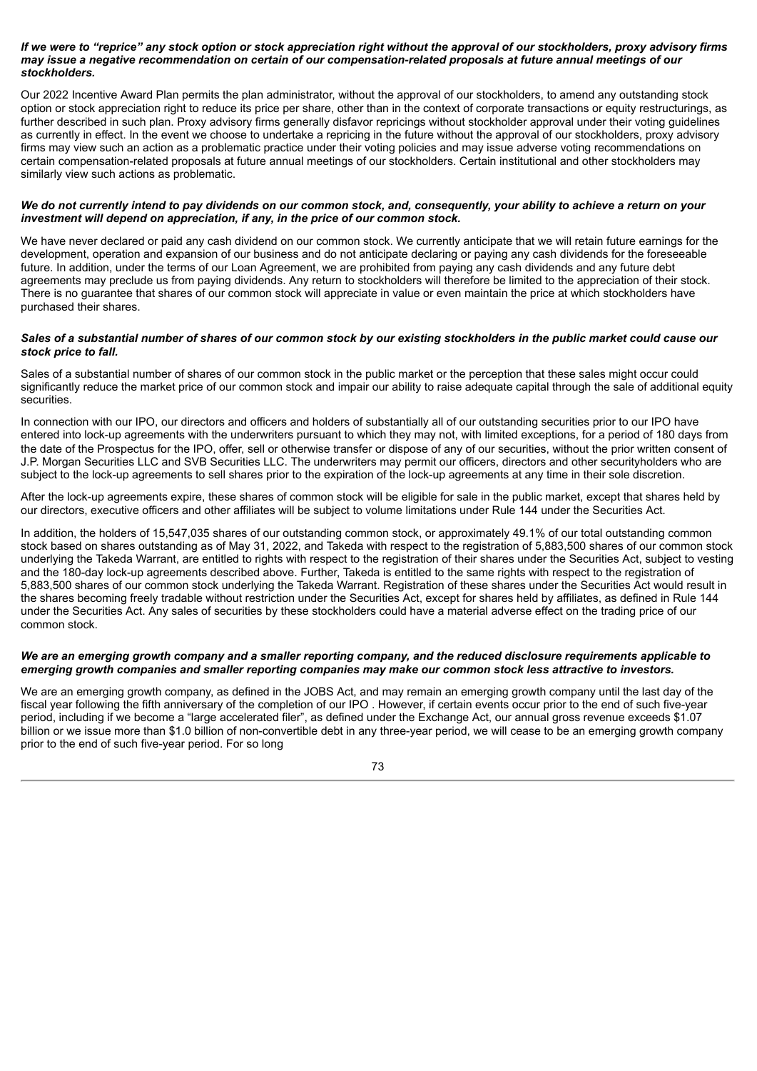#### If we were to "reprice" any stock option or stock appreciation right without the approval of our stockholders, proxy advisory firms may issue a negative recommendation on certain of our compensation-related proposals at future annual meetings of our *stockholders.*

Our 2022 Incentive Award Plan permits the plan administrator, without the approval of our stockholders, to amend any outstanding stock option or stock appreciation right to reduce its price per share, other than in the context of corporate transactions or equity restructurings, as further described in such plan. Proxy advisory firms generally disfavor repricings without stockholder approval under their voting quidelines as currently in effect. In the event we choose to undertake a repricing in the future without the approval of our stockholders, proxy advisory firms may view such an action as a problematic practice under their voting policies and may issue adverse voting recommendations on certain compensation-related proposals at future annual meetings of our stockholders. Certain institutional and other stockholders may similarly view such actions as problematic.

#### We do not currently intend to pay dividends on our common stock, and, consequently, your ability to achieve a return on your *investment will depend on appreciation, if any, in the price of our common stock.*

We have never declared or paid any cash dividend on our common stock. We currently anticipate that we will retain future earnings for the development, operation and expansion of our business and do not anticipate declaring or paying any cash dividends for the foreseeable future. In addition, under the terms of our Loan Agreement, we are prohibited from paying any cash dividends and any future debt agreements may preclude us from paying dividends. Any return to stockholders will therefore be limited to the appreciation of their stock. There is no guarantee that shares of our common stock will appreciate in value or even maintain the price at which stockholders have purchased their shares.

#### Sales of a substantial number of shares of our common stock by our existing stockholders in the public market could cause our *stock price to fall.*

Sales of a substantial number of shares of our common stock in the public market or the perception that these sales might occur could significantly reduce the market price of our common stock and impair our ability to raise adequate capital through the sale of additional equity securities.

In connection with our IPO, our directors and officers and holders of substantially all of our outstanding securities prior to our IPO have entered into lock-up agreements with the underwriters pursuant to which they may not, with limited exceptions, for a period of 180 days from the date of the Prospectus for the IPO, offer, sell or otherwise transfer or dispose of any of our securities, without the prior written consent of J.P. Morgan Securities LLC and SVB Securities LLC. The underwriters may permit our officers, directors and other securityholders who are subject to the lock-up agreements to sell shares prior to the expiration of the lock-up agreements at any time in their sole discretion.

After the lock-up agreements expire, these shares of common stock will be eligible for sale in the public market, except that shares held by our directors, executive officers and other affiliates will be subject to volume limitations under Rule 144 under the Securities Act.

In addition, the holders of 15,547,035 shares of our outstanding common stock, or approximately 49.1% of our total outstanding common stock based on shares outstanding as of May 31, 2022, and Takeda with respect to the registration of 5,883,500 shares of our common stock underlying the Takeda Warrant, are entitled to rights with respect to the registration of their shares under the Securities Act, subject to vesting and the 180-day lock-up agreements described above. Further, Takeda is entitled to the same rights with respect to the registration of 5,883,500 shares of our common stock underlying the Takeda Warrant. Registration of these shares under the Securities Act would result in the shares becoming freely tradable without restriction under the Securities Act, except for shares held by affiliates, as defined in Rule 144 under the Securities Act. Any sales of securities by these stockholders could have a material adverse effect on the trading price of our common stock.

## We are an emerging growth company and a smaller reporting company, and the reduced disclosure requirements applicable to emerging growth companies and smaller reporting companies may make our common stock less attractive to investors.

We are an emerging growth company, as defined in the JOBS Act, and may remain an emerging growth company until the last day of the fiscal year following the fifth anniversary of the completion of our IPO . However, if certain events occur prior to the end of such five-year period, including if we become a "large accelerated filer", as defined under the Exchange Act, our annual gross revenue exceeds \$1.07 billion or we issue more than \$1.0 billion of non-convertible debt in any three-year period, we will cease to be an emerging growth company prior to the end of such five-year period. For so long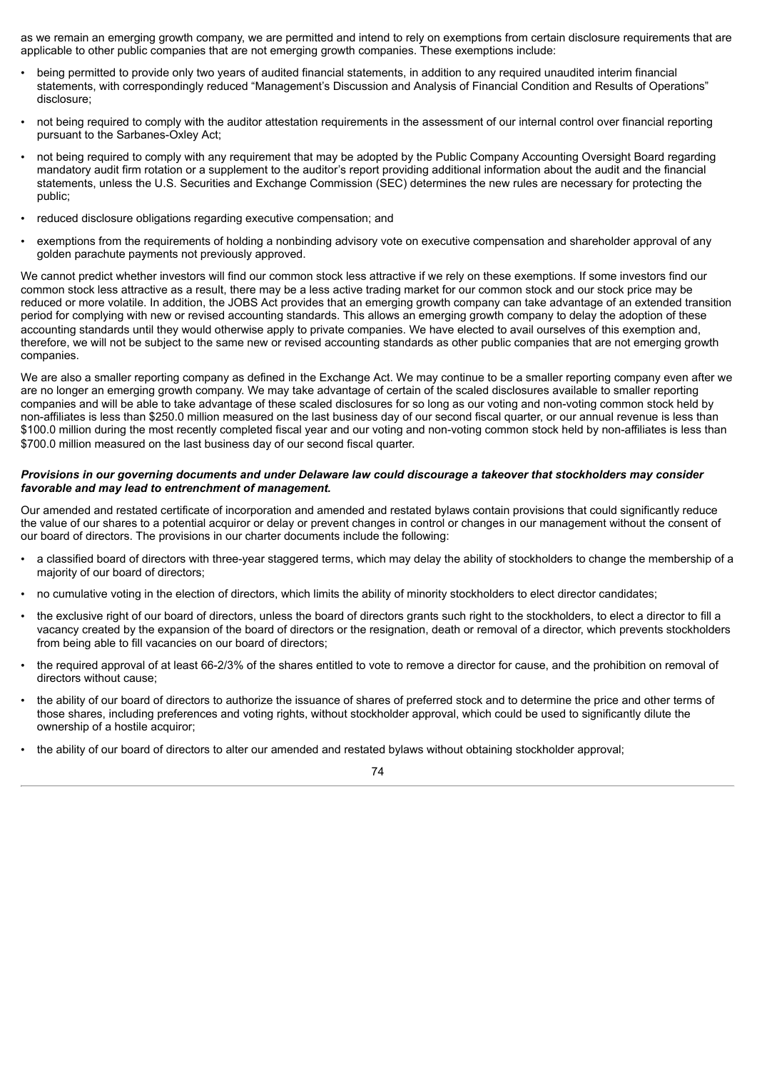as we remain an emerging growth company, we are permitted and intend to rely on exemptions from certain disclosure requirements that are applicable to other public companies that are not emerging growth companies. These exemptions include:

- being permitted to provide only two years of audited financial statements, in addition to any required unaudited interim financial statements, with correspondingly reduced "Management's Discussion and Analysis of Financial Condition and Results of Operations" disclosure;
- not being required to comply with the auditor attestation requirements in the assessment of our internal control over financial reporting pursuant to the Sarbanes-Oxley Act;
- not being required to comply with any requirement that may be adopted by the Public Company Accounting Oversight Board regarding mandatory audit firm rotation or a supplement to the auditor's report providing additional information about the audit and the financial statements, unless the U.S. Securities and Exchange Commission (SEC) determines the new rules are necessary for protecting the public;
- reduced disclosure obligations regarding executive compensation; and
- exemptions from the requirements of holding a nonbinding advisory vote on executive compensation and shareholder approval of any golden parachute payments not previously approved.

We cannot predict whether investors will find our common stock less attractive if we rely on these exemptions. If some investors find our common stock less attractive as a result, there may be a less active trading market for our common stock and our stock price may be reduced or more volatile. In addition, the JOBS Act provides that an emerging growth company can take advantage of an extended transition period for complying with new or revised accounting standards. This allows an emerging growth company to delay the adoption of these accounting standards until they would otherwise apply to private companies. We have elected to avail ourselves of this exemption and, therefore, we will not be subject to the same new or revised accounting standards as other public companies that are not emerging growth companies.

We are also a smaller reporting company as defined in the Exchange Act. We may continue to be a smaller reporting company even after we are no longer an emerging growth company. We may take advantage of certain of the scaled disclosures available to smaller reporting companies and will be able to take advantage of these scaled disclosures for so long as our voting and non-voting common stock held by non-affiliates is less than \$250.0 million measured on the last business day of our second fiscal quarter, or our annual revenue is less than \$100.0 million during the most recently completed fiscal year and our voting and non-voting common stock held by non-affiliates is less than \$700.0 million measured on the last business day of our second fiscal quarter.

## Provisions in our governing documents and under Delaware law could discourage a takeover that stockholders may consider *favorable and may lead to entrenchment of management.*

Our amended and restated certificate of incorporation and amended and restated bylaws contain provisions that could significantly reduce the value of our shares to a potential acquiror or delay or prevent changes in control or changes in our management without the consent of our board of directors. The provisions in our charter documents include the following:

- a classified board of directors with three-year staggered terms, which may delay the ability of stockholders to change the membership of a majority of our board of directors;
- no cumulative voting in the election of directors, which limits the ability of minority stockholders to elect director candidates;
- the exclusive right of our board of directors, unless the board of directors grants such right to the stockholders, to elect a director to fill a vacancy created by the expansion of the board of directors or the resignation, death or removal of a director, which prevents stockholders from being able to fill vacancies on our board of directors;
- the required approval of at least 66-2/3% of the shares entitled to vote to remove a director for cause, and the prohibition on removal of directors without cause;
- the ability of our board of directors to authorize the issuance of shares of preferred stock and to determine the price and other terms of those shares, including preferences and voting rights, without stockholder approval, which could be used to significantly dilute the ownership of a hostile acquiror;
- the ability of our board of directors to alter our amended and restated bylaws without obtaining stockholder approval;

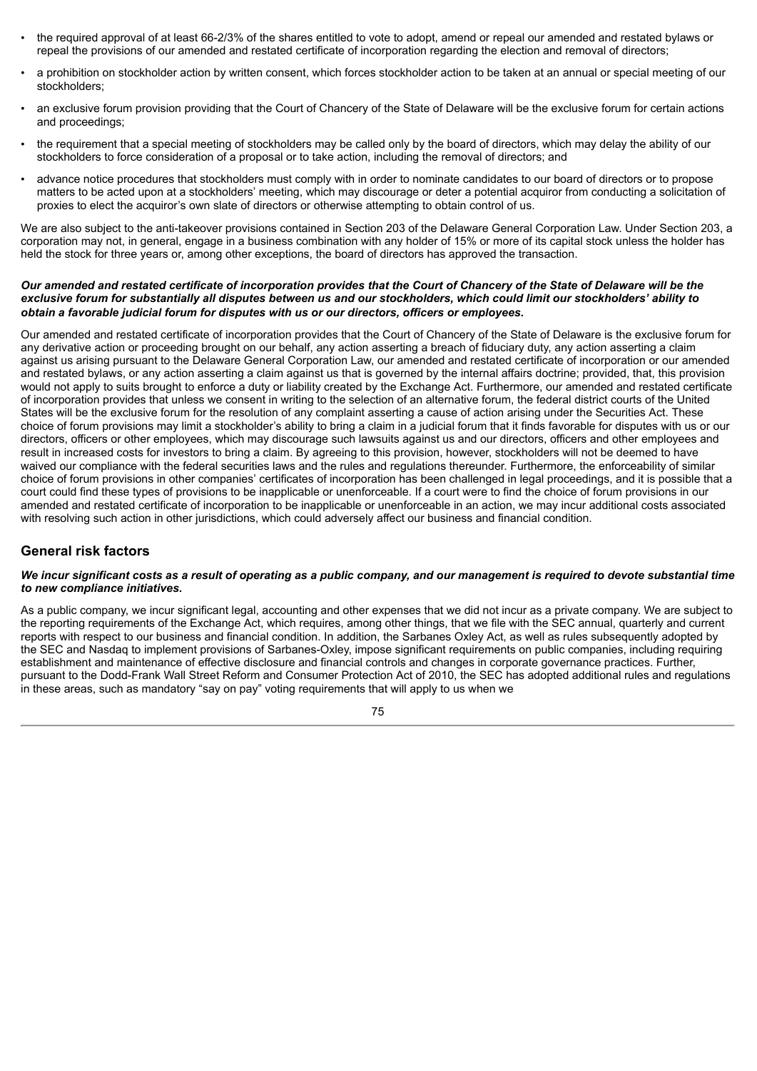- the required approval of at least 66-2/3% of the shares entitled to vote to adopt, amend or repeal our amended and restated bylaws or repeal the provisions of our amended and restated certificate of incorporation regarding the election and removal of directors;
- a prohibition on stockholder action by written consent, which forces stockholder action to be taken at an annual or special meeting of our stockholders;
- an exclusive forum provision providing that the Court of Chancery of the State of Delaware will be the exclusive forum for certain actions and proceedings;
- the requirement that a special meeting of stockholders may be called only by the board of directors, which may delay the ability of our stockholders to force consideration of a proposal or to take action, including the removal of directors; and
- advance notice procedures that stockholders must comply with in order to nominate candidates to our board of directors or to propose matters to be acted upon at a stockholders' meeting, which may discourage or deter a potential acquiror from conducting a solicitation of proxies to elect the acquiror's own slate of directors or otherwise attempting to obtain control of us.

We are also subject to the anti-takeover provisions contained in Section 203 of the Delaware General Corporation Law. Under Section 203, a corporation may not, in general, engage in a business combination with any holder of 15% or more of its capital stock unless the holder has held the stock for three years or, among other exceptions, the board of directors has approved the transaction.

### Our amended and restated certificate of incorporation provides that the Court of Chancery of the State of Delaware will be the exclusive forum for substantially all disputes between us and our stockholders, which could limit our stockholders' ability to *obtain a favorable judicial forum for disputes with us or our directors, officers or employees.*

Our amended and restated certificate of incorporation provides that the Court of Chancery of the State of Delaware is the exclusive forum for any derivative action or proceeding brought on our behalf, any action asserting a breach of fiduciary duty, any action asserting a claim against us arising pursuant to the Delaware General Corporation Law, our amended and restated certificate of incorporation or our amended and restated bylaws, or any action asserting a claim against us that is governed by the internal affairs doctrine; provided, that, this provision would not apply to suits brought to enforce a duty or liability created by the Exchange Act. Furthermore, our amended and restated certificate of incorporation provides that unless we consent in writing to the selection of an alternative forum, the federal district courts of the United States will be the exclusive forum for the resolution of any complaint asserting a cause of action arising under the Securities Act. These choice of forum provisions may limit a stockholder's ability to bring a claim in a judicial forum that it finds favorable for disputes with us or our directors, officers or other employees, which may discourage such lawsuits against us and our directors, officers and other employees and result in increased costs for investors to bring a claim. By agreeing to this provision, however, stockholders will not be deemed to have waived our compliance with the federal securities laws and the rules and regulations thereunder. Furthermore, the enforceability of similar choice of forum provisions in other companies' certificates of incorporation has been challenged in legal proceedings, and it is possible that a court could find these types of provisions to be inapplicable or unenforceable. If a court were to find the choice of forum provisions in our amended and restated certificate of incorporation to be inapplicable or unenforceable in an action, we may incur additional costs associated with resolving such action in other jurisdictions, which could adversely affect our business and financial condition.

# **General risk factors**

## We incur significant costs as a result of operating as a public company, and our management is required to devote substantial time *to new compliance initiatives.*

As a public company, we incur significant legal, accounting and other expenses that we did not incur as a private company. We are subject to the reporting requirements of the Exchange Act, which requires, among other things, that we file with the SEC annual, quarterly and current reports with respect to our business and financial condition. In addition, the Sarbanes Oxley Act, as well as rules subsequently adopted by the SEC and Nasdaq to implement provisions of Sarbanes-Oxley, impose significant requirements on public companies, including requiring establishment and maintenance of effective disclosure and financial controls and changes in corporate governance practices. Further, pursuant to the Dodd-Frank Wall Street Reform and Consumer Protection Act of 2010, the SEC has adopted additional rules and regulations in these areas, such as mandatory "say on pay" voting requirements that will apply to us when we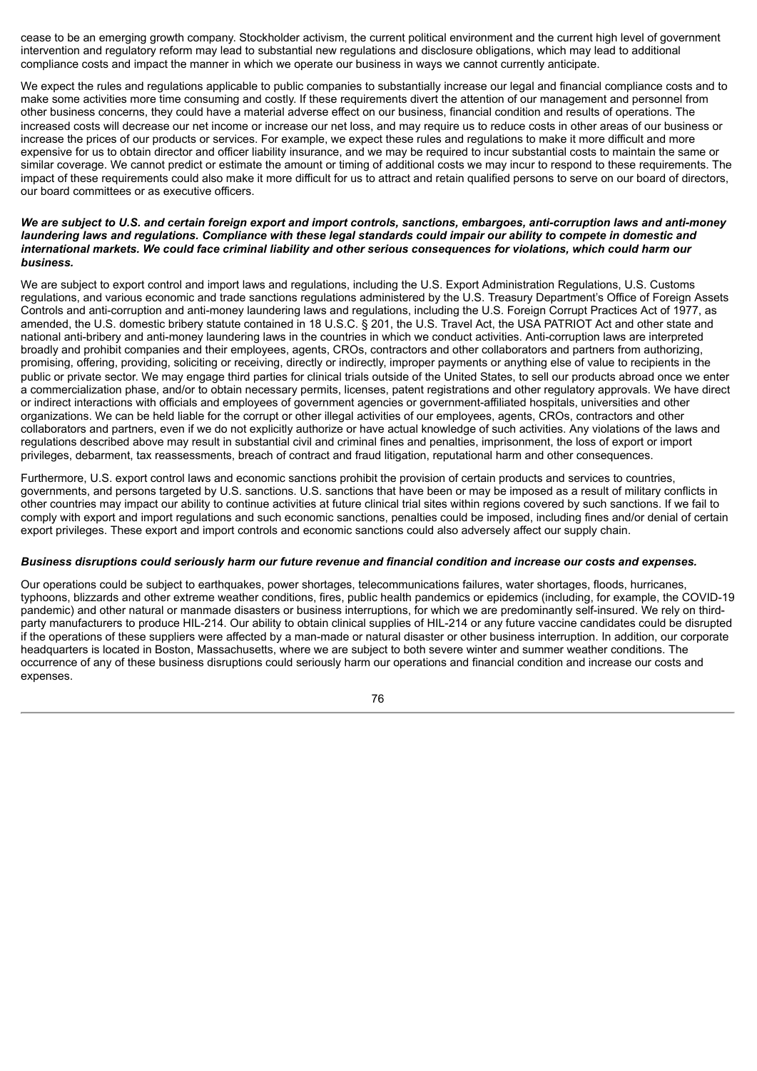cease to be an emerging growth company. Stockholder activism, the current political environment and the current high level of government intervention and regulatory reform may lead to substantial new regulations and disclosure obligations, which may lead to additional compliance costs and impact the manner in which we operate our business in ways we cannot currently anticipate.

We expect the rules and regulations applicable to public companies to substantially increase our legal and financial compliance costs and to make some activities more time consuming and costly. If these requirements divert the attention of our management and personnel from other business concerns, they could have a material adverse effect on our business, financial condition and results of operations. The increased costs will decrease our net income or increase our net loss, and may require us to reduce costs in other areas of our business or increase the prices of our products or services. For example, we expect these rules and regulations to make it more difficult and more expensive for us to obtain director and officer liability insurance, and we may be required to incur substantial costs to maintain the same or similar coverage. We cannot predict or estimate the amount or timing of additional costs we may incur to respond to these requirements. The impact of these requirements could also make it more difficult for us to attract and retain qualified persons to serve on our board of directors, our board committees or as executive officers.

#### We are subject to U.S. and certain foreign export and import controls, sanctions, embargoes, anti-corruption laws and anti-money laundering laws and regulations. Compliance with these legal standards could impair our ability to compete in domestic and international markets. We could face criminal liability and other serious consequences for violations, which could harm our *business.*

We are subject to export control and import laws and regulations, including the U.S. Export Administration Regulations, U.S. Customs regulations, and various economic and trade sanctions regulations administered by the U.S. Treasury Department's Office of Foreign Assets Controls and anti-corruption and anti-money laundering laws and regulations, including the U.S. Foreign Corrupt Practices Act of 1977, as amended, the U.S. domestic bribery statute contained in 18 U.S.C. § 201, the U.S. Travel Act, the USA PATRIOT Act and other state and national anti-bribery and anti-money laundering laws in the countries in which we conduct activities. Anti-corruption laws are interpreted broadly and prohibit companies and their employees, agents, CROs, contractors and other collaborators and partners from authorizing, promising, offering, providing, soliciting or receiving, directly or indirectly, improper payments or anything else of value to recipients in the public or private sector. We may engage third parties for clinical trials outside of the United States, to sell our products abroad once we enter a commercialization phase, and/or to obtain necessary permits, licenses, patent registrations and other regulatory approvals. We have direct or indirect interactions with officials and employees of government agencies or government-affiliated hospitals, universities and other organizations. We can be held liable for the corrupt or other illegal activities of our employees, agents, CROs, contractors and other collaborators and partners, even if we do not explicitly authorize or have actual knowledge of such activities. Any violations of the laws and regulations described above may result in substantial civil and criminal fines and penalties, imprisonment, the loss of export or import privileges, debarment, tax reassessments, breach of contract and fraud litigation, reputational harm and other consequences.

Furthermore, U.S. export control laws and economic sanctions prohibit the provision of certain products and services to countries, governments, and persons targeted by U.S. sanctions. U.S. sanctions that have been or may be imposed as a result of military conflicts in other countries may impact our ability to continue activities at future clinical trial sites within regions covered by such sanctions. If we fail to comply with export and import regulations and such economic sanctions, penalties could be imposed, including fines and/or denial of certain export privileges. These export and import controls and economic sanctions could also adversely affect our supply chain.

#### Business disruptions could seriously harm our future revenue and financial condition and increase our costs and expenses.

Our operations could be subject to earthquakes, power shortages, telecommunications failures, water shortages, floods, hurricanes, typhoons, blizzards and other extreme weather conditions, fires, public health pandemics or epidemics (including, for example, the COVID-19 pandemic) and other natural or manmade disasters or business interruptions, for which we are predominantly self-insured. We rely on thirdparty manufacturers to produce HIL-214. Our ability to obtain clinical supplies of HIL-214 or any future vaccine candidates could be disrupted if the operations of these suppliers were affected by a man-made or natural disaster or other business interruption. In addition, our corporate headquarters is located in Boston, Massachusetts, where we are subject to both severe winter and summer weather conditions. The occurrence of any of these business disruptions could seriously harm our operations and financial condition and increase our costs and expenses.

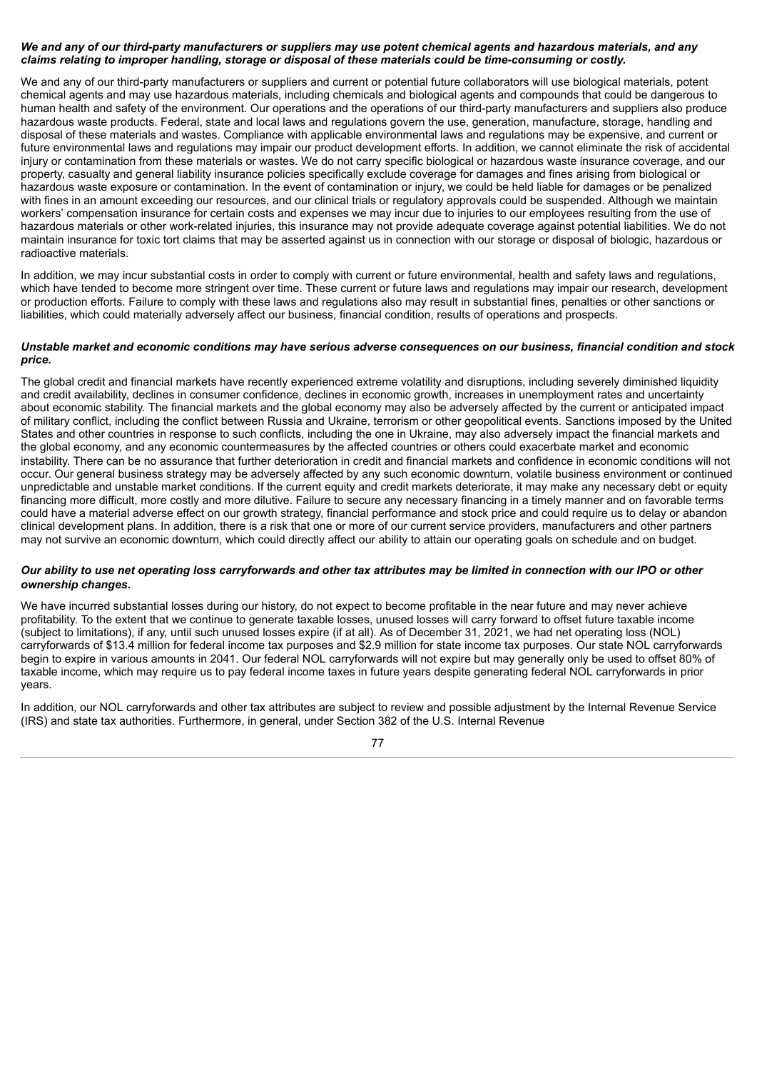# We and any of our third-party manufacturers or suppliers may use potent chemical agents and hazardous materials, and any *claims relating to improper handling, storage or disposal of these materials could be time-consuming or costly.*

We and any of our third-party manufacturers or suppliers and current or potential future collaborators will use biological materials, potent chemical agents and may use hazardous materials, including chemicals and biological agents and compounds that could be dangerous to human health and safety of the environment. Our operations and the operations of our third-party manufacturers and suppliers also produce hazardous waste products. Federal, state and local laws and regulations govern the use, generation, manufacture, storage, handling and disposal of these materials and wastes. Compliance with applicable environmental laws and regulations may be expensive, and current or future environmental laws and regulations may impair our product development efforts. In addition, we cannot eliminate the risk of accidental injury or contamination from these materials or wastes. We do not carry specific biological or hazardous waste insurance coverage, and our property, casualty and general liability insurance policies specifically exclude coverage for damages and fines arising from biological or hazardous waste exposure or contamination. In the event of contamination or injury, we could be held liable for damages or be penalized with fines in an amount exceeding our resources, and our clinical trials or regulatory approvals could be suspended. Although we maintain workers' compensation insurance for certain costs and expenses we may incur due to injuries to our employees resulting from the use of hazardous materials or other work-related injuries, this insurance may not provide adequate coverage against potential liabilities. We do not maintain insurance for toxic tort claims that may be asserted against us in connection with our storage or disposal of biologic, hazardous or radioactive materials.

In addition, we may incur substantial costs in order to comply with current or future environmental, health and safety laws and regulations, which have tended to become more stringent over time. These current or future laws and regulations may impair our research, development or production efforts. Failure to comply with these laws and regulations also may result in substantial fines, penalties or other sanctions or liabilities, which could materially adversely affect our business, financial condition, results of operations and prospects.

#### Unstable market and economic conditions may have serious adverse consequences on our business, financial condition and stock *price.*

The global credit and financial markets have recently experienced extreme volatility and disruptions, including severely diminished liquidity and credit availability, declines in consumer confidence, declines in economic growth, increases in unemployment rates and uncertainty about economic stability. The financial markets and the global economy may also be adversely affected by the current or anticipated impact of military conflict, including the conflict between Russia and Ukraine, terrorism or other geopolitical events. Sanctions imposed by the United States and other countries in response to such conflicts, including the one in Ukraine, may also adversely impact the financial markets and the global economy, and any economic countermeasures by the affected countries or others could exacerbate market and economic instability. There can be no assurance that further deterioration in credit and financial markets and confidence in economic conditions will not occur. Our general business strategy may be adversely affected by any such economic downturn, volatile business environment or continued unpredictable and unstable market conditions. If the current equity and credit markets deteriorate, it may make any necessary debt or equity financing more difficult, more costly and more dilutive. Failure to secure any necessary financing in a timely manner and on favorable terms could have a material adverse effect on our growth strategy, financial performance and stock price and could require us to delay or abandon clinical development plans. In addition, there is a risk that one or more of our current service providers, manufacturers and other partners may not survive an economic downturn, which could directly affect our ability to attain our operating goals on schedule and on budget.

## Our ability to use net operating loss carryforwards and other tax attributes may be limited in connection with our IPO or other *ownership changes.*

We have incurred substantial losses during our history, do not expect to become profitable in the near future and may never achieve profitability. To the extent that we continue to generate taxable losses, unused losses will carry forward to offset future taxable income (subject to limitations), if any, until such unused losses expire (if at all). As of December 31, 2021, we had net operating loss (NOL) carryforwards of \$13.4 million for federal income tax purposes and \$2.9 million for state income tax purposes. Our state NOL carryforwards begin to expire in various amounts in 2041. Our federal NOL carryforwards will not expire but may generally only be used to offset 80% of taxable income, which may require us to pay federal income taxes in future years despite generating federal NOL carryforwards in prior years.

In addition, our NOL carryforwards and other tax attributes are subject to review and possible adjustment by the Internal Revenue Service (IRS) and state tax authorities. Furthermore, in general, under Section 382 of the U.S. Internal Revenue

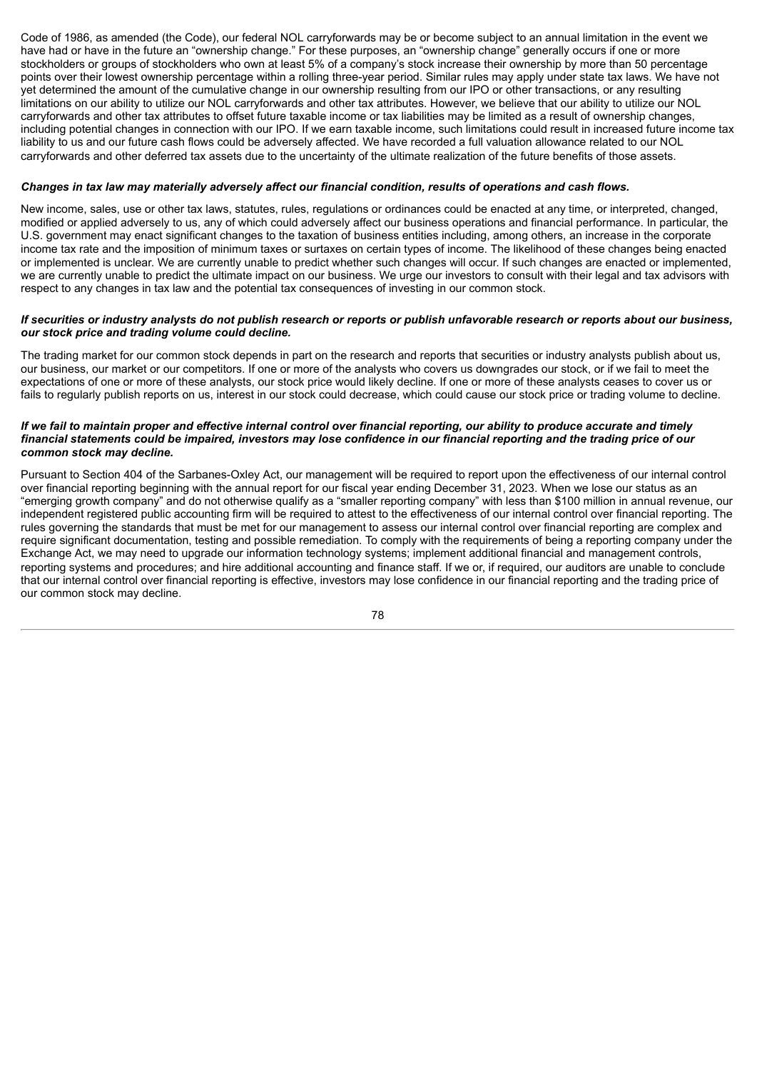Code of 1986, as amended (the Code), our federal NOL carryforwards may be or become subject to an annual limitation in the event we have had or have in the future an "ownership change." For these purposes, an "ownership change" generally occurs if one or more stockholders or groups of stockholders who own at least 5% of a company's stock increase their ownership by more than 50 percentage points over their lowest ownership percentage within a rolling three-year period. Similar rules may apply under state tax laws. We have not yet determined the amount of the cumulative change in our ownership resulting from our IPO or other transactions, or any resulting limitations on our ability to utilize our NOL carryforwards and other tax attributes. However, we believe that our ability to utilize our NOL carryforwards and other tax attributes to offset future taxable income or tax liabilities may be limited as a result of ownership changes, including potential changes in connection with our IPO. If we earn taxable income, such limitations could result in increased future income tax liability to us and our future cash flows could be adversely affected. We have recorded a full valuation allowance related to our NOL carryforwards and other deferred tax assets due to the uncertainty of the ultimate realization of the future benefits of those assets.

# Changes in tax law may materially adversely affect our financial condition, results of operations and cash flows.

New income, sales, use or other tax laws, statutes, rules, regulations or ordinances could be enacted at any time, or interpreted, changed, modified or applied adversely to us, any of which could adversely affect our business operations and financial performance. In particular, the U.S. government may enact significant changes to the taxation of business entities including, among others, an increase in the corporate income tax rate and the imposition of minimum taxes or surtaxes on certain types of income. The likelihood of these changes being enacted or implemented is unclear. We are currently unable to predict whether such changes will occur. If such changes are enacted or implemented, we are currently unable to predict the ultimate impact on our business. We urge our investors to consult with their legal and tax advisors with respect to any changes in tax law and the potential tax consequences of investing in our common stock.

#### If securities or industry analysts do not publish research or reports or publish unfavorable research or reports about our business, *our stock price and trading volume could decline.*

The trading market for our common stock depends in part on the research and reports that securities or industry analysts publish about us, our business, our market or our competitors. If one or more of the analysts who covers us downgrades our stock, or if we fail to meet the expectations of one or more of these analysts, our stock price would likely decline. If one or more of these analysts ceases to cover us or fails to regularly publish reports on us, interest in our stock could decrease, which could cause our stock price or trading volume to decline.

### If we fail to maintain proper and effective internal control over financial reporting, our ability to produce accurate and timely financial statements could be impaired, investors may lose confidence in our financial reporting and the trading price of our *common stock may decline.*

Pursuant to Section 404 of the Sarbanes-Oxley Act, our management will be required to report upon the effectiveness of our internal control over financial reporting beginning with the annual report for our fiscal year ending December 31, 2023. When we lose our status as an "emerging growth company" and do not otherwise qualify as a "smaller reporting company" with less than \$100 million in annual revenue, our independent registered public accounting firm will be required to attest to the effectiveness of our internal control over financial reporting. The rules governing the standards that must be met for our management to assess our internal control over financial reporting are complex and require significant documentation, testing and possible remediation. To comply with the requirements of being a reporting company under the Exchange Act, we may need to upgrade our information technology systems; implement additional financial and management controls, reporting systems and procedures; and hire additional accounting and finance staff. If we or, if required, our auditors are unable to conclude that our internal control over financial reporting is effective, investors may lose confidence in our financial reporting and the trading price of our common stock may decline.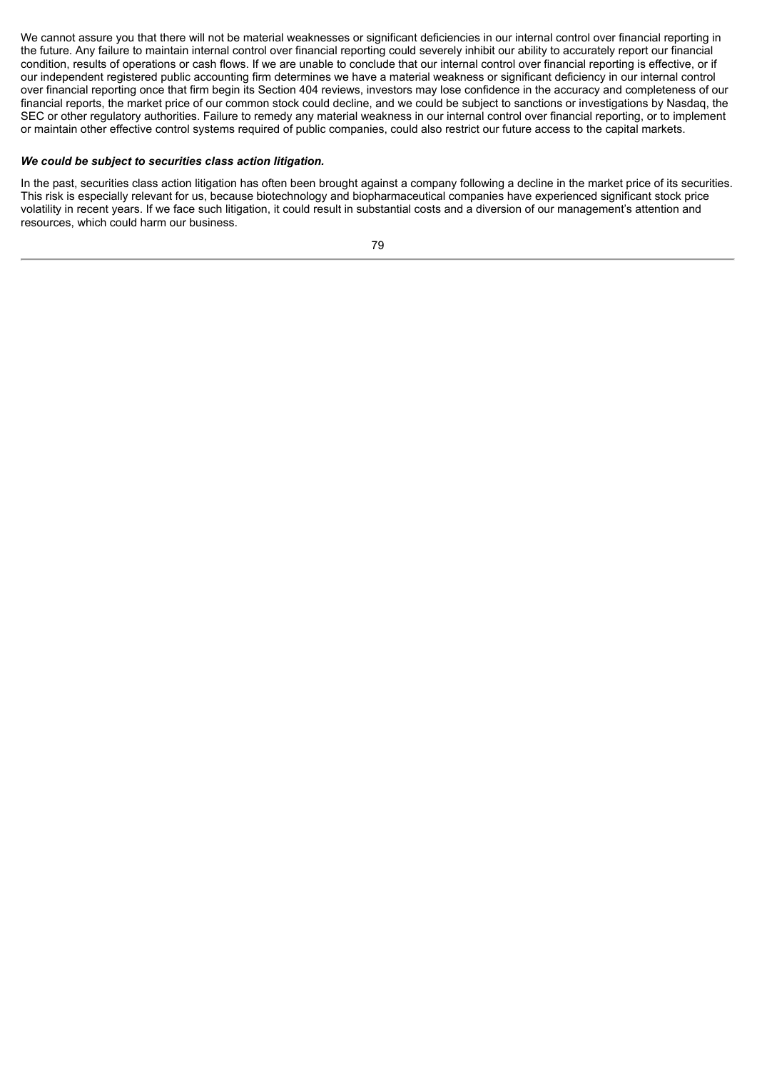We cannot assure you that there will not be material weaknesses or significant deficiencies in our internal control over financial reporting in the future. Any failure to maintain internal control over financial reporting could severely inhibit our ability to accurately report our financial condition, results of operations or cash flows. If we are unable to conclude that our internal control over financial reporting is effective, or if our independent registered public accounting firm determines we have a material weakness or significant deficiency in our internal control over financial reporting once that firm begin its Section 404 reviews, investors may lose confidence in the accuracy and completeness of our financial reports, the market price of our common stock could decline, and we could be subject to sanctions or investigations by Nasdaq, the SEC or other regulatory authorities. Failure to remedy any material weakness in our internal control over financial reporting, or to implement or maintain other effective control systems required of public companies, could also restrict our future access to the capital markets.

# *We could be subject to securities class action litigation.*

In the past, securities class action litigation has often been brought against a company following a decline in the market price of its securities. This risk is especially relevant for us, because biotechnology and biopharmaceutical companies have experienced significant stock price volatility in recent years. If we face such litigation, it could result in substantial costs and a diversion of our management's attention and resources, which could harm our business.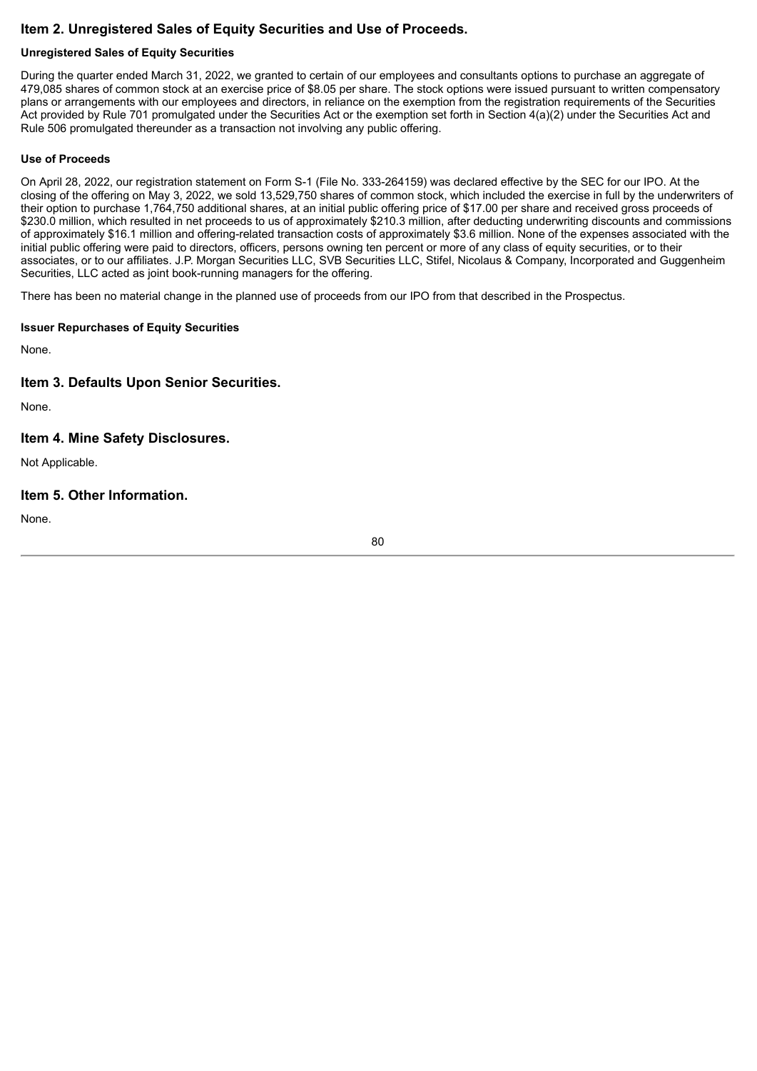# **Item 2. Unregistered Sales of Equity Securities and Use of Proceeds.**

# **Unregistered Sales of Equity Securities**

During the quarter ended March 31, 2022, we granted to certain of our employees and consultants options to purchase an aggregate of 479,085 shares of common stock at an exercise price of \$8.05 per share. The stock options were issued pursuant to written compensatory plans or arrangements with our employees and directors, in reliance on the exemption from the registration requirements of the Securities Act provided by Rule 701 promulgated under the Securities Act or the exemption set forth in Section 4(a)(2) under the Securities Act and Rule 506 promulgated thereunder as a transaction not involving any public offering.

# **Use of Proceeds**

On April 28, 2022, our registration statement on Form S-1 (File No. 333-264159) was declared effective by the SEC for our IPO. At the closing of the offering on May 3, 2022, we sold 13,529,750 shares of common stock, which included the exercise in full by the underwriters of their option to purchase 1,764,750 additional shares, at an initial public offering price of \$17.00 per share and received gross proceeds of \$230.0 million, which resulted in net proceeds to us of approximately \$210.3 million, after deducting underwriting discounts and commissions of approximately \$16.1 million and offering-related transaction costs of approximately \$3.6 million. None of the expenses associated with the initial public offering were paid to directors, officers, persons owning ten percent or more of any class of equity securities, or to their associates, or to our affiliates. J.P. Morgan Securities LLC, SVB Securities LLC, Stifel, Nicolaus & Company, Incorporated and Guggenheim Securities, LLC acted as joint book-running managers for the offering.

There has been no material change in the planned use of proceeds from our IPO from that described in the Prospectus.

# **Issuer Repurchases of Equity Securities**

None.

# **Item 3. Defaults Upon Senior Securities.**

None.

# **Item 4. Mine Safety Disclosures.**

Not Applicable.

# **Item 5. Other Information.**

None.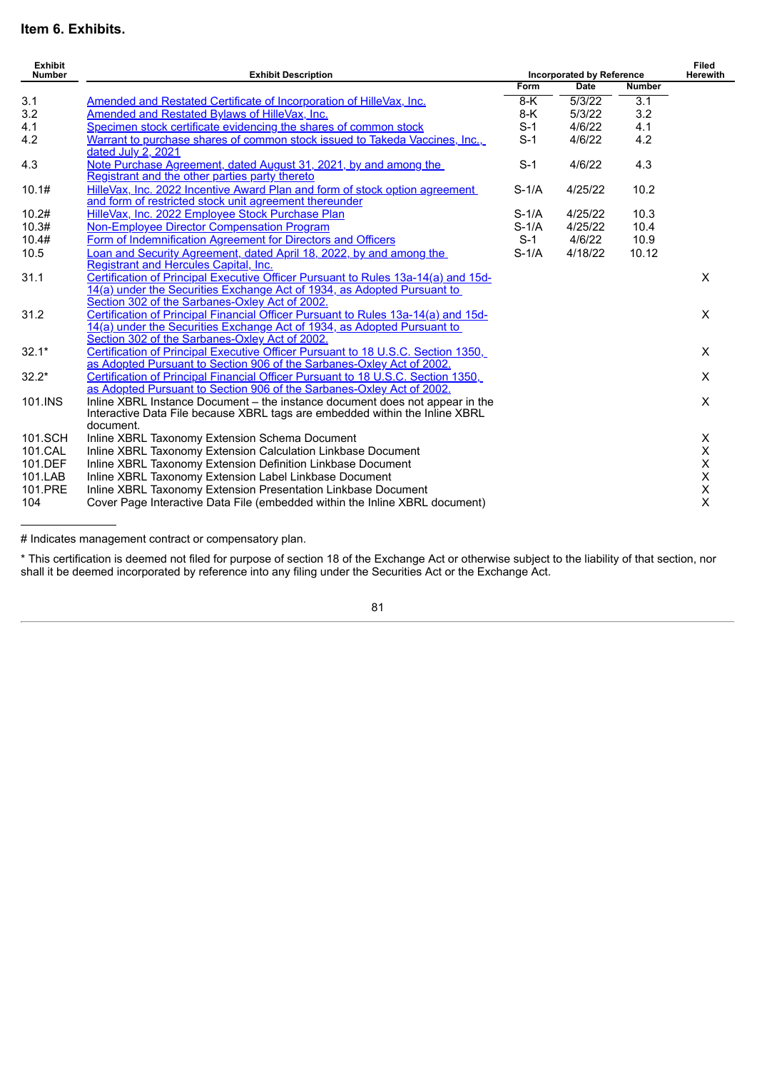# **Item 6. Exhibits.**

| <b>Exhibit</b><br>Number | <b>Exhibit Description</b>                                                               | <b>Incorporated by Reference</b> |         |               | <b>Filed</b><br><b>Herewith</b> |
|--------------------------|------------------------------------------------------------------------------------------|----------------------------------|---------|---------------|---------------------------------|
|                          |                                                                                          | Form                             | Date    | <b>Number</b> |                                 |
| 3.1                      | Amended and Restated Certificate of Incorporation of HilleVax, Inc.                      | 8-K                              | 5/3/22  | 3.1           |                                 |
| 3.2                      | Amended and Restated Bylaws of HilleVax, Inc.                                            | $8-K$                            | 5/3/22  | 3.2           |                                 |
| 4.1                      | Specimen stock certificate evidencing the shares of common stock                         | $S-1$                            | 4/6/22  | 4.1           |                                 |
| 4.2                      | Warrant to purchase shares of common stock issued to Takeda Vaccines, Inc.,              | $S-1$                            | 4/6/22  | 4.2           |                                 |
|                          | dated July 2, 2021                                                                       |                                  |         |               |                                 |
| 4.3                      | Note Purchase Agreement, dated August 31, 2021, by and among the                         | $S-1$                            | 4/6/22  | 4.3           |                                 |
|                          | Registrant and the other parties party thereto                                           |                                  |         |               |                                 |
| 10.1#                    | HilleVax, Inc. 2022 Incentive Award Plan and form of stock option agreement              | $S-1/A$                          | 4/25/22 | 10.2          |                                 |
|                          | and form of restricted stock unit agreement thereunder                                   |                                  |         |               |                                 |
| 10.2#                    | HilleVax, Inc. 2022 Employee Stock Purchase Plan                                         | $S-1/A$                          | 4/25/22 | 10.3          |                                 |
| 10.3#                    | <b>Non-Employee Director Compensation Program</b>                                        | $S-1/A$                          | 4/25/22 | 10.4          |                                 |
| 10.4#                    | Form of Indemnification Agreement for Directors and Officers                             | $S-1$                            | 4/6/22  | 10.9          |                                 |
| 10.5                     | oan and Security Agreement, dated April 18, 2022, by and among the                       | $S-1/A$                          | 4/18/22 | 10.12         |                                 |
|                          | <b>Registrant and Hercules Capital, Inc.</b>                                             |                                  |         |               |                                 |
| 31.1                     | Certification of Principal Executive Officer Pursuant to Rules 13a-14(a) and 15d-        |                                  |         |               | X                               |
|                          | 14(a) under the Securities Exchange Act of 1934, as Adopted Pursuant to                  |                                  |         |               |                                 |
|                          | Section 302 of the Sarbanes-Oxley Act of 2002.                                           |                                  |         |               |                                 |
| 31.2                     | Certification of Principal Financial Officer Pursuant to Rules 13a-14(a) and 15d-        |                                  |         |               | $\times$                        |
|                          | 14(a) under the Securities Exchange Act of 1934, as Adopted Pursuant to                  |                                  |         |               |                                 |
|                          | Section 302 of the Sarbanes-Oxley Act of 2002.                                           |                                  |         |               |                                 |
| $32.1*$                  | Certification of Principal Executive Officer Pursuant to 18 U.S.C. Section 1350,         |                                  |         |               | X                               |
|                          | as Adopted Pursuant to Section 906 of the Sarbanes-Oxley Act of 2002.                    |                                  |         |               |                                 |
| $32.2*$                  | Certification of Principal Financial Officer Pursuant to 18 U.S.C. Section 1350,         |                                  |         |               | X                               |
|                          | as Adopted Pursuant to Section 906 of the Sarbanes-Oxley Act of 2002.                    |                                  |         |               |                                 |
| 101.INS                  | Inline XBRL Instance Document – the instance document does not appear in the             |                                  |         |               | X                               |
|                          | Interactive Data File because XBRL tags are embedded within the Inline XBRL<br>document. |                                  |         |               |                                 |
| 101.SCH                  | Inline XBRL Taxonomy Extension Schema Document                                           |                                  |         |               | X                               |
| 101.CAL                  | Inline XBRL Taxonomy Extension Calculation Linkbase Document                             |                                  |         |               | $\pmb{\times}$                  |
| 101.DEF                  | Inline XBRL Taxonomy Extension Definition Linkbase Document                              |                                  |         |               | X                               |
| 101.LAB                  | Inline XBRL Taxonomy Extension Label Linkbase Document                                   |                                  |         |               | $\pmb{\times}$                  |
| 101.PRE                  |                                                                                          |                                  |         |               | $\mathsf X$                     |
| 104                      | Inline XBRL Taxonomy Extension Presentation Linkbase Document                            |                                  |         |               | $\times$                        |
|                          | Cover Page Interactive Data File (embedded within the Inline XBRL document)              |                                  |         |               |                                 |

# Indicates management contract or compensatory plan.

\* This certification is deemed not filed for purpose of section 18 of the Exchange Act or otherwise subject to the liability of that section, nor shall it be deemed incorporated by reference into any filing under the Securities Act or the Exchange Act.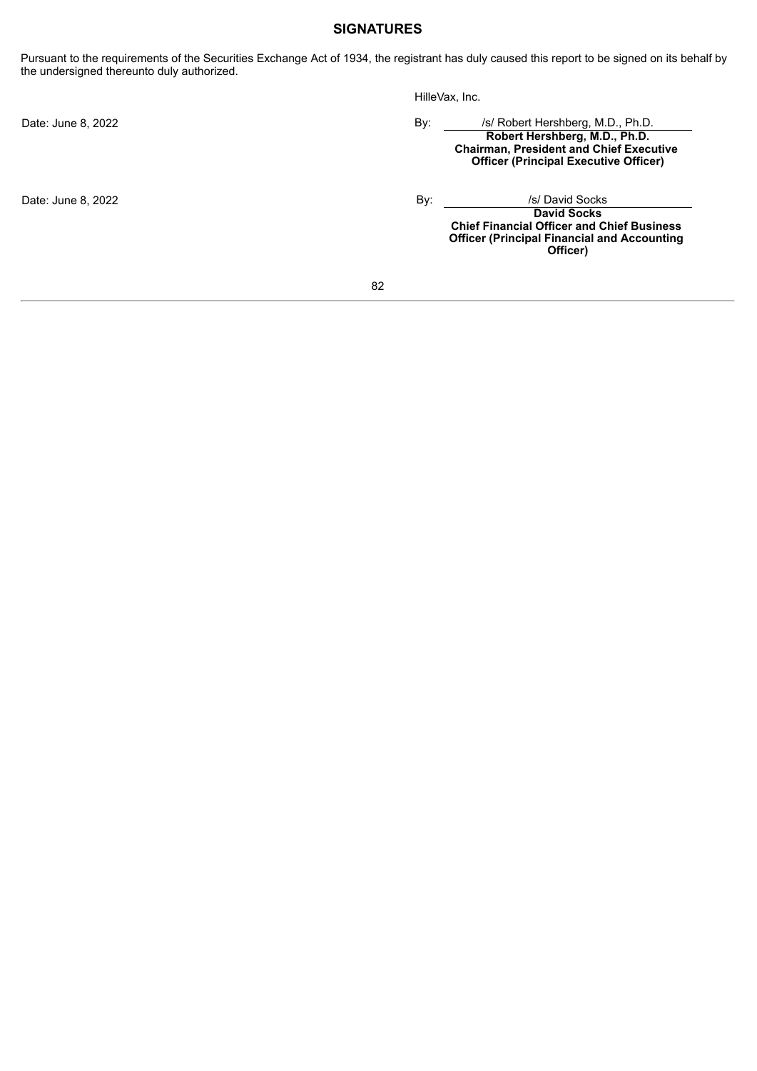# **SIGNATURES**

Pursuant to the requirements of the Securities Exchange Act of 1934, the registrant has duly caused this report to be signed on its behalf by the undersigned thereunto duly authorized.

HilleVax, Inc.

| Date: June 8, 2022 | By: | /s/ Robert Hershberg, M.D., Ph.D.<br>Robert Hershberg, M.D., Ph.D.<br><b>Chairman, President and Chief Executive</b><br><b>Officer (Principal Executive Officer)</b> |
|--------------------|-----|----------------------------------------------------------------------------------------------------------------------------------------------------------------------|
| Date: June 8, 2022 | By: | /s/ David Socks<br><b>David Socks</b><br><b>Chief Financial Officer and Chief Business</b><br><b>Officer (Principal Financial and Accounting</b><br>Officer)         |
|                    | 82  |                                                                                                                                                                      |
|                    |     |                                                                                                                                                                      |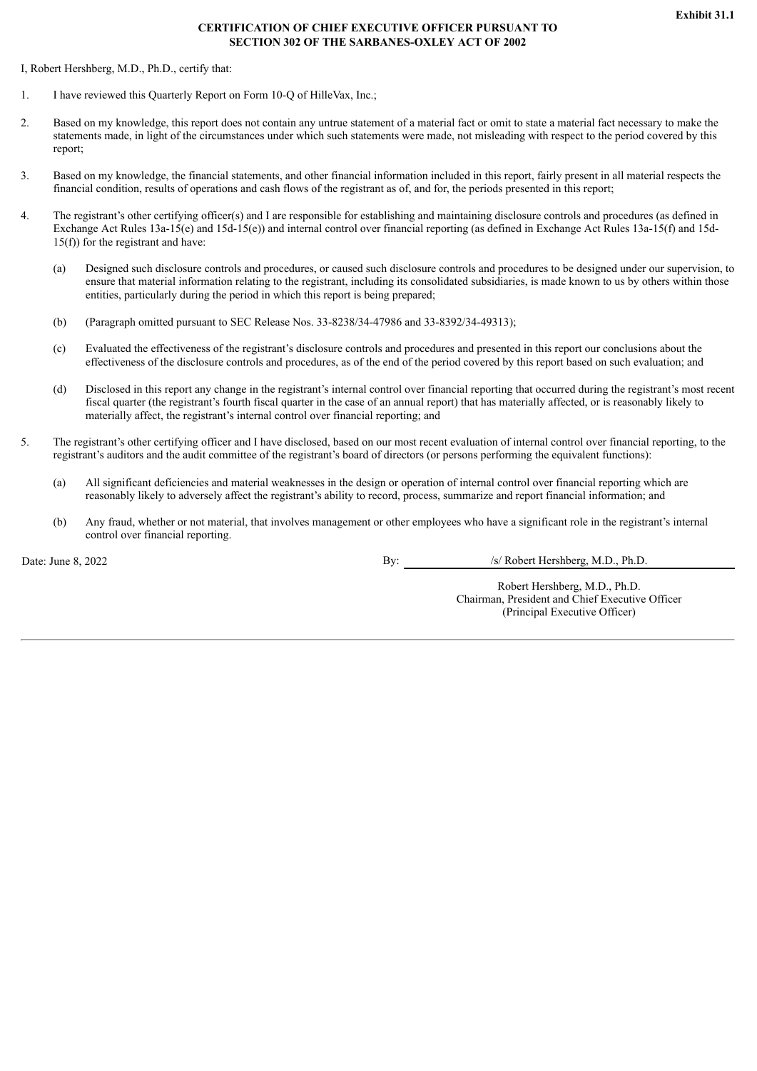## **CERTIFICATION OF CHIEF EXECUTIVE OFFICER PURSUANT TO SECTION 302 OF THE SARBANES-OXLEY ACT OF 2002**

<span id="page-84-0"></span>I, Robert Hershberg, M.D., Ph.D., certify that:

- 1. I have reviewed this Quarterly Report on Form 10-Q of HilleVax, Inc.;
- 2. Based on my knowledge, this report does not contain any untrue statement of a material fact or omit to state a material fact necessary to make the statements made, in light of the circumstances under which such statements were made, not misleading with respect to the period covered by this report;
- 3. Based on my knowledge, the financial statements, and other financial information included in this report, fairly present in all material respects the financial condition, results of operations and cash flows of the registrant as of, and for, the periods presented in this report;
- 4. The registrant's other certifying officer(s) and I are responsible for establishing and maintaining disclosure controls and procedures (as defined in Exchange Act Rules 13a-15(e) and 15d-15(e)) and internal control over financial reporting (as defined in Exchange Act Rules 13a-15(f) and 15d-15(f)) for the registrant and have:
	- (a) Designed such disclosure controls and procedures, or caused such disclosure controls and procedures to be designed under our supervision, to ensure that material information relating to the registrant, including its consolidated subsidiaries, is made known to us by others within those entities, particularly during the period in which this report is being prepared;
	- (b) (Paragraph omitted pursuant to SEC Release Nos. 33-8238/34-47986 and 33-8392/34-49313);
	- (c) Evaluated the effectiveness of the registrant's disclosure controls and procedures and presented in this report our conclusions about the effectiveness of the disclosure controls and procedures, as of the end of the period covered by this report based on such evaluation; and
	- (d) Disclosed in this report any change in the registrant's internal control over financial reporting that occurred during the registrant's most recent fiscal quarter (the registrant's fourth fiscal quarter in the case of an annual report) that has materially affected, or is reasonably likely to materially affect, the registrant's internal control over financial reporting; and
- 5. The registrant's other certifying officer and I have disclosed, based on our most recent evaluation of internal control over financial reporting, to the registrant's auditors and the audit committee of the registrant's board of directors (or persons performing the equivalent functions):
	- (a) All significant deficiencies and material weaknesses in the design or operation of internal control over financial reporting which are reasonably likely to adversely affect the registrant's ability to record, process, summarize and report financial information; and
	- (b) Any fraud, whether or not material, that involves management or other employees who have a significant role in the registrant's internal control over financial reporting.

Date: June 8, 2022 By: /s/ Robert Hershberg, M.D., Ph.D.

Robert Hershberg, M.D., Ph.D. Chairman, President and Chief Executive Officer (Principal Executive Officer)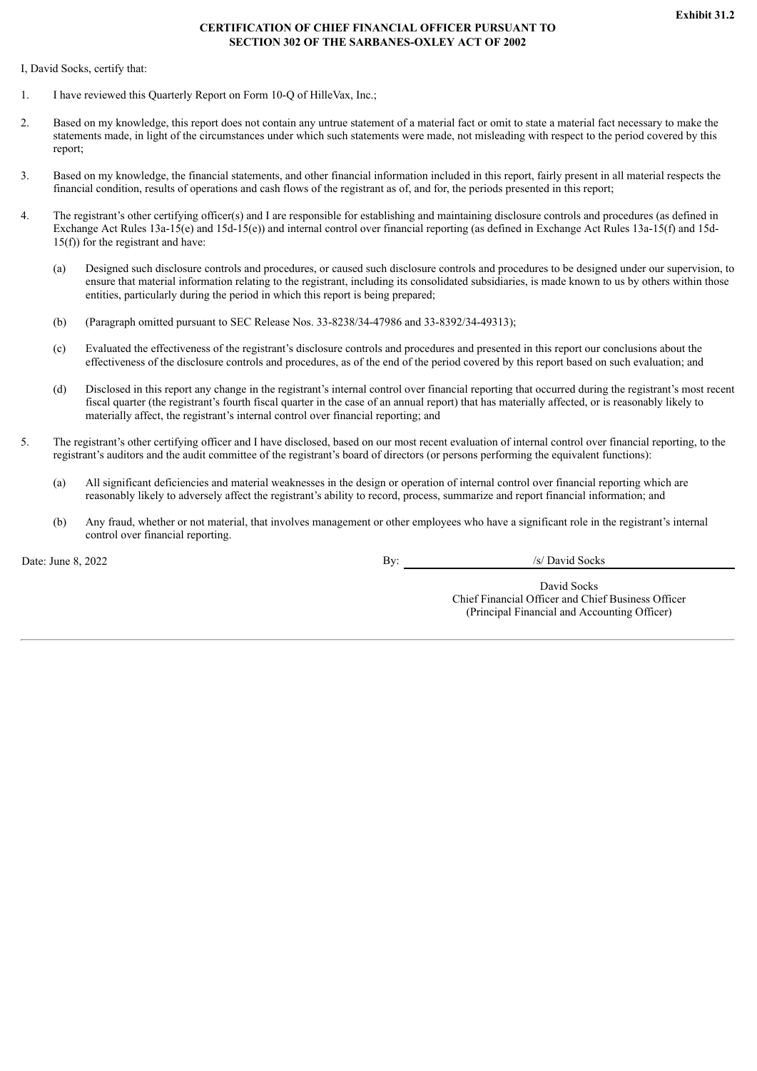## **CERTIFICATION OF CHIEF FINANCIAL OFFICER PURSUANT TO SECTION 302 OF THE SARBANES-OXLEY ACT OF 2002**

<span id="page-85-0"></span>I, David Socks, certify that:

- 1. I have reviewed this Quarterly Report on Form 10-Q of HilleVax, Inc.;
- 2. Based on my knowledge, this report does not contain any untrue statement of a material fact or omit to state a material fact necessary to make the statements made, in light of the circumstances under which such statements were made, not misleading with respect to the period covered by this report;
- 3. Based on my knowledge, the financial statements, and other financial information included in this report, fairly present in all material respects the financial condition, results of operations and cash flows of the registrant as of, and for, the periods presented in this report;
- 4. The registrant's other certifying officer(s) and I are responsible for establishing and maintaining disclosure controls and procedures (as defined in Exchange Act Rules 13a-15(e) and 15d-15(e)) and internal control over financial reporting (as defined in Exchange Act Rules 13a-15(f) and 15d-15(f)) for the registrant and have:
	- (a) Designed such disclosure controls and procedures, or caused such disclosure controls and procedures to be designed under our supervision, to ensure that material information relating to the registrant, including its consolidated subsidiaries, is made known to us by others within those entities, particularly during the period in which this report is being prepared;
	- (b) (Paragraph omitted pursuant to SEC Release Nos. 33-8238/34-47986 and 33-8392/34-49313);
	- (c) Evaluated the effectiveness of the registrant's disclosure controls and procedures and presented in this report our conclusions about the effectiveness of the disclosure controls and procedures, as of the end of the period covered by this report based on such evaluation; and
	- (d) Disclosed in this report any change in the registrant's internal control over financial reporting that occurred during the registrant's most recent fiscal quarter (the registrant's fourth fiscal quarter in the case of an annual report) that has materially affected, or is reasonably likely to materially affect, the registrant's internal control over financial reporting; and
- 5. The registrant's other certifying officer and I have disclosed, based on our most recent evaluation of internal control over financial reporting, to the registrant's auditors and the audit committee of the registrant's board of directors (or persons performing the equivalent functions):
	- (a) All significant deficiencies and material weaknesses in the design or operation of internal control over financial reporting which are reasonably likely to adversely affect the registrant's ability to record, process, summarize and report financial information; and
	- (b) Any fraud, whether or not material, that involves management or other employees who have a significant role in the registrant's internal control over financial reporting.

Date: June 8, 2022 <br>By: /s/ David Socks

David Socks Chief Financial Officer and Chief Business Officer (Principal Financial and Accounting Officer)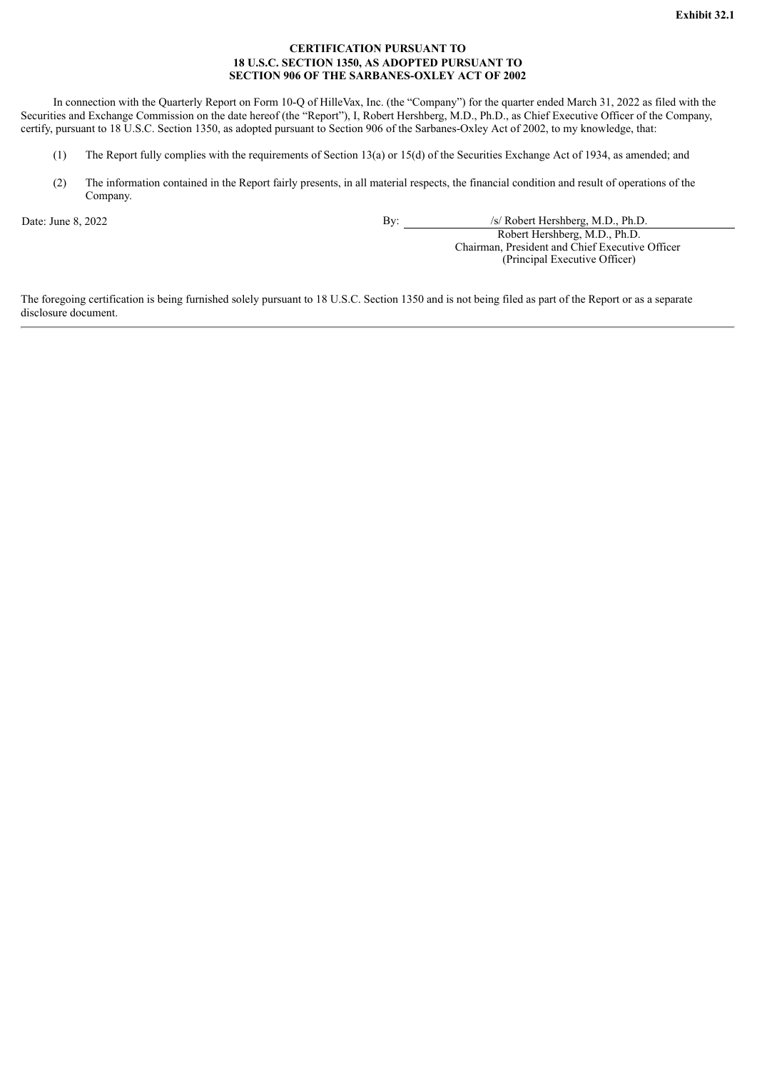## **CERTIFICATION PURSUANT TO 18 U.S.C. SECTION 1350, AS ADOPTED PURSUANT TO SECTION 906 OF THE SARBANES-OXLEY ACT OF 2002**

<span id="page-86-0"></span>In connection with the Quarterly Report on Form 10-Q of HilleVax, Inc. (the "Company") for the quarter ended March 31, 2022 as filed with the Securities and Exchange Commission on the date hereof (the "Report"), I, Robert Hershberg, M.D., Ph.D., as Chief Executive Officer of the Company, certify, pursuant to 18 U.S.C. Section 1350, as adopted pursuant to Section 906 of the Sarbanes-Oxley Act of 2002, to my knowledge, that:

- (1) The Report fully complies with the requirements of Section 13(a) or 15(d) of the Securities Exchange Act of 1934, as amended; and
- (2) The information contained in the Report fairly presents, in all material respects, the financial condition and result of operations of the Company.

Date: June 8, 2022 By: /s/ Robert Hershberg, M.D., Ph.D.

Robert Hershberg, M.D., Ph.D. Chairman, President and Chief Executive Officer (Principal Executive Officer)

The foregoing certification is being furnished solely pursuant to 18 U.S.C. Section 1350 and is not being filed as part of the Report or as a separate disclosure document.